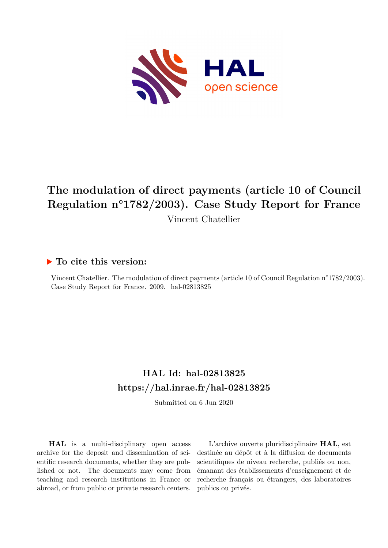

# **The modulation of direct payments (article 10 of Council Regulation n°1782/2003). Case Study Report for France** Vincent Chatellier

# **To cite this version:**

Vincent Chatellier. The modulation of direct payments (article 10 of Council Regulation n°1782/2003). Case Study Report for France. 2009. hal-02813825

# **HAL Id: hal-02813825 <https://hal.inrae.fr/hal-02813825>**

Submitted on 6 Jun 2020

**HAL** is a multi-disciplinary open access archive for the deposit and dissemination of scientific research documents, whether they are published or not. The documents may come from teaching and research institutions in France or abroad, or from public or private research centers.

L'archive ouverte pluridisciplinaire **HAL**, est destinée au dépôt et à la diffusion de documents scientifiques de niveau recherche, publiés ou non, émanant des établissements d'enseignement et de recherche français ou étrangers, des laboratoires publics ou privés.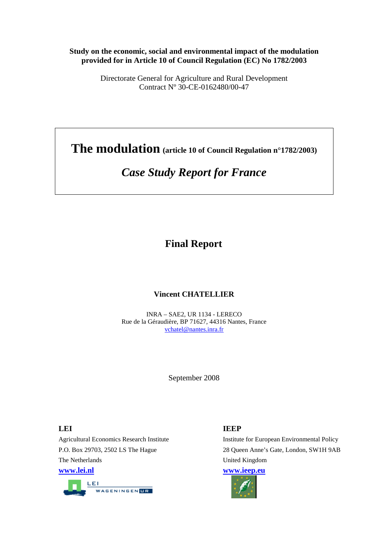#### **Study on the economic, social and environmental impact of the modulation provided for in Article 10 of Council Regulation (EC) No 1782/2003**

Directorate General for Agriculture and Rural Development Contract Nº 30-CE-0162480/00-47

**The modulation (article 10 of Council Regulation n°1782/2003)** 

# *Case Study Report for France*

# **Final Report**

# **Vincent CHATELLIER**

INRA – SAE2, UR 1134 - LERECO Rue de la Géraudière, BP 71627, 44316 Nantes, France vchatel@nantes.inra.fr

September 2008

**LEI** IEEP The Netherlands United Kingdom **www.lei.nl www.ieep.eu**



Agricultural Economics Research Institute Institute Institute for European Environmental Policy P.O. Box 29703, 2502 LS The Hague 28 Queen Anne's Gate, London, SW1H 9AB

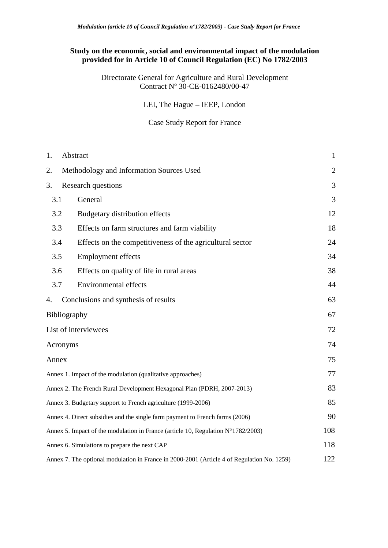# **Study on the economic, social and environmental impact of the modulation provided for in Article 10 of Council Regulation (EC) No 1782/2003**

Directorate General for Agriculture and Rural Development Contract Nº 30-CE-0162480/00-47

LEI, The Hague – IEEP, London

Case Study Report for France

| 1.                                                                                         | Abstract                                                  | $\mathbf{1}$   |
|--------------------------------------------------------------------------------------------|-----------------------------------------------------------|----------------|
| 2.                                                                                         | Methodology and Information Sources Used                  | $\overline{2}$ |
| 3.                                                                                         | Research questions                                        | 3              |
| 3.1                                                                                        | General                                                   | 3              |
| 3.2                                                                                        | Budgetary distribution effects                            | 12             |
| 3.3                                                                                        | Effects on farm structures and farm viability             | 18             |
| 3.4                                                                                        | Effects on the competitiveness of the agricultural sector | 24             |
| 3.5                                                                                        | <b>Employment effects</b>                                 | 34             |
| 3.6                                                                                        | Effects on quality of life in rural areas                 | 38             |
| 3.7                                                                                        | <b>Environmental effects</b>                              | 44             |
| 4.                                                                                         | Conclusions and synthesis of results                      | 63             |
| Bibliography                                                                               |                                                           | 67             |
| List of interviewees                                                                       |                                                           | 72             |
| Acronyms                                                                                   |                                                           | 74             |
| Annex                                                                                      |                                                           | 75             |
| Annex 1. Impact of the modulation (qualitative approaches)                                 |                                                           | 77             |
| Annex 2. The French Rural Development Hexagonal Plan (PDRH, 2007-2013)                     |                                                           | 83             |
| Annex 3. Budgetary support to French agriculture (1999-2006)                               |                                                           | 85             |
| Annex 4. Direct subsidies and the single farm payment to French farms (2006)               |                                                           | 90             |
| Annex 5. Impact of the modulation in France (article 10, Regulation $N^{\circ}1782/2003$ ) |                                                           | 108            |
| Annex 6. Simulations to prepare the next CAP                                               |                                                           | 118            |
| Annex 7. The optional modulation in France in 2000-2001 (Article 4 of Regulation No. 1259) |                                                           | 122            |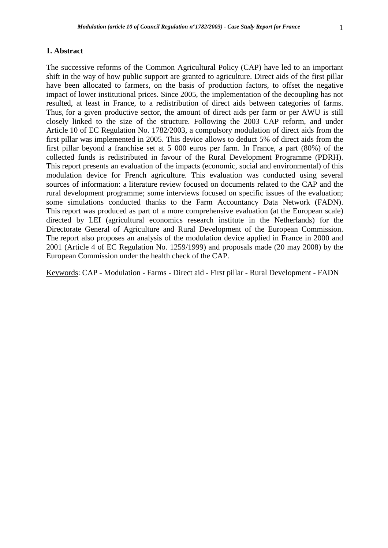#### **1. Abstract**

The successive reforms of the Common Agricultural Policy (CAP) have led to an important shift in the way of how public support are granted to agriculture. Direct aids of the first pillar have been allocated to farmers, on the basis of production factors, to offset the negative impact of lower institutional prices. Since 2005, the implementation of the decoupling has not resulted, at least in France, to a redistribution of direct aids between categories of farms. Thus, for a given productive sector, the amount of direct aids per farm or per AWU is still closely linked to the size of the structure. Following the 2003 CAP reform, and under Article 10 of EC Regulation No. 1782/2003, a compulsory modulation of direct aids from the first pillar was implemented in 2005. This device allows to deduct 5% of direct aids from the first pillar beyond a franchise set at 5 000 euros per farm. In France, a part (80%) of the collected funds is redistributed in favour of the Rural Development Programme (PDRH). This report presents an evaluation of the impacts (economic, social and environmental) of this modulation device for French agriculture. This evaluation was conducted using several sources of information: a literature review focused on documents related to the CAP and the rural development programme; some interviews focused on specific issues of the evaluation; some simulations conducted thanks to the Farm Accountancy Data Network (FADN). This report was produced as part of a more comprehensive evaluation (at the European scale) directed by LEI (agricultural economics research institute in the Netherlands) for the Directorate General of Agriculture and Rural Development of the European Commission. The report also proposes an analysis of the modulation device applied in France in 2000 and 2001 (Article 4 of EC Regulation No. 1259/1999) and proposals made (20 may 2008) by the European Commission under the health check of the CAP.

Keywords: CAP - Modulation - Farms - Direct aid - First pillar - Rural Development - FADN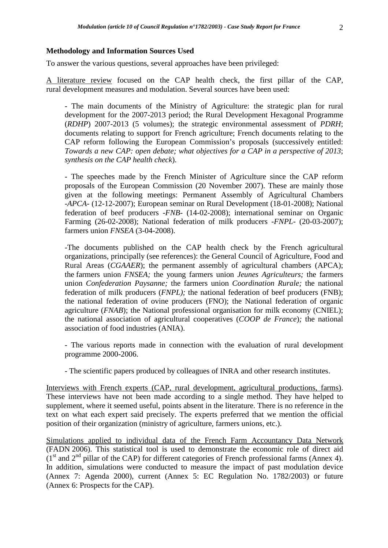#### **Methodology and Information Sources Used**

To answer the various questions, several approaches have been privileged:

A literature review focused on the CAP health check, the first pillar of the CAP, rural development measures and modulation. Several sources have been used:

- The main documents of the Ministry of Agriculture: the strategic plan for rural development for the 2007-2013 period; the Rural Development Hexagonal Programme (*RDHP*) 2007-2013 (5 volumes); the strategic environmental assessment of *PDRH*; documents relating to support for French agriculture; French documents relating to the CAP reform following the European Commission's proposals (successively entitled: *Towards a new CAP: open debate; what objectives for a CAP in a perspective of 2013*; *synthesis on the CAP health check*).

- The speeches made by the French Minister of Agriculture since the CAP reform proposals of the European Commission (20 November 2007). These are mainly those given at the following meetings: Permanent Assembly of Agricultural Chambers -*APCA*- (12-12-2007); European seminar on Rural Development (18-01-2008); National federation of beef producers -*FNB*- (14-02-2008); international seminar on Organic Farming (26-02-2008); National federation of milk producers -*FNPL*- (20-03-2007); farmers union *FNSEA* (3-04-2008).

-The documents published on the CAP health check by the French agricultural organizations, principally (see references): the General Council of Agriculture, Food and Rural Areas (*CGAAER*); the permanent assembly of agricultural chambers (APCA); the farmers union *FNSEA;* the young farmers union *Jeunes Agriculteurs;* the farmers union *Confederation Paysanne;* the farmers union *Coordination Rurale;* the national federation of milk producers (*FNPL);* the national federation of beef producers (FNB); the national federation of ovine producers (FNO); the National federation of organic agriculture (*FNAB*); the National professional organisation for milk economy (CNIEL); the national association of agricultural cooperatives (*COOP de France*)*;* the national association of food industries (ANIA).

- The various reports made in connection with the evaluation of rural development programme 2000-2006.

- The scientific papers produced by colleagues of INRA and other research institutes.

Interviews with French experts (CAP, rural development, agricultural productions, farms). These interviews have not been made according to a single method. They have helped to supplement, where it seemed useful, points absent in the literature. There is no reference in the text on what each expert said precisely. The experts preferred that we mention the official position of their organization (ministry of agriculture, farmers unions, etc.).

Simulations applied to individual data of the French Farm Accountancy Data Network (FADN 2006). This statistical tool is used to demonstrate the economic role of direct aid  $(1<sup>st</sup>$  and  $2<sup>nd</sup>$  pillar of the CAP) for different categories of French professional farms (Annex 4). In addition, simulations were conducted to measure the impact of past modulation device (Annex 7: Agenda 2000), current (Annex 5: EC Regulation No. 1782/2003) or future (Annex 6: Prospects for the CAP).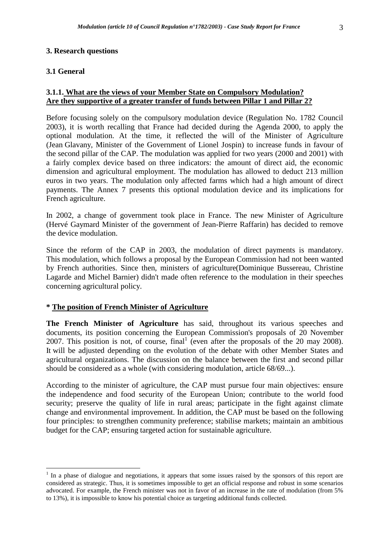# **3. Research questions**

# **3.1 General**

# **3.1.1. What are the views of your Member State on Compulsory Modulation? Are they supportive of a greater transfer of funds between Pillar 1 and Pillar 2?**

Before focusing solely on the compulsory modulation device (Regulation No. 1782 Council 2003), it is worth recalling that France had decided during the Agenda 2000, to apply the optional modulation. At the time, it reflected the will of the Minister of Agriculture (Jean Glavany, Minister of the Government of Lionel Jospin) to increase funds in favour of the second pillar of the CAP. The modulation was applied for two years (2000 and 2001) with a fairly complex device based on three indicators: the amount of direct aid, the economic dimension and agricultural employment. The modulation has allowed to deduct 213 million euros in two years. The modulation only affected farms which had a high amount of direct payments. The Annex 7 presents this optional modulation device and its implications for French agriculture.

In 2002, a change of government took place in France. The new Minister of Agriculture (Hervé Gaymard Minister of the government of Jean-Pierre Raffarin) has decided to remove the device modulation.

Since the reform of the CAP in 2003, the modulation of direct payments is mandatory. This modulation, which follows a proposal by the European Commission had not been wanted by French authorities. Since then, ministers of agriculture(Dominique Bussereau, Christine Lagarde and Michel Barnier) didn't made often reference to the modulation in their speeches concerning agricultural policy.

# **\* The position of French Minister of Agriculture**

**The French Minister of Agriculture** has said, throughout its various speeches and documents, its position concerning the European Commission's proposals of 20 November 2007. This position is not, of course, final (even after the proposals of the 20 may 2008). It will be adjusted depending on the evolution of the debate with other Member States and agricultural organizations. The discussion on the balance between the first and second pillar should be considered as a whole (with considering modulation, article 68/69...).

According to the minister of agriculture, the CAP must pursue four main objectives: ensure the independence and food security of the European Union; contribute to the world food security; preserve the quality of life in rural areas; participate in the fight against climate change and environmental improvement. In addition, the CAP must be based on the following four principles: to strengthen community preference; stabilise markets; maintain an ambitious budget for the CAP; ensuring targeted action for sustainable agriculture.

<sup>&</sup>lt;sup>1</sup> In a phase of dialogue and negotiations, it appears that some issues raised by the sponsors of this report are considered as strategic. Thus, it is sometimes impossible to get an official response and robust in some scenarios advocated. For example, the French minister was not in favor of an increase in the rate of modulation (from 5% to 13%), it is impossible to know his potential choice as targeting additional funds collected.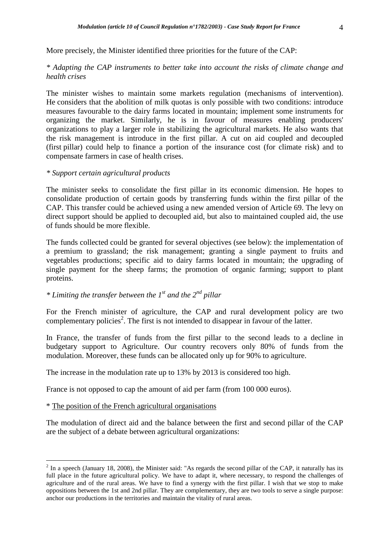More precisely, the Minister identified three priorities for the future of the CAP:

# *\* Adapting the CAP instruments to better take into account the risks of climate change and health crises*

The minister wishes to maintain some markets regulation (mechanisms of intervention). He considers that the abolition of milk quotas is only possible with two conditions: introduce measures favourable to the dairy farms located in mountain; implement some instruments for organizing the market. Similarly, he is in favour of measures enabling producers' organizations to play a larger role in stabilizing the agricultural markets. He also wants that the risk management is introduce in the first pillar. A cut on aid coupled and decoupled (first pillar) could help to finance a portion of the insurance cost (for climate risk) and to compensate farmers in case of health crises.

#### *\* Support certain agricultural products*

The minister seeks to consolidate the first pillar in its economic dimension. He hopes to consolidate production of certain goods by transferring funds within the first pillar of the CAP. This transfer could be achieved using a new amended version of Article 69. The levy on direct support should be applied to decoupled aid, but also to maintained coupled aid, the use of funds should be more flexible.

The funds collected could be granted for several objectives (see below): the implementation of a premium to grassland; the risk management; granting a single payment to fruits and vegetables productions; specific aid to dairy farms located in mountain; the upgrading of single payment for the sheep farms; the promotion of organic farming; support to plant proteins.

# *\* Limiting the transfer between the 1st and the 2nd pillar*

For the French minister of agriculture, the CAP and rural development policy are two complementary policies<sup>2</sup>. The first is not intended to disappear in favour of the latter.

In France, the transfer of funds from the first pillar to the second leads to a decline in budgetary support to Agriculture. Our country recovers only 80% of funds from the modulation. Moreover, these funds can be allocated only up for 90% to agriculture.

The increase in the modulation rate up to 13% by 2013 is considered too high.

France is not opposed to cap the amount of aid per farm (from 100 000 euros).

#### \* The position of the French agricultural organisations

 $\overline{a}$ 

The modulation of direct aid and the balance between the first and second pillar of the CAP are the subject of a debate between agricultural organizations:

 $2^{2}$  In a speech (January 18, 2008), the Minister said: "As regards the second pillar of the CAP, it naturally has its full place in the future agricultural policy. We have to adapt it, where necessary, to respond the challenges of agriculture and of the rural areas. We have to find a synergy with the first pillar. I wish that we stop to make oppositions between the 1st and 2nd pillar. They are complementary, they are two tools to serve a single purpose: anchor our productions in the territories and maintain the vitality of rural areas.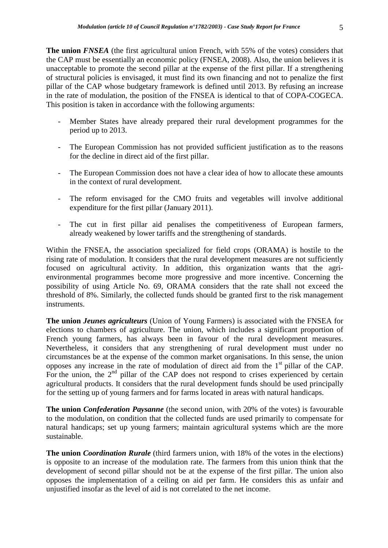**The union** *FNSEA* (the first agricultural union French, with 55% of the votes) considers that the CAP must be essentially an economic policy (FNSEA, 2008). Also, the union believes it is unacceptable to promote the second pillar at the expense of the first pillar. If a strengthening of structural policies is envisaged, it must find its own financing and not to penalize the first pillar of the CAP whose budgetary framework is defined until 2013. By refusing an increase in the rate of modulation, the position of the FNSEA is identical to that of COPA-COGECA. This position is taken in accordance with the following arguments:

- Member States have already prepared their rural development programmes for the period up to 2013.
- The European Commission has not provided sufficient justification as to the reasons for the decline in direct aid of the first pillar.
- The European Commission does not have a clear idea of how to allocate these amounts in the context of rural development.
- The reform envisaged for the CMO fruits and vegetables will involve additional expenditure for the first pillar (January 2011).
- The cut in first pillar aid penalises the competitiveness of European farmers, already weakened by lower tariffs and the strengthening of standards.

Within the FNSEA, the association specialized for field crops (ORAMA) is hostile to the rising rate of modulation. It considers that the rural development measures are not sufficiently focused on agricultural activity. In addition, this organization wants that the agrienvironmental programmes become more progressive and more incentive. Concerning the possibility of using Article No. 69, ORAMA considers that the rate shall not exceed the threshold of 8%. Similarly, the collected funds should be granted first to the risk management instruments.

**The union** *Jeunes agriculteurs* (Union of Young Farmers) is associated with the FNSEA for elections to chambers of agriculture. The union, which includes a significant proportion of French young farmers, has always been in favour of the rural development measures. Nevertheless, it considers that any strengthening of rural development must under no circumstances be at the expense of the common market organisations. In this sense, the union opposes any increase in the rate of modulation of direct aid from the 1st pillar of the CAP. For the union, the  $2<sup>nd</sup>$  pillar of the CAP does not respond to crises experienced by certain agricultural products. It considers that the rural development funds should be used principally for the setting up of young farmers and for farms located in areas with natural handicaps.

**The union** *Confederation Paysanne* (the second union, with 20% of the votes) is favourable to the modulation, on condition that the collected funds are used primarily to compensate for natural handicaps; set up young farmers; maintain agricultural systems which are the more sustainable.

**The union** *Coordination Rurale* (third farmers union, with 18% of the votes in the elections) is opposite to an increase of the modulation rate. The farmers from this union think that the development of second pillar should not be at the expense of the first pillar. The union also opposes the implementation of a ceiling on aid per farm. He considers this as unfair and unjustified insofar as the level of aid is not correlated to the net income.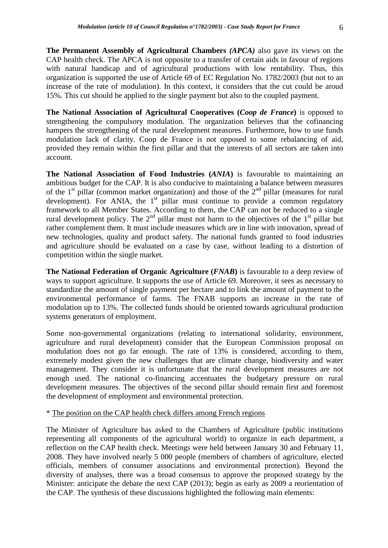**The Permanent Assembly of Agricultural Chambers** *(APCA)* also gave its views on the CAP health check. The APCA is not opposite to a transfer of certain aids in favour of regions with natural handicap and of agricultural productions with low rentability. Thus, this organization is supported the use of Article 69 of EC Regulation No. 1782/2003 (but not to an increase of the rate of modulation). In this context, it considers that the cut could be aroud 15%. This cut should be applied to the single payment but also to the coupled payment.

**The National Association of Agricultural Cooperatives (***Coop de France***)** is opposed to strengthening the compulsory modulation. The organization believes that the cofinancing hampers the strengthening of the rural development measures. Furthermore, how to use funds modulation lack of clarity. Coop de France is not opposed to some rebalancing of aid, provided they remain within the first pillar and that the interests of all sectors are taken into account.

**The National Association of Food Industries (***ANIA***)** is favourable to maintaining an ambitious budget for the CAP. It is also conducive to maintaining a balance between measures of the  $1<sup>st</sup>$  pillar (common market organization) and those of the  $2<sup>nd</sup>$  pillar (measures for rural development). For ANIA, the  $1<sup>st</sup>$  pillar must continue to provide a common regulatory framework to all Member States. According to them, the CAP can not be reduced to a single rural development policy. The  $2<sup>nd</sup>$  pillar must not harm to the objectives of the  $1<sup>st</sup>$  pillar but rather complement them. It must include measures which are in line with innovation, spread of new technologies, quality and product safety. The national funds granted to food industries and agriculture should be evaluated on a case by case, without leading to a distortion of competition within the single market.

**The National Federation of Organic Agriculture (***FNAB***)** is favourable to a deep review of ways to support agriculture. It supports the use of Article 69. Moreover, it sees as necessary to standardize the amount of single payment per hectare and to link the amount of payment to the environmental performance of farms. The FNAB supports an increase in the rate of modulation up to 13%. The collected funds should be oriented towards agricultural production systems generators of employment.

Some non-governmental organizations (relating to international solidarity, environment, agriculture and rural development) consider that the European Commission proposal on modulation does not go far enough. The rate of 13% is considered, according to them, extremely modest given the new challenges that are climate change, biodiversity and water management. They consider it is unfortunate that the rural development measures are not enough used. The national co-financing accentuates the budgetary pressure on rural development measures. The objectives of the second pillar should remain first and foremost the development of employment and environmental protection.

#### \* The position on the CAP health check differs among French regions

The Minister of Agriculture has asked to the Chambers of Agriculture (public institutions representing all components of the agricultural world) to organize in each department, a reflection on the CAP health check. Meetings were held between January 30 and February 11, 2008. They have involved nearly 5 000 people (members of chambers of agriculture, elected officials, members of consumer associations and environmental protection). Beyond the diversity of analyses, there was a broad consensus to approve the proposed strategy by the Minister: anticipate the debate the next CAP (2013); begin as early as 2009 a reorientation of the CAP. The synthesis of these discussions highlighted the following main elements: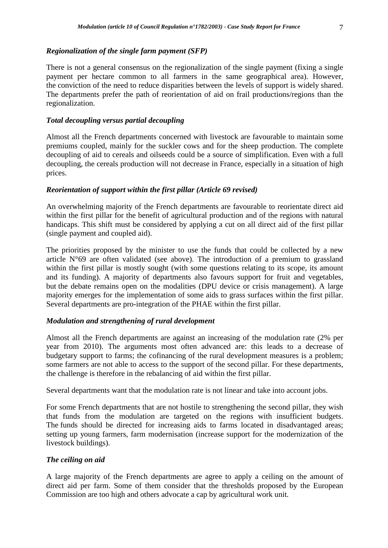There is not a general consensus on the regionalization of the single payment (fixing a single payment per hectare common to all farmers in the same geographical area). However, the conviction of the need to reduce disparities between the levels of support is widely shared. The departments prefer the path of reorientation of aid on frail productions/regions than the regionalization.

#### *Total decoupling versus partial decoupling*

Almost all the French departments concerned with livestock are favourable to maintain some premiums coupled, mainly for the suckler cows and for the sheep production. The complete decoupling of aid to cereals and oilseeds could be a source of simplification. Even with a full decoupling, the cereals production will not decrease in France, especially in a situation of high prices.

#### *Reorientation of support within the first pillar (Article 69 revised)*

An overwhelming majority of the French departments are favourable to reorientate direct aid within the first pillar for the benefit of agricultural production and of the regions with natural handicaps. This shift must be considered by applying a cut on all direct aid of the first pillar (single payment and coupled aid).

The priorities proposed by the minister to use the funds that could be collected by a new article N°69 are often validated (see above). The introduction of a premium to grassland within the first pillar is mostly sought (with some questions relating to its scope, its amount and its funding). A majority of departments also favours support for fruit and vegetables, but the debate remains open on the modalities (DPU device or crisis management). A large majority emerges for the implementation of some aids to grass surfaces within the first pillar. Several departments are pro-integration of the PHAE within the first pillar.

# *Modulation and strengthening of rural development*

Almost all the French departments are against an increasing of the modulation rate (2% per year from 2010). The arguments most often advanced are: this leads to a decrease of budgetary support to farms; the cofinancing of the rural development measures is a problem; some farmers are not able to access to the support of the second pillar. For these departments, the challenge is therefore in the rebalancing of aid within the first pillar.

Several departments want that the modulation rate is not linear and take into account jobs.

For some French departments that are not hostile to strengthening the second pillar, they wish that funds from the modulation are targeted on the regions with insufficient budgets. The funds should be directed for increasing aids to farms located in disadvantaged areas; setting up young farmers, farm modernisation (increase support for the modernization of the livestock buildings).

#### *The ceiling on aid*

A large majority of the French departments are agree to apply a ceiling on the amount of direct aid per farm. Some of them consider that the thresholds proposed by the European Commission are too high and others advocate a cap by agricultural work unit.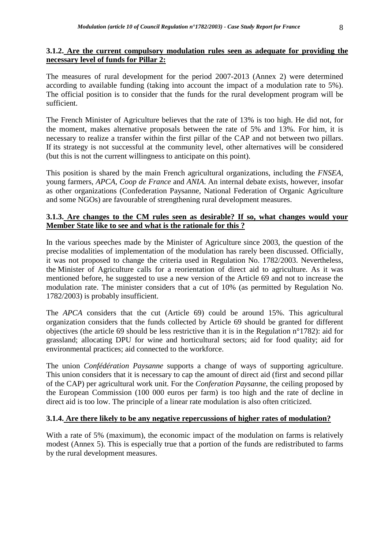# **3.1.2. Are the current compulsory modulation rules seen as adequate for providing the necessary level of funds for Pillar 2:**

The measures of rural development for the period 2007-2013 (Annex 2) were determined according to available funding (taking into account the impact of a modulation rate to 5%). The official position is to consider that the funds for the rural development program will be sufficient.

The French Minister of Agriculture believes that the rate of 13% is too high. He did not, for the moment, makes alternative proposals between the rate of 5% and 13%. For him, it is necessary to realize a transfer within the first pillar of the CAP and not between two pillars. If its strategy is not successful at the community level, other alternatives will be considered (but this is not the current willingness to anticipate on this point).

This position is shared by the main French agricultural organizations, including the *FNSEA*, young farmers, *APCA*, *Coop de France* and *ANIA*. An internal debate exists, however, insofar as other organizations (Confederation Paysanne, National Federation of Organic Agriculture and some NGOs) are favourable of strengthening rural development measures.

# **3.1.3. Are changes to the CM rules seen as desirable? If so, what changes would your Member State like to see and what is the rationale for this ?**

In the various speeches made by the Minister of Agriculture since 2003, the question of the precise modalities of implementation of the modulation has rarely been discussed. Officially, it was not proposed to change the criteria used in Regulation No. 1782/2003. Nevertheless, the Minister of Agriculture calls for a reorientation of direct aid to agriculture. As it was mentioned before, he suggested to use a new version of the Article 69 and not to increase the modulation rate. The minister considers that a cut of 10% (as permitted by Regulation No. 1782/2003) is probably insufficient.

The *APCA* considers that the cut (Article 69) could be around 15%. This agricultural organization considers that the funds collected by Article 69 should be granted for different objectives (the article 69 should be less restrictive than it is in the Regulation n°1782): aid for grassland; allocating DPU for wine and horticultural sectors; aid for food quality; aid for environmental practices; aid connected to the workforce.

The union *Confédération Paysanne* supports a change of ways of supporting agriculture. This union considers that it is necessary to cap the amount of direct aid (first and second pillar of the CAP) per agricultural work unit. For the *Conferation Paysanne*, the ceiling proposed by the European Commission (100 000 euros per farm) is too high and the rate of decline in direct aid is too low. The principle of a linear rate modulation is also often criticized.

# **3.1.4. Are there likely to be any negative repercussions of higher rates of modulation?**

With a rate of 5% (maximum), the economic impact of the modulation on farms is relatively modest (Annex 5). This is especially true that a portion of the funds are redistributed to farms by the rural development measures.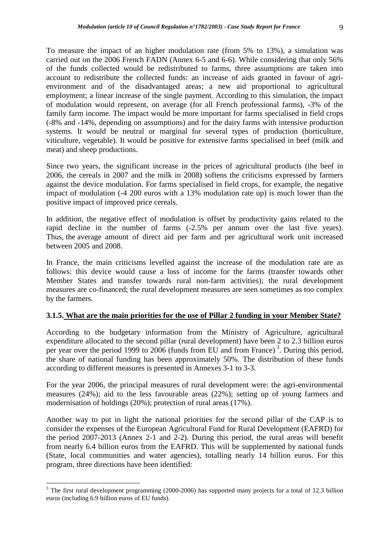To measure the impact of an higher modulation rate (from 5% to 13%), a simulation was carried out on the 2006 French FADN (Annex 6-5 and 6-6). While considering that only 56% of the funds collected would be redistributed to farms, three assumptions are taken into account to redistribute the collected funds: an increase of aids granted in favour of agrienvironment and of the disadvantaged areas; a new aid proportional to agricultural employment; a linear increase of the single payment. According to this simulation, the impact of modulation would represent, on average (for all French professional farms), -3% of the family farm income. The impact would be more important for farms specialised in field crops (-8% and -14%, depending on assumptions) and for the dairy farms with intensive production systems. It would be neutral or marginal for several types of production (horticulture, viticulture, vegetable). It would be positive for extensive farms specialised in beef (milk and meat) and sheep productions.

Since two years, the significant increase in the prices of agricultural products (the beef in 2006, the cereals in 2007 and the milk in 2008) softens the criticisms expressed by farmers against the device modulation. For farms specialised in field crops, for example, the negative impact of modulation (-4 200 euros with a 13% modulation rate up) is much lower than the positive impact of improved price cereals.

In addition, the negative effect of modulation is offset by productivity gains related to the rapid decline in the number of farms (-2.5% per annum over the last five years). Thus, the average amount of direct aid per farm and per agricultural work unit increased between 2005 and 2008.

In France, the main criticisms levelled against the increase of the modulation rate are as follows: this device would cause a loss of income for the farms (transfer towards other Member States and transfer towards rural non-farm activities); the rural development measures are co-financed; the rural development measures are seen sometimes as too complex by the farmers.

# **3.1.5. What are the main priorities for the use of Pillar 2 funding in your Member State?**

According to the budgetary information from the Ministry of Agriculture, agricultural expenditure allocated to the second pillar (rural development) have been 2 to 2.3 billion euros per year over the period 1999 to 2006 (funds from EU and from France)<sup>3</sup>. During this period, the share of national funding has been approximately 50%. The distribution of these funds according to different measures is presented in Annexes 3-1 to 3-3.

For the year 2006, the principal measures of rural development were: the agri-environmental measures (24%); aid to the less favourable areas (22%); setting up of young farmers and modernisation of holdings (20%); protection of rural areas (17%).

Another way to put in light the national priorities for the second pillar of the CAP is to consider the expenses of the European Agricultural Fund for Rural Development (EAFRD) for the period 2007-2013 (Annex 2-1 and 2-2). During this period, the rural areas will benefit from nearly 6.4 billion euros from the EAFRD. This will be supplemented by national funds (State, local communities and water agencies), totalling nearly 14 billion euros. For this program, three directions have been identified:

 $\overline{a}$ 

<sup>&</sup>lt;sup>3</sup> The first rural development programming (2000-2006) has supported many projects for a total of 12.3 billion euros (including 6.9 billion euros of EU funds).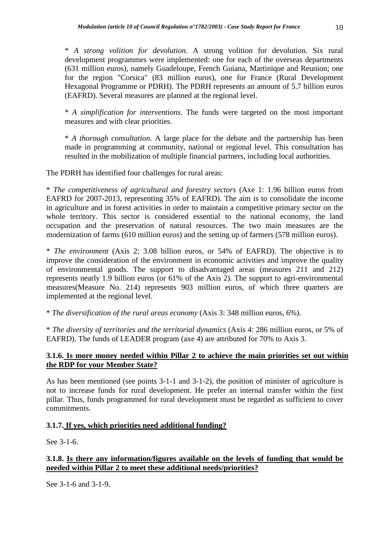\* *A strong volition for devolution*. A strong volition for devolution. Six rural development programmes were implemented: one for each of the overseas departments (631 million euros), namely Guadeloupe, French Guiana, Martinique and Reunion; one for the region "Corsica" (83 million euros), one for France (Rural Development Hexagonal Programme or PDRH). The PDRH represents an amount of 5.7 billion euros (EAFRD). Several measures are planned at the regional level.

\* *A simplification for interventions*. The funds were targeted on the most important measures and with clear priorities.

\* *A thorough consultation*. A large place for the debate and the partnership has been made in programming at community, national or regional level. This consultation has resulted in the mobilization of multiple financial partners, including local authorities.

The PDRH has identified four challenges for rural areas:

\* *The competitiveness of agricultural and forestry sectors* (Axe 1: 1.96 billion euros from EAFRD for 2007-2013, representing 35% of EAFRD). The aim is to consolidate the income in agriculture and in forest activities in order to maintain a competitive primary sector on the whole territory. This sector is considered essential to the national economy, the land occupation and the preservation of natural resources. The two main measures are the modernization of farms (610 million euros) and the setting up of farmers (578 million euros).

\* *The environment* (Axis 2: 3.08 billion euros, or 54% of EAFRD). The objective is to improve the consideration of the environment in economic activities and improve the quality of environmental goods. The support to disadvantaged areas (measures 211 and 212) represents nearly 1.9 billion euros (or 61% of the Axis 2). The support to agri-environmental measures(Measure No. 214) represents 903 million euros, of which three quarters are implemented at the regional level.

\* *The diversification of the rural areas economy* (Axis 3: 348 million euros, 6%).

\* *The diversity of territories and the territorial dynamics* (Axis 4: 286 million euros, or 5% of EAFRD). The funds of LEADER program (axe 4) are attributed for 70% to Axis 3.

# **3.1.6. Is more money needed within Pillar 2 to achieve the main priorities set out within the RDP for your Member State?**

As has been mentioned (see points 3-1-1 and 3-1-2), the position of minister of agriculture is not to increase funds for rural development. He prefer an internal transfer within the first pillar. Thus, funds programmed for rural development must be regarded as sufficient to cover commitments.

# **3.1.7. If yes, which priorities need additional funding?**

See 3-1-6.

# **3.1.8. Is there any information/figures available on the levels of funding that would be needed within Pillar 2 to meet these additional needs/priorities?**

See 3-1-6 and 3-1-9.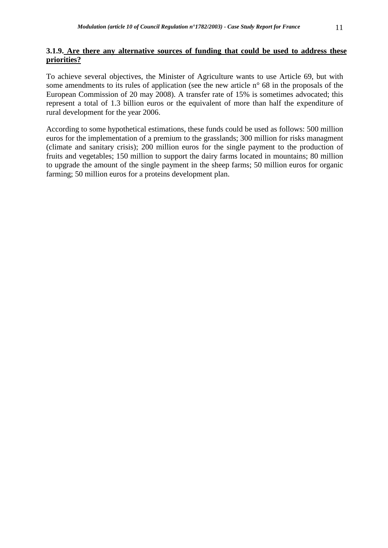# **3.1.9. Are there any alternative sources of funding that could be used to address these priorities?**

To achieve several objectives, the Minister of Agriculture wants to use Article 69, but with some amendments to its rules of application (see the new article n° 68 in the proposals of the European Commission of 20 may 2008). A transfer rate of 15% is sometimes advocated; this represent a total of 1.3 billion euros or the equivalent of more than half the expenditure of rural development for the year 2006.

According to some hypothetical estimations, these funds could be used as follows: 500 million euros for the implementation of a premium to the grasslands; 300 million for risks managment (climate and sanitary crisis); 200 million euros for the single payment to the production of fruits and vegetables; 150 million to support the dairy farms located in mountains; 80 million to upgrade the amount of the single payment in the sheep farms; 50 million euros for organic farming; 50 million euros for a proteins development plan.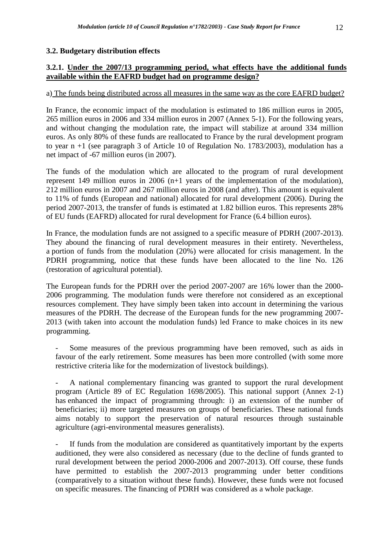# **3.2. Budgetary distribution effects**

# **3.2.1. Under the 2007/13 programming period, what effects have the additional funds available within the EAFRD budget had on programme design?**

# a) The funds being distributed across all measures in the same way as the core EAFRD budget?

In France, the economic impact of the modulation is estimated to 186 million euros in 2005, 265 million euros in 2006 and 334 million euros in 2007 (Annex 5-1). For the following years, and without changing the modulation rate, the impact will stabilize at around 334 million euros. As only 80% of these funds are reallocated to France by the rural development program to year n +1 (see paragraph 3 of Article 10 of Regulation No. 1783/2003), modulation has a net impact of -67 million euros (in 2007).

The funds of the modulation which are allocated to the program of rural development represent 149 million euros in 2006 (n+1 years of the implementation of the modulation), 212 million euros in 2007 and 267 million euros in 2008 (and after). This amount is equivalent to 11% of funds (European and national) allocated for rural development (2006). During the period 2007-2013, the transfer of funds is estimated at 1.82 billion euros. This represents 28% of EU funds (EAFRD) allocated for rural development for France (6.4 billion euros).

In France, the modulation funds are not assigned to a specific measure of PDRH (2007-2013). They abound the financing of rural development measures in their entirety. Nevertheless, a portion of funds from the modulation (20%) were allocated for crisis management. In the PDRH programming, notice that these funds have been allocated to the line No. 126 (restoration of agricultural potential).

The European funds for the PDRH over the period 2007-2007 are 16% lower than the 2000- 2006 programming. The modulation funds were therefore not considered as an exceptional resources complement. They have simply been taken into account in determining the various measures of the PDRH. The decrease of the European funds for the new programming 2007- 2013 (with taken into account the modulation funds) led France to make choices in its new programming.

Some measures of the previous programming have been removed, such as aids in favour of the early retirement. Some measures has been more controlled (with some more restrictive criteria like for the modernization of livestock buildings).

A national complementary financing was granted to support the rural development program (Article 89 of EC Regulation 1698/2005). This national support (Annex 2-1) has enhanced the impact of programming through: i) an extension of the number of beneficiaries; ii) more targeted measures on groups of beneficiaries. These national funds aims notably to support the preservation of natural resources through sustainable agriculture (agri-environmental measures generalists).

If funds from the modulation are considered as quantitatively important by the experts auditioned, they were also considered as necessary (due to the decline of funds granted to rural development between the period 2000-2006 and 2007-2013). Off course, these funds have permitted to establish the 2007-2013 programming under better conditions (comparatively to a situation without these funds). However, these funds were not focused on specific measures. The financing of PDRH was considered as a whole package.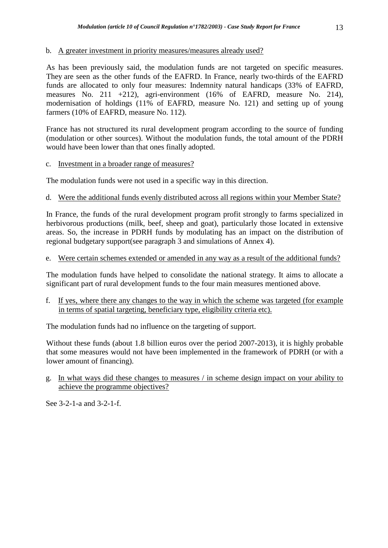#### b. A greater investment in priority measures/measures already used?

As has been previously said, the modulation funds are not targeted on specific measures. They are seen as the other funds of the EAFRD. In France, nearly two-thirds of the EAFRD funds are allocated to only four measures: Indemnity natural handicaps (33% of EAFRD, measures No. 211 +212), agri-environment (16% of EAFRD, measure No. 214), modernisation of holdings (11% of EAFRD, measure No. 121) and setting up of young farmers (10% of EAFRD, measure No. 112).

France has not structured its rural development program according to the source of funding (modulation or other sources). Without the modulation funds, the total amount of the PDRH would have been lower than that ones finally adopted.

c. Investment in a broader range of measures?

The modulation funds were not used in a specific way in this direction.

# d. Were the additional funds evenly distributed across all regions within your Member State?

In France, the funds of the rural development program profit strongly to farms specialized in herbivorous productions (milk, beef, sheep and goat), particularly those located in extensive areas. So, the increase in PDRH funds by modulating has an impact on the distribution of regional budgetary support(see paragraph 3 and simulations of Annex 4).

#### e. Were certain schemes extended or amended in any way as a result of the additional funds?

The modulation funds have helped to consolidate the national strategy. It aims to allocate a significant part of rural development funds to the four main measures mentioned above.

f. If yes, where there any changes to the way in which the scheme was targeted (for example in terms of spatial targeting, beneficiary type, eligibility criteria etc).

The modulation funds had no influence on the targeting of support.

Without these funds (about 1.8 billion euros over the period 2007-2013), it is highly probable that some measures would not have been implemented in the framework of PDRH (or with a lower amount of financing).

g. In what ways did these changes to measures / in scheme design impact on your ability to achieve the programme objectives?

See 3-2-1-a and 3-2-1-f.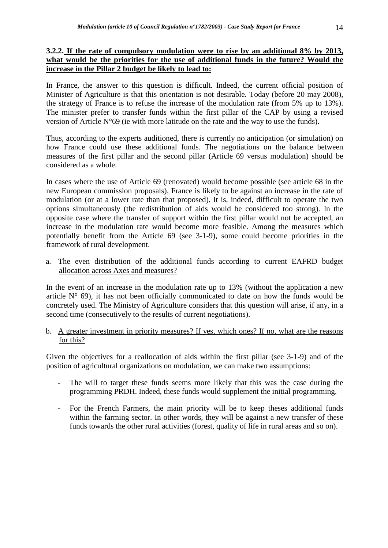# **3.2.2. If the rate of compulsory modulation were to rise by an additional 8% by 2013, what would be the priorities for the use of additional funds in the future? Would the increase in the Pillar 2 budget be likely to lead to:**

In France, the answer to this question is difficult. Indeed, the current official position of Minister of Agriculture is that this orientation is not desirable. Today (before 20 may 2008), the strategy of France is to refuse the increase of the modulation rate (from 5% up to 13%). The minister prefer to transfer funds within the first pillar of the CAP by using a revised version of Article N°69 (ie with more latitude on the rate and the way to use the funds).

Thus, according to the experts auditioned, there is currently no anticipation (or simulation) on how France could use these additional funds. The negotiations on the balance between measures of the first pillar and the second pillar (Article 69 versus modulation) should be considered as a whole.

In cases where the use of Article 69 (renovated) would become possible (see article 68 in the new European commission proposals), France is likely to be against an increase in the rate of modulation (or at a lower rate than that proposed). It is, indeed, difficult to operate the two options simultaneously (the redistribution of aids would be considered too strong). In the opposite case where the transfer of support within the first pillar would not be accepted, an increase in the modulation rate would become more feasible. Among the measures which potentially benefit from the Article 69 (see 3-1-9), some could become priorities in the framework of rural development.

a. The even distribution of the additional funds according to current EAFRD budget allocation across Axes and measures?

In the event of an increase in the modulation rate up to 13% (without the application a new article  $N^{\circ}$  69), it has not been officially communicated to date on how the funds would be concretely used. The Ministry of Agriculture considers that this question will arise, if any, in a second time (consecutively to the results of current negotiations).

# b. A greater investment in priority measures? If yes, which ones? If no, what are the reasons for this?

Given the objectives for a reallocation of aids within the first pillar (see 3-1-9) and of the position of agricultural organizations on modulation, we can make two assumptions:

- The will to target these funds seems more likely that this was the case during the programming PRDH. Indeed, these funds would supplement the initial programming.
- For the French Farmers, the main priority will be to keep theses additional funds within the farming sector. In other words, they will be against a new transfer of these funds towards the other rural activities (forest, quality of life in rural areas and so on).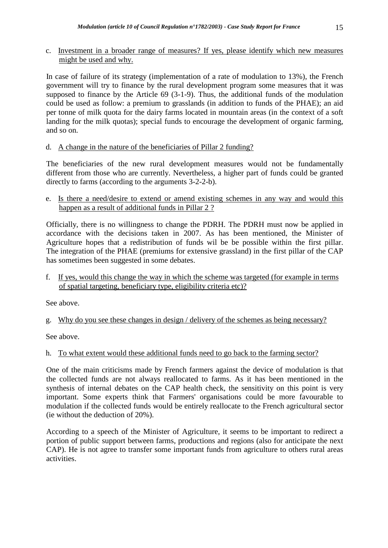c. Investment in a broader range of measures? If yes, please identify which new measures might be used and why.

In case of failure of its strategy (implementation of a rate of modulation to 13%), the French government will try to finance by the rural development program some measures that it was supposed to finance by the Article 69 (3-1-9). Thus, the additional funds of the modulation could be used as follow: a premium to grasslands (in addition to funds of the PHAE); an aid per tonne of milk quota for the dairy farms located in mountain areas (in the context of a soft landing for the milk quotas); special funds to encourage the development of organic farming, and so on.

d. A change in the nature of the beneficiaries of Pillar 2 funding?

The beneficiaries of the new rural development measures would not be fundamentally different from those who are currently. Nevertheless, a higher part of funds could be granted directly to farms (according to the arguments 3-2-2-b).

e. Is there a need/desire to extend or amend existing schemes in any way and would this happen as a result of additional funds in Pillar 2 ?

Officially, there is no willingness to change the PDRH. The PDRH must now be applied in accordance with the decisions taken in 2007. As has been mentioned, the Minister of Agriculture hopes that a redistribution of funds wil be be possible within the first pillar. The integration of the PHAE (premiums for extensive grassland) in the first pillar of the CAP has sometimes been suggested in some debates.

f. If yes, would this change the way in which the scheme was targeted (for example in terms of spatial targeting, beneficiary type, eligibility criteria etc)?

See above.

g. Why do you see these changes in design / delivery of the schemes as being necessary?

See above.

# h. To what extent would these additional funds need to go back to the farming sector?

One of the main criticisms made by French farmers against the device of modulation is that the collected funds are not always reallocated to farms. As it has been mentioned in the synthesis of internal debates on the CAP health check, the sensitivity on this point is very important. Some experts think that Farmers' organisations could be more favourable to modulation if the collected funds would be entirely reallocate to the French agricultural sector (ie without the deduction of 20%).

According to a speech of the Minister of Agriculture, it seems to be important to redirect a portion of public support between farms, productions and regions (also for anticipate the next CAP). He is not agree to transfer some important funds from agriculture to others rural areas activities.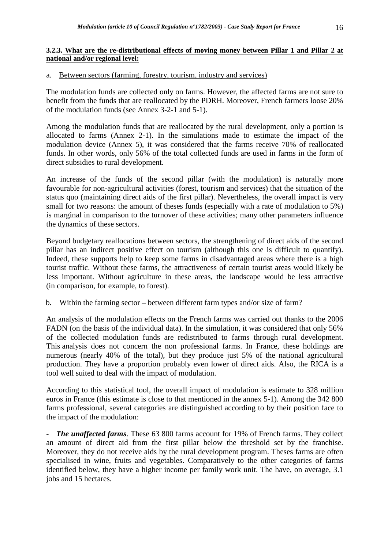# **3.2.3. What are the re-distributional effects of moving money between Pillar 1 and Pillar 2 at national and/or regional level:**

# a. Between sectors (farming, forestry, tourism, industry and services)

The modulation funds are collected only on farms. However, the affected farms are not sure to benefit from the funds that are reallocated by the PDRH. Moreover, French farmers loose 20% of the modulation funds (see Annex 3-2-1 and 5-1).

Among the modulation funds that are reallocated by the rural development, only a portion is allocated to farms (Annex 2-1). In the simulations made to estimate the impact of the modulation device (Annex 5), it was considered that the farms receive 70% of reallocated funds. In other words, only 56% of the total collected funds are used in farms in the form of direct subsidies to rural development.

An increase of the funds of the second pillar (with the modulation) is naturally more favourable for non-agricultural activities (forest, tourism and services) that the situation of the status quo (maintaining direct aids of the first pillar). Nevertheless, the overall impact is very small for two reasons: the amount of theses funds (especially with a rate of modulation to 5%) is marginal in comparison to the turnover of these activities; many other parameters influence the dynamics of these sectors.

Beyond budgetary reallocations between sectors, the strengthening of direct aids of the second pillar has an indirect positive effect on tourism (although this one is difficult to quantify). Indeed, these supports help to keep some farms in disadvantaged areas where there is a high tourist traffic. Without these farms, the attractiveness of certain tourist areas would likely be less important. Without agriculture in these areas, the landscape would be less attractive (in comparison, for example, to forest).

# b. Within the farming sector – between different farm types and/or size of farm?

An analysis of the modulation effects on the French farms was carried out thanks to the 2006 FADN (on the basis of the individual data). In the simulation, it was considered that only 56% of the collected modulation funds are redistributed to farms through rural development. This analysis does not concern the non professional farms. In France, these holdings are numerous (nearly 40% of the total), but they produce just 5% of the national agricultural production. They have a proportion probably even lower of direct aids. Also, the RICA is a tool well suited to deal with the impact of modulation.

According to this statistical tool, the overall impact of modulation is estimate to 328 million euros in France (this estimate is close to that mentioned in the annex 5-1). Among the 342 800 farms professional, several categories are distinguished according to by their position face to the impact of the modulation:

The unaffected farms. These 63 800 farms account for 19% of French farms. They collect an amount of direct aid from the first pillar below the threshold set by the franchise. Moreover, they do not receive aids by the rural development program. Theses farms are often specialised in wine, fruits and vegetables. Comparatively to the other categories of farms identified below, they have a higher income per family work unit. The have, on average, 3.1 jobs and 15 hectares.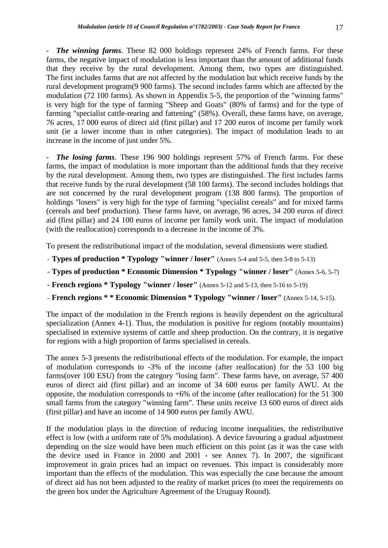*The winning farms*. These 82 000 holdings represent 24% of French farms. For these

farms, the negative impact of modulation is less important than the amount of additional funds that they receive by the rural development. Among them, two types are distinguished. The first includes farms that are not affected by the modulation but which receive funds by the rural development program(9 900 farms). The second includes farms which are affected by the modulation (72 100 farms). As shown in Appendix 5-5, the proportion of the "winning farms" is very high for the type of farming "Sheep and Goats" (80% of farms) and for the type of farming "specialist cattle-rearing and fattening" (58%). Overall, these farms have, on average, 76 acres, 17 000 euros of direct aid (first pillar) and 17 200 euros of income per family work unit (ie a lower income than in other categories). The impact of modulation leads to an increase in the income of just under 5%.

*The losing farms*. These 196 900 holdings represent 57% of French farms. For these farms, the impact of modulation is more important than the additional funds that they receive by the rural development. Among them, two types are distinguished. The first includes farms that receive funds by the rural development (58 100 farms). The second includes holdings that are not concerned by the rural development program (138 800 farms). The proportion of holdings "losers" is very high for the type of farming "specialist cereals" and for mixed farms (cereals and beef production). These farms have, on average, 96 acres, 34 200 euros of direct aid (first pillar) and 24 100 euros of income per family work unit. The impact of modulation (with the reallocation) corresponds to a decrease in the income of 3%.

To present the redistributional impact of the modulation, several dimensions were studied.

- **Types of production \* Typology "winner / loser"** (Annex 5-4 and 5-5, then 5-8 to 5-13)
- **Types of production \* Economic Dimension \* Typology "winner / loser"** (Annex 5-6, 5-7)
- **French regions \* Typology "winner / loser"** (Annex 5-12 and 5-13, then 5-16 to 5-19)
- **French regions \* \* Economic Dimension \* Typology "winner / loser"** (Annex 5-14, 5-15).

The impact of the modulation in the French regions is heavily dependent on the agricultural specialization (Annex 4-1). Thus, the modulation is positive for regions (notably mountains) specialised in extensive systems of cattle and sheep production. On the contrary, it is negative for regions with a high proportion of farms specialised in cereals.

The annex 5-3 presents the redistributional effects of the modulation. For example, the impact of modulation corresponds to -3% of the income (after reallocation) for the 53 100 big farms(over 100 ESU) from the category "losing farm". These farms have, on average, 57 400 euros of direct aid (first pillar) and an income of 34 600 euros per family AWU. At the opposite, the modulation corresponds to  $+6\%$  of the income (after reallocation) for the 51 300 small farms from the category "winning farm". These units receive 13 600 euros of direct aids (first pillar) and have an income of 14 900 euros per family AWU.

If the modulation plays in the direction of reducing income inequalities, the redistributive effect is low (with a uniform rate of 5% modulation). A device favouring a gradual adjustment depending on the size would have been much efficient on this point (as it was the case with the device used in France in 2000 and 2001 - see Annex 7). In 2007, the significant improvement in grain prices had an impact on revenues. This impact is considerably more important than the effects of the modulation. This was especially the case because the amount of direct aid has not been adjusted to the reality of market prices (to meet the requirements on the green box under the Agriculture Agreement of the Uruguay Round).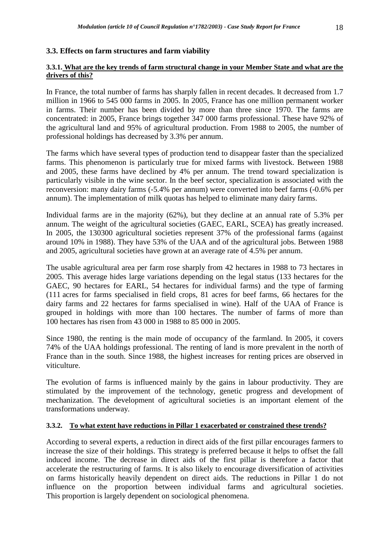# **3.3. Effects on farm structures and farm viability**

## **3.3.1. What are the key trends of farm structural change in your Member State and what are the drivers of this?**

In France, the total number of farms has sharply fallen in recent decades. It decreased from 1.7 million in 1966 to 545 000 farms in 2005. In 2005, France has one million permanent worker in farms. Their number has been divided by more than three since 1970. The farms are concentrated: in 2005, France brings together 347 000 farms professional. These have 92% of the agricultural land and 95% of agricultural production. From 1988 to 2005, the number of professional holdings has decreased by 3.3% per annum.

The farms which have several types of production tend to disappear faster than the specialized farms. This phenomenon is particularly true for mixed farms with livestock. Between 1988 and 2005, these farms have declined by 4% per annum. The trend toward specialization is particularly visible in the wine sector. In the beef sector, specialization is associated with the reconversion: many dairy farms (-5.4% per annum) were converted into beef farms (-0.6% per annum). The implementation of milk quotas has helped to eliminate many dairy farms.

Individual farms are in the majority (62%), but they decline at an annual rate of 5.3% per annum. The weight of the agricultural societies (GAEC, EARL, SCEA) has greatly increased. In 2005, the 130300 agricultural societies represent 37% of the professional farms (against around 10% in 1988). They have 53% of the UAA and of the agricultural jobs. Between 1988 and 2005, agricultural societies have grown at an average rate of 4.5% per annum.

The usable agricultural area per farm rose sharply from 42 hectares in 1988 to 73 hectares in 2005. This average hides large variations depending on the legal status (133 hectares for the GAEC, 90 hectares for EARL, 54 hectares for individual farms) and the type of farming (111 acres for farms specialised in field crops, 81 acres for beef farms, 66 hectares for the dairy farms and 22 hectares for farms specialised in wine). Half of the UAA of France is grouped in holdings with more than 100 hectares. The number of farms of more than 100 hectares has risen from 43 000 in 1988 to 85 000 in 2005.

Since 1980, the renting is the main mode of occupancy of the farmland. In 2005, it covers 74% of the UAA holdings professional. The renting of land is more prevalent in the north of France than in the south. Since 1988, the highest increases for renting prices are observed in viticulture.

The evolution of farms is influenced mainly by the gains in labour productivity. They are stimulated by the improvement of the technology, genetic progress and development of mechanization. The development of agricultural societies is an important element of the transformations underway.

# **3.3.2. To what extent have reductions in Pillar 1 exacerbated or constrained these trends?**

According to several experts, a reduction in direct aids of the first pillar encourages farmers to increase the size of their holdings. This strategy is preferred because it helps to offset the fall induced income. The decrease in direct aids of the first pillar is therefore a factor that accelerate the restructuring of farms. It is also likely to encourage diversification of activities on farms historically heavily dependent on direct aids. The reductions in Pillar 1 do not influence on the proportion between individual farms and agricultural societies. This proportion is largely dependent on sociological phenomena.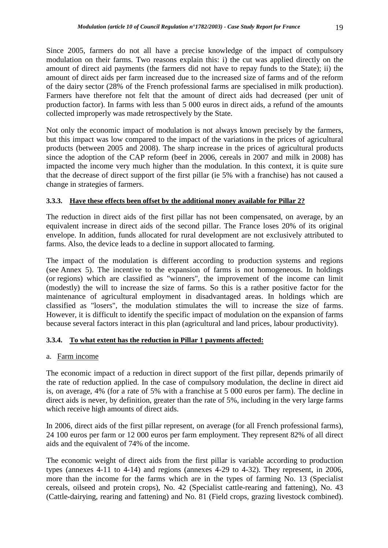Since 2005, farmers do not all have a precise knowledge of the impact of compulsory modulation on their farms. Two reasons explain this: i) the cut was applied directly on the amount of direct aid payments (the farmers did not have to repay funds to the State); ii) the amount of direct aids per farm increased due to the increased size of farms and of the reform of the dairy sector (28% of the French professional farms are specialised in milk production). Farmers have therefore not felt that the amount of direct aids had decreased (per unit of production factor). In farms with less than 5 000 euros in direct aids, a refund of the amounts collected improperly was made retrospectively by the State.

Not only the economic impact of modulation is not always known precisely by the farmers, but this impact was low compared to the impact of the variations in the prices of agricultural products (between 2005 and 2008). The sharp increase in the prices of agricultural products since the adoption of the CAP reform (beef in 2006, cereals in 2007 and milk in 2008) has impacted the income very much higher than the modulation. In this context, it is quite sure that the decrease of direct support of the first pillar (ie 5% with a franchise) has not caused a change in strategies of farmers.

# **3.3.3. Have these effects been offset by the additional money available for Pillar 2?**

The reduction in direct aids of the first pillar has not been compensated, on average, by an equivalent increase in direct aids of the second pillar. The France loses 20% of its original envelope. In addition, funds allocated for rural development are not exclusively attributed to farms. Also, the device leads to a decline in support allocated to farming.

The impact of the modulation is different according to production systems and regions (see Annex 5). The incentive to the expansion of farms is not homogeneous. In holdings (or regions) which are classified as "winners", the improvement of the income can limit (modestly) the will to increase the size of farms. So this is a rather positive factor for the maintenance of agricultural employment in disadvantaged areas. In holdings which are classified as "losers", the modulation stimulates the will to increase the size of farms. However, it is difficult to identify the specific impact of modulation on the expansion of farms because several factors interact in this plan (agricultural and land prices, labour productivity).

# **3.3.4. To what extent has the reduction in Pillar 1 payments affected:**

# a. Farm income

The economic impact of a reduction in direct support of the first pillar, depends primarily of the rate of reduction applied. In the case of compulsory modulation, the decline in direct aid is, on average, 4% (for a rate of 5% with a franchise at 5 000 euros per farm). The decline in direct aids is never, by definition, greater than the rate of 5%, including in the very large farms which receive high amounts of direct aids.

In 2006, direct aids of the first pillar represent, on average (for all French professional farms), 24 100 euros per farm or 12 000 euros per farm employment. They represent 82% of all direct aids and the equivalent of 74% of the income.

The economic weight of direct aids from the first pillar is variable according to production types (annexes 4-11 to 4-14) and regions (annexes 4-29 to 4-32). They represent, in 2006, more than the income for the farms which are in the types of farming No. 13 (Specialist cereals, oilseed and protein crops), No. 42 (Specialist cattle-rearing and fattening), No. 43 (Cattle-dairying, rearing and fattening) and No. 81 (Field crops, grazing livestock combined).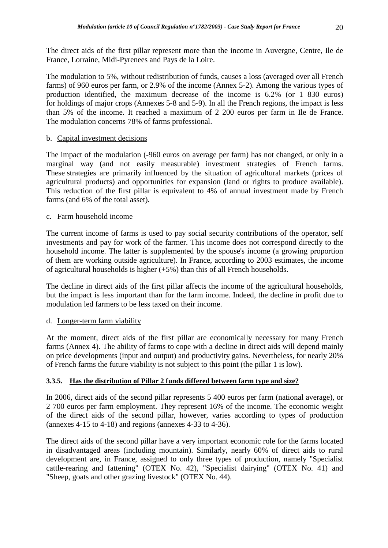The direct aids of the first pillar represent more than the income in Auvergne, Centre, Ile de France, Lorraine, Midi-Pyrenees and Pays de la Loire.

The modulation to 5%, without redistribution of funds, causes a loss (averaged over all French farms) of 960 euros per farm, or 2.9% of the income (Annex 5-2). Among the various types of production identified, the maximum decrease of the income is 6.2% (or 1 830 euros) for holdings of major crops (Annexes 5-8 and 5-9). In all the French regions, the impact is less than 5% of the income. It reached a maximum of 2 200 euros per farm in Ile de France. The modulation concerns 78% of farms professional.

# b. Capital investment decisions

The impact of the modulation (-960 euros on average per farm) has not changed, or only in a marginal way (and not easily measurable) investment strategies of French farms. These strategies are primarily influenced by the situation of agricultural markets (prices of agricultural products) and opportunities for expansion (land or rights to produce available). This reduction of the first pillar is equivalent to 4% of annual investment made by French farms (and 6% of the total asset).

# c. Farm household income

The current income of farms is used to pay social security contributions of the operator, self investments and pay for work of the farmer. This income does not correspond directly to the household income. The latter is supplemented by the spouse's income (a growing proportion of them are working outside agriculture). In France, according to 2003 estimates, the income of agricultural households is higher  $(+5%)$  than this of all French households.

The decline in direct aids of the first pillar affects the income of the agricultural households, but the impact is less important than for the farm income. Indeed, the decline in profit due to modulation led farmers to be less taxed on their income.

# d. Longer-term farm viability

At the moment, direct aids of the first pillar are economically necessary for many French farms (Annex 4). The ability of farms to cope with a decline in direct aids will depend mainly on price developments (input and output) and productivity gains. Nevertheless, for nearly 20% of French farms the future viability is not subject to this point (the pillar 1 is low).

# **3.3.5. Has the distribution of Pillar 2 funds differed between farm type and size?**

In 2006, direct aids of the second pillar represents 5 400 euros per farm (national average), or 2 700 euros per farm employment. They represent 16% of the income. The economic weight of the direct aids of the second pillar, however, varies according to types of production (annexes 4-15 to 4-18) and regions (annexes 4-33 to 4-36).

The direct aids of the second pillar have a very important economic role for the farms located in disadvantaged areas (including mountain). Similarly, nearly 60% of direct aids to rural development are, in France, assigned to only three types of production, namely "Specialist cattle-rearing and fattening" (OTEX No. 42), "Specialist dairying" (OTEX No. 41) and "Sheep, goats and other grazing livestock" (OTEX No. 44).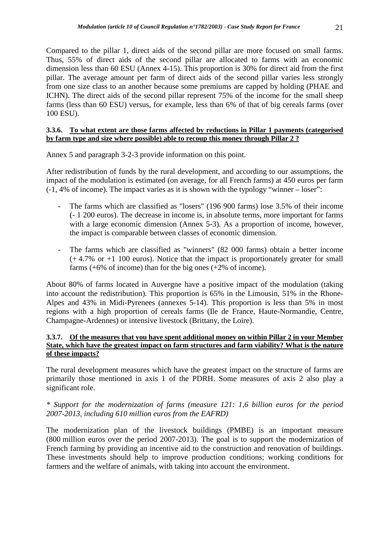Compared to the pillar 1, direct aids of the second pillar are more focused on small farms. Thus, 55% of direct aids of the second pillar are allocated to farms with an economic dimension less than 60 ESU (Annex 4-15). This proportion is 30% for direct aid from the first pillar. The average amount per farm of direct aids of the second pillar varies less strongly from one size class to an another because some premiums are capped by holding (PHAE and ICHN). The direct aids of the second pillar represent 75% of the income for the small sheep farms (less than 60 ESU) versus, for example, less than 6% of that of big cereals farms (over 100 ESU).

#### **3.3.6. To what extent are those farms affected by reductions in Pillar 1 payments (categorised by farm type and size where possible) able to recoup this money through Pillar 2 ?**

Annex 5 and paragraph 3-2-3 provide information on this point.

After redistribution of funds by the rural development, and according to our assumptions, the impact of the modulation is estimated (on average, for all French farms) at 450 euros per farm (-1, 4% of income). The impact varies as it is shown with the typology "winner – loser":

- The farms which are classified as "losers" (196 900 farms) lose 3.5% of their income (- 1 200 euros). The decrease in income is, in absolute terms, more important for farms with a large economic dimension (Annex 5-3). As a proportion of income, however, the impact is comparable between classes of economic dimension.
- The farms which are classified as "winners" (82 000 farms) obtain a better income (+ 4.7% or +1 100 euros). Notice that the impact is proportionately greater for small farms  $(+6\% \text{ of income})$  than for the big ones  $(+2\% \text{ of income})$ .

About 80% of farms located in Auvergne have a positive impact of the modulation (taking into account the redistribution). This proportion is 65% in the Limousin, 51% in the Rhone-Alpes and 43% in Midi-Pyrenees (annexes 5-14). This proportion is less than 5% in most regions with a high proportion of cereals farms (Ile de France, Haute-Normandie, Centre, Champagne-Ardennes) or intensive livestock (Brittany, the Loire).

# **3.3.7. Of the measures that you have spent additional money on within Pillar 2 in your Member State, which have the greatest impact on farm structures and farm viability? What is the nature of these impacts?**

The rural development measures which have the greatest impact on the structure of farms are primarily those mentioned in axis 1 of the PDRH. Some measures of axis 2 also play a significant role.

# *\* Support for the modernization of farms (measure 121: 1,6 billion euros for the period 2007-2013, including 610 million euros from the EAFRD)*

The modernization plan of the livestock buildings (PMBE) is an important measure (800 million euros over the period 2007-2013). The goal is to support the modernization of French farming by providing an incentive aid to the construction and renovation of buildings. These investments should help to improve production conditions; working conditions for farmers and the welfare of animals, with taking into account the environment.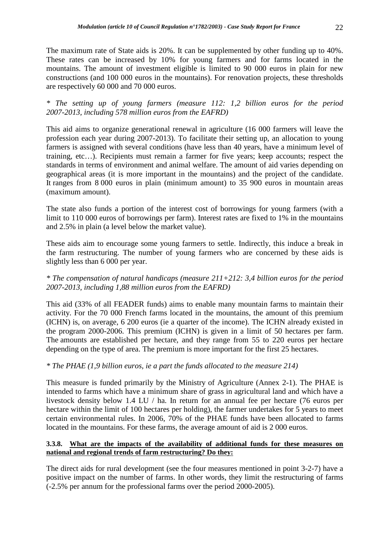The maximum rate of State aids is 20%. It can be supplemented by other funding up to 40%. These rates can be increased by 10% for young farmers and for farms located in the mountains. The amount of investment eligible is limited to 90 000 euros in plain for new constructions (and 100 000 euros in the mountains). For renovation projects, these thresholds are respectively 60 000 and 70 000 euros.

*\* The setting up of young farmers (measure 112: 1,2 billion euros for the period 2007-2013, including 578 million euros from the EAFRD)* 

This aid aims to organize generational renewal in agriculture (16 000 farmers will leave the profession each year during 2007-2013). To facilitate their setting up, an allocation to young farmers is assigned with several conditions (have less than 40 years, have a minimum level of training, etc…). Recipients must remain a farmer for five years; keep accounts; respect the standards in terms of environment and animal welfare. The amount of aid varies depending on geographical areas (it is more important in the mountains) and the project of the candidate. It ranges from 8 000 euros in plain (minimum amount) to 35 900 euros in mountain areas (maximum amount).

The state also funds a portion of the interest cost of borrowings for young farmers (with a limit to 110 000 euros of borrowings per farm). Interest rates are fixed to 1% in the mountains and 2.5% in plain (a level below the market value).

These aids aim to encourage some young farmers to settle. Indirectly, this induce a break in the farm restructuring. The number of young farmers who are concerned by these aids is slightly less than 6 000 per year.

# *\* The compensation of natural handicaps (measure 211+212: 3,4 billion euros for the period 2007-2013, including 1,88 million euros from the EAFRD)*

This aid (33% of all FEADER funds) aims to enable many mountain farms to maintain their activity. For the 70 000 French farms located in the mountains, the amount of this premium (ICHN) is, on average, 6 200 euros (ie a quarter of the income). The ICHN already existed in the program 2000-2006. This premium (ICHN) is given in a limit of 50 hectares per farm. The amounts are established per hectare, and they range from 55 to 220 euros per hectare depending on the type of area. The premium is more important for the first 25 hectares.

# *\* The PHAE (1,9 billion euros, ie a part the funds allocated to the measure 214)*

This measure is funded primarily by the Ministry of Agriculture (Annex 2-1). The PHAE is intended to farms which have a minimum share of grass in agricultural land and which have a livestock density below 1.4 LU / ha. In return for an annual fee per hectare (76 euros per hectare within the limit of 100 hectares per holding), the farmer undertakes for 5 years to meet certain environmental rules. In 2006, 70% of the PHAE funds have been allocated to farms located in the mountains. For these farms, the average amount of aid is 2 000 euros.

#### **3.3.8. What are the impacts of the availability of additional funds for these measures on national and regional trends of farm restructuring? Do they:**

The direct aids for rural development (see the four measures mentioned in point 3-2-7) have a positive impact on the number of farms. In other words, they limit the restructuring of farms (-2.5% per annum for the professional farms over the period 2000-2005).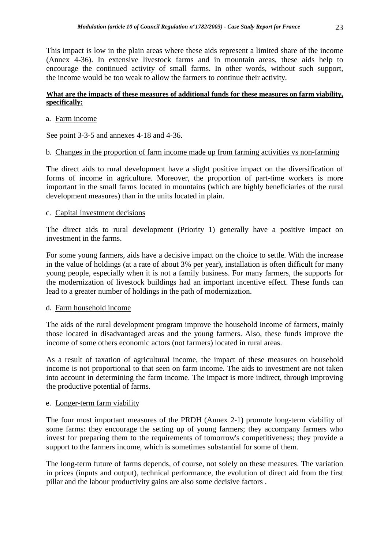This impact is low in the plain areas where these aids represent a limited share of the income (Annex 4-36). In extensive livestock farms and in mountain areas, these aids help to encourage the continued activity of small farms. In other words, without such support, the income would be too weak to allow the farmers to continue their activity.

# **What are the impacts of these measures of additional funds for these measures on farm viability, specifically:**

# a. Farm income

See point 3-3-5 and annexes 4-18 and 4-36.

# b. Changes in the proportion of farm income made up from farming activities vs non-farming

The direct aids to rural development have a slight positive impact on the diversification of forms of income in agriculture. Moreover, the proportion of part-time workers is more important in the small farms located in mountains (which are highly beneficiaries of the rural development measures) than in the units located in plain.

# c. Capital investment decisions

The direct aids to rural development (Priority 1) generally have a positive impact on investment in the farms.

For some young farmers, aids have a decisive impact on the choice to settle. With the increase in the value of holdings (at a rate of about 3% per year), installation is often difficult for many young people, especially when it is not a family business. For many farmers, the supports for the modernization of livestock buildings had an important incentive effect. These funds can lead to a greater number of holdings in the path of modernization.

# d. Farm household income

The aids of the rural development program improve the household income of farmers, mainly those located in disadvantaged areas and the young farmers. Also, these funds improve the income of some others economic actors (not farmers) located in rural areas.

As a result of taxation of agricultural income, the impact of these measures on household income is not proportional to that seen on farm income. The aids to investment are not taken into account in determining the farm income. The impact is more indirect, through improving the productive potential of farms.

# e. Longer-term farm viability

The four most important measures of the PRDH (Annex 2-1) promote long-term viability of some farms: they encourage the setting up of young farmers; they accompany farmers who invest for preparing them to the requirements of tomorrow's competitiveness; they provide a support to the farmers income, which is sometimes substantial for some of them.

The long-term future of farms depends, of course, not solely on these measures. The variation in prices (inputs and output), technical performance, the evolution of direct aid from the first pillar and the labour productivity gains are also some decisive factors .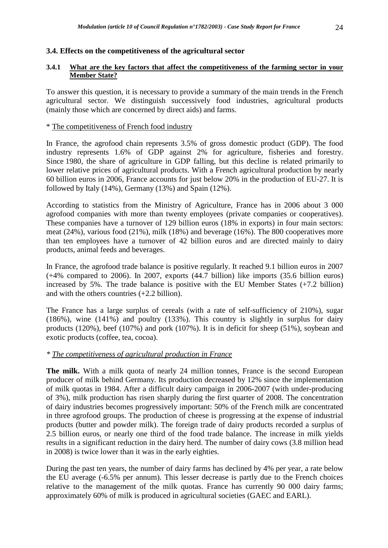# **3.4. Effects on the competitiveness of the agricultural sector**

# **3.4.1 What are the key factors that affect the competitiveness of the farming sector in your Member State?**

To answer this question, it is necessary to provide a summary of the main trends in the French agricultural sector. We distinguish successively food industries, agricultural products (mainly those which are concerned by direct aids) and farms.

# \* The competitiveness of French food industry

In France, the agrofood chain represents 3.5% of gross domestic product (GDP). The food industry represents 1.6% of GDP against 2% for agriculture, fisheries and forestry. Since 1980, the share of agriculture in GDP falling, but this decline is related primarily to lower relative prices of agricultural products. With a French agricultural production by nearly 60 billion euros in 2006, France accounts for just below 20% in the production of EU-27. It is followed by Italy (14%), Germany (13%) and Spain (12%).

According to statistics from the Ministry of Agriculture, France has in 2006 about 3 000 agrofood companies with more than twenty employees (private companies or cooperatives). These companies have a turnover of 129 billion euros (18% in exports) in four main sectors: meat (24%), various food (21%), milk (18%) and beverage (16%). The 800 cooperatives more than ten employees have a turnover of 42 billion euros and are directed mainly to dairy products, animal feeds and beverages.

In France, the agrofood trade balance is positive regularly. It reached 9.1 billion euros in 2007 (+4% compared to 2006). In 2007, exports (44.7 billion) like imports (35.6 billion euros) increased by 5%. The trade balance is positive with the EU Member States (+7.2 billion) and with the others countries (+2.2 billion).

The France has a large surplus of cereals (with a rate of self-sufficiency of 210%), sugar (186%), wine (141%) and poultry (133%). This country is slightly in surplus for dairy products (120%), beef (107%) and pork (107%). It is in deficit for sheep (51%), soybean and exotic products (coffee, tea, cocoa).

# *\* The competitiveness of agricultural production in France*

**The milk.** With a milk quota of nearly 24 million tonnes, France is the second European producer of milk behind Germany. Its production decreased by 12% since the implementation of milk quotas in 1984. After a difficult dairy campaign in 2006-2007 (with under-producing of 3%), milk production has risen sharply during the first quarter of 2008. The concentration of dairy industries becomes progressively important: 50% of the French milk are concentrated in three agrofood groups. The production of cheese is progressing at the expense of industrial products (butter and powder milk). The foreign trade of dairy products recorded a surplus of 2.5 billion euros, or nearly one third of the food trade balance. The increase in milk yields results in a significant reduction in the dairy herd. The number of dairy cows (3.8 million head in 2008) is twice lower than it was in the early eighties.

During the past ten years, the number of dairy farms has declined by 4% per year, a rate below the EU average (-6.5% per annum). This lesser decrease is partly due to the French choices relative to the management of the milk quotas. France has currently 90 000 dairy farms; approximately 60% of milk is produced in agricultural societies (GAEC and EARL).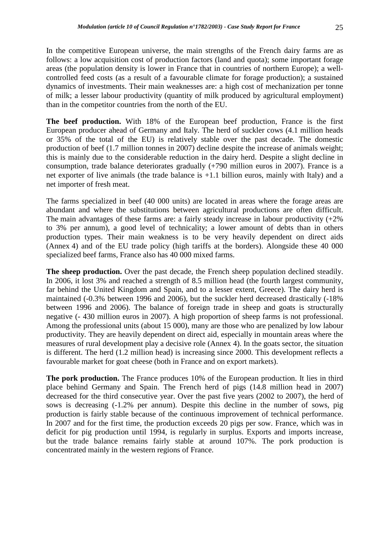In the competitive European universe, the main strengths of the French dairy farms are as follows: a low acquisition cost of production factors (land and quota); some important forage areas (the population density is lower in France that in countries of northern Europe); a wellcontrolled feed costs (as a result of a favourable climate for forage production); a sustained dynamics of investments. Their main weaknesses are: a high cost of mechanization per tonne of milk; a lesser labour productivity (quantity of milk produced by agricultural employment) than in the competitor countries from the north of the EU.

**The beef production.** With 18% of the European beef production, France is the first European producer ahead of Germany and Italy. The herd of suckler cows (4.1 million heads or 35% of the total of the EU) is relatively stable over the past decade. The domestic production of beef (1.7 million tonnes in 2007) decline despite the increase of animals weight; this is mainly due to the considerable reduction in the dairy herd. Despite a slight decline in consumption, trade balance deteriorates gradually (+790 million euros in 2007). France is a net exporter of live animals (the trade balance is +1.1 billion euros, mainly with Italy) and a net importer of fresh meat.

The farms specialized in beef (40 000 units) are located in areas where the forage areas are abundant and where the substitutions between agricultural productions are often difficult. The main advantages of these farms are: a fairly steady increase in labour productivity  $(+2\%)$ to 3% per annum), a good level of technicality; a lower amount of debts than in others production types. Their main weakness is to be very heavily dependent on direct aids (Annex 4) and of the EU trade policy (high tariffs at the borders). Alongside these 40 000 specialized beef farms, France also has 40 000 mixed farms.

**The sheep production.** Over the past decade, the French sheep population declined steadily. In 2006, it lost 3% and reached a strength of 8.5 million head (the fourth largest community, far behind the United Kingdom and Spain, and to a lesser extent, Greece). The dairy herd is maintained (-0.3% between 1996 and 2006), but the suckler herd decreased drastically (-18% between 1996 and 2006). The balance of foreign trade in sheep and goats is structurally negative (- 430 million euros in 2007). A high proportion of sheep farms is not professional. Among the professional units (about 15 000), many are those who are penalized by low labour productivity. They are heavily dependent on direct aid, especially in mountain areas where the measures of rural development play a decisive role (Annex 4). In the goats sector, the situation is different. The herd (1.2 million head) is increasing since 2000. This development reflects a favourable market for goat cheese (both in France and on export markets).

**The pork production.** The France produces 10% of the European production. It lies in third place behind Germany and Spain. The French herd of pigs (14.8 million head in 2007) decreased for the third consecutive year. Over the past five years (2002 to 2007), the herd of sows is decreasing (-1.2% per annum). Despite this decline in the number of sows, pig production is fairly stable because of the continuous improvement of technical performance. In 2007 and for the first time, the production exceeds 20 pigs per sow. France, which was in deficit for pig production until 1994, is regularly in surplus. Exports and imports increase, but the trade balance remains fairly stable at around 107%. The pork production is concentrated mainly in the western regions of France.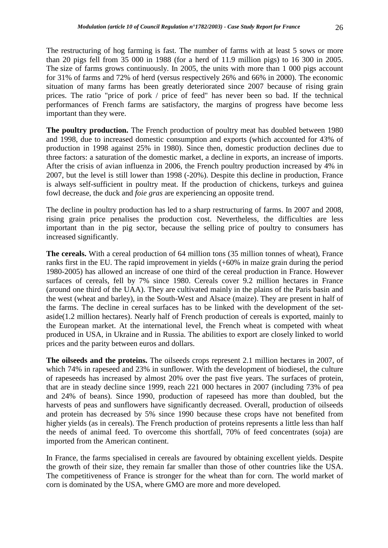The restructuring of hog farming is fast. The number of farms with at least 5 sows or more than 20 pigs fell from 35 000 in 1988 (for a herd of 11.9 million pigs) to 16 300 in 2005. The size of farms grows continuously. In 2005, the units with more than 1 000 pigs account for 31% of farms and 72% of herd (versus respectively 26% and 66% in 2000). The economic situation of many farms has been greatly deteriorated since 2007 because of rising grain prices. The ratio "price of pork / price of feed" has never been so bad. If the technical performances of French farms are satisfactory, the margins of progress have become less important than they were.

**The poultry production.** The French production of poultry meat has doubled between 1980 and 1998, due to increased domestic consumption and exports (which accounted for 43% of production in 1998 against 25% in 1980). Since then, domestic production declines due to three factors: a saturation of the domestic market, a decline in exports, an increase of imports. After the crisis of avian influenza in 2006, the French poultry production increased by 4% in 2007, but the level is still lower than 1998 (-20%). Despite this decline in production, France is always self-sufficient in poultry meat. If the production of chickens, turkeys and guinea fowl decrease, the duck and *foie gras* are experiencing an opposite trend.

The decline in poultry production has led to a sharp restructuring of farms. In 2007 and 2008, rising grain price penalises the production cost. Nevertheless, the difficulties are less important than in the pig sector, because the selling price of poultry to consumers has increased significantly.

**The cereals.** With a cereal production of 64 million tons (35 million tonnes of wheat), France ranks first in the EU. The rapid improvement in yields (+60% in maize grain during the period 1980-2005) has allowed an increase of one third of the cereal production in France. However surfaces of cereals, fell by 7% since 1980. Cereals cover 9.2 million hectares in France (around one third of the UAA). They are cultivated mainly in the plains of the Paris basin and the west (wheat and barley), in the South-West and Alsace (maize). They are present in half of the farms. The decline in cereal surfaces has to be linked with the development of the setaside(1.2 million hectares). Nearly half of French production of cereals is exported, mainly to the European market. At the international level, the French wheat is competed with wheat produced in USA, in Ukraine and in Russia. The abilities to export are closely linked to world prices and the parity between euros and dollars.

**The oilseeds and the proteins.** The oilseeds crops represent 2.1 million hectares in 2007, of which 74% in rapeseed and 23% in sunflower. With the development of biodiesel, the culture of rapeseeds has increased by almost 20% over the past five years. The surfaces of protein, that are in steady decline since 1999, reach 221 000 hectares in 2007 (including 73% of pea and 24% of beans). Since 1990, production of rapeseed has more than doubled, but the harvests of peas and sunflowers have significantly decreased. Overall, production of oilseeds and protein has decreased by 5% since 1990 because these crops have not benefited from higher yields (as in cereals). The French production of proteins represents a little less than half the needs of animal feed. To overcome this shortfall, 70% of feed concentrates (soja) are imported from the American continent.

In France, the farms specialised in cereals are favoured by obtaining excellent yields. Despite the growth of their size, they remain far smaller than those of other countries like the USA. The competitiveness of France is stronger for the wheat than for corn. The world market of corn is dominated by the USA, where GMO are more and more developed.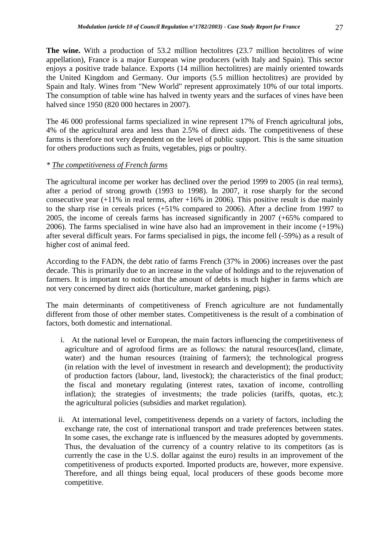**The wine.** With a production of 53.2 million hectolitres (23.7 million hectolitres of wine appellation), France is a major European wine producers (with Italy and Spain). This sector enjoys a positive trade balance. Exports (14 million hectolitres) are mainly oriented towards the United Kingdom and Germany. Our imports (5.5 million hectolitres) are provided by Spain and Italy. Wines from "New World" represent approximately 10% of our total imports. The consumption of table wine has halved in twenty years and the surfaces of vines have been halved since 1950 (820 000 hectares in 2007).

The 46 000 professional farms specialized in wine represent 17% of French agricultural jobs, 4% of the agricultural area and less than 2.5% of direct aids. The competitiveness of these farms is therefore not very dependent on the level of public support. This is the same situation for others productions such as fruits, vegetables, pigs or poultry.

# *\* The competitiveness of French farms*

The agricultural income per worker has declined over the period 1999 to 2005 (in real terms), after a period of strong growth (1993 to 1998). In 2007, it rose sharply for the second consecutive year  $(+11\%$  in real terms, after  $+16\%$  in 2006). This positive result is due mainly to the sharp rise in cereals prices (+51% compared to 2006). After a decline from 1997 to 2005, the income of cereals farms has increased significantly in 2007 (+65% compared to 2006). The farms specialised in wine have also had an improvement in their income (+19%) after several difficult years. For farms specialised in pigs, the income fell (-59%) as a result of higher cost of animal feed.

According to the FADN, the debt ratio of farms French (37% in 2006) increases over the past decade. This is primarily due to an increase in the value of holdings and to the rejuvenation of farmers. It is important to notice that the amount of debts is much higher in farms which are not very concerned by direct aids (horticulture, market gardening, pigs).

The main determinants of competitiveness of French agriculture are not fundamentally different from those of other member states. Competitiveness is the result of a combination of factors, both domestic and international.

- i. At the national level or European, the main factors influencing the competitiveness of agriculture and of agrofood firms are as follows: the natural resources(land, climate, water) and the human resources (training of farmers); the technological progress (in relation with the level of investment in research and development); the productivity of production factors (labour, land, livestock); the characteristics of the final product; the fiscal and monetary regulating (interest rates, taxation of income, controlling inflation); the strategies of investments; the trade policies (tariffs, quotas, etc.); the agricultural policies (subsidies and market regulation).
- ii. At international level, competitiveness depends on a variety of factors, including the exchange rate, the cost of international transport and trade preferences between states. In some cases, the exchange rate is influenced by the measures adopted by governments. Thus, the devaluation of the currency of a country relative to its competitors (as is currently the case in the U.S. dollar against the euro) results in an improvement of the competitiveness of products exported. Imported products are, however, more expensive. Therefore, and all things being equal, local producers of these goods become more competitive.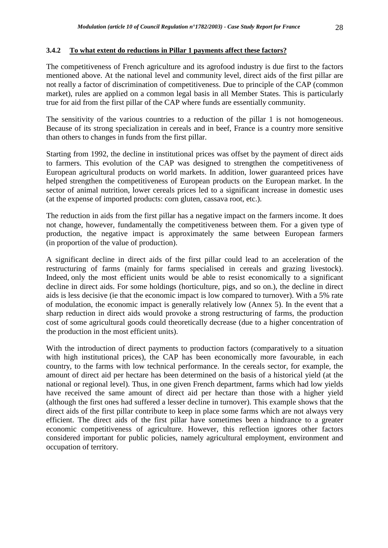# **3.4.2 To what extent do reductions in Pillar 1 payments affect these factors?**

The competitiveness of French agriculture and its agrofood industry is due first to the factors mentioned above. At the national level and community level, direct aids of the first pillar are not really a factor of discrimination of competitiveness. Due to principle of the CAP (common market), rules are applied on a common legal basis in all Member States. This is particularly true for aid from the first pillar of the CAP where funds are essentially community.

The sensitivity of the various countries to a reduction of the pillar 1 is not homogeneous. Because of its strong specialization in cereals and in beef, France is a country more sensitive than others to changes in funds from the first pillar.

Starting from 1992, the decline in institutional prices was offset by the payment of direct aids to farmers. This evolution of the CAP was designed to strengthen the competitiveness of European agricultural products on world markets. In addition, lower guaranteed prices have helped strengthen the competitiveness of European products on the European market. In the sector of animal nutrition, lower cereals prices led to a significant increase in domestic uses (at the expense of imported products: corn gluten, cassava root, etc.).

The reduction in aids from the first pillar has a negative impact on the farmers income. It does not change, however, fundamentally the competitiveness between them. For a given type of production, the negative impact is approximately the same between European farmers (in proportion of the value of production).

A significant decline in direct aids of the first pillar could lead to an acceleration of the restructuring of farms (mainly for farms specialised in cereals and grazing livestock). Indeed, only the most efficient units would be able to resist economically to a significant decline in direct aids. For some holdings (horticulture, pigs, and so on.), the decline in direct aids is less decisive (ie that the economic impact is low compared to turnover). With a 5% rate of modulation, the economic impact is generally relatively low (Annex 5). In the event that a sharp reduction in direct aids would provoke a strong restructuring of farms, the production cost of some agricultural goods could theoretically decrease (due to a higher concentration of the production in the most efficient units).

With the introduction of direct payments to production factors (comparatively to a situation with high institutional prices), the CAP has been economically more favourable, in each country, to the farms with low technical performance. In the cereals sector, for example, the amount of direct aid per hectare has been determined on the basis of a historical yield (at the national or regional level). Thus, in one given French department, farms which had low yields have received the same amount of direct aid per hectare than those with a higher yield (although the first ones had suffered a lesser decline in turnover). This example shows that the direct aids of the first pillar contribute to keep in place some farms which are not always very efficient. The direct aids of the first pillar have sometimes been a hindrance to a greater economic competitiveness of agriculture. However, this reflection ignores other factors considered important for public policies, namely agricultural employment, environment and occupation of territory.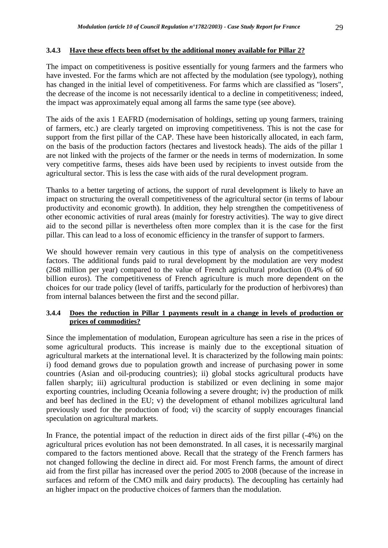# **3.4.3 Have these effects been offset by the additional money available for Pillar 2?**

The impact on competitiveness is positive essentially for young farmers and the farmers who have invested. For the farms which are not affected by the modulation (see typology), nothing has changed in the initial level of competitiveness. For farms which are classified as "losers", the decrease of the income is not necessarily identical to a decline in competitiveness; indeed, the impact was approximately equal among all farms the same type (see above).

The aids of the axis 1 EAFRD (modernisation of holdings, setting up young farmers, training of farmers, etc.) are clearly targeted on improving competitiveness. This is not the case for support from the first pillar of the CAP. These have been historically allocated, in each farm, on the basis of the production factors (hectares and livestock heads). The aids of the pillar 1 are not linked with the projects of the farmer or the needs in terms of modernization. In some very competitive farms, theses aids have been used by recipients to invest outside from the agricultural sector. This is less the case with aids of the rural development program.

Thanks to a better targeting of actions, the support of rural development is likely to have an impact on structuring the overall competitiveness of the agricultural sector (in terms of labour productivity and economic growth). In addition, they help strengthen the competitiveness of other economic activities of rural areas (mainly for forestry activities). The way to give direct aid to the second pillar is nevertheless often more complex than it is the case for the first pillar. This can lead to a loss of economic efficiency in the transfer of support to farmers.

We should however remain very cautious in this type of analysis on the competitiveness factors. The additional funds paid to rural development by the modulation are very modest (268 million per year) compared to the value of French agricultural production (0.4% of 60 billion euros). The competitiveness of French agriculture is much more dependent on the choices for our trade policy (level of tariffs, particularly for the production of herbivores) than from internal balances between the first and the second pillar.

# **3.4.4 Does the reduction in Pillar 1 payments result in a change in levels of production or prices of commodities?**

Since the implementation of modulation, European agriculture has seen a rise in the prices of some agricultural products. This increase is mainly due to the exceptional situation of agricultural markets at the international level. It is characterized by the following main points: i) food demand grows due to population growth and increase of purchasing power in some countries (Asian and oil-producing countries); ii) global stocks agricultural products have fallen sharply; iii) agricultural production is stabilized or even declining in some major exporting countries, including Oceania following a severe drought; iv) the production of milk and beef has declined in the EU; v) the development of ethanol mobilizes agricultural land previously used for the production of food; vi) the scarcity of supply encourages financial speculation on agricultural markets.

In France, the potential impact of the reduction in direct aids of the first pillar (-4%) on the agricultural prices evolution has not been demonstrated. In all cases, it is necessarily marginal compared to the factors mentioned above. Recall that the strategy of the French farmers has not changed following the decline in direct aid. For most French farms, the amount of direct aid from the first pillar has increased over the period 2005 to 2008 (because of the increase in surfaces and reform of the CMO milk and dairy products). The decoupling has certainly had an higher impact on the productive choices of farmers than the modulation.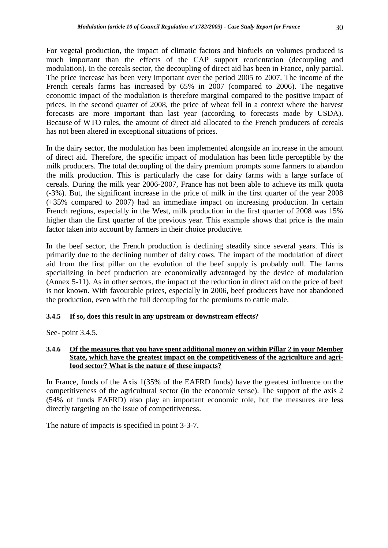For vegetal production, the impact of climatic factors and biofuels on volumes produced is much important than the effects of the CAP support reorientation (decoupling and modulation). In the cereals sector, the decoupling of direct aid has been in France, only partial. The price increase has been very important over the period 2005 to 2007. The income of the French cereals farms has increased by 65% in 2007 (compared to 2006). The negative economic impact of the modulation is therefore marginal compared to the positive impact of prices. In the second quarter of 2008, the price of wheat fell in a context where the harvest forecasts are more important than last year (according to forecasts made by USDA). Because of WTO rules, the amount of direct aid allocated to the French producers of cereals has not been altered in exceptional situations of prices.

In the dairy sector, the modulation has been implemented alongside an increase in the amount of direct aid. Therefore, the specific impact of modulation has been little perceptible by the milk producers. The total decoupling of the dairy premium prompts some farmers to abandon the milk production. This is particularly the case for dairy farms with a large surface of cereals. During the milk year 2006-2007, France has not been able to achieve its milk quota (-3%). But, the significant increase in the price of milk in the first quarter of the year 2008 (+35% compared to 2007) had an immediate impact on increasing production. In certain French regions, especially in the West, milk production in the first quarter of 2008 was 15% higher than the first quarter of the previous year. This example shows that price is the main factor taken into account by farmers in their choice productive.

In the beef sector, the French production is declining steadily since several years. This is primarily due to the declining number of dairy cows. The impact of the modulation of direct aid from the first pillar on the evolution of the beef supply is probably null. The farms specializing in beef production are economically advantaged by the device of modulation (Annex 5-11). As in other sectors, the impact of the reduction in direct aid on the price of beef is not known. With favourable prices, especially in 2006, beef producers have not abandoned the production, even with the full decoupling for the premiums to cattle male.

# **3.4.5 If so, does this result in any upstream or downstream effects?**

See- point 3.4.5.

# **3.4.6 Of the measures that you have spent additional money on within Pillar 2 in your Member State, which have the greatest impact on the competitiveness of the agriculture and agrifood sector? What is the nature of these impacts?**

In France, funds of the Axis 1(35% of the EAFRD funds) have the greatest influence on the competitiveness of the agricultural sector (in the economic sense). The support of the axis 2 (54% of funds EAFRD) also play an important economic role, but the measures are less directly targeting on the issue of competitiveness.

The nature of impacts is specified in point 3-3-7.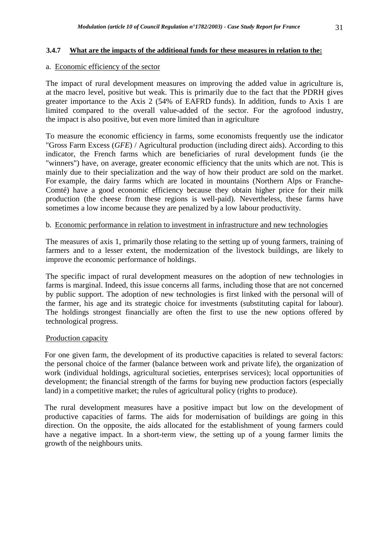# **3.4.7 What are the impacts of the additional funds for these measures in relation to the:**

# a. Economic efficiency of the sector

The impact of rural development measures on improving the added value in agriculture is, at the macro level, positive but weak. This is primarily due to the fact that the PDRH gives greater importance to the Axis 2 (54% of EAFRD funds). In addition, funds to Axis 1 are limited compared to the overall value-added of the sector. For the agrofood industry, the impact is also positive, but even more limited than in agriculture

To measure the economic efficiency in farms, some economists frequently use the indicator "Gross Farm Excess (*GFE*) / Agricultural production (including direct aids). According to this indicator, the French farms which are beneficiaries of rural development funds (ie the "winners") have, on average, greater economic efficiency that the units which are not. This is mainly due to their specialization and the way of how their product are sold on the market. For example, the dairy farms which are located in mountains (Northern Alps or Franche-Comté) have a good economic efficiency because they obtain higher price for their milk production (the cheese from these regions is well-paid). Nevertheless, these farms have sometimes a low income because they are penalized by a low labour productivity.

# b. Economic performance in relation to investment in infrastructure and new technologies

The measures of axis 1, primarily those relating to the setting up of young farmers, training of farmers and to a lesser extent, the modernization of the livestock buildings, are likely to improve the economic performance of holdings.

The specific impact of rural development measures on the adoption of new technologies in farms is marginal. Indeed, this issue concerns all farms, including those that are not concerned by public support. The adoption of new technologies is first linked with the personal will of the farmer, his age and its strategic choice for investments (substituting capital for labour). The holdings strongest financially are often the first to use the new options offered by technological progress.

# Production capacity

For one given farm, the development of its productive capacities is related to several factors: the personal choice of the farmer (balance between work and private life), the organization of work (individual holdings, agricultural societies, enterprises services); local opportunities of development; the financial strength of the farms for buying new production factors (especially land) in a competitive market; the rules of agricultural policy (rights to produce).

The rural development measures have a positive impact but low on the development of productive capacities of farms. The aids for modernisation of buildings are going in this direction. On the opposite, the aids allocated for the establishment of young farmers could have a negative impact. In a short-term view, the setting up of a young farmer limits the growth of the neighbours units.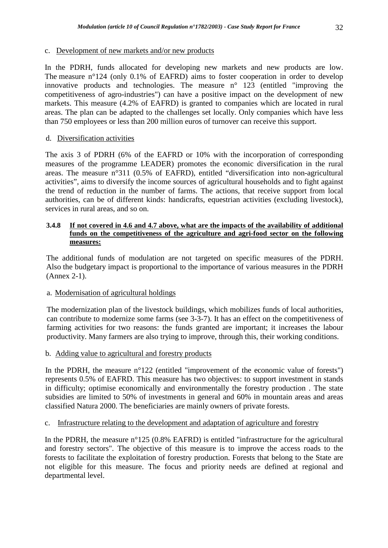## c. Development of new markets and/or new products

In the PDRH, funds allocated for developing new markets and new products are low. The measure n°124 (only 0.1% of EAFRD) aims to foster cooperation in order to develop innovative products and technologies. The measure n° 123 (entitled "improving the competitiveness of agro-industries") can have a positive impact on the development of new markets. This measure (4.2% of EAFRD) is granted to companies which are located in rural areas. The plan can be adapted to the challenges set locally. Only companies which have less than 750 employees or less than 200 million euros of turnover can receive this support.

# d. Diversification activities

The axis 3 of PDRH (6% of the EAFRD or 10% with the incorporation of corresponding measures of the programme LEADER) promotes the economic diversification in the rural areas. The measure n°311 (0.5% of EAFRD), entitled "diversification into non-agricultural activities", aims to diversify the income sources of agricultural households and to fight against the trend of reduction in the number of farms. The actions, that receive support from local authorities, can be of different kinds: handicrafts, equestrian activities (excluding livestock), services in rural areas, and so on.

#### **3.4.8 If not covered in 4.6 and 4.7 above, what are the impacts of the availability of additional funds on the competitiveness of the agriculture and agri-food sector on the following measures:**

The additional funds of modulation are not targeted on specific measures of the PDRH. Also the budgetary impact is proportional to the importance of various measures in the PDRH (Annex 2-1).

# a. Modernisation of agricultural holdings

The modernization plan of the livestock buildings, which mobilizes funds of local authorities, can contribute to modernize some farms (see 3-3-7). It has an effect on the competitiveness of farming activities for two reasons: the funds granted are important; it increases the labour productivity. Many farmers are also trying to improve, through this, their working conditions.

# b. Adding value to agricultural and forestry products

In the PDRH, the measure  $n^{\circ}122$  (entitled "improvement of the economic value of forests") represents 0.5% of EAFRD. This measure has two objectives: to support investment in stands in difficulty; optimise economically and environmentally the forestry production . The state subsidies are limited to 50% of investments in general and 60% in mountain areas and areas classified Natura 2000. The beneficiaries are mainly owners of private forests.

#### c. Infrastructure relating to the development and adaptation of agriculture and forestry

In the PDRH, the measure  $n^{\circ}125$  (0.8% EAFRD) is entitled "infrastructure for the agricultural and forestry sectors". The objective of this measure is to improve the access roads to the forests to facilitate the exploitation of forestry production. Forests that belong to the State are not eligible for this measure. The focus and priority needs are defined at regional and departmental level.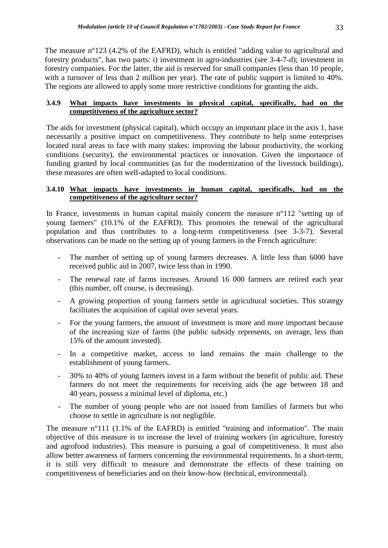The measure n°123 (4.2% of the EAFRD), which is entitled "adding value to agricultural and forestry products", has two parts: i) investment in agro-industries (see 3-4-7-d); investment in forestry companies. For the latter, the aid is reserved for small companies (less than 10 people, with a turnover of less than 2 million per year). The rate of public support is limited to 40%. The regions are allowed to apply some more restrictive conditions for granting the aids.

## **3.4.9 What impacts have investments in physical capital, specifically, had on the competitiveness of the agriculture sector?**

The aids for investment (physical capital), which occupy an important place in the axis 1, have necessarily a positive impact on competitiveness. They contribute to help some enterprises located rural areas to face with many stakes: improving the labour productivity, the working conditions (security), the environmental practices or innovation. Given the importance of funding granted by local communities (as for the modernization of the livestock buildings), these measures are often well-adapted to local conditions.

# **3.4.10 What impacts have investments in human capital, specifically, had on the competitiveness of the agriculture sector?**

In France, investments in human capital mainly concern the measure n°112 "setting up of young farmers" (10.1% of the EAFRD). This promotes the renewal of the agricultural population and thus contributes to a long-term competitiveness (see 3-3-7). Several observations can be made on the setting up of young farmers in the French agriculture:

- The number of setting up of young farmers decreases. A little less than 6000 have received public aid in 2007, twice less than in 1990.
- The renewal rate of farms increases. Around 16 000 farmers are retired each year (this number, off course, is decreasing).
- A growing proportion of young farmers settle in agricultural societies. This strategy facilitates the acquisition of capital over several years.
- For the young farmers, the amount of investment is more and more important because of the increasing size of farms (the public subsidy represents, on average, less than 15% of the amount invested).
- In a competitive market, access to land remains the main challenge to the establishment of young farmers.
- 30% to 40% of young farmers invest in a farm without the benefit of public aid. These farmers do not meet the requirements for receiving aids (be age between 18 and 40 years, possess a minimal level of diploma, etc.)
- The number of young people who are not issued from families of farmers but who choose to settle in agriculture is not negligible.

The measure n°111 (1.1% of the EAFRD) is entitled "training and information". The main objective of this measure is to increase the level of training workers (in agriculture, forestry and agrofood industries). This measure is pursuing a goal of competitiveness. It must also allow better awareness of farmers concerning the environmental requirements. In a short-term, it is still very difficult to measure and demonstrate the effects of these training on competitiveness of beneficiaries and on their know-how (technical, environmental).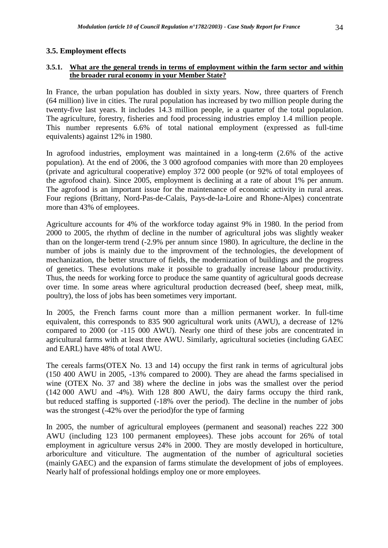## **3.5. Employment effects**

## **3.5.1. What are the general trends in terms of employment within the farm sector and within the broader rural economy in your Member State?**

In France, the urban population has doubled in sixty years. Now, three quarters of French (64 million) live in cities. The rural population has increased by two million people during the twenty-five last years. It includes 14.3 million people, ie a quarter of the total population. The agriculture, forestry, fisheries and food processing industries employ 1.4 million people. This number represents 6.6% of total national employment (expressed as full-time equivalents) against 12% in 1980.

In agrofood industries, employment was maintained in a long-term (2.6% of the active population). At the end of 2006, the 3 000 agrofood companies with more than 20 employees (private and agricultural cooperative) employ 372 000 people (or 92% of total employees of the agrofood chain). Since 2005, employment is declining at a rate of about 1% per annum. The agrofood is an important issue for the maintenance of economic activity in rural areas. Four regions (Brittany, Nord-Pas-de-Calais, Pays-de-la-Loire and Rhone-Alpes) concentrate more than 43% of employees.

Agriculture accounts for 4% of the workforce today against 9% in 1980. In the period from 2000 to 2005, the rhythm of decline in the number of agricultural jobs was slightly weaker than on the longer-term trend (-2.9% per annum since 1980). In agriculture, the decline in the number of jobs is mainly due to the improvment of the technologies, the development of mechanization, the better structure of fields, the modernization of buildings and the progress of genetics. These evolutions make it possible to gradually increase labour productivity. Thus, the needs for working force to produce the same quantity of agricultural goods decrease over time. In some areas where agricultural production decreased (beef, sheep meat, milk, poultry), the loss of jobs has been sometimes very important.

In 2005, the French farms count more than a million permanent worker. In full-time equivalent, this corresponds to 835 900 agricultural work units (AWU), a decrease of 12% compared to 2000 (or -115 000 AWU). Nearly one third of these jobs are concentrated in agricultural farms with at least three AWU. Similarly, agricultural societies (including GAEC and EARL) have 48% of total AWU.

The cereals farms(OTEX No. 13 and 14) occupy the first rank in terms of agricultural jobs (150 400 AWU in 2005, -13% compared to 2000). They are ahead the farms specialised in wine (OTEX No. 37 and 38) where the decline in jobs was the smallest over the period (142 000 AWU and -4%). With 128 800 AWU, the dairy farms occupy the third rank, but reduced staffing is supported (-18% over the period). The decline in the number of jobs was the strongest (-42% over the period)for the type of farming

In 2005, the number of agricultural employees (permanent and seasonal) reaches 222 300 AWU (including 123 100 permanent employees). These jobs account for 26% of total employment in agriculture versus 24% in 2000. They are mostly developed in horticulture, arboriculture and viticulture. The augmentation of the number of agricultural societies (mainly GAEC) and the expansion of farms stimulate the development of jobs of employees. Nearly half of professional holdings employ one or more employees.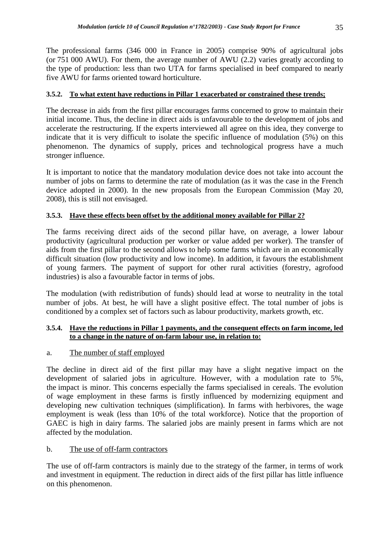The professional farms (346 000 in France in 2005) comprise 90% of agricultural jobs (or 751 000 AWU). For them, the average number of AWU (2.2) varies greatly according to the type of production: less than two UTA for farms specialised in beef compared to nearly five AWU for farms oriented toward horticulture.

# **3.5.2. To what extent have reductions in Pillar 1 exacerbated or constrained these trends;**

The decrease in aids from the first pillar encourages farms concerned to grow to maintain their initial income. Thus, the decline in direct aids is unfavourable to the development of jobs and accelerate the restructuring. If the experts interviewed all agree on this idea, they converge to indicate that it is very difficult to isolate the specific influence of modulation (5%) on this phenomenon. The dynamics of supply, prices and technological progress have a much stronger influence.

It is important to notice that the mandatory modulation device does not take into account the number of jobs on farms to determine the rate of modulation (as it was the case in the French device adopted in 2000). In the new proposals from the European Commission (May 20, 2008), this is still not envisaged.

# **3.5.3. Have these effects been offset by the additional money available for Pillar 2?**

The farms receiving direct aids of the second pillar have, on average, a lower labour productivity (agricultural production per worker or value added per worker). The transfer of aids from the first pillar to the second allows to help some farms which are in an economically difficult situation (low productivity and low income). In addition, it favours the establishment of young farmers. The payment of support for other rural activities (forestry, agrofood industries) is also a favourable factor in terms of jobs.

The modulation (with redistribution of funds) should lead at worse to neutrality in the total number of jobs. At best, he will have a slight positive effect. The total number of jobs is conditioned by a complex set of factors such as labour productivity, markets growth, etc.

## **3.5.4. Have the reductions in Pillar 1 payments, and the consequent effects on farm income, led to a change in the nature of on-farm labour use, in relation to:**

## a. The number of staff employed

The decline in direct aid of the first pillar may have a slight negative impact on the development of salaried jobs in agriculture. However, with a modulation rate to 5%, the impact is minor. This concerns especially the farms specialised in cereals. The evolution of wage employment in these farms is firstly influenced by modernizing equipment and developing new cultivation techniques (simplification). In farms with herbivores, the wage employment is weak (less than 10% of the total workforce). Notice that the proportion of GAEC is high in dairy farms. The salaried jobs are mainly present in farms which are not affected by the modulation.

# b. The use of off-farm contractors

The use of off-farm contractors is mainly due to the strategy of the farmer, in terms of work and investment in equipment. The reduction in direct aids of the first pillar has little influence on this phenomenon.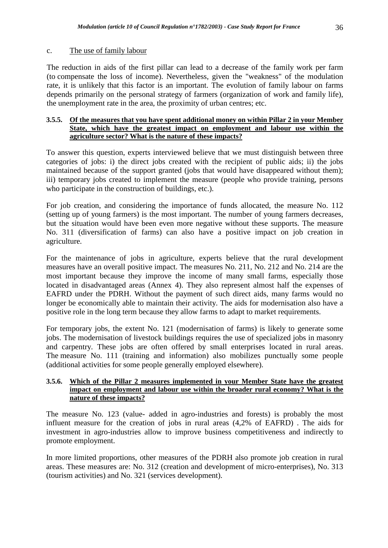## c. The use of family labour

The reduction in aids of the first pillar can lead to a decrease of the family work per farm (to compensate the loss of income). Nevertheless, given the "weakness" of the modulation rate, it is unlikely that this factor is an important. The evolution of family labour on farms depends primarily on the personal strategy of farmers (organization of work and family life), the unemployment rate in the area, the proximity of urban centres; etc.

## **3.5.5. Of the measures that you have spent additional money on within Pillar 2 in your Member State, which have the greatest impact on employment and labour use within the agriculture sector? What is the nature of these impacts?**

To answer this question, experts interviewed believe that we must distinguish between three categories of jobs: i) the direct jobs created with the recipient of public aids; ii) the jobs maintained because of the support granted (jobs that would have disappeared without them); iii) temporary jobs created to implement the measure (people who provide training, persons who participate in the construction of buildings, etc.).

For job creation, and considering the importance of funds allocated, the measure No. 112 (setting up of young farmers) is the most important. The number of young farmers decreases, but the situation would have been even more negative without these supports. The measure No. 311 (diversification of farms) can also have a positive impact on job creation in agriculture.

For the maintenance of jobs in agriculture, experts believe that the rural development measures have an overall positive impact. The measures No. 211, No. 212 and No. 214 are the most important because they improve the income of many small farms, especially those located in disadvantaged areas (Annex 4). They also represent almost half the expenses of EAFRD under the PDRH. Without the payment of such direct aids, many farms would no longer be economically able to maintain their activity. The aids for modernisation also have a positive role in the long term because they allow farms to adapt to market requirements.

For temporary jobs, the extent No. 121 (modernisation of farms) is likely to generate some jobs. The modernisation of livestock buildings requires the use of specialized jobs in masonry and carpentry. These jobs are often offered by small enterprises located in rural areas. The measure No. 111 (training and information) also mobilizes punctually some people (additional activities for some people generally employed elsewhere).

## **3.5.6. Which of the Pillar 2 measures implemented in your Member State have the greatest impact on employment and labour use within the broader rural economy? What is the nature of these impacts?**

The measure No. 123 (value- added in agro-industries and forests) is probably the most influent measure for the creation of jobs in rural areas (4,2% of EAFRD) . The aids for investment in agro-industries allow to improve business competitiveness and indirectly to promote employment.

In more limited proportions, other measures of the PDRH also promote job creation in rural areas. These measures are: No. 312 (creation and development of micro-enterprises), No. 313 (tourism activities) and No. 321 (services development).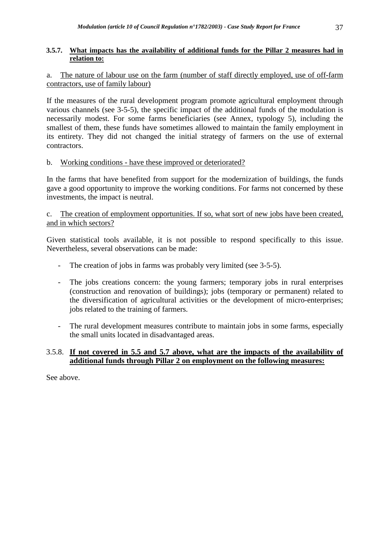## **3.5.7. What impacts has the availability of additional funds for the Pillar 2 measures had in relation to:**

## a. The nature of labour use on the farm (number of staff directly employed, use of off-farm contractors, use of family labour)

If the measures of the rural development program promote agricultural employment through various channels (see 3-5-5), the specific impact of the additional funds of the modulation is necessarily modest. For some farms beneficiaries (see Annex, typology 5), including the smallest of them, these funds have sometimes allowed to maintain the family employment in its entirety. They did not changed the initial strategy of farmers on the use of external contractors.

## b. Working conditions - have these improved or deteriorated?

In the farms that have benefited from support for the modernization of buildings, the funds gave a good opportunity to improve the working conditions. For farms not concerned by these investments, the impact is neutral.

## c. The creation of employment opportunities. If so, what sort of new jobs have been created, and in which sectors?

Given statistical tools available, it is not possible to respond specifically to this issue. Nevertheless, several observations can be made:

- The creation of jobs in farms was probably very limited (see 3-5-5).
- The jobs creations concern: the young farmers; temporary jobs in rural enterprises (construction and renovation of buildings); jobs (temporary or permanent) related to the diversification of agricultural activities or the development of micro-enterprises; jobs related to the training of farmers.
- The rural development measures contribute to maintain jobs in some farms, especially the small units located in disadvantaged areas.

## 3.5.8. **If not covered in 5.5 and 5.7 above, what are the impacts of the availability of additional funds through Pillar 2 on employment on the following measures:**

See above.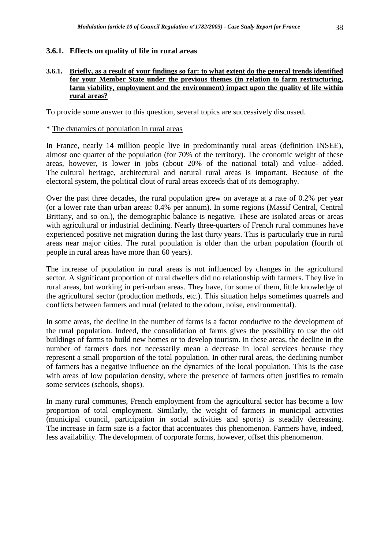## **3.6.1. Effects on quality of life in rural areas**

#### **3.6.1. Briefly, as a result of your findings so far: to what extent do the general trends identified for your Member State under the previous themes (in relation to farm restructuring, farm viability, employment and the environment) impact upon the quality of life within rural areas?**

To provide some answer to this question, several topics are successively discussed.

#### \* The dynamics of population in rural areas

In France, nearly 14 million people live in predominantly rural areas (definition INSEE), almost one quarter of the population (for 70% of the territory). The economic weight of these areas, however, is lower in jobs (about 20% of the national total) and value- added. The cultural heritage, architectural and natural rural areas is important. Because of the electoral system, the political clout of rural areas exceeds that of its demography.

Over the past three decades, the rural population grew on average at a rate of 0.2% per year (or a lower rate than urban areas: 0.4% per annum). In some regions (Massif Central, Central Brittany, and so on.), the demographic balance is negative. These are isolated areas or areas with agricultural or industrial declining. Nearly three-quarters of French rural communes have experienced positive net migration during the last thirty years. This is particularly true in rural areas near major cities. The rural population is older than the urban population (fourth of people in rural areas have more than 60 years).

The increase of population in rural areas is not influenced by changes in the agricultural sector. A significant proportion of rural dwellers did no relationship with farmers. They live in rural areas, but working in peri-urban areas. They have, for some of them, little knowledge of the agricultural sector (production methods, etc.). This situation helps sometimes quarrels and conflicts between farmers and rural (related to the odour, noise, environmental).

In some areas, the decline in the number of farms is a factor conducive to the development of the rural population. Indeed, the consolidation of farms gives the possibility to use the old buildings of farms to build new homes or to develop tourism. In these areas, the decline in the number of farmers does not necessarily mean a decrease in local services because they represent a small proportion of the total population. In other rural areas, the declining number of farmers has a negative influence on the dynamics of the local population. This is the case with areas of low population density, where the presence of farmers often justifies to remain some services (schools, shops).

In many rural communes, French employment from the agricultural sector has become a low proportion of total employment. Similarly, the weight of farmers in municipal activities (municipal council, participation in social activities and sports) is steadily decreasing. The increase in farm size is a factor that accentuates this phenomenon. Farmers have, indeed, less availability. The development of corporate forms, however, offset this phenomenon.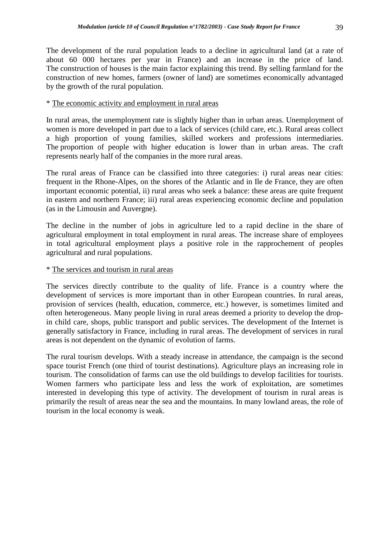The development of the rural population leads to a decline in agricultural land (at a rate of about 60 000 hectares per year in France) and an increase in the price of land. The construction of houses is the main factor explaining this trend. By selling farmland for the construction of new homes, farmers (owner of land) are sometimes economically advantaged by the growth of the rural population.

## \* The economic activity and employment in rural areas

In rural areas, the unemployment rate is slightly higher than in urban areas. Unemployment of women is more developed in part due to a lack of services (child care, etc.). Rural areas collect a high proportion of young families, skilled workers and professions intermediaries. The proportion of people with higher education is lower than in urban areas. The craft represents nearly half of the companies in the more rural areas.

The rural areas of France can be classified into three categories: i) rural areas near cities: frequent in the Rhone-Alpes, on the shores of the Atlantic and in Ile de France, they are often important economic potential, ii) rural areas who seek a balance: these areas are quite frequent in eastern and northern France; iii) rural areas experiencing economic decline and population (as in the Limousin and Auvergne).

The decline in the number of jobs in agriculture led to a rapid decline in the share of agricultural employment in total employment in rural areas. The increase share of employees in total agricultural employment plays a positive role in the rapprochement of peoples agricultural and rural populations.

## \* The services and tourism in rural areas

The services directly contribute to the quality of life. France is a country where the development of services is more important than in other European countries. In rural areas, provision of services (health, education, commerce, etc.) however, is sometimes limited and often heterogeneous. Many people living in rural areas deemed a priority to develop the dropin child care, shops, public transport and public services. The development of the Internet is generally satisfactory in France, including in rural areas. The development of services in rural areas is not dependent on the dynamic of evolution of farms.

The rural tourism develops. With a steady increase in attendance, the campaign is the second space tourist French (one third of tourist destinations). Agriculture plays an increasing role in tourism. The consolidation of farms can use the old buildings to develop facilities for tourists. Women farmers who participate less and less the work of exploitation, are sometimes interested in developing this type of activity. The development of tourism in rural areas is primarily the result of areas near the sea and the mountains. In many lowland areas, the role of tourism in the local economy is weak.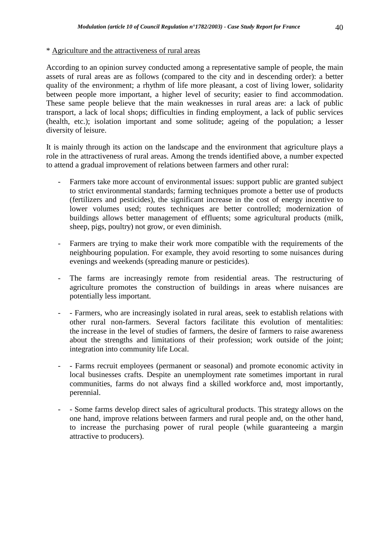## \* Agriculture and the attractiveness of rural areas

According to an opinion survey conducted among a representative sample of people, the main assets of rural areas are as follows (compared to the city and in descending order): a better quality of the environment; a rhythm of life more pleasant, a cost of living lower, solidarity between people more important, a higher level of security; easier to find accommodation. These same people believe that the main weaknesses in rural areas are: a lack of public transport, a lack of local shops; difficulties in finding employment, a lack of public services (health, etc.); isolation important and some solitude; ageing of the population; a lesser diversity of leisure.

It is mainly through its action on the landscape and the environment that agriculture plays a role in the attractiveness of rural areas. Among the trends identified above, a number expected to attend a gradual improvement of relations between farmers and other rural:

- Farmers take more account of environmental issues: support public are granted subject to strict environmental standards; farming techniques promote a better use of products (fertilizers and pesticides), the significant increase in the cost of energy incentive to lower volumes used; routes techniques are better controlled; modernization of buildings allows better management of effluents; some agricultural products (milk, sheep, pigs, poultry) not grow, or even diminish.
- Farmers are trying to make their work more compatible with the requirements of the neighbouring population. For example, they avoid resorting to some nuisances during evenings and weekends (spreading manure or pesticides).
- The farms are increasingly remote from residential areas. The restructuring of agriculture promotes the construction of buildings in areas where nuisances are potentially less important.
- - Farmers, who are increasingly isolated in rural areas, seek to establish relations with other rural non-farmers. Several factors facilitate this evolution of mentalities: the increase in the level of studies of farmers, the desire of farmers to raise awareness about the strengths and limitations of their profession; work outside of the joint; integration into community life Local.
- - Farms recruit employees (permanent or seasonal) and promote economic activity in local businesses crafts. Despite an unemployment rate sometimes important in rural communities, farms do not always find a skilled workforce and, most importantly, perennial.
- Some farms develop direct sales of agricultural products. This strategy allows on the one hand, improve relations between farmers and rural people and, on the other hand, to increase the purchasing power of rural people (while guaranteeing a margin attractive to producers).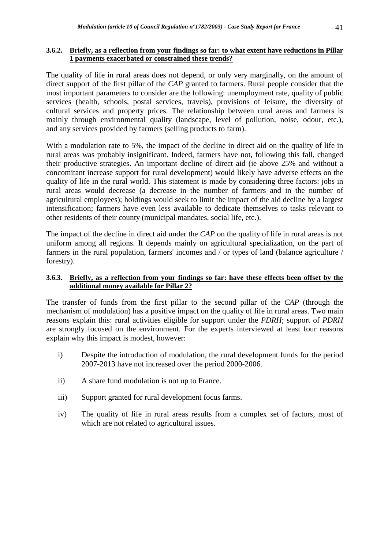## **3.6.2. Briefly, as a reflection from your findings so far: to what extent have reductions in Pillar 1 payments exacerbated or constrained these trends?**

The quality of life in rural areas does not depend, or only very marginally, on the amount of direct support of the first pillar of the *CAP* granted to farmers. Rural people consider that the most important parameters to consider are the following: unemployment rate, quality of public services (health, schools, postal services, travels), provisions of leisure, the diversity of cultural services and property prices. The relationship between rural areas and farmers is mainly through environmental quality (landscape, level of pollution, noise, odour, etc.), and any services provided by farmers (selling products to farm).

With a modulation rate to 5%, the impact of the decline in direct aid on the quality of life in rural areas was probably insignificant. Indeed, farmers have not, following this fall, changed their productive strategies. An important decline of direct aid (ie above 25% and without a concomitant increase support for rural development) would likely have adverse effects on the quality of life in the rural world. This statement is made by considering three factors: jobs in rural areas would decrease (a decrease in the number of farmers and in the number of agricultural employees); holdings would seek to limit the impact of the aid decline by a largest intensification; farmers have even less available to dedicate themselves to tasks relevant to other residents of their county (municipal mandates, social life, etc.).

The impact of the decline in direct aid under the *CAP* on the quality of life in rural areas is not uniform among all regions. It depends mainly on agricultural specialization, on the part of farmers in the rural population, farmers' incomes and / or types of land (balance agriculture / forestry).

## **3.6.3. Briefly, as a reflection from your findings so far: have these effects been offset by the additional money available for Pillar 2?**

The transfer of funds from the first pillar to the second pillar of the *CAP* (through the mechanism of modulation) has a positive impact on the quality of life in rural areas. Two main reasons explain this: rural activities eligible for support under the *PDRH*; support of *PDRH*  are strongly focused on the environment. For the experts interviewed at least four reasons explain why this impact is modest, however:

- i) Despite the introduction of modulation, the rural development funds for the period 2007-2013 have not increased over the period 2000-2006.
- ii) A share fund modulation is not up to France.
- iii) Support granted for rural development focus farms.
- iv) The quality of life in rural areas results from a complex set of factors, most of which are not related to agricultural issues.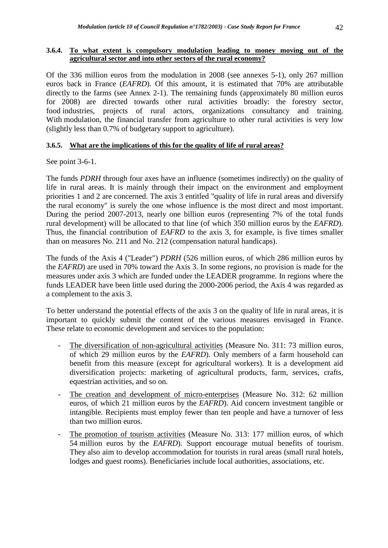## **3.6.4. To what extent is compulsory modulation leading to money moving out of the agricultural sector and into other sectors of the rural economy?**

Of the 336 million euros from the modulation in 2008 (see annexes 5-1), only 267 million euros back in France (*EAFRD*). Of this amount, it is estimated that 70% are attributable directly to the farms (see Annex 2-1). The remaining funds (approximately 80 million euros for 2008) are directed towards other rural activities broadly: the forestry sector, food industries, projects of rural actors, organizations consultancy and training. With modulation, the financial transfer from agriculture to other rural activities is very low (slightly less than 0.7% of budgetary support to agriculture).

## **3.6.5. What are the implications of this for the quality of life of rural areas?**

See point 3-6-1.

The funds *PDRH* through four axes have an influence (sometimes indirectly) on the quality of life in rural areas. It is mainly through their impact on the environment and employment priorities 1 and 2 are concerned. The axis 3 entitled "quality of life in rural areas and diversify the rural economy" is surely the one whose influence is the most direct and most important. During the period 2007-2013, nearly one billion euros (representing 7% of the total funds rural development) will be allocated to that line (of which 350 million euros by the *EAFRD*). Thus, the financial contribution of *EAFRD* to the axis 3, for example, is five times smaller than on measures No. 211 and No. 212 (compensation natural handicaps).

The funds of the Axis 4 ("Leader") *PDRH* (526 million euros, of which 286 million euros by the *EAFRD*) are used in 70% toward the Axis 3. In some regions, no provision is made for the measures under axis 3 which are funded under the LEADER programme. In regions where the funds LEADER have been little used during the 2000-2006 period, the Axis 4 was regarded as a complement to the axis 3.

To better understand the potential effects of the axis 3 on the quality of life in rural areas, it is important to quickly submit the content of the various measures envisaged in France. These relate to economic development and services to the population:

- The diversification of non-agricultural activities (Measure No. 311: 73 million euros, of which 29 million euros by the *EAFRD*). Only members of a farm household can benefit from this measure (except for agricultural workers). It is a development aid diversification projects: marketing of agricultural products, farm, services, crafts, equestrian activities, and so on.
- The creation and development of micro-enterprises (Measure No. 312: 62 million euros, of which 21 million euros by the *EAFRD*). Aid concern investment tangible or intangible. Recipients must employ fewer than ten people and have a turnover of less than two million euros.
- The promotion of tourism activities (Measure No. 313: 177 million euros, of which 54 million euros by the *EAFRD*). Support encourage mutual benefits of tourism. They also aim to develop accommodation for tourists in rural areas (small rural hotels, lodges and guest rooms). Beneficiaries include local authorities, associations, etc.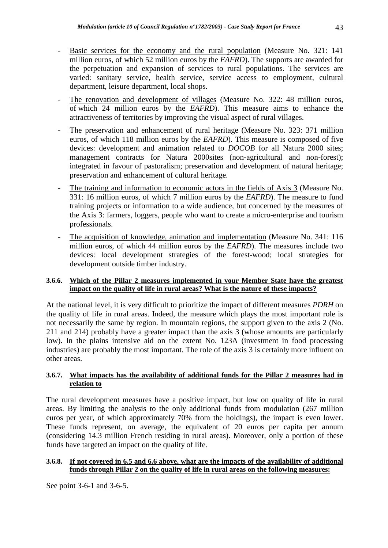- Basic services for the economy and the rural population (Measure No. 321: 141) million euros, of which 52 million euros by the *EAFRD*). The supports are awarded for the perpetuation and expansion of services to rural populations. The services are varied: sanitary service, health service, service access to employment, cultural department, leisure department, local shops.
- The renovation and development of villages (Measure No. 322: 48 million euros, of which 24 million euros by the *EAFRD*). This measure aims to enhance the attractiveness of territories by improving the visual aspect of rural villages.
- The preservation and enhancement of rural heritage (Measure No. 323: 371 million euros, of which 118 million euros by the *EAFRD*). This measure is composed of five devices: development and animation related to *DOCOB* for all Natura 2000 sites; management contracts for Natura 2000sites (non-agricultural and non-forest); integrated in favour of pastoralism; preservation and development of natural heritage; preservation and enhancement of cultural heritage.
- The training and information to economic actors in the fields of Axis 3 (Measure No. 331: 16 million euros, of which 7 million euros by the *EAFRD*). The measure to fund training projects or information to a wide audience, but concerned by the measures of the Axis 3: farmers, loggers, people who want to create a micro-enterprise and tourism professionals.
- The acquisition of knowledge, animation and implementation (Measure No. 341: 116 million euros, of which 44 million euros by the *EAFRD*). The measures include two devices: local development strategies of the forest-wood; local strategies for development outside timber industry.

## **3.6.6. Which of the Pillar 2 measures implemented in your Member State have the greatest impact on the quality of life in rural areas? What is the nature of these impacts?**

At the national level, it is very difficult to prioritize the impact of different measures *PDRH* on the quality of life in rural areas. Indeed, the measure which plays the most important role is not necessarily the same by region. In mountain regions, the support given to the axis 2 (No. 211 and 214) probably have a greater impact than the axis 3 (whose amounts are particularly low). In the plains intensive aid on the extent No. 123A (investment in food processing industries) are probably the most important. The role of the axis 3 is certainly more influent on other areas.

## **3.6.7. What impacts has the availability of additional funds for the Pillar 2 measures had in relation to**

The rural development measures have a positive impact, but low on quality of life in rural areas. By limiting the analysis to the only additional funds from modulation (267 million euros per year, of which approximately 70% from the holdings), the impact is even lower. These funds represent, on average, the equivalent of 20 euros per capita per annum (considering 14.3 million French residing in rural areas). Moreover, only a portion of these funds have targeted an impact on the quality of life.

## **3.6.8. If not covered in 6.5 and 6.6 above, what are the impacts of the availability of additional funds through Pillar 2 on the quality of life in rural areas on the following measures:**

See point 3-6-1 and 3-6-5.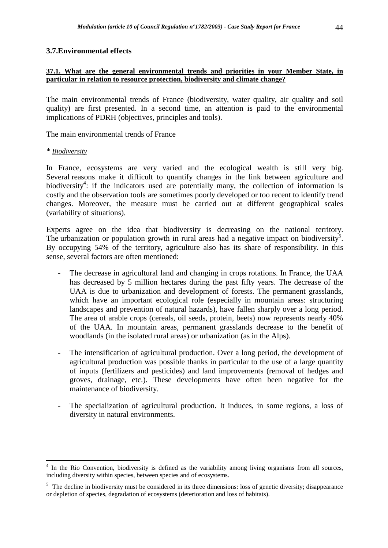## **3.7.Environmental effects**

#### **37.1. What are the general environmental trends and priorities in your Member State, in particular in relation to resource protection, biodiversity and climate change?**

The main environmental trends of France (biodiversity, water quality, air quality and soil quality) are first presented. In a second time, an attention is paid to the environmental implications of PDRH (objectives, principles and tools).

## The main environmental trends of France

#### *\* Biodiversity*

 $\overline{a}$ 

In France, ecosystems are very varied and the ecological wealth is still very big. Several reasons make it difficult to quantify changes in the link between agriculture and biodiversity<sup>4</sup>: if the indicators used are potentially many, the collection of information is costly and the observation tools are sometimes poorly developed or too recent to identify trend changes. Moreover, the measure must be carried out at different geographical scales (variability of situations).

Experts agree on the idea that biodiversity is decreasing on the national territory. The urbanization or population growth in rural areas had a negative impact on biodiversity<sup>5</sup>. By occupying 54% of the territory, agriculture also has its share of responsibility. In this sense, several factors are often mentioned:

- The decrease in agricultural land and changing in crops rotations. In France, the UAA has decreased by 5 million hectares during the past fifty years. The decrease of the UAA is due to urbanization and development of forests. The permanent grasslands, which have an important ecological role (especially in mountain areas: structuring landscapes and prevention of natural hazards), have fallen sharply over a long period. The area of arable crops (cereals, oil seeds, protein, beets) now represents nearly 40% of the UAA. In mountain areas, permanent grasslands decrease to the benefit of woodlands (in the isolated rural areas) or urbanization (as in the Alps).
- The intensification of agricultural production. Over a long period, the development of agricultural production was possible thanks in particular to the use of a large quantity of inputs (fertilizers and pesticides) and land improvements (removal of hedges and groves, drainage, etc.). These developments have often been negative for the maintenance of biodiversity.
- The specialization of agricultural production. It induces, in some regions, a loss of diversity in natural environments.

<sup>&</sup>lt;sup>4</sup> In the Rio Convention, biodiversity is defined as the variability among living organisms from all sources, including diversity within species, between species and of ecosystems.

<sup>&</sup>lt;sup>5</sup> The decline in biodiversity must be considered in its three dimensions: loss of genetic diversity; disappearance or depletion of species, degradation of ecosystems (deterioration and loss of habitats).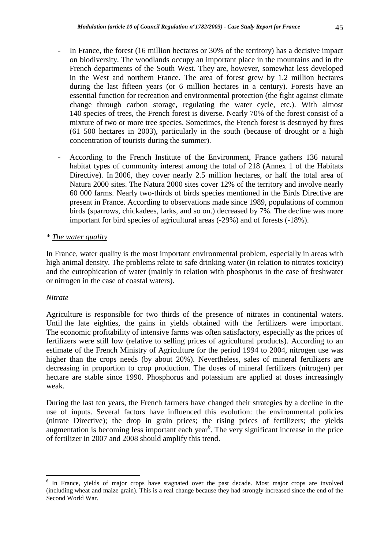- In France, the forest (16 million hectares or 30% of the territory) has a decisive impact on biodiversity. The woodlands occupy an important place in the mountains and in the French departments of the South West. They are, however, somewhat less developed in the West and northern France. The area of forest grew by 1.2 million hectares during the last fifteen years (or 6 million hectares in a century). Forests have an essential function for recreation and environmental protection (the fight against climate change through carbon storage, regulating the water cycle, etc.). With almost 140 species of trees, the French forest is diverse. Nearly 70% of the forest consist of a mixture of two or more tree species. Sometimes, the French forest is destroyed by fires (61 500 hectares in 2003), particularly in the south (because of drought or a high concentration of tourists during the summer).
- According to the French Institute of the Environment, France gathers 136 natural habitat types of community interest among the total of 218 (Annex 1 of the Habitats Directive). In 2006, they cover nearly 2.5 million hectares, or half the total area of Natura 2000 sites. The Natura 2000 sites cover 12% of the territory and involve nearly 60 000 farms. Nearly two-thirds of birds species mentioned in the Birds Directive are present in France. According to observations made since 1989, populations of common birds (sparrows, chickadees, larks, and so on.) decreased by 7%. The decline was more important for bird species of agricultural areas (-29%) and of forests (-18%).

## *\* The water quality*

In France, water quality is the most important environmental problem, especially in areas with high animal density. The problems relate to safe drinking water (in relation to nitrates toxicity) and the eutrophication of water (mainly in relation with phosphorus in the case of freshwater or nitrogen in the case of coastal waters).

## *Nitrate*

Agriculture is responsible for two thirds of the presence of nitrates in continental waters. Until the late eighties, the gains in yields obtained with the fertilizers were important. The economic profitability of intensive farms was often satisfactory, especially as the prices of fertilizers were still low (relative to selling prices of agricultural products). According to an estimate of the French Ministry of Agriculture for the period 1994 to 2004, nitrogen use was higher than the crops needs (by about 20%). Nevertheless, sales of mineral fertilizers are decreasing in proportion to crop production. The doses of mineral fertilizers (nitrogen) per hectare are stable since 1990. Phosphorus and potassium are applied at doses increasingly weak.

During the last ten years, the French farmers have changed their strategies by a decline in the use of inputs. Several factors have influenced this evolution: the environmental policies (nitrate Directive); the drop in grain prices; the rising prices of fertilizers; the yields augmentation is becoming less important each year<sup>6</sup>. The very significant increase in the price of fertilizer in 2007 and 2008 should amplify this trend.

 $\overline{a}$ <sup>6</sup> In France, yields of major crops have stagnated over the past decade. Most major crops are involved (including wheat and maize grain). This is a real change because they had strongly increased since the end of the Second World War.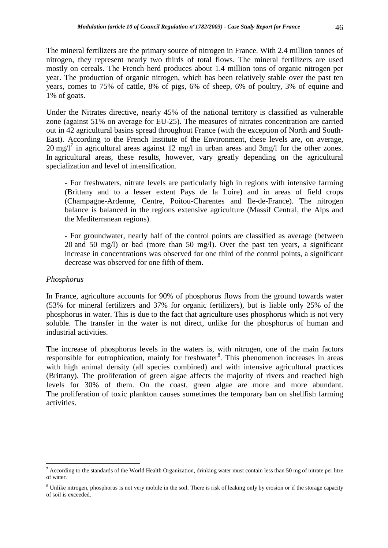The mineral fertilizers are the primary source of nitrogen in France. With 2.4 million tonnes of nitrogen, they represent nearly two thirds of total flows. The mineral fertilizers are used mostly on cereals. The French herd produces about 1.4 million tons of organic nitrogen per year. The production of organic nitrogen, which has been relatively stable over the past ten years, comes to 75% of cattle, 8% of pigs, 6% of sheep, 6% of poultry, 3% of equine and 1% of goats.

Under the Nitrates directive, nearly 45% of the national territory is classified as vulnerable zone (against 51% on average for EU-25). The measures of nitrates concentration are carried out in 42 agricultural basins spread throughout France (with the exception of North and South-East). According to the French Institute of the Environment, these levels are, on average,  $20 \text{ mg/l}^7$  in agricultural areas against 12 mg/l in urban areas and 3mg/l for the other zones. In agricultural areas, these results, however, vary greatly depending on the agricultural specialization and level of intensification.

- For freshwaters, nitrate levels are particularly high in regions with intensive farming (Brittany and to a lesser extent Pays de la Loire) and in areas of field crops (Champagne-Ardenne, Centre, Poitou-Charentes and Ile-de-France). The nitrogen balance is balanced in the regions extensive agriculture (Massif Central, the Alps and the Mediterranean regions).

- For groundwater, nearly half of the control points are classified as average (between 20 and 50 mg/l) or bad (more than 50 mg/l). Over the past ten years, a significant increase in concentrations was observed for one third of the control points, a significant decrease was observed for one fifth of them.

#### *Phosphorus*

 $\overline{a}$ 

In France, agriculture accounts for 90% of phosphorus flows from the ground towards water (53% for mineral fertilizers and 37% for organic fertilizers), but is liable only 25% of the phosphorus in water. This is due to the fact that agriculture uses phosphorus which is not very soluble. The transfer in the water is not direct, unlike for the phosphorus of human and industrial activities.

The increase of phosphorus levels in the waters is, with nitrogen, one of the main factors responsible for eutrophication, mainly for freshwater<sup>8</sup>. This phenomenon increases in areas with high animal density (all species combined) and with intensive agricultural practices (Brittany). The proliferation of green algae affects the majority of rivers and reached high levels for 30% of them. On the coast, green algae are more and more abundant. The proliferation of toxic plankton causes sometimes the temporary ban on shellfish farming activities.

 $^7$  According to the standards of the World Health Organization, drinking water must contain less than 50 mg of nitrate per litre of water.

<sup>&</sup>lt;sup>8</sup> Unlike nitrogen, phosphorus is not very mobile in the soil. There is risk of leaking only by erosion or if the storage capacity of soil is exceeded.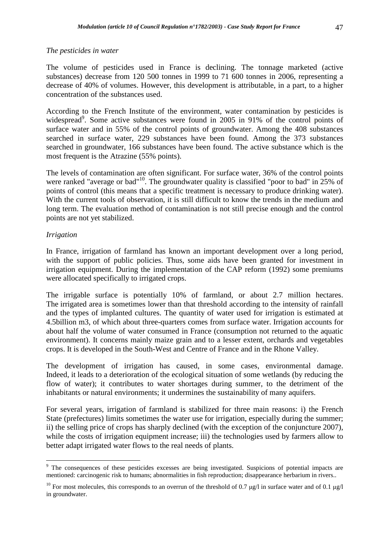## *The pesticides in water*

The volume of pesticides used in France is declining. The tonnage marketed (active substances) decrease from 120 500 tonnes in 1999 to 71 600 tonnes in 2006, representing a decrease of 40% of volumes. However, this development is attributable, in a part, to a higher concentration of the substances used.

According to the French Institute of the environment, water contamination by pesticides is widespread<sup>9</sup>. Some active substances were found in 2005 in 91% of the control points of surface water and in 55% of the control points of groundwater. Among the 408 substances searched in surface water, 229 substances have been found. Among the 373 substances searched in groundwater, 166 substances have been found. The active substance which is the most frequent is the Atrazine (55% points).

The levels of contamination are often significant. For surface water, 36% of the control points were ranked "average or bad"<sup>10</sup>. The groundwater quality is classified "poor to bad" in 25% of points of control (this means that a specific treatment is necessary to produce drinking water). With the current tools of observation, it is still difficult to know the trends in the medium and long term. The evaluation method of contamination is not still precise enough and the control points are not yet stabilized.

## *Irrigation*

In France, irrigation of farmland has known an important development over a long period, with the support of public policies. Thus, some aids have been granted for investment in irrigation equipment. During the implementation of the CAP reform (1992) some premiums were allocated specifically to irrigated crops.

The irrigable surface is potentially 10% of farmland, or about 2.7 million hectares. The irrigated area is sometimes lower than that threshold according to the intensity of rainfall and the types of implanted cultures. The quantity of water used for irrigation is estimated at 4.5billion m3, of which about three-quarters comes from surface water. Irrigation accounts for about half the volume of water consumed in France (consumption not returned to the aquatic environment). It concerns mainly maize grain and to a lesser extent, orchards and vegetables crops. It is developed in the South-West and Centre of France and in the Rhone Valley.

The development of irrigation has caused, in some cases, environmental damage. Indeed, it leads to a deterioration of the ecological situation of some wetlands (by reducing the flow of water); it contributes to water shortages during summer, to the detriment of the inhabitants or natural environments; it undermines the sustainability of many aquifers.

For several years, irrigation of farmland is stabilized for three main reasons: i) the French State (prefectures) limits sometimes the water use for irrigation, especially during the summer; ii) the selling price of crops has sharply declined (with the exception of the conjuncture 2007), while the costs of irrigation equipment increase; iii) the technologies used by farmers allow to better adapt irrigated water flows to the real needs of plants.

 $\overline{a}$ <sup>9</sup> The consequences of these pesticides excesses are being investigated. Suspicions of potential impacts are mentioned: carcinogenic risk to humans; abnormalities in fish reproduction; disappearance herbarium in rivers..

<sup>&</sup>lt;sup>10</sup> For most molecules, this corresponds to an overrun of the threshold of 0.7 µg/l in surface water and of 0.1 µg/l in groundwater.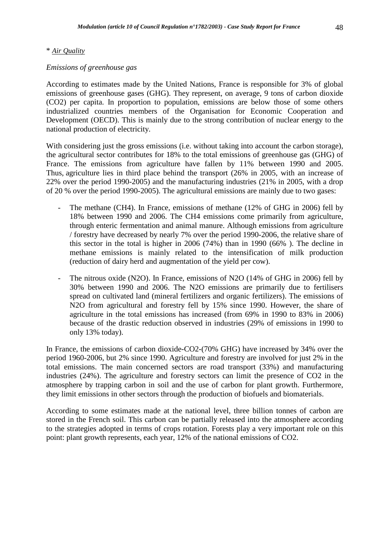## \* *Air Quality*

## *Emissions of greenhouse gas*

According to estimates made by the United Nations, France is responsible for 3% of global emissions of greenhouse gases (GHG). They represent, on average, 9 tons of carbon dioxide (CO2) per capita. In proportion to population, emissions are below those of some others industrialized countries members of the Organisation for Economic Cooperation and Development (OECD). This is mainly due to the strong contribution of nuclear energy to the national production of electricity.

With considering just the gross emissions (i.e. without taking into account the carbon storage), the agricultural sector contributes for 18% to the total emissions of greenhouse gas (GHG) of France. The emissions from agriculture have fallen by 11% between 1990 and 2005. Thus, agriculture lies in third place behind the transport (26% in 2005, with an increase of 22% over the period 1990-2005) and the manufacturing industries (21% in 2005, with a drop of 20 % over the period 1990-2005). The agricultural emissions are mainly due to two gases:

- The methane (CH4). In France, emissions of methane (12% of GHG in 2006) fell by 18% between 1990 and 2006. The CH4 emissions come primarily from agriculture, through enteric fermentation and animal manure. Although emissions from agriculture / forestry have decreased by nearly 7% over the period 1990-2006, the relative share of this sector in the total is higher in 2006 (74%) than in 1990 (66% ). The decline in methane emissions is mainly related to the intensification of milk production (reduction of dairy herd and augmentation of the yield per cow).
- The nitrous oxide (N2O). In France, emissions of N2O (14% of GHG in 2006) fell by 30% between 1990 and 2006. The N2O emissions are primarily due to fertilisers spread on cultivated land (mineral fertilizers and organic fertilizers). The emissions of N2O from agricultural and forestry fell by 15% since 1990. However, the share of agriculture in the total emissions has increased (from 69% in 1990 to 83% in 2006) because of the drastic reduction observed in industries (29% of emissions in 1990 to only 13% today).

In France, the emissions of carbon dioxide-CO2-(70% GHG) have increased by 34% over the period 1960-2006, but 2% since 1990. Agriculture and forestry are involved for just 2% in the total emissions. The main concerned sectors are road transport (33%) and manufacturing industries (24%). The agriculture and forestry sectors can limit the presence of CO2 in the atmosphere by trapping carbon in soil and the use of carbon for plant growth. Furthermore, they limit emissions in other sectors through the production of biofuels and biomaterials.

According to some estimates made at the national level, three billion tonnes of carbon are stored in the French soil. This carbon can be partially released into the atmosphere according to the strategies adopted in terms of crops rotation. Forests play a very important role on this point: plant growth represents, each year, 12% of the national emissions of CO2.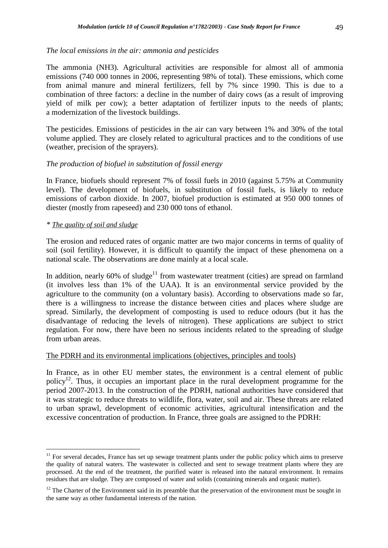## *The local emissions in the air: ammonia and pesticides*

The ammonia (NH3). Agricultural activities are responsible for almost all of ammonia emissions (740 000 tonnes in 2006, representing 98% of total). These emissions, which come from animal manure and mineral fertilizers, fell by 7% since 1990. This is due to a combination of three factors: a decline in the number of dairy cows (as a result of improving yield of milk per cow); a better adaptation of fertilizer inputs to the needs of plants; a modernization of the livestock buildings.

The pesticides. Emissions of pesticides in the air can vary between 1% and 30% of the total volume applied. They are closely related to agricultural practices and to the conditions of use (weather, precision of the sprayers).

## *The production of biofuel in substitution of fossil energy*

In France, biofuels should represent 7% of fossil fuels in 2010 (against 5.75% at Community level). The development of biofuels, in substitution of fossil fuels, is likely to reduce emissions of carbon dioxide. In 2007, biofuel production is estimated at 950 000 tonnes of diester (mostly from rapeseed) and 230 000 tons of ethanol.

## *\* The quality of soil and sludge*

 $\overline{a}$ 

The erosion and reduced rates of organic matter are two major concerns in terms of quality of soil (soil fertility). However, it is difficult to quantify the impact of these phenomena on a national scale. The observations are done mainly at a local scale.

In addition, nearly 60% of sludge<sup>11</sup> from wastewater treatment (cities) are spread on farmland (it involves less than 1% of the UAA). It is an environmental service provided by the agriculture to the community (on a voluntary basis). According to observations made so far, there is a willingness to increase the distance between cities and places where sludge are spread. Similarly, the development of composting is used to reduce odours (but it has the disadvantage of reducing the levels of nitrogen). These applications are subject to strict regulation. For now, there have been no serious incidents related to the spreading of sludge from urban areas.

## The PDRH and its environmental implications (objectives, principles and tools)

In France, as in other EU member states, the environment is a central element of public policy<sup>12</sup>. Thus, it occupies an important place in the rural development programme for the period 2007-2013. In the construction of the PDRH, national authorities have considered that it was strategic to reduce threats to wildlife, flora, water, soil and air. These threats are related to urban sprawl, development of economic activities, agricultural intensification and the excessive concentration of production. In France, three goals are assigned to the PDRH:

 $11$  For several decades, France has set up sewage treatment plants under the public policy which aims to preserve the quality of natural waters. The wastewater is collected and sent to sewage treatment plants where they are processed. At the end of the treatment, the purified water is released into the natural environment. It remains residues that are sludge. They are composed of water and solids (containing minerals and organic matter).

 $12$  The Charter of the Environment said in its preamble that the preservation of the environment must be sought in the same way as other fundamental interests of the nation.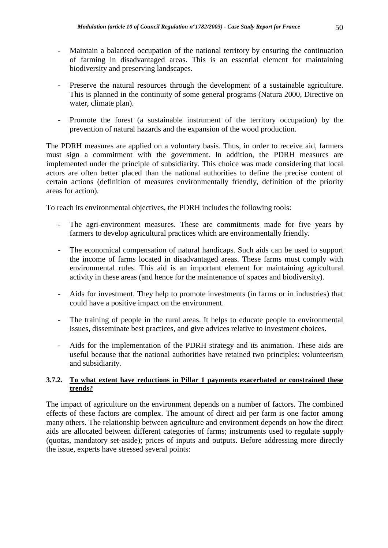- Maintain a balanced occupation of the national territory by ensuring the continuation of farming in disadvantaged areas. This is an essential element for maintaining biodiversity and preserving landscapes.
- Preserve the natural resources through the development of a sustainable agriculture. This is planned in the continuity of some general programs (Natura 2000, Directive on water, climate plan).
- Promote the forest (a sustainable instrument of the territory occupation) by the prevention of natural hazards and the expansion of the wood production.

The PDRH measures are applied on a voluntary basis. Thus, in order to receive aid, farmers must sign a commitment with the government. In addition, the PDRH measures are implemented under the principle of subsidiarity. This choice was made considering that local actors are often better placed than the national authorities to define the precise content of certain actions (definition of measures environmentally friendly, definition of the priority areas for action).

To reach its environmental objectives, the PDRH includes the following tools:

- The agri-environment measures. These are commitments made for five years by farmers to develop agricultural practices which are environmentally friendly.
- The economical compensation of natural handicaps. Such aids can be used to support the income of farms located in disadvantaged areas. These farms must comply with environmental rules. This aid is an important element for maintaining agricultural activity in these areas (and hence for the maintenance of spaces and biodiversity).
- Aids for investment. They help to promote investments (in farms or in industries) that could have a positive impact on the environment.
- The training of people in the rural areas. It helps to educate people to environmental issues, disseminate best practices, and give advices relative to investment choices.
- Aids for the implementation of the PDRH strategy and its animation. These aids are useful because that the national authorities have retained two principles: volunteerism and subsidiarity.

## **3.7.2. To what extent have reductions in Pillar 1 payments exacerbated or constrained these trends?**

The impact of agriculture on the environment depends on a number of factors. The combined effects of these factors are complex. The amount of direct aid per farm is one factor among many others. The relationship between agriculture and environment depends on how the direct aids are allocated between different categories of farms; instruments used to regulate supply (quotas, mandatory set-aside); prices of inputs and outputs. Before addressing more directly the issue, experts have stressed several points: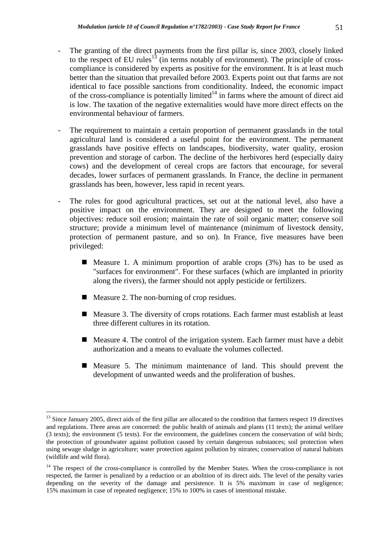- The granting of the direct payments from the first pillar is, since 2003, closely linked to the respect of EU rules<sup>13</sup> (in terms notably of environment). The principle of crosscompliance is considered by experts as positive for the environment. It is at least much better than the situation that prevailed before 2003. Experts point out that farms are not identical to face possible sanctions from conditionality. Indeed, the economic impact of the cross-compliance is potentially limited<sup>14</sup> in farms where the amount of direct aid is low. The taxation of the negative externalities would have more direct effects on the environmental behaviour of farmers.
- The requirement to maintain a certain proportion of permanent grasslands in the total agricultural land is considered a useful point for the environment. The permanent grasslands have positive effects on landscapes, biodiversity, water quality, erosion prevention and storage of carbon. The decline of the herbivores herd (especially dairy cows) and the development of cereal crops are factors that encourage, for several decades, lower surfaces of permanent grasslands. In France, the decline in permanent grasslands has been, however, less rapid in recent years.
- The rules for good agricultural practices, set out at the national level, also have a positive impact on the environment. They are designed to meet the following objectives: reduce soil erosion; maintain the rate of soil organic matter; conserve soil structure; provide a minimum level of maintenance (minimum of livestock density, protection of permanent pasture, and so on). In France, five measures have been privileged:
	- **Measure 1.** A minimum proportion of arable crops  $(3%)$  has to be used as "surfaces for environment". For these surfaces (which are implanted in priority along the rivers), the farmer should not apply pesticide or fertilizers.
	- Measure 2. The non-burning of crop residues.

 $\overline{a}$ 

- Measure 3. The diversity of crops rotations. Each farmer must establish at least three different cultures in its rotation.
- Measure 4. The control of the irrigation system. Each farmer must have a debit authorization and a means to evaluate the volumes collected.
- Measure 5. The minimum maintenance of land. This should prevent the development of unwanted weeds and the proliferation of bushes.

<sup>&</sup>lt;sup>13</sup> Since January 2005, direct aids of the first pillar are allocated to the condition that farmers respect 19 directives and regulations. Three areas are concerned: the public health of animals and plants (11 texts); the animal welfare (3 texts); the environment (5 texts). For the environment, the guidelines concern the conservation of wild birds; the protection of groundwater against pollution caused by certain dangerous substances; soil protection when using sewage sludge in agriculture; water protection against pollution by nitrates; conservation of natural habitats (wildlife and wild flora).

<sup>&</sup>lt;sup>14</sup> The respect of the cross-compliance is controlled by the Member States. When the cross-compliance is not respected, the farmer is penalized by a reduction or an abolition of its direct aids. The level of the penalty varies depending on the severity of the damage and persistence. It is 5% maximum in case of negligence; 15% maximum in case of repeated negligence; 15% to 100% in cases of intentional mistake.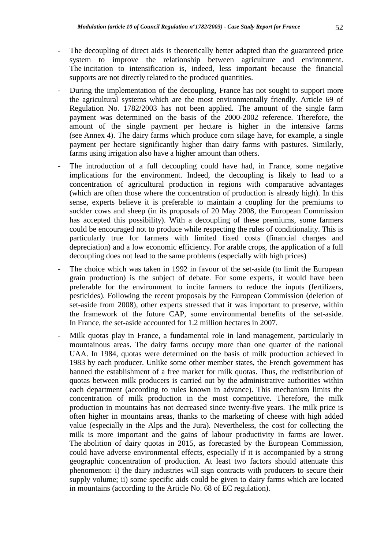- The decoupling of direct aids is theoretically better adapted than the guaranteed price system to improve the relationship between agriculture and environment. The incitation to intensification is, indeed, less important because the financial supports are not directly related to the produced quantities.
- During the implementation of the decoupling, France has not sought to support more the agricultural systems which are the most environmentally friendly. Article 69 of Regulation No. 1782/2003 has not been applied. The amount of the single farm payment was determined on the basis of the 2000-2002 reference. Therefore, the amount of the single payment per hectare is higher in the intensive farms (see Annex 4). The dairy farms which produce corn silage have, for example, a single payment per hectare significantly higher than dairy farms with pastures. Similarly, farms using irrigation also have a higher amount than others.
- The introduction of a full decoupling could have had, in France, some negative implications for the environment. Indeed, the decoupling is likely to lead to a concentration of agricultural production in regions with comparative advantages (which are often those where the concentration of production is already high). In this sense, experts believe it is preferable to maintain a coupling for the premiums to suckler cows and sheep (in its proposals of 20 May 2008, the European Commission has accepted this possibility). With a decoupling of these premiums, some farmers could be encouraged not to produce while respecting the rules of conditionality. This is particularly true for farmers with limited fixed costs (financial charges and depreciation) and a low economic efficiency. For arable crops, the application of a full decoupling does not lead to the same problems (especially with high prices)
- The choice which was taken in 1992 in favour of the set-aside (to limit the European grain production) is the subject of debate. For some experts, it would have been preferable for the environment to incite farmers to reduce the inputs (fertilizers, pesticides). Following the recent proposals by the European Commission (deletion of set-aside from 2008), other experts stressed that it was important to preserve, within the framework of the future CAP, some environmental benefits of the set-aside. In France, the set-aside accounted for 1.2 million hectares in 2007.
- Milk quotas play in France, a fundamental role in land management, particularly in mountainous areas. The dairy farms occupy more than one quarter of the national UAA. In 1984, quotas were determined on the basis of milk production achieved in 1983 by each producer. Unlike some other member states, the French government has banned the establishment of a free market for milk quotas. Thus, the redistribution of quotas between milk producers is carried out by the administrative authorities within each department (according to rules known in advance). This mechanism limits the concentration of milk production in the most competitive. Therefore, the milk production in mountains has not decreased since twenty-five years. The milk price is often higher in mountains areas, thanks to the marketing of cheese with high added value (especially in the Alps and the Jura). Nevertheless, the cost for collecting the milk is more important and the gains of labour productivity in farms are lower. The abolition of dairy quotas in 2015, as forecasted by the European Commission, could have adverse environmental effects, especially if it is accompanied by a strong geographic concentration of production. At least two factors should attenuate this phenomenon: i) the dairy industries will sign contracts with producers to secure their supply volume; ii) some specific aids could be given to dairy farms which are located in mountains (according to the Article No. 68 of EC regulation).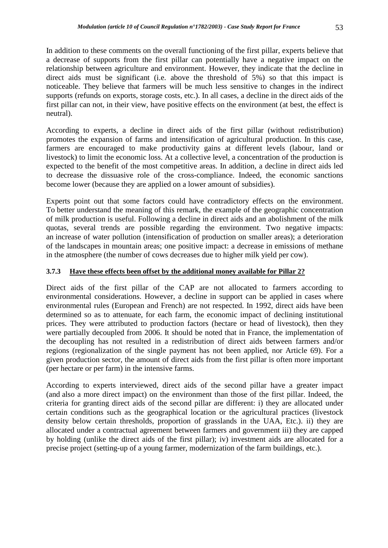In addition to these comments on the overall functioning of the first pillar, experts believe that a decrease of supports from the first pillar can potentially have a negative impact on the relationship between agriculture and environment. However, they indicate that the decline in direct aids must be significant (i.e. above the threshold of 5%) so that this impact is noticeable. They believe that farmers will be much less sensitive to changes in the indirect supports (refunds on exports, storage costs, etc.). In all cases, a decline in the direct aids of the first pillar can not, in their view, have positive effects on the environment (at best, the effect is neutral).

According to experts, a decline in direct aids of the first pillar (without redistribution) promotes the expansion of farms and intensification of agricultural production. In this case, farmers are encouraged to make productivity gains at different levels (labour, land or livestock) to limit the economic loss. At a collective level, a concentration of the production is expected to the benefit of the most competitive areas. In addition, a decline in direct aids led to decrease the dissuasive role of the cross-compliance. Indeed, the economic sanctions become lower (because they are applied on a lower amount of subsidies).

Experts point out that some factors could have contradictory effects on the environment. To better understand the meaning of this remark, the example of the geographic concentration of milk production is useful. Following a decline in direct aids and an abolishment of the milk quotas, several trends are possible regarding the environment. Two negative impacts: an increase of water pollution (intensification of production on smaller areas); a deterioration of the landscapes in mountain areas; one positive impact: a decrease in emissions of methane in the atmosphere (the number of cows decreases due to higher milk yield per cow).

## **3.7.3 Have these effects been offset by the additional money available for Pillar 2?**

Direct aids of the first pillar of the CAP are not allocated to farmers according to environmental considerations. However, a decline in support can be applied in cases where environmental rules (European and French) are not respected. In 1992, direct aids have been determined so as to attenuate, for each farm, the economic impact of declining institutional prices. They were attributed to production factors (hectare or head of livestock), then they were partially decoupled from 2006. It should be noted that in France, the implementation of the decoupling has not resulted in a redistribution of direct aids between farmers and/or regions (regionalization of the single payment has not been applied, nor Article 69). For a given production sector, the amount of direct aids from the first pillar is often more important (per hectare or per farm) in the intensive farms.

According to experts interviewed, direct aids of the second pillar have a greater impact (and also a more direct impact) on the environment than those of the first pillar. Indeed, the criteria for granting direct aids of the second pillar are different: i) they are allocated under certain conditions such as the geographical location or the agricultural practices (livestock density below certain thresholds, proportion of grasslands in the UAA, Etc.). ii) they are allocated under a contractual agreement between farmers and government iii) they are capped by holding (unlike the direct aids of the first pillar); iv) investment aids are allocated for a precise project (setting-up of a young farmer, modernization of the farm buildings, etc.).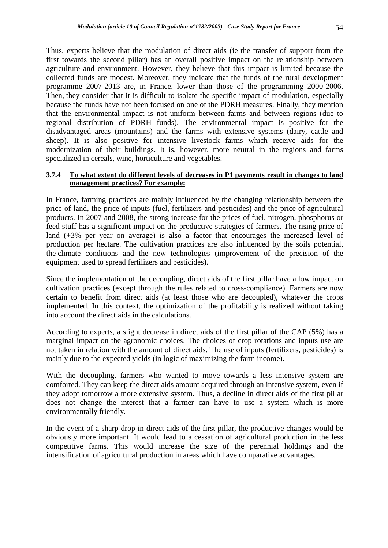Thus, experts believe that the modulation of direct aids (ie the transfer of support from the first towards the second pillar) has an overall positive impact on the relationship between agriculture and environment. However, they believe that this impact is limited because the collected funds are modest. Moreover, they indicate that the funds of the rural development programme 2007-2013 are, in France, lower than those of the programming 2000-2006. Then, they consider that it is difficult to isolate the specific impact of modulation, especially because the funds have not been focused on one of the PDRH measures. Finally, they mention that the environmental impact is not uniform between farms and between regions (due to regional distribution of PDRH funds). The environmental impact is positive for the disadvantaged areas (mountains) and the farms with extensive systems (dairy, cattle and sheep). It is also positive for intensive livestock farms which receive aids for the modernization of their buildings. It is, however, more neutral in the regions and farms specialized in cereals, wine, horticulture and vegetables.

## **3.7.4 To what extent do different levels of decreases in P1 payments result in changes to land management practices? For example:**

In France, farming practices are mainly influenced by the changing relationship between the price of land, the price of inputs (fuel, fertilizers and pesticides) and the price of agricultural products. In 2007 and 2008, the strong increase for the prices of fuel, nitrogen, phosphorus or feed stuff has a significant impact on the productive strategies of farmers. The rising price of land (+3% per year on average) is also a factor that encourages the increased level of production per hectare. The cultivation practices are also influenced by the soils potential, the climate conditions and the new technologies (improvement of the precision of the equipment used to spread fertilizers and pesticides).

Since the implementation of the decoupling, direct aids of the first pillar have a low impact on cultivation practices (except through the rules related to cross-compliance). Farmers are now certain to benefit from direct aids (at least those who are decoupled), whatever the crops implemented. In this context, the optimization of the profitability is realized without taking into account the direct aids in the calculations.

According to experts, a slight decrease in direct aids of the first pillar of the CAP (5%) has a marginal impact on the agronomic choices. The choices of crop rotations and inputs use are not taken in relation with the amount of direct aids. The use of inputs (fertilizers, pesticides) is mainly due to the expected yields (in logic of maximizing the farm income).

With the decoupling, farmers who wanted to move towards a less intensive system are comforted. They can keep the direct aids amount acquired through an intensive system, even if they adopt tomorrow a more extensive system. Thus, a decline in direct aids of the first pillar does not change the interest that a farmer can have to use a system which is more environmentally friendly.

In the event of a sharp drop in direct aids of the first pillar, the productive changes would be obviously more important. It would lead to a cessation of agricultural production in the less competitive farms. This would increase the size of the perennial holdings and the intensification of agricultural production in areas which have comparative advantages.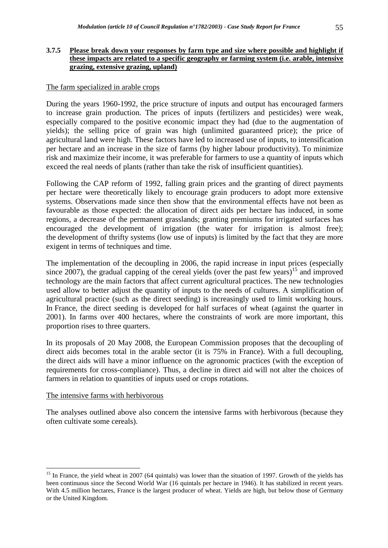## **3.7.5 Please break down your responses by farm type and size where possible and highlight if these impacts are related to a specific geography or farming system (i.e. arable, intensive grazing, extensive grazing, upland)**

## The farm specialized in arable crops

During the years 1960-1992, the price structure of inputs and output has encouraged farmers to increase grain production. The prices of inputs (fertilizers and pesticides) were weak, especially compared to the positive economic impact they had (due to the augmentation of yields); the selling price of grain was high (unlimited guaranteed price); the price of agricultural land were high. These factors have led to increased use of inputs, to intensification per hectare and an increase in the size of farms (by higher labour productivity). To minimize risk and maximize their income, it was preferable for farmers to use a quantity of inputs which exceed the real needs of plants (rather than take the risk of insufficient quantities).

Following the CAP reform of 1992, falling grain prices and the granting of direct payments per hectare were theoretically likely to encourage grain producers to adopt more extensive systems. Observations made since then show that the environmental effects have not been as favourable as those expected: the allocation of direct aids per hectare has induced, in some regions, a decrease of the permanent grasslands; granting premiums for irrigated surfaces has encouraged the development of irrigation (the water for irrigation is almost free); the development of thrifty systems (low use of inputs) is limited by the fact that they are more exigent in terms of techniques and time.

The implementation of the decoupling in 2006, the rapid increase in input prices (especially since 2007), the gradual capping of the cereal yields (over the past few years)<sup>15</sup> and improved technology are the main factors that affect current agricultural practices. The new technologies used allow to better adjust the quantity of inputs to the needs of cultures. A simplification of agricultural practice (such as the direct seeding) is increasingly used to limit working hours. In France, the direct seeding is developed for half surfaces of wheat (against the quarter in 2001). In farms over 400 hectares, where the constraints of work are more important, this proportion rises to three quarters.

In its proposals of 20 May 2008, the European Commission proposes that the decoupling of direct aids becomes total in the arable sector (it is 75% in France). With a full decoupling, the direct aids will have a minor influence on the agronomic practices (with the exception of requirements for cross-compliance). Thus, a decline in direct aid will not alter the choices of farmers in relation to quantities of inputs used or crops rotations.

#### The intensive farms with herbivorous

 $\overline{a}$ 

The analyses outlined above also concern the intensive farms with herbivorous (because they often cultivate some cereals).

<sup>&</sup>lt;sup>15</sup> In France, the yield wheat in 2007 (64 quintals) was lower than the situation of 1997. Growth of the yields has been continuous since the Second World War (16 quintals per hectare in 1946). It has stabilized in recent years. With 4.5 million hectares, France is the largest producer of wheat. Yields are high, but below those of Germany or the United Kingdom.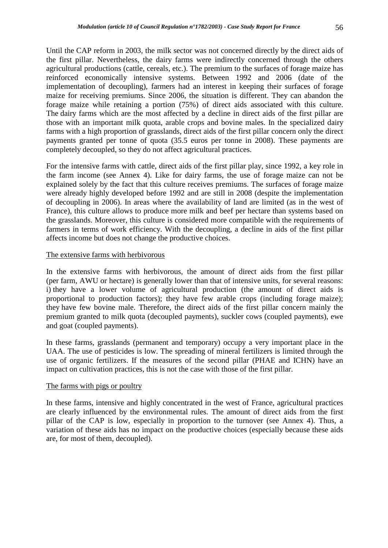Until the CAP reform in 2003, the milk sector was not concerned directly by the direct aids of the first pillar. Nevertheless, the dairy farms were indirectly concerned through the others agricultural productions (cattle, cereals, etc.). The premium to the surfaces of forage maize has reinforced economically intensive systems. Between 1992 and 2006 (date of the implementation of decoupling), farmers had an interest in keeping their surfaces of forage maize for receiving premiums. Since 2006, the situation is different. They can abandon the forage maize while retaining a portion (75%) of direct aids associated with this culture. The dairy farms which are the most affected by a decline in direct aids of the first pillar are those with an important milk quota, arable crops and bovine males. In the specialized dairy farms with a high proportion of grasslands, direct aids of the first pillar concern only the direct payments granted per tonne of quota (35.5 euros per tonne in 2008). These payments are completely decoupled, so they do not affect agricultural practices.

For the intensive farms with cattle, direct aids of the first pillar play, since 1992, a key role in the farm income (see Annex 4). Like for dairy farms, the use of forage maize can not be explained solely by the fact that this culture receives premiums. The surfaces of forage maize were already highly developed before 1992 and are still in 2008 (despite the implementation of decoupling in 2006). In areas where the availability of land are limited (as in the west of France), this culture allows to produce more milk and beef per hectare than systems based on the grasslands. Moreover, this culture is considered more compatible with the requirements of farmers in terms of work efficiency. With the decoupling, a decline in aids of the first pillar affects income but does not change the productive choices.

## The extensive farms with herbivorous

In the extensive farms with herbivorous, the amount of direct aids from the first pillar (per farm, AWU or hectare) is generally lower than that of intensive units, for several reasons: i) they have a lower volume of agricultural production (the amount of direct aids is proportional to production factors); they have few arable crops (including forage maize); they have few bovine male. Therefore, the direct aids of the first pillar concern mainly the premium granted to milk quota (decoupled payments), suckler cows (coupled payments), ewe and goat (coupled payments).

In these farms, grasslands (permanent and temporary) occupy a very important place in the UAA. The use of pesticides is low. The spreading of mineral fertilizers is limited through the use of organic fertilizers. If the measures of the second pillar (PHAE and ICHN) have an impact on cultivation practices, this is not the case with those of the first pillar.

## The farms with pigs or poultry

In these farms, intensive and highly concentrated in the west of France, agricultural practices are clearly influenced by the environmental rules. The amount of direct aids from the first pillar of the CAP is low, especially in proportion to the turnover (see Annex 4). Thus, a variation of these aids has no impact on the productive choices (especially because these aids are, for most of them, decoupled).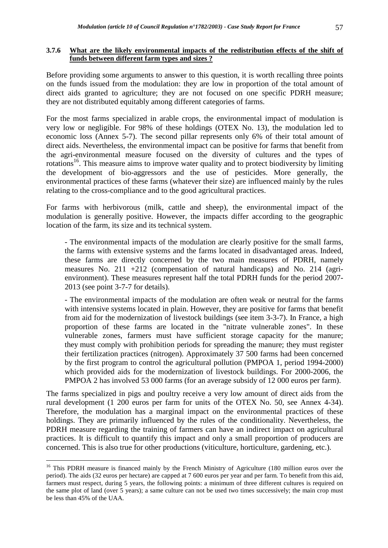## **3.7.6 What are the likely environmental impacts of the redistribution effects of the shift of funds between different farm types and sizes ?**

Before providing some arguments to answer to this question, it is worth recalling three points on the funds issued from the modulation: they are low in proportion of the total amount of direct aids granted to agriculture; they are not focused on one specific PDRH measure; they are not distributed equitably among different categories of farms.

For the most farms specialized in arable crops, the environmental impact of modulation is very low or negligible. For 98% of these holdings (OTEX No. 13), the modulation led to economic loss (Annex 5-7). The second pillar represents only 6% of their total amount of direct aids. Nevertheless, the environmental impact can be positive for farms that benefit from the agri-environmental measure focused on the diversity of cultures and the types of rotations<sup>16</sup>. This measure aims to improve water quality and to protect biodiversity by limiting the development of bio-aggressors and the use of pesticides. More generally, the environmental practices of these farms (whatever their size) are influenced mainly by the rules relating to the cross-compliance and to the good agricultural practices.

For farms with herbivorous (milk, cattle and sheep), the environmental impact of the modulation is generally positive. However, the impacts differ according to the geographic location of the farm, its size and its technical system.

- The environmental impacts of the modulation are clearly positive for the small farms, the farms with extensive systems and the farms located in disadvantaged areas. Indeed, these farms are directly concerned by the two main measures of PDRH, namely measures No. 211 +212 (compensation of natural handicaps) and No. 214 (agrienvironment). These measures represent half the total PDRH funds for the period 2007- 2013 (see point 3-7-7 for details).

- The environmental impacts of the modulation are often weak or neutral for the farms with intensive systems located in plain. However, they are positive for farms that benefit from aid for the modernization of livestock buildings (see item 3-3-7). In France, a high proportion of these farms are located in the "nitrate vulnerable zones". In these vulnerable zones, farmers must have sufficient storage capacity for the manure; they must comply with prohibition periods for spreading the manure; they must register their fertilization practices (nitrogen). Approximately 37 500 farms had been concerned by the first program to control the agricultural pollution (PMPOA 1, period 1994-2000) which provided aids for the modernization of livestock buildings. For 2000-2006, the PMPOA 2 has involved 53 000 farms (for an average subsidy of 12 000 euros per farm).

The farms specialized in pigs and poultry receive a very low amount of direct aids from the rural development (1 200 euros per farm for units of the OTEX No. 50, see Annex 4-34). Therefore, the modulation has a marginal impact on the environmental practices of these holdings. They are primarily influenced by the rules of the conditionality. Nevertheless, the PDRH measure regarding the training of farmers can have an indirect impact on agricultural practices. It is difficult to quantify this impact and only a small proportion of producers are concerned. This is also true for other productions (viticulture, horticulture, gardening, etc.).

 $\overline{a}$ 

<sup>&</sup>lt;sup>16</sup> This PDRH measure is financed mainly by the French Ministry of Agriculture (180 million euros over the period). The aids (32 euros per hectare) are capped at 7 600 euros per year and per farm. To benefit from this aid, farmers must respect, during 5 years, the following points: a minimum of three different cultures is required on the same plot of land (over 5 years); a same culture can not be used two times successively; the main crop must be less than 45% of the UAA.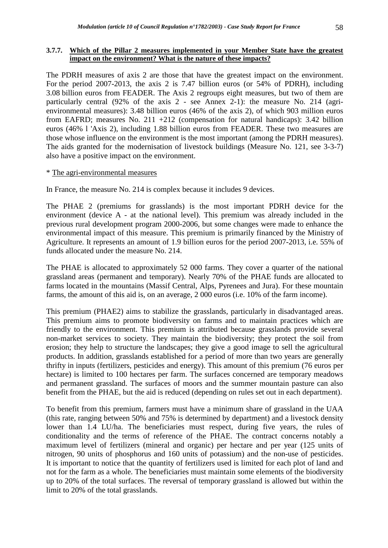#### **3.7.7. Which of the Pillar 2 measures implemented in your Member State have the greatest impact on the environment? What is the nature of these impacts?**

The PDRH measures of axis 2 are those that have the greatest impact on the environment. For the period 2007-2013, the axis 2 is 7.47 billion euros (or 54% of PDRH), including 3.08 billion euros from FEADER. The Axis 2 regroups eight measures, but two of them are particularly central (92% of the axis 2 - see Annex 2-1): the measure No. 214 (agrienvironmental measures): 3.48 billion euros (46% of the axis 2), of which 903 million euros from EAFRD; measures No. 211 +212 (compensation for natural handicaps): 3.42 billion euros (46% l 'Axis 2), including 1.88 billion euros from FEADER. These two measures are those whose influence on the environment is the most important (among the PDRH measures). The aids granted for the modernisation of livestock buildings (Measure No. 121, see 3-3-7) also have a positive impact on the environment.

## \* The agri-environmental measures

In France, the measure No. 214 is complex because it includes 9 devices.

The PHAE 2 (premiums for grasslands) is the most important PDRH device for the environment (device A - at the national level). This premium was already included in the previous rural development program 2000-2006, but some changes were made to enhance the environmental impact of this measure. This premium is primarily financed by the Ministry of Agriculture. It represents an amount of 1.9 billion euros for the period 2007-2013, i.e. 55% of funds allocated under the measure No. 214.

The PHAE is allocated to approximately 52 000 farms. They cover a quarter of the national grassland areas (permanent and temporary). Nearly 70% of the PHAE funds are allocated to farms located in the mountains (Massif Central, Alps, Pyrenees and Jura). For these mountain farms, the amount of this aid is, on an average, 2 000 euros (i.e. 10% of the farm income).

This premium (PHAE2) aims to stabilize the grasslands, particularly in disadvantaged areas. This premium aims to promote biodiversity on farms and to maintain practices which are friendly to the environment. This premium is attributed because grasslands provide several non-market services to society. They maintain the biodiversity; they protect the soil from erosion; they help to structure the landscapes; they give a good image to sell the agricultural products. In addition, grasslands established for a period of more than two years are generally thrifty in inputs (fertilizers, pesticides and energy). This amount of this premium (76 euros per hectare) is limited to 100 hectares per farm. The surfaces concerned are temporary meadows and permanent grassland. The surfaces of moors and the summer mountain pasture can also benefit from the PHAE, but the aid is reduced (depending on rules set out in each department).

To benefit from this premium, farmers must have a minimum share of grassland in the UAA (this rate, ranging between 50% and 75% is determined by department) and a livestock density lower than 1.4 LU/ha. The beneficiaries must respect, during five years, the rules of conditionality and the terms of reference of the PHAE. The contract concerns notably a maximum level of fertilizers (mineral and organic) per hectare and per year (125 units of nitrogen, 90 units of phosphorus and 160 units of potassium) and the non-use of pesticides. It is important to notice that the quantity of fertilizers used is limited for each plot of land and not for the farm as a whole. The beneficiaries must maintain some elements of the biodiversity up to 20% of the total surfaces. The reversal of temporary grassland is allowed but within the limit to 20% of the total grasslands.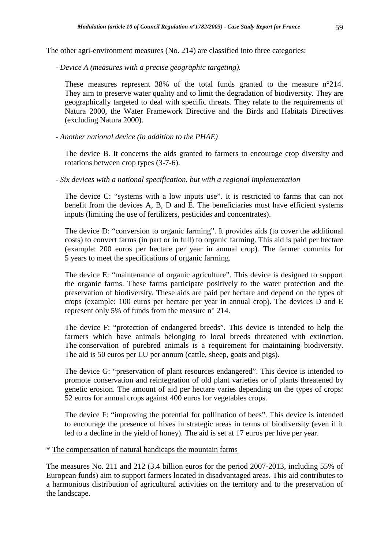The other agri-environment measures (No. 214) are classified into three categories:

*- Device A (measures with a precise geographic targeting).* 

These measures represent 38% of the total funds granted to the measure n°214. They aim to preserve water quality and to limit the degradation of biodiversity. They are geographically targeted to deal with specific threats. They relate to the requirements of Natura 2000, the Water Framework Directive and the Birds and Habitats Directives (excluding Natura 2000).

*- Another national device (in addition to the PHAE)* 

The device B. It concerns the aids granted to farmers to encourage crop diversity and rotations between crop types (3-7-6).

*- Six devices with a national specification, but with a regional implementation* 

The device C: "systems with a low inputs use". It is restricted to farms that can not benefit from the devices A, B, D and E. The beneficiaries must have efficient systems inputs (limiting the use of fertilizers, pesticides and concentrates).

The device D: "conversion to organic farming". It provides aids (to cover the additional costs) to convert farms (in part or in full) to organic farming. This aid is paid per hectare (example: 200 euros per hectare per year in annual crop). The farmer commits for 5 years to meet the specifications of organic farming.

The device E: "maintenance of organic agriculture". This device is designed to support the organic farms. These farms participate positively to the water protection and the preservation of biodiversity. These aids are paid per hectare and depend on the types of crops (example: 100 euros per hectare per year in annual crop). The devices D and E represent only 5% of funds from the measure n° 214.

The device F: "protection of endangered breeds". This device is intended to help the farmers which have animals belonging to local breeds threatened with extinction. The conservation of purebred animals is a requirement for maintaining biodiversity. The aid is 50 euros per LU per annum (cattle, sheep, goats and pigs).

The device G: "preservation of plant resources endangered". This device is intended to promote conservation and reintegration of old plant varieties or of plants threatened by genetic erosion. The amount of aid per hectare varies depending on the types of crops: 52 euros for annual crops against 400 euros for vegetables crops.

The device F: "improving the potential for pollination of bees". This device is intended to encourage the presence of hives in strategic areas in terms of biodiversity (even if it led to a decline in the yield of honey). The aid is set at 17 euros per hive per year.

\* The compensation of natural handicaps the mountain farms

The measures No. 211 and 212 (3.4 billion euros for the period 2007-2013, including 55% of European funds) aim to support farmers located in disadvantaged areas. This aid contributes to a harmonious distribution of agricultural activities on the territory and to the preservation of the landscape.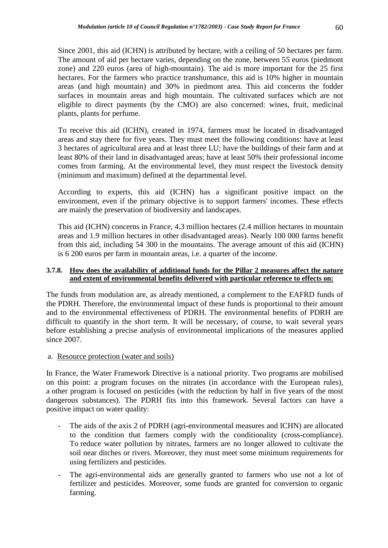Since 2001, this aid (ICHN) is attributed by hectare, with a ceiling of 50 hectares per farm. The amount of aid per hectare varies, depending on the zone, between 55 euros (piedmont zone) and 220 euros (area of high-mountain). The aid is more important for the 25 first hectares. For the farmers who practice transhumance, this aid is 10% higher in mountain areas (and high mountain) and 30% in piedmont area. This aid concerns the fodder surfaces in mountain areas and high mountain. The cultivated surfaces which are not eligible to direct payments (by the CMO) are also concerned: wines, fruit, medicinal plants, plants for perfume.

To receive this aid (ICHN), created in 1974, farmers must be located in disadvantaged areas and stay there for five years. They must meet the following conditions: have at least 3 hectares of agricultural area and at least three LU; have the buildings of their farm and at least 80% of their land in disadvantaged areas; have at least 50% their professional income comes from farming. At the environmental level, they must respect the livestock density (minimum and maximum) defined at the departmental level.

According to experts, this aid (ICHN) has a significant positive impact on the environment, even if the primary objective is to support farmers' incomes. These effects are mainly the preservation of biodiversity and landscapes.

This aid (ICHN) concerns in France, 4.3 million hectares (2.4 million hectares in mountain areas and 1.9 million hectares in other disadvantaged areas). Nearly 100 000 farms benefit from this aid, including 54 300 in the mountains. The average amount of this aid (ICHN) is 6 200 euros per farm in mountain areas, i.e. a quarter of the income.

## **3.7.8. How does the availability of additional funds for the Pillar 2 measures affect the nature and extent of environmental benefits delivered with particular reference to effects on:**

The funds from modulation are, as already mentioned, a complement to the EAFRD funds of the PDRH. Therefore, the environmental impact of these funds is proportional to their amount and to the environmental effectiveness of PDRH. The environmental benefits of PDRH are difficult to quantify in the short term. It will be necessary, of course, to wait several years before establishing a precise analysis of environmental implications of the measures applied since 2007.

a. Resource protection (water and soils)

In France, the Water Framework Directive is a national priority. Two programs are mobilised on this point: a program focuses on the nitrates (in accordance with the European rules), a other program is focused on pesticides (with the reduction by half in five years of the most dangerous substances). The PDRH fits into this framework. Several factors can have a positive impact on water quality:

- The aids of the axis 2 of PDRH (agri-environmental measures and ICHN) are allocated to the condition that farmers comply with the conditionality (cross-compliance). To reduce water pollution by nitrates, farmers are no longer allowed to cultivate the soil near ditches or rivers. Moreover, they must meet some minimum requirements for using fertilizers and pesticides.
- The agri-environmental aids are generally granted to farmers who use not a lot of fertilizer and pesticides. Moreover, some funds are granted for conversion to organic farming.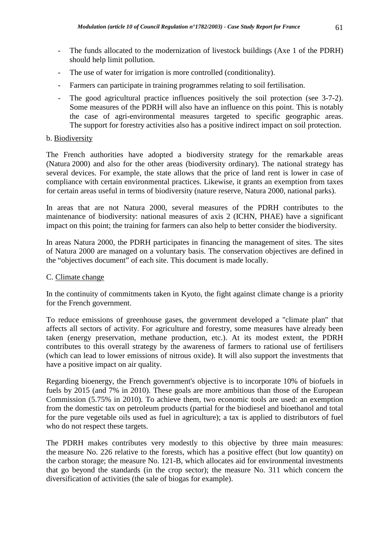- The funds allocated to the modernization of livestock buildings (Axe 1 of the PDRH) should help limit pollution.
- The use of water for irrigation is more controlled (conditionality).
- Farmers can participate in training programmes relating to soil fertilisation.
- The good agricultural practice influences positively the soil protection (see 3-7-2). Some measures of the PDRH will also have an influence on this point. This is notably the case of agri-environmental measures targeted to specific geographic areas. The support for forestry activities also has a positive indirect impact on soil protection.

## b. Biodiversity

The French authorities have adopted a biodiversity strategy for the remarkable areas (Natura 2000) and also for the other areas (biodiversity ordinary). The national strategy has several devices. For example, the state allows that the price of land rent is lower in case of compliance with certain environmental practices. Likewise, it grants an exemption from taxes for certain areas useful in terms of biodiversity (nature reserve, Natura 2000, national parks).

In areas that are not Natura 2000, several measures of the PDRH contributes to the maintenance of biodiversity: national measures of axis 2 (ICHN, PHAE) have a significant impact on this point; the training for farmers can also help to better consider the biodiversity.

In areas Natura 2000, the PDRH participates in financing the management of sites. The sites of Natura 2000 are managed on a voluntary basis. The conservation objectives are defined in the "objectives document" of each site. This document is made locally.

## C. Climate change

In the continuity of commitments taken in Kyoto, the fight against climate change is a priority for the French government.

To reduce emissions of greenhouse gases, the government developed a "climate plan" that affects all sectors of activity. For agriculture and forestry, some measures have already been taken (energy preservation, methane production, etc.). At its modest extent, the PDRH contributes to this overall strategy by the awareness of farmers to rational use of fertilisers (which can lead to lower emissions of nitrous oxide). It will also support the investments that have a positive impact on air quality.

Regarding bioenergy, the French government's objective is to incorporate 10% of biofuels in fuels by 2015 (and 7% in 2010). These goals are more ambitious than those of the European Commission (5.75% in 2010). To achieve them, two economic tools are used: an exemption from the domestic tax on petroleum products (partial for the biodiesel and bioethanol and total for the pure vegetable oils used as fuel in agriculture); a tax is applied to distributors of fuel who do not respect these targets.

The PDRH makes contributes very modestly to this objective by three main measures: the measure No. 226 relative to the forests, which has a positive effect (but low quantity) on the carbon storage; the measure No. 121-B, which allocates aid for environmental investments that go beyond the standards (in the crop sector); the measure No. 311 which concern the diversification of activities (the sale of biogas for example).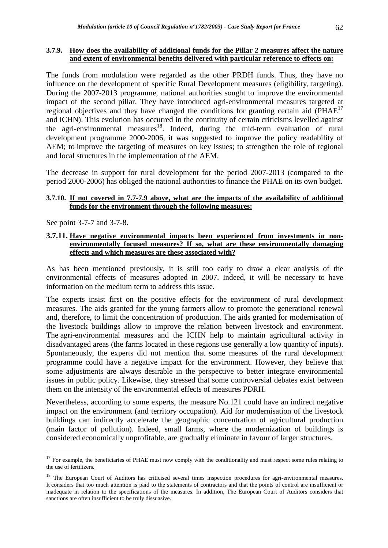#### **3.7.9. How does the availability of additional funds for the Pillar 2 measures affect the nature and extent of environmental benefits delivered with particular reference to effects on:**

The funds from modulation were regarded as the other PRDH funds. Thus, they have no influence on the development of specific Rural Development measures (eligibility, targeting). During the 2007-2013 programme, national authorities sought to improve the environmental impact of the second pillar. They have introduced agri-environmental measures targeted at regional objectives and they have changed the conditions for granting certain aid  $(PHAE<sup>17</sup>)$ and ICHN). This evolution has occurred in the continuity of certain criticisms levelled against the agri-environmental measures<sup>18</sup>. Indeed, during the mid-term evaluation of rural development programme 2000-2006, it was suggested to improve the policy readability of AEM; to improve the targeting of measures on key issues; to strengthen the role of regional and local structures in the implementation of the AEM.

The decrease in support for rural development for the period 2007-2013 (compared to the period 2000-2006) has obliged the national authorities to finance the PHAE on its own budget.

## **3.7.10. If not covered in 7.7-7.9 above, what are the impacts of the availability of additional funds for the environment through the following measures:**

See point 3-7-7 and 3-7-8.

 $\overline{a}$ 

#### **3.7.11. Have negative environmental impacts been experienced from investments in nonenvironmentally focused measures? If so, what are these environmentally damaging effects and which measures are these associated with?**

As has been mentioned previously, it is still too early to draw a clear analysis of the environmental effects of measures adopted in 2007. Indeed, it will be necessary to have information on the medium term to address this issue.

The experts insist first on the positive effects for the environment of rural development measures. The aids granted for the young farmers allow to promote the generational renewal and, therefore, to limit the concentration of production. The aids granted for modernisation of the livestock buildings allow to improve the relation between livestock and environment. The agri-environmental measures and the ICHN help to maintain agricultural activity in disadvantaged areas (the farms located in these regions use generally a low quantity of inputs). Spontaneously, the experts did not mention that some measures of the rural development programme could have a negative impact for the environment. However, they believe that some adjustments are always desirable in the perspective to better integrate environmental issues in public policy. Likewise, they stressed that some controversial debates exist between them on the intensity of the environmental effects of measures PDRH.

Nevertheless, according to some experts, the measure No.121 could have an indirect negative impact on the environment (and territory occupation). Aid for modernisation of the livestock buildings can indirectly accelerate the geographic concentration of agricultural production (main factor of pollution). Indeed, small farms, where the modernization of buildings is considered economically unprofitable, are gradually eliminate in favour of larger structures.

 $17$  For example, the beneficiaries of PHAE must now comply with the conditionality and must respect some rules relating to the use of fertilizers.

<sup>&</sup>lt;sup>18</sup> The European Court of Auditors has criticised several times inspection procedures for agri-environmental measures. It considers that too much attention is paid to the statements of contractors and that the points of control are insufficient or inadequate in relation to the specifications of the measures. In addition, The European Court of Auditors considers that sanctions are often insufficient to be truly dissuasive.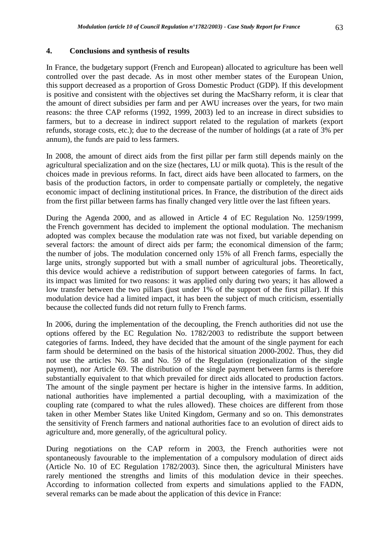## **4. Conclusions and synthesis of results**

In France, the budgetary support (French and European) allocated to agriculture has been well controlled over the past decade. As in most other member states of the European Union, this support decreased as a proportion of Gross Domestic Product (GDP). If this development is positive and consistent with the objectives set during the MacSharry reform, it is clear that the amount of direct subsidies per farm and per AWU increases over the years, for two main reasons: the three CAP reforms (1992, 1999, 2003) led to an increase in direct subsidies to farmers, but to a decrease in indirect support related to the regulation of markets (export refunds, storage costs, etc.); due to the decrease of the number of holdings (at a rate of 3% per annum), the funds are paid to less farmers.

In 2008, the amount of direct aids from the first pillar per farm still depends mainly on the agricultural specialization and on the size (hectares, LU or milk quota). This is the result of the choices made in previous reforms. In fact, direct aids have been allocated to farmers, on the basis of the production factors, in order to compensate partially or completely, the negative economic impact of declining institutional prices. In France, the distribution of the direct aids from the first pillar between farms has finally changed very little over the last fifteen years.

During the Agenda 2000, and as allowed in Article 4 of EC Regulation No. 1259/1999, the French government has decided to implement the optional modulation. The mechanism adopted was complex because the modulation rate was not fixed, but variable depending on several factors: the amount of direct aids per farm; the economical dimension of the farm; the number of jobs. The modulation concerned only 15% of all French farms, especially the large units, strongly supported but with a small number of agricultural jobs. Theoretically, this device would achieve a redistribution of support between categories of farms. In fact, its impact was limited for two reasons: it was applied only during two years; it has allowed a low transfer between the two pillars (just under 1% of the support of the first pillar). If this modulation device had a limited impact, it has been the subject of much criticism, essentially because the collected funds did not return fully to French farms.

In 2006, during the implementation of the decoupling, the French authorities did not use the options offered by the EC Regulation No. 1782/2003 to redistribute the support between categories of farms. Indeed, they have decided that the amount of the single payment for each farm should be determined on the basis of the historical situation 2000-2002. Thus, they did not use the articles No. 58 and No. 59 of the Regulation (regionalization of the single payment), nor Article 69. The distribution of the single payment between farms is therefore substantially equivalent to that which prevailed for direct aids allocated to production factors. The amount of the single payment per hectare is higher in the intensive farms. In addition, national authorities have implemented a partial decoupling, with a maximization of the coupling rate (compared to what the rules allowed). These choices are different from those taken in other Member States like United Kingdom, Germany and so on. This demonstrates the sensitivity of French farmers and national authorities face to an evolution of direct aids to agriculture and, more generally, of the agricultural policy.

During negotiations on the CAP reform in 2003, the French authorities were not spontaneously favourable to the implementation of a compulsory modulation of direct aids (Article No. 10 of EC Regulation 1782/2003). Since then, the agricultural Ministers have rarely mentioned the strengths and limits of this modulation device in their speeches. According to information collected from experts and simulations applied to the FADN, several remarks can be made about the application of this device in France: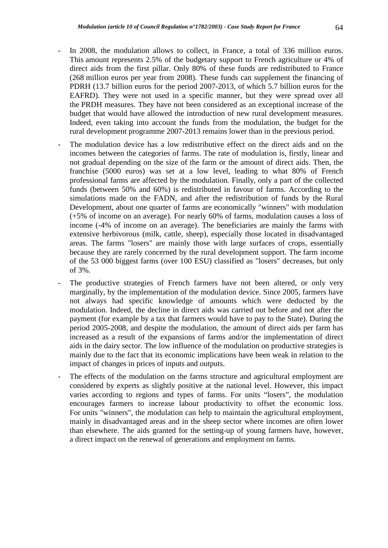- In 2008, the modulation allows to collect, in France, a total of 336 million euros. This amount represents 2.5% of the budgetary support to French agriculture or 4% of direct aids from the first pillar. Only 80% of these funds are redistributed to France (268 million euros per year from 2008). These funds can supplement the financing of PDRH (13.7 billion euros for the period 2007-2013, of which 5.7 billion euros for the EAFRD). They were not used in a specific manner, but they were spread over all the PRDH measures. They have not been considered as an exceptional increase of the budget that would have allowed the introduction of new rural development measures. Indeed, even taking into account the funds from the modulation, the budget for the rural development programme 2007-2013 remains lower than in the previous period.
	- The modulation device has a low redistributive effect on the direct aids and on the incomes between the categories of farms. The rate of modulation is, firstly, linear and not gradual depending on the size of the farm or the amount of direct aids. Then, the franchise (5000 euros) was set at a low level, leading to what 80% of French professional farms are affected by the modulation. Finally, only a part of the collected funds (between 50% and 60%) is redistributed in favour of farms. According to the simulations made on the FADN, and after the redistribution of funds by the Rural Development, about one quarter of farms are economically "winners" with modulation (+5% of income on an average). For nearly 60% of farms, modulation causes a loss of income (-4% of income on an average). The beneficiaries are mainly the farms with extensive herbivorous (milk, cattle, sheep), especially those located in disadvantaged areas. The farms "losers" are mainly those with large surfaces of crops, essentially because they are rarely concerned by the rural development support. The farm income of the 53 000 biggest farms (over 100 ESU) classified as "losers" decreases, but only of 3%.
- The productive strategies of French farmers have not been altered, or only very marginally, by the implementation of the modulation device. Since 2005, farmers have not always had specific knowledge of amounts which were deducted by the modulation. Indeed, the decline in direct aids was carried out before and not after the payment (for example by a tax that farmers would have to pay to the State). During the period 2005-2008, and despite the modulation, the amount of direct aids per farm has increased as a result of the expansions of farms and/or the implementation of direct aids in the dairy sector. The low influence of the modulation on productive strategies is mainly due to the fact that its economic implications have been weak in relation to the impact of changes in prices of inputs and outputs.
- The effects of the modulation on the farms structure and agricultural employment are considered by experts as slightly positive at the national level. However, this impact varies according to regions and types of farms. For units "losers", the modulation encourages farmers to increase labour productivity to offset the economic loss. For units "winners", the modulation can help to maintain the agricultural employment, mainly in disadvantaged areas and in the sheep sector where incomes are often lower than elsewhere. The aids granted for the setting-up of young farmers have, however, a direct impact on the renewal of generations and employment on farms.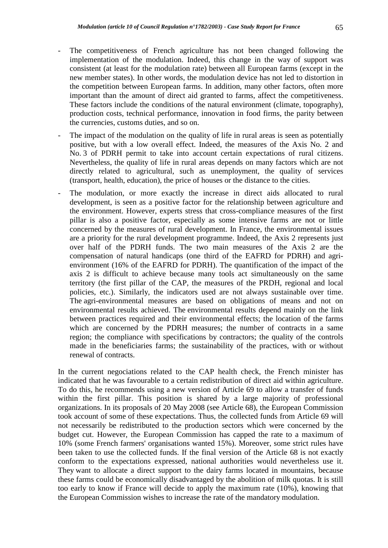- The competitiveness of French agriculture has not been changed following the implementation of the modulation. Indeed, this change in the way of support was consistent (at least for the modulation rate) between all European farms (except in the new member states). In other words, the modulation device has not led to distortion in the competition between European farms. In addition, many other factors, often more important than the amount of direct aid granted to farms, affect the competitiveness. These factors include the conditions of the natural environment (climate, topography), production costs, technical performance, innovation in food firms, the parity between the currencies, customs duties, and so on.
- The impact of the modulation on the quality of life in rural areas is seen as potentially positive, but with a low overall effect. Indeed, the measures of the Axis No. 2 and No. 3 of PDRH permit to take into account certain expectations of rural citizens. Nevertheless, the quality of life in rural areas depends on many factors which are not directly related to agricultural, such as unemployment, the quality of services (transport, health, education), the price of houses or the distance to the cities.
- The modulation, or more exactly the increase in direct aids allocated to rural development, is seen as a positive factor for the relationship between agriculture and the environment. However, experts stress that cross-compliance measures of the first pillar is also a positive factor, especially as some intensive farms are not or little concerned by the measures of rural development. In France, the environmental issues are a priority for the rural development programme. Indeed, the Axis 2 represents just over half of the PDRH funds. The two main measures of the Axis 2 are the compensation of natural handicaps (one third of the EAFRD for PDRH) and agrienvironment (16% of the EAFRD for PDRH). The quantification of the impact of the axis 2 is difficult to achieve because many tools act simultaneously on the same territory (the first pillar of the CAP, the measures of the PRDH, regional and local policies, etc.). Similarly, the indicators used are not always sustainable over time. The agri-environmental measures are based on obligations of means and not on environmental results achieved. The environmental results depend mainly on the link between practices required and their environmental effects; the location of the farms which are concerned by the PDRH measures; the number of contracts in a same region; the compliance with specifications by contractors; the quality of the controls made in the beneficiaries farms; the sustainability of the practices, with or without renewal of contracts.

In the current negociations related to the CAP health check, the French minister has indicated that he was favourable to a certain redistribution of direct aid within agriculture. To do this, he recommends using a new version of Article 69 to allow a transfer of funds within the first pillar. This position is shared by a large majority of professional organizations. In its proposals of 20 May 2008 (see Article 68), the European Commission took account of some of these expectations. Thus, the collected funds from Article 69 will not necessarily be redistributed to the production sectors which were concerned by the budget cut. However, the European Commission has capped the rate to a maximum of 10% (some French farmers' organisations wanted 15%). Moreover, some strict rules have been taken to use the collected funds. If the final version of the Article 68 is not exactly conform to the expectations expressed, national authorities would nevertheless use it. They want to allocate a direct support to the dairy farms located in mountains, because these farms could be economically disadvantaged by the abolition of milk quotas. It is still too early to know if France will decide to apply the maximum rate (10%), knowing that the European Commission wishes to increase the rate of the mandatory modulation.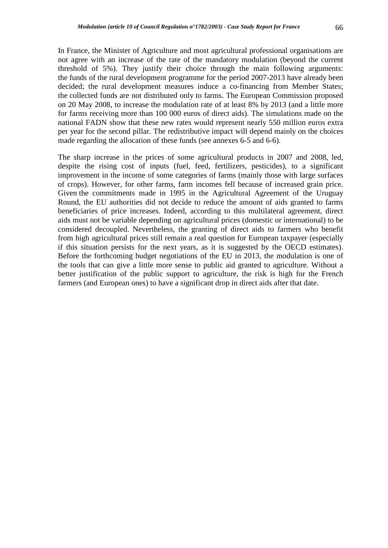In France, the Minister of Agriculture and most agricultural professional organisations are not agree with an increase of the rate of the mandatory modulation (beyond the current threshold of 5%). They justify their choice through the main following arguments: the funds of the rural development programme for the period 2007-2013 have already been decided; the rural development measures induce a co-financing from Member States; the collected funds are not distributed only to farms. The European Commission proposed on 20 May 2008, to increase the modulation rate of at least 8% by 2013 (and a little more for farms receiving more than 100 000 euros of direct aids). The simulations made on the national FADN show that these new rates would represent nearly 550 million euros extra per year for the second pillar. The redistributive impact will depend mainly on the choices made regarding the allocation of these funds (see annexes 6-5 and 6-6).

The sharp increase in the prices of some agricultural products in 2007 and 2008, led, despite the rising cost of inputs (fuel, feed, fertilizers, pesticides), to a significant improvement in the income of some categories of farms (mainly those with large surfaces of crops). However, for other farms, farm incomes fell because of increased grain price. Given the commitments made in 1995 in the Agricultural Agreement of the Uruguay Round, the EU authorities did not decide to reduce the amount of aids granted to farms beneficiaries of price increases. Indeed, according to this multilateral agreement, direct aids must not be variable depending on agricultural prices (domestic or international) to be considered decoupled. Nevertheless, the granting of direct aids to farmers who benefit from high agricultural prices still remain a real question for European taxpayer (especially if this situation persists for the next years, as it is suggested by the OECD estimates). Before the forthcoming budget negotiations of the EU in 2013, the modulation is one of the tools that can give a little more sense to public aid granted to agriculture. Without a better justification of the public support to agriculture, the risk is high for the French farmers (and European ones) to have a significant drop in direct aids after that date.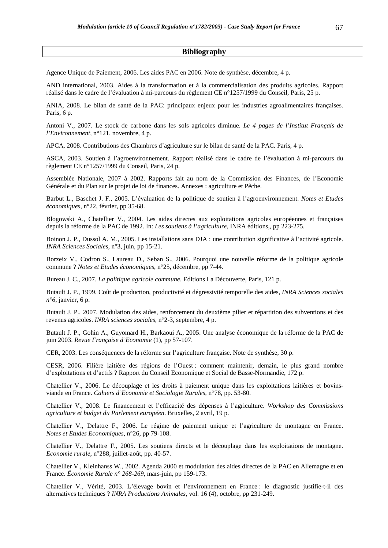#### **Bibliography**

Agence Unique de Paiement, 2006. Les aides PAC en 2006. Note de synthèse, décembre, 4 p.

AND international, 2003. Aides à la transformation et à la commercialisation des produits agricoles. Rapport réalisé dans le cadre de l'évaluation à mi-parcours du règlement CE n°1257/1999 du Conseil, Paris, 25 p.

ANIA, 2008. Le bilan de santé de la PAC: principaux enjeux pour les industries agroalimentaires françaises. Paris, 6 p.

Antoni V., 2007. Le stock de carbone dans les sols agricoles diminue. *Le 4 pages de l'Institut Français de l'Environnement,* n°121, novembre, 4 p.

APCA, 2008. Contributions des Chambres d'agriculture sur le bilan de santé de la PAC. Paris, 4 p.

ASCA, 2003. Soutien à l'agroenvironnement. Rapport réalisé dans le cadre de l'évaluation à mi-parcours du règlement CE n°1257/1999 du Conseil, Paris, 24 p.

Assemblée Nationale, 2007 à 2002. Rapports fait au nom de la Commission des Finances, de l'Economie Générale et du Plan sur le projet de loi de finances. Annexes : agriculture et Pêche.

Barbut L., Baschet J. F., 2005. L'évaluation de la politique de soutien à l'agroenvironnement. *Notes et Etudes économiques*, n°22, février, pp 35-68.

Blogowski A., Chatellier V., 2004. Les aides directes aux exploitations agricoles européennes et françaises depuis la réforme de la PAC de 1992. In: *Les soutiens à l'agriculture*, INRA éditions,, pp 223-275.

Boinon J. P., Dussol A. M., 2005. Les installations sans DJA : une contribution significative à l'activité agricole. *INRA Sciences Sociales*, n°3, juin, pp 15-21.

Borzeix V., Codron S., Laureau D., Seban S., 2006. Pourquoi une nouvelle réforme de la politique agricole commune ? *Notes et Etudes économiques*, n°25, décembre, pp 7-44.

Bureau J. C., 2007. *La politique agricole commune*. Editions La Découverte, Paris, 121 p.

Butault J. P., 1999. Coût de production, productivité et dégressivité temporelle des aides, *INRA Sciences sociales n°6*, janvier, 6 p.

Butault J. P., 2007. Modulation des aides, renforcement du deuxième pilier et répartition des subventions et des revenus agricoles. *INRA sciences sociales*, n°2-3, septembre, 4 p.

Butault J. P., Gohin A., Guyomard H., Barkaoui A., 2005. Une analyse économique de la réforme de la PAC de juin 2003. *Revue Française d'Economie* (1), pp 57-107.

CER, 2003. Les conséquences de la réforme sur l'agriculture française. Note de synthèse, 30 p.

CESR, 2006. Filière laitière des régions de l'Ouest : comment maintenir, demain, le plus grand nombre d'exploitations et d'actifs ? Rapport du Conseil Economique et Social de Basse-Normandie, 172 p.

Chatellier V., 2006. Le découplage et les droits à paiement unique dans les exploitations laitières et bovinsviande en France. *Cahiers d'Economie et Sociologie Rurales*, n°78, pp. 53-80.

Chatellier V., 2008. Le financement et l'efficacité des dépenses à l'agriculture. *Workshop des Commissions agriculture et budget du Parlement européen*. Bruxelles, 2 avril, 19 p.

Chatellier V., Delattre F., 2006. Le régime de paiement unique et l'agriculture de montagne en France. *Notes et Etudes Economiques*, n°26, pp 79-108.

Chatellier V., Delattre F., 2005. Les soutiens directs et le découplage dans les exploitations de montagne. *Economie rurale*, n°288, juillet-août, pp. 40-57.

Chatellier V., Kleinhanss W., 2002. Agenda 2000 et modulation des aides directes de la PAC en Allemagne et en France. *Économie Rurale n° 268-269*, mars-juin, pp 159-173.

Chatellier V., Vérité, 2003. L'élevage bovin et l'environnement en France : le diagnostic justifie-t-il des alternatives techniques ? *INRA Productions Animales,* vol. 16 (4), octobre, pp 231-249.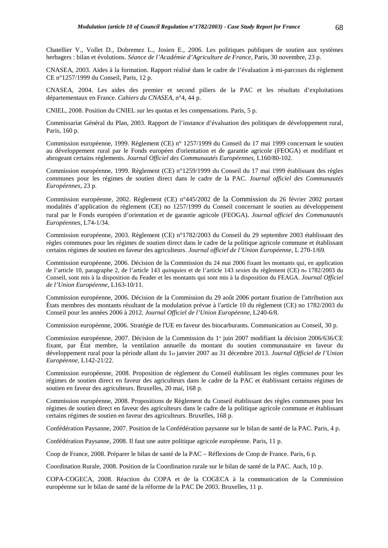Chatellier V., Vollet D., Dobremez L., Josien E., 2006. Les politiques publiques de soutien aux systèmes herbagers : bilan et évolutions. *Séance de l'Académie d'Agriculture de France*, Paris, 30 novembre, 23 p.

CNASEA, 2003. Aides à la formation. Rapport réalisé dans le cadre de l'évaluation à mi-parcours du règlement CE n°1257/1999 du Conseil, Paris, 12 p.

CNASEA, 2004. Les aides des premier et second piliers de la PAC et les résultats d'exploitations départementaux en France. *Cahiers du CNASEA,* n°4, 44 p.

CNIEL, 2008. Position du CNIEL sur les quotas et les compensations. Paris, 5 p.

Commissariat Général du Plan, 2003. Rapport de l'instance d'évaluation des politiques de développement rural, Paris, 160 p.

Commission européenne, 1999. Règlement (CE) n° 1257/1999 du Conseil du 17 mai 1999 concernant le soutien au développement rural par le Fonds européen d'orientation et de garantie agricole (FEOGA) et modifiant et abrogeant certains règlements. *Journal Officiel des Communautés Européennes*, L160/80-102.

Commission européenne, 1999. Règlement (CE) n°1259/1999 du Conseil du 17 mai 1999 établissant des règles communes pour les régimes de soutien direct dans le cadre de la PAC. *Journal officiel des Communautés Européennes*, 23 p.

Commission européenne, 2002. Règlement (CE) n°445/2002 de la Commission du 26 février 2002 portant modalités d'application du règlement (CE) no 1257/1999 du Conseil concernant le soutien au développement rural par le Fonds européen d'orientation et de garantie agricole (FEOGA). *Journal officiel des Communautés Européennes*, L74-1/34.

Commission européenne, 2003. Règlement (CE) n°1782/2003 du Conseil du 29 septembre 2003 établissant des règles communes pour les régimes de soutien direct dans le cadre de la politique agricole commune et établissant certains régimes de soutien en faveur des agriculteurs. *Journal officiel de l'Union Européenne*, L 270-1/69.

Commission européenne, 2006. Décision de la Commission du 24 mai 2006 fixant les montants qui, en application de l'article 10, paragraphe 2, de l'article 143 *quinquies* et de l'article 143 *sexies* du règlement (CE) no 1782/2003 du Conseil, sont mis à la disposition du Feader et les montants qui sont mis à la disposition du FEAGA. *Journal Officiel de l'Union Européenne*, L163-10/11.

Commission européenne, 2006. Décision de la Commission du 29 août 2006 portant fixation de l'attribution aux États membres des montants résultant de la modulation prévue à l'article 10 du règlement (CE) no 1782/2003 du Conseil pour les années 2006 à 2012. *Journal Officiel de l'Union Européenne*, L240-6/8.

Commission européenne, 2006. Stratégie de l'UE en faveur des biocarburants. Communication au Conseil, 30 p.

Commission européenne, 2007. Décision de la Commission du  $1<sup>et</sup>$  juin 2007 modifiant la décision 2006/636/CE fixant, par État membre, la ventilation annuelle du montant du soutien communautaire en faveur du développement rural pour la période allant du 1er janvier 2007 au 31 décembre 2013. *Journal Officiel de l'Union Européenne*, L142-21/22.

Commission européenne, 2008. Proposition de règlement du Conseil établissant les règles communes pour les régimes de soutien direct en faveur des agriculteurs dans le cadre de la PAC et établissant certains régimes de soutien en faveur des agriculteurs. Bruxelles, 20 mai, 168 p.

Commission européenne, 2008. Propositions de Règlement du Conseil établissant des règles communes pour les régimes de soutien direct en faveur des agriculteurs dans le cadre de la politique agricole commune et établissant certains régimes de soutien en faveur des agriculteurs. Bruxelles, 168 p.

Confédération Paysanne, 2007. Position de la Confédération paysanne sur le bilan de santé de la PAC. Paris, 4 p.

Confédération Paysanne, 2008. Il faut une autre politique agricole européenne. Paris, 11 p.

Coop de France, 2008. Préparer le bilan de santé de la PAC – Réflexions de Coop de France. Paris, 6 p.

Coordination Rurale, 2008. Position de la Coordination rurale sur le bilan de santé de la PAC. Auch, 10 p.

COPA-COGECA, 2008. Réaction du COPA et de la COGECA à la communication de la Commission européenne sur le bilan de santé de la réforme de la PAC De 2003. Bruxelles, 11 p.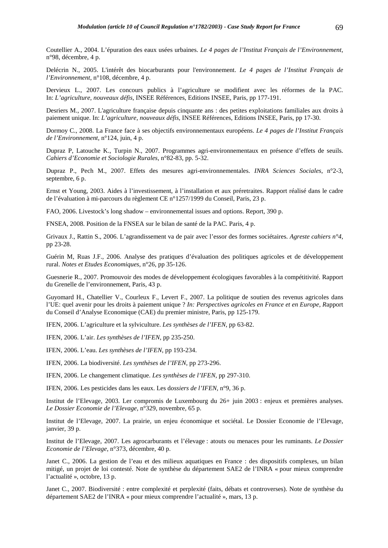Coutellier A., 2004. L'épuration des eaux usées urbaines. *Le 4 pages de l'Institut Français de l'Environnement,*  n°98, décembre, 4 p.

Delécrin N., 2005. L'intérêt des biocarburants pour l'environnement. *Le 4 pages de l'Institut Français de l'Environnement,* n°108, décembre, 4 p.

Dervieux L., 2007. Les concours publics à l'agriculture se modifient avec les réformes de la PAC. In: *L'agriculture, nouveaux défis*, INSEE Références, Editions INSEE, Paris, pp 177-191.

Desriers M., 2007. L'agriculture française depuis cinquante ans : des petites exploitations familiales aux droits à paiement unique. In: *L'agriculture, nouveaux défis*, INSEE Références, Editions INSEE, Paris, pp 17-30.

Dormoy C., 2008. La France face à ses objectifs environnementaux européens. *Le 4 pages de l'Institut Français de l'Environnement*, n°124, juin, 4 p.

Dupraz P, Latouche K., Turpin N., 2007. Programmes agri-environnementaux en présence d'effets de seuils. *Cahiers d'Economie et Sociologie Rurales*, n°82-83, pp. 5-32.

Dupraz P., Pech M., 2007. Effets des mesures agri-environnementales. *INRA Sciences Sociales*, n°2-3, septembre, 6 p.

Ernst et Young, 2003. Aides à l'investissement, à l'installation et aux préretraites. Rapport réalisé dans le cadre de l'évaluation à mi-parcours du règlement CE n°1257/1999 du Conseil, Paris, 23 p.

FAO, 2006. Livestock's long shadow – environnemental issues and options. Report, 390 p.

FNSEA, 2008. Position de la FNSEA sur le bilan de santé de la PAC. Paris, 4 p.

Grivaux J., Rattin S., 2006. L'agrandissement va de pair avec l'essor des formes sociétaires. *Agreste cahiers n°4*, pp 23-28.

Guérin M, Ruas J.F., 2006. Analyse des pratiques d'évaluation des politiques agricoles et de développement rural. *Notes et Etudes Economiques*, n°26, pp 35-126.

Guesnerie R., 2007. Promouvoir des modes de développement écologiques favorables à la compétitivité. Rapport du Grenelle de l'environnement, Paris, 43 p.

Guyomard H., Chatellier V., Courleux F., Levert F., 2007. La politique de soutien des revenus agricoles dans l'UE: quel avenir pour les droits à paiement unique ? *In: Perspectives agricoles en France et en Europe, R*apport du Conseil d'Analyse Economique (CAE) du premier ministre, Paris, pp 125-179.

IFEN, 2006. L'agriculture et la sylviculture. *Les synthèses de l'IFEN*, pp 63-82.

IFEN, 2006. L'air. *Les synthèses de l'IFEN*, pp 235-250.

IFEN, 2006. L'eau. *Les synthèses de l'IFEN*, pp 193-234.

IFEN, 2006. La biodiversité. *Les synthèses de l'IFEN*, pp 273-296.

IFEN, 2006. Le changement climatique. *Les synthèses de l'IFEN*, pp 297-310.

IFEN, 2006. Les pesticides dans les eaux. Les d*ossiers de l'IFEN,* n°9, 36 p.

Institut de l'Elevage, 2003. Ler compromis de Luxembourg du 26+ juin 2003 : enjeux et premières analyses. *Le Dossier Economie de l'Elevage*, n°329, novembre, 65 p.

Institut de l'Elevage, 2007. La prairie, un enjeu économique et sociétal. Le Dossier Economie de l'Elevage, janvier, 39 p.

Institut de l'Elevage, 2007. Les agrocarburants et l'élevage : atouts ou menaces pour les ruminants. *Le Dossier Economie de l'Elevage*, n°373, décembre, 40 p.

Janet C., 2006. La gestion de l'eau et des milieux aquatiques en France : des dispositifs complexes, un bilan mitigé, un projet de loi contesté. Note de synthèse du département SAE2 de l'INRA « pour mieux comprendre l'actualité », octobre, 13 p.

Janet C., 2007. Biodiversité : entre complexité et perplexité (faits, débats et controverses). Note de synthèse du département SAE2 de l'INRA « pour mieux comprendre l'actualité », mars, 13 p.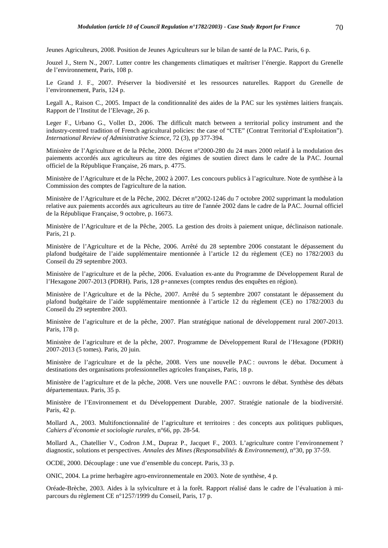Jeunes Agriculteurs, 2008. Position de Jeunes Agriculteurs sur le bilan de santé de la PAC. Paris, 6 p.

Jouzel J., Stern N., 2007. Lutter contre les changements climatiques et maîtriser l'énergie. Rapport du Grenelle de l'environnement, Paris, 108 p.

Le Grand J. F., 2007. Préserver la biodiversité et les ressources naturelles. Rapport du Grenelle de l'environnement, Paris, 124 p.

Legall A., Raison C., 2005. Impact de la conditionnalité des aides de la PAC sur les systèmes laitiers français. Rapport de l'Institut de l'Elevage, 26 p.

Leger F., Urbano G., Vollet D., 2006. The difficult match between a territorial policy instrument and the industry-centred tradition of French agricultural policies: the case of "CTE" (Contrat Territorial d'Exploitation"). *International Review of Administrative Science*, 72 (3), pp 377-394.

Ministère de l'Agriculture et de la Pêche, 2000. Décret n°2000-280 du 24 mars 2000 relatif à la modulation des paiements accordés aux agriculteurs au titre des régimes de soutien direct dans le cadre de la PAC. Journal officiel de la République Française, 26 mars, p. 4775.

Ministère de l'Agriculture et de la Pêche, 2002 à 2007. Les concours publics à l'agriculture. Note de synthèse à la Commission des comptes de l'agriculture de la nation.

Ministère de l'Agriculture et de la Pêche, 2002. Décret n°2002-1246 du 7 octobre 2002 supprimant la modulation relative aux paiements accordés aux agriculteurs au titre de l'année 2002 dans le cadre de la PAC. Journal officiel de la République Française, 9 octobre, p. 16673.

Ministère de l'Agriculture et de la Pêche, 2005. La gestion des droits à paiement unique, déclinaison nationale. Paris, 21 p.

Ministère de l'Agriculture et de la Pêche, 2006. Arrêté du 28 septembre 2006 constatant le dépassement du plafond budgétaire de l'aide supplémentaire mentionnée à l'article 12 du règlement (CE) no 1782/2003 du Conseil du 29 septembre 2003.

Ministère de l'agriculture et de la pêche, 2006. Evaluation ex-ante du Programme de Développement Rural de l'Hexagone 2007-2013 (PDRH). Paris, 128 p+annexes (comptes rendus des enquêtes en région).

Ministère de l'Agriculture et de la Pêche, 2007. Arrêté du 5 septembre 2007 constatant le dépassement du plafond budgétaire de l'aide supplémentaire mentionnée à l'article 12 du règlement (CE) no 1782/2003 du Conseil du 29 septembre 2003.

Ministère de l'agriculture et de la pêche, 2007. Plan stratégique national de développement rural 2007-2013. Paris, 178 p.

Ministère de l'agriculture et de la pêche, 2007. Programme de Développement Rural de l'Hexagone (PDRH) 2007-2013 (5 tomes). Paris, 20 juin.

Ministère de l'agriculture et de la pêche, 2008. Vers une nouvelle PAC : ouvrons le débat. Document à destinations des organisations professionnelles agricoles françaises, Paris, 18 p.

Ministère de l'agriculture et de la pêche, 2008. Vers une nouvelle PAC : ouvrons le débat. Synthèse des débats départementaux. Paris, 35 p.

Ministère de l'Environnement et du Développement Durable, 2007. Stratégie nationale de la biodiversité. Paris, 42 p.

Mollard A., 2003. Multifonctionnalité de l'agriculture et territoires : des concepts aux politiques publiques, *Cahiers d'économie et sociologie rurales,* n°66, pp. 28-54.

Mollard A., Chatellier V., Codron J.M., Dupraz P., Jacquet F., 2003. L'agriculture contre l'environnement ? diagnostic, solutions et perspectives. *Annales des Mines (Responsabilités & Environnement)*, n°30, pp 37-59.

OCDE, 2000. Découplage : une vue d'ensemble du concept. Paris, 33 p.

ONIC, 2004. La prime herbagère agro-environnementale en 2003. Note de synthèse, 4 p.

Oréade-Brèche, 2003. Aides à la sylviculture et à la forêt. Rapport réalisé dans le cadre de l'évaluation à miparcours du règlement CE n°1257/1999 du Conseil, Paris, 17 p.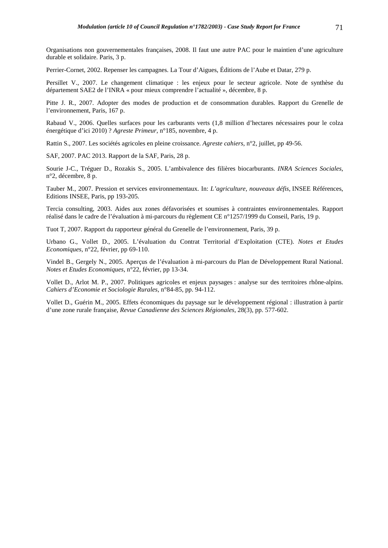Organisations non gouvernementales françaises, 2008. Il faut une autre PAC pour le maintien d'une agriculture durable et solidaire. Paris, 3 p.

Perrier-Cornet, 2002. Repenser les campagnes. La Tour d'Aigues, Éditions de l'Aube et Datar, 279 p.

Persillet V., 2007. Le changement climatique : les enjeux pour le secteur agricole. Note de synthèse du département SAE2 de l'INRA « pour mieux comprendre l'actualité », décembre, 8 p.

Pitte J. R., 2007. Adopter des modes de production et de consommation durables. Rapport du Grenelle de l'environnement, Paris, 167 p.

Rabaud V., 2006. Quelles surfaces pour les carburants verts (1,8 million d'hectares nécessaires pour le colza énergétique d'ici 2010) ? *Agreste Primeur*, n°185, novembre, 4 p.

Rattin S., 2007. Les sociétés agricoles en pleine croissance. *Agreste cahiers*, n°2, juillet, pp 49-56.

SAF, 2007. PAC 2013. Rapport de la SAF, Paris, 28 p.

Sourie J-C., Tréguer D., Rozakis S., 2005. L'ambivalence des filières biocarburants. *INRA Sciences Sociales*, n°2, décembre, 8 p.

Tauber M., 2007. Pression et services environnementaux. In: *L'agriculture, nouveaux défis*, INSEE Références, Editions INSEE, Paris, pp 193-205.

Tercia consulting, 2003. Aides aux zones défavorisées et soumises à contraintes environnementales. Rapport réalisé dans le cadre de l'évaluation à mi-parcours du règlement CE n°1257/1999 du Conseil, Paris, 19 p.

Tuot T, 2007. Rapport du rapporteur général du Grenelle de l'environnement, Paris, 39 p.

Urbano G., Vollet D., 2005. L'évaluation du Contrat Territorial d'Exploitation (CTE). *Notes et Etudes Economiques*, n°22, février, pp 69-110.

Vindel B., Gergely N., 2005. Aperçus de l'évaluation à mi-parcours du Plan de Développement Rural National. *Notes et Etudes Economiques*, n°22, février, pp 13-34.

Vollet D., Arlot M. P., 2007. Politiques agricoles et enjeux paysages : analyse sur des territoires rhône-alpins. *Cahiers d'Economie et Sociologie Rurales*, n°84-85, pp. 94-112.

Vollet D., Guérin M., 2005. Effets économiques du paysage sur le développement régional : illustration à partir d'une zone rurale française, *Revue Canadienne des Sciences Régionales*, 28(3), pp. 577-602.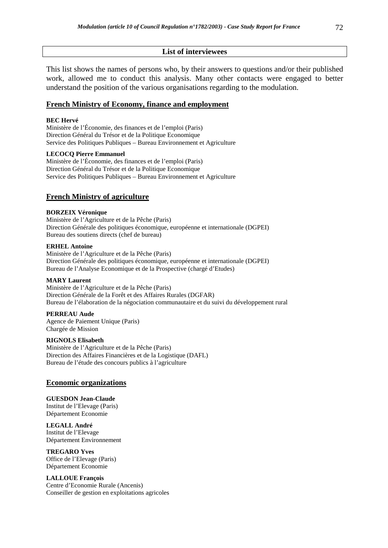## **List of interviewees**

This list shows the names of persons who, by their answers to questions and/or their published work, allowed me to conduct this analysis. Many other contacts were engaged to better understand the position of the various organisations regarding to the modulation.

# **French Ministry of Economy, finance and employment**

### **BEC Hervé**

Ministère de l'Économie, des finances et de l'emploi (Paris) Direction Général du Trésor et de la Politique Economique Service des Politiques Publiques – Bureau Environnement et Agriculture

## **LECOCQ Pierre Emmanuel**

Ministère de l'Économie, des finances et de l'emploi (Paris) Direction Général du Trésor et de la Politique Economique Service des Politiques Publiques – Bureau Environnement et Agriculture

# **French Ministry of agriculture**

### **BORZEIX Véronique**

Ministère de l'Agriculture et de la Pêche (Paris) Direction Générale des politiques économique, européenne et internationale (DGPEI) Bureau des soutiens directs (chef de bureau)

#### **ERHEL Antoine**

Ministère de l'Agriculture et de la Pêche (Paris) Direction Générale des politiques économique, européenne et internationale (DGPEI) Bureau de l'Analyse Economique et de la Prospective (chargé d'Etudes)

### **MARY Laurent**

Ministère de l'Agriculture et de la Pêche (Paris) Direction Générale de la Forêt et des Affaires Rurales (DGFAR) Bureau de l'élaboration de la négociation communautaire et du suivi du développement rural

### **PERREAU Aude**

Agence de Paiement Unique (Paris) Chargée de Mission

### **RIGNOLS Elisabeth**

Ministère de l'Agriculture et de la Pêche (Paris) Direction des Affaires Financières et de la Logistique (DAFL) Bureau de l'étude des concours publics à l'agriculture

### **Economic organizations**

#### **GUESDON Jean-Claude**

Institut de l'Elevage (Paris) Département Economie

**LEGALL André**  Institut de l'Elevage Département Environnement

**TREGARO Yves**  Office de l'Elevage (Paris) Département Economie

### **LALLOUE François**

Centre d'Economie Rurale (Ancenis) Conseiller de gestion en exploitations agricoles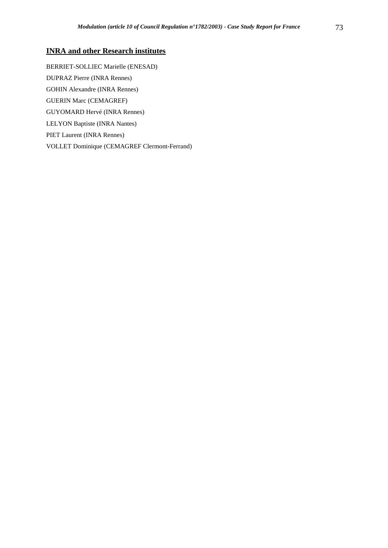# **INRA and other Research institutes**

BERRIET-SOLLIEC Marielle (ENESAD) DUPRAZ Pierre (INRA Rennes) GOHIN Alexandre (INRA Rennes) GUERIN Marc (CEMAGREF) GUYOMARD Hervé (INRA Rennes) LELYON Baptiste (INRA Nantes) PIET Laurent (INRA Rennes) VOLLET Dominique (CEMAGREF Clermont-Ferrand)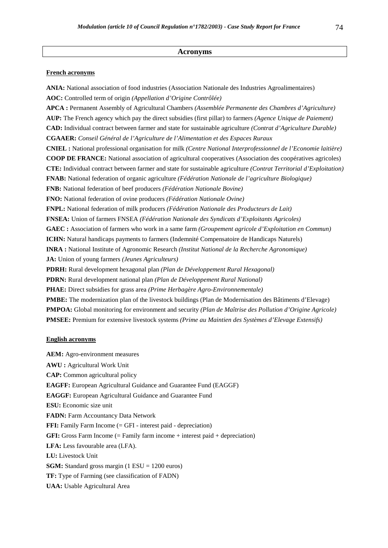#### **Acronyms**

#### **French acronyms**

**ANIA:** National association of food industries (Association Nationale des Industries Agroalimentaires) **AOC:** Controlled term of origin *(Appellation d'Origine Contrôlée)* **APCA :** Permanent Assembly of Agricultural Chambers *(Assemblée Permanente des Chambres d'Agriculture)* **AUP:** The French agency which pay the direct subsidies (first pillar) to farmers *(Agence Unique de Paiement)*  **CAD:** Individual contract between farmer and state for sustainable agriculture *(Contrat d'Agriculture Durable)* **CGAAER:** *Conseil Général de l'Agriculture de l'Alimentation et des Espaces Ruraux*  **CNIEL :** National professional organisation for milk *(Centre National Interprofessionnel de l'Economie laitière)* **COOP DE FRANCE:** National association of agricultural cooperatives (Association des coopératives agricoles) **CTE:** Individual contract between farmer and state for sustainable agriculture *(Contrat Territorial d'Exploitation)*  **FNAB:** National federation of organic agriculture *(Fédération Nationale de l'agriculture Biologique)* **FNB:** National federation of beef producers *(Fédération Nationale Bovine)*  **FNO:** National federation of ovine producers *(Fédération Nationale Ovine)*  **FNPL:** National federation of milk producers *(Fédération Nationale des Producteurs de Lait)* **FNSEA:** Union of farmers FNSEA *(Fédération Nationale des Syndicats d'Exploitants Agricoles)* **GAEC :** Association of farmers who work in a same farm *(Groupement agricole d'Exploitation en Commun)*  **ICHN:** Natural handicaps payments to farmers (Indemnité Compensatoire de Handicaps Naturels) **INRA :** National Institute of Agronomic Research *(Institut National de la Recherche Agronomique)* **JA:** Union of young farmers *(Jeunes Agriculteurs)*  **PDRH:** Rural development hexagonal plan *(Plan de Développement Rural Hexagonal)*  **PDRN:** Rural development national plan *(Plan de Développement Rural National)*  **PHAE:** Direct subsidies for grass area *(Prime Herbagère Agro-Environnementale)*  **PMBE:** The modernization plan of the livestock buildings (Plan de Modernisation des Bâtiments d'Elevage) **PMPOA:** Global monitoring for environment and security *(Plan de Maîtrise des Pollution d'Origine Agricole)* **PMSEE:** Premium for extensive livestock systems *(Prime au Maintien des Systèmes d'Elevage Extensifs)* 

#### **English acronyms**

**AEM:** Agro-environment measures **AWU :** Agricultural Work Unit **CAP:** Common agricultural policy **EAGFF:** European Agricultural Guidance and Guarantee Fund (EAGGF) **EAGGF:** European Agricultural Guidance and Guarantee Fund **ESU:** Economic size unit **FADN:** Farm Accountancy Data Network **FFI:** Family Farm Income (= GFI - interest paid - depreciation) **GFI:** Gross Farm Income  $(=$  Family farm income  $+$  interest paid  $+$  depreciation) **LFA:** Less favourable area (LFA). **LU:** Livestock Unit **SGM:** Standard gross margin (1 ESU = 1200 euros) **TF:** Type of Farming (see classification of FADN) **UAA:** Usable Agricultural Area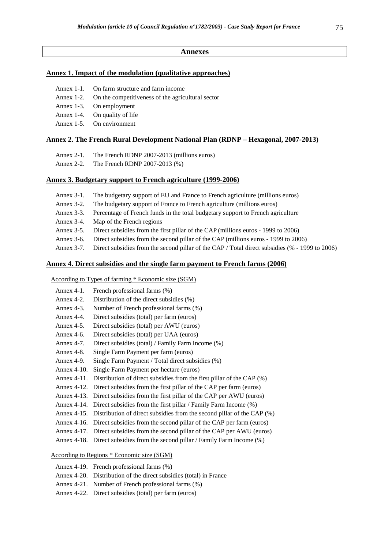#### **Annexes**

#### **Annex 1. Impact of the modulation (qualitative approaches)**

- Annex 1-1. On farm structure and farm income
- Annex 1-2. On the competitiveness of the agricultural sector
- Annex 1-3. On employment
- Annex 1-4. On quality of life
- Annex 1-5. On environment

#### **Annex 2. The French Rural Development National Plan (RDNP – Hexagonal, 2007-2013)**

- Annex 2-1. The French RDNP 2007-2013 (millions euros)
- Annex 2-2. The French RDNP 2007-2013 (%)

#### **Annex 3. Budgetary support to French agriculture (1999-2006)**

- Annex 3-1. The budgetary support of EU and France to French agriculture (millions euros)
- Annex 3-2. The budgetary support of France to French agriculture (millions euros)
- Annex 3-3. Percentage of French funds in the total budgetary support to French agriculture
- Annex 3-4. Map of the French regions
- Annex 3-5. Direct subsidies from the first pillar of the CAP (millions euros 1999 to 2006)
- Annex 3-6. Direct subsidies from the second pillar of the CAP (millions euros 1999 to 2006)
- Annex 3-7. Direct subsidies from the second pillar of the CAP / Total direct subsidies (% 1999 to 2006)

#### **Annex 4. Direct subsidies and the single farm payment to French farms (2006)**

According to Types of farming \* Economic size (SGM)

- Annex 4-1. French professional farms (%)
- Annex 4-2. Distribution of the direct subsidies (%)
- Annex 4-3. Number of French professional farms (%)
- Annex 4-4. Direct subsidies (total) per farm (euros)
- Annex 4-5. Direct subsidies (total) per AWU (euros)
- Annex 4-6. Direct subsidies (total) per UAA (euros)
- Annex 4-7. Direct subsidies (total) / Family Farm Income (%)
- Annex 4-8. Single Farm Payment per farm (euros)
- Annex 4-9. Single Farm Payment / Total direct subsidies (%)
- Annex 4-10. Single Farm Payment per hectare (euros)
- Annex 4-11. Distribution of direct subsidies from the first pillar of the CAP (%)
- Annex 4-12. Direct subsidies from the first pillar of the CAP per farm (euros)
- Annex 4-13. Direct subsidies from the first pillar of the CAP per AWU (euros)
- Annex 4-14. Direct subsidies from the first pillar / Family Farm Income (%)
- Annex 4-15. Distribution of direct subsidies from the second pillar of the CAP (%)
- Annex 4-16. Direct subsidies from the second pillar of the CAP per farm (euros)
- Annex 4-17. Direct subsidies from the second pillar of the CAP per AWU (euros)
- Annex 4-18. Direct subsidies from the second pillar / Family Farm Income (%)

## According to Regions \* Economic size (SGM)

- Annex 4-19. French professional farms (%)
- Annex 4-20. Distribution of the direct subsidies (total) in France
- Annex 4-21. Number of French professional farms (%)
- Annex 4-22. Direct subsidies (total) per farm (euros)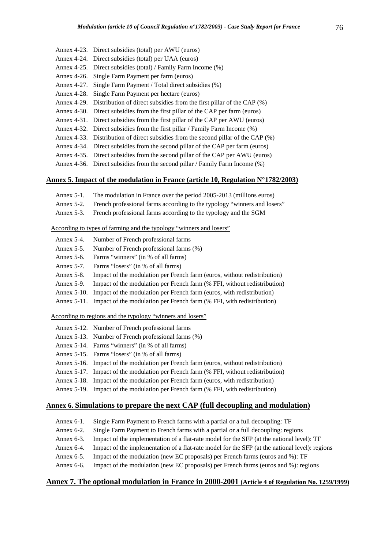- Annex 4-23. Direct subsidies (total) per AWU (euros)
- Annex 4-24. Direct subsidies (total) per UAA (euros)
- Annex 4-25. Direct subsidies (total) / Family Farm Income (%)
- Annex 4-26. Single Farm Payment per farm (euros)
- Annex 4-27. Single Farm Payment / Total direct subsidies (%)
- Annex 4-28. Single Farm Payment per hectare (euros)
- Annex 4-29. Distribution of direct subsidies from the first pillar of the CAP (%)
- Annex 4-30. Direct subsidies from the first pillar of the CAP per farm (euros)
- Annex 4-31. Direct subsidies from the first pillar of the CAP per AWU (euros)
- Annex 4-32. Direct subsidies from the first pillar / Family Farm Income (%)
- Annex 4-33. Distribution of direct subsidies from the second pillar of the CAP (%)
- Annex 4-34. Direct subsidies from the second pillar of the CAP per farm (euros)
- Annex 4-35. Direct subsidies from the second pillar of the CAP per AWU (euros)

Annex 4-36. Direct subsidies from the second pillar / Family Farm Income (%)

#### **Annex 5. Impact of the modulation in France (article 10, Regulation N°1782/2003)**

- Annex 5-1. The modulation in France over the period 2005-2013 (millions euros)
- Annex 5-2. French professional farms according to the typology "winners and losers"
- Annex 5-3. French professional farms according to the typology and the SGM

#### According to types of farming and the typology "winners and losers"

- Annex 5-4. Number of French professional farms
- Annex 5-5. Number of French professional farms (%)
- Annex 5-6. Farms "winners" (in % of all farms)
- Annex 5-7. Farms "losers" (in % of all farms)
- Annex 5-8. Impact of the modulation per French farm (euros, without redistribution)
- Annex 5-9. Impact of the modulation per French farm (% FFI, without redistribution)
- Annex 5-10. Impact of the modulation per French farm (euros, with redistribution)
- Annex 5-11. Impact of the modulation per French farm (% FFI, with redistribution)

# According to regions and the typology "winners and losers"

- Annex 5-12. Number of French professional farms
- Annex 5-13. Number of French professional farms (%)
- Annex 5-14. Farms "winners" (in % of all farms)
- Annex 5-15. Farms "losers" (in % of all farms)
- Annex 5-16. Impact of the modulation per French farm (euros, without redistribution)
- Annex 5-17. Impact of the modulation per French farm (% FFI, without redistribution)
- Annex 5-18. Impact of the modulation per French farm (euros, with redistribution)
- Annex 5-19. Impact of the modulation per French farm (% FFI, with redistribution)

#### **Annex 6. Simulations to prepare the next CAP (full decoupling and modulation)**

- Annex 6-1. Single Farm Payment to French farms with a partial or a full decoupling: TF
- Annex 6-2. Single Farm Payment to French farms with a partial or a full decoupling: regions
- Annex 6-3. Impact of the implementation of a flat-rate model for the SFP (at the national level): TF
- Annex 6-4. Impact of the implementation of a flat-rate model for the SFP (at the national level): regions
- Annex 6-5. Impact of the modulation (new EC proposals) per French farms (euros and %): TF
- Annex 6-6. Impact of the modulation (new EC proposals) per French farms (euros and %): regions

#### **Annex 7. The optional modulation in France in 2000-2001 (Article 4 of Regulation No. 1259/1999)**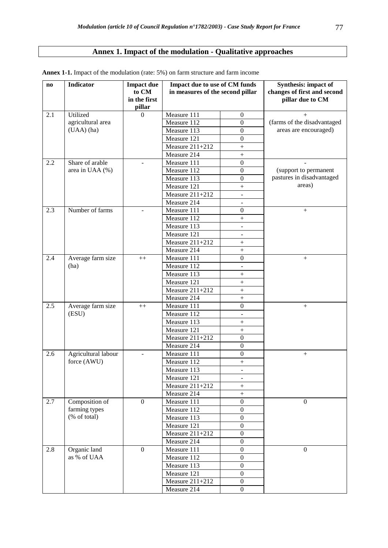# **Annex 1. Impact of the modulation - Qualitative approaches**

| $\bf{no}$ | <b>Indicator</b>    | <b>Impact due</b>        | Impact due to use of CM funds    |                               | <b>Synthesis:</b> impact of |
|-----------|---------------------|--------------------------|----------------------------------|-------------------------------|-----------------------------|
|           |                     | to CM                    | in measures of the second pillar |                               | changes of first and second |
|           |                     | in the first             |                                  |                               | pillar due to CM            |
|           |                     | pillar                   |                                  |                               |                             |
| 2.1       | Utilized            | $\Omega$                 | Measure 111                      | $\boldsymbol{0}$              | $^{+}$                      |
|           | agricultural area   |                          | Measure 112                      | $\boldsymbol{0}$              | (farms of the disadvantaged |
|           | (UAA) (ha)          |                          | Measure 113                      | $\boldsymbol{0}$              | areas are encouraged)       |
|           |                     |                          | Measure 121                      | $\boldsymbol{0}$              |                             |
|           |                     |                          | Measure $211+212$                | $\ddot{}$                     |                             |
|           |                     |                          | Measure 214                      | $^{+}$                        |                             |
| 2.2       | Share of arable     | $\blacksquare$           | Measure 111                      | $\boldsymbol{0}$              |                             |
|           | area in UAA (%)     |                          | Measure 112                      | $\boldsymbol{0}$              | (support to permanent       |
|           |                     |                          | Measure 113                      | $\boldsymbol{0}$              | pastures in disadvantaged   |
|           |                     |                          | Measure 121                      | $^{+}$                        | areas)                      |
|           |                     |                          | Measure 211+212                  | $\overline{\phantom{a}}$      |                             |
|           |                     |                          | Measure 214                      |                               |                             |
| 2.3       | Number of farms     |                          | Measure 111                      | $\boldsymbol{0}$              | $^{+}$                      |
|           |                     |                          | Measure 112                      | $^{+}$                        |                             |
|           |                     |                          | Measure 113                      | $\overline{a}$                |                             |
|           |                     |                          | Measure 121                      | $\overline{\phantom{0}}$      |                             |
|           |                     |                          | Measure $211+212$                | $\ddot{}$                     |                             |
|           |                     |                          | Measure 214                      | $\ddot{}$                     |                             |
| 2.4       | Average farm size   | $++$                     | Measure 111                      | $\boldsymbol{0}$              | $^{+}$                      |
|           | (ha)                |                          | Measure 112                      | $\overline{a}$                |                             |
|           |                     |                          | Measure 113                      | $^{+}$                        |                             |
|           |                     |                          | Measure 121                      | $^{+}$                        |                             |
|           |                     |                          | Measure 211+212                  | $\ddot{}$                     |                             |
|           |                     |                          | Measure 214                      | $\ddot{}$                     |                             |
| 2.5       | Average farm size   | $++$                     | Measure 111                      | $\boldsymbol{0}$              | $^{+}$                      |
|           | (ESU)               |                          | Measure 112                      | $\overline{a}$                |                             |
|           |                     |                          | Measure 113                      | $^{+}$                        |                             |
|           |                     |                          | Measure $121$                    | $\! + \!$<br>$\boldsymbol{0}$ |                             |
|           |                     |                          | Measure $211+212$<br>Measure 214 | $\mathbf{0}$                  |                             |
| 2.6       | Agricultural labour |                          | Measure 111                      | $\mathbf{0}$                  |                             |
|           | force (AWU)         | $\overline{\phantom{a}}$ | Measure 112                      |                               | $^{+}$                      |
|           |                     |                          | Measure 113                      | $^{+}$                        |                             |
|           |                     |                          | Measure 121                      |                               |                             |
|           |                     |                          | Measure 211+212                  | $^{+}$                        |                             |
|           |                     |                          | Measure 214                      | $\ddot{}$                     |                             |
| 2.7       | Composition of      | $\boldsymbol{0}$         | Measure 111                      | $\overline{0}$                | $\mathbf{0}$                |
|           | farming types       |                          | Measure 112                      | $\overline{0}$                |                             |
|           | (% of total)        |                          | Measure 113                      | $\boldsymbol{0}$              |                             |
|           |                     |                          | Measure 121                      | $\mathbf{0}$                  |                             |
|           |                     |                          | Measure $211+212$                | $\mathbf{0}$                  |                             |
|           |                     |                          | Measure 214                      | $\mathbf{0}$                  |                             |
| 2.8       | Organic land        | $\mathbf{0}$             | Measure 111                      | $\mathbf{0}$                  | $\boldsymbol{0}$            |
|           | as % of UAA         |                          | Measure 112                      | $\boldsymbol{0}$              |                             |
|           |                     |                          | Measure 113                      | $\boldsymbol{0}$              |                             |
|           |                     |                          | Measure 121                      | $\boldsymbol{0}$              |                             |
|           |                     |                          | Measure $211+212$                | $\boldsymbol{0}$              |                             |
|           |                     |                          | Measure 214                      | $\mathbf{0}$                  |                             |

**Annex 1-1.** Impact of the modulation (rate: 5%) on farm structure and farm income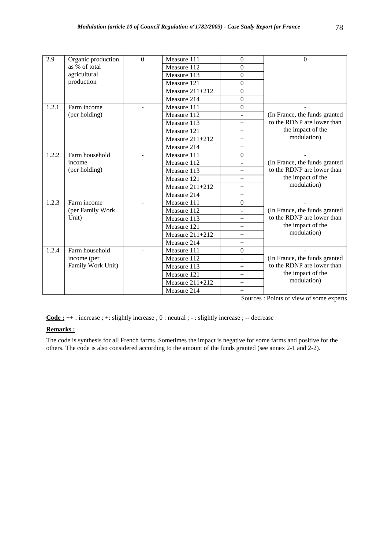| 2.9   | Organic production | $\Omega$ | Measure 111       | $\Omega$                 | $\theta$                      |
|-------|--------------------|----------|-------------------|--------------------------|-------------------------------|
|       | as % of total      |          | Measure 112       | $\boldsymbol{0}$         |                               |
|       | agricultural       |          | Measure 113       | $\overline{0}$           |                               |
|       | production         |          | Measure 121       | $\mathbf{0}$             |                               |
|       |                    |          | Measure $211+212$ | $\Omega$                 |                               |
|       |                    |          | Measure 214       | $\boldsymbol{0}$         |                               |
| 1.2.1 | Farm income        |          | Measure 111       | $\boldsymbol{0}$         |                               |
|       | (per holding)      |          | Measure 112       |                          | (In France, the funds granted |
|       |                    |          | Measure 113       | $+$                      | to the RDNP are lower than    |
|       |                    |          | Measure 121       | $+$                      | the impact of the             |
|       |                    |          | Measure 211+212   | $+$                      | modulation)                   |
|       |                    |          | Measure 214       | $^{+}$                   |                               |
| 1.2.2 | Farm household     |          | Measure 111       | $\mathbf{0}$             |                               |
|       | income             |          | Measure 112       | $\overline{\phantom{0}}$ | (In France, the funds granted |
|       | (per holding)      |          | Measure 113       | $+$                      | to the RDNP are lower than    |
|       |                    |          | Measure 121       | $\ddot{}$                | the impact of the             |
|       |                    |          | Measure $211+212$ | $\ddot{}$                | modulation)                   |
|       |                    |          | Measure 214       | $\ddot{}$                |                               |
| 1.2.3 | Farm income        |          | Measure 111       | $\boldsymbol{0}$         |                               |
|       | (per Family Work)  |          | Measure 112       | L.                       | (In France, the funds granted |
|       | Unit)              |          | Measure 113       | $^{+}$                   | to the RDNP are lower than    |
|       |                    |          | Measure 121       | $^{+}$                   | the impact of the             |
|       |                    |          | Measure 211+212   | $^{+}$                   | modulation)                   |
|       |                    |          | Measure 214       | $+$                      |                               |
| 1.2.4 | Farm household     |          | Measure 111       | $\Omega$                 |                               |
|       | income (per        |          | Measure 112       | $\overline{a}$           | (In France, the funds granted |
|       | Family Work Unit)  |          | Measure 113       | $+$                      | to the RDNP are lower than    |
|       |                    |          | Measure 121       | $^{+}$                   | the impact of the             |
|       |                    |          | Measure 211+212   | $\ddot{}$                | modulation)                   |
|       |                    |          | Measure 214       | $+$                      |                               |

**Code :** ++ : increase ; +: slightly increase ; 0 : neutral ; - : slightly increase ; -- decrease

### **Remarks :**

The code is synthesis for all French farms. Sometimes the impact is negative for some farms and positive for the others. The code is also considered according to the amount of the funds granted (see annex 2-1 and 2-2).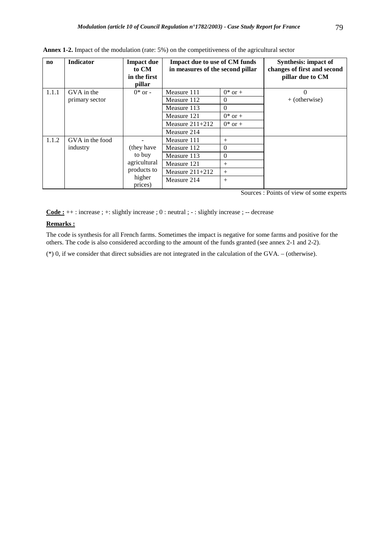| $\mathbf{n}\mathbf{o}$ | Indicator       | <b>Impact due</b><br>to CM<br>in the first<br>pillar | Impact due to use of CM funds<br>in measures of the second pillar |              | <b>Synthesis: impact of</b><br>changes of first and second<br>pillar due to CM |
|------------------------|-----------------|------------------------------------------------------|-------------------------------------------------------------------|--------------|--------------------------------------------------------------------------------|
| 1.1.1                  | GVA in the      | $0^*$ or -                                           | Measure 111                                                       | $0^*$ or $+$ | $\theta$                                                                       |
|                        | primary sector  |                                                      | Measure 112                                                       | $\Omega$     | $+$ (otherwise)                                                                |
|                        |                 |                                                      | Measure 113                                                       | $\Omega$     |                                                                                |
|                        |                 |                                                      | Measure 121                                                       | $0^*$ or $+$ |                                                                                |
|                        |                 |                                                      | Measure $211+212$                                                 | $0^*$ or $+$ |                                                                                |
|                        |                 |                                                      | Measure 214                                                       |              |                                                                                |
| 1.1.2                  | GVA in the food |                                                      | Measure 111                                                       | $^{+}$       |                                                                                |
|                        | industry        | (they have                                           | Measure 112                                                       | $\Omega$     |                                                                                |
|                        |                 | to buy                                               | Measure 113                                                       | $\Omega$     |                                                                                |
|                        |                 | agricultural                                         | Measure 121                                                       | $^{+}$       |                                                                                |
|                        |                 | products to                                          | Measure $211+212$                                                 | $^{+}$       |                                                                                |
|                        |                 | higher<br>prices)                                    | Measure 214                                                       | $^{+}$       |                                                                                |

**Annex 1-2.** Impact of the modulation (rate: 5%) on the competitiveness of the agricultural sector

**Code :** ++ : increase ; +: slightly increase ; 0 : neutral ; - : slightly increase ; -- decrease

## **Remarks :**

The code is synthesis for all French farms. Sometimes the impact is negative for some farms and positive for the others. The code is also considered according to the amount of the funds granted (see annex 2-1 and 2-2).

(\*) 0, if we consider that direct subsidies are not integrated in the calculation of the GVA. – (otherwise).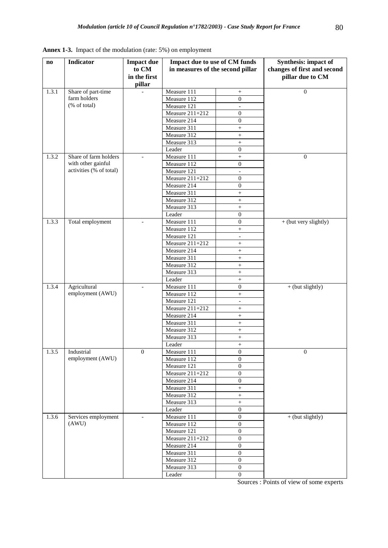| $\mathbf{n}\mathbf{o}$ | <b>Indicator</b>                            | <b>Impact due</b>        | Impact due to use of CM funds    |                                              | <b>Synthesis:</b> impact of |
|------------------------|---------------------------------------------|--------------------------|----------------------------------|----------------------------------------------|-----------------------------|
|                        |                                             | to CM                    | in measures of the second pillar |                                              | changes of first and second |
|                        |                                             | in the first             |                                  |                                              | pillar due to CM            |
|                        |                                             | pillar                   |                                  |                                              |                             |
| 1.3.1                  | Share of part-time                          |                          | Measure 111                      | $\! + \!\!\!\!$                              | $\overline{0}$              |
|                        | farm holders                                |                          | Measure 112                      | $\mathbf{0}$                                 |                             |
|                        | (% of total)                                |                          | Measure 121                      | $\overline{\phantom{a}}$                     |                             |
|                        |                                             |                          | Measure 211+212                  | $\boldsymbol{0}$                             |                             |
|                        |                                             |                          | Measure 214                      | $\boldsymbol{0}$                             |                             |
|                        |                                             |                          | Measure 311                      | $^{+}$                                       |                             |
|                        |                                             |                          | Measure 312                      | $^+$                                         |                             |
|                        |                                             |                          | Measure 313                      | $^{+}$                                       |                             |
| 1.3.2                  |                                             |                          | Leader<br>Measure 111            | $\boldsymbol{0}$                             | $\mathbf{0}$                |
|                        | Share of farm holders<br>with other gainful | $\overline{a}$           | Measure 112                      | $\boldsymbol{+}$<br>$\boldsymbol{0}$         |                             |
|                        | activities (% of total)                     |                          | Measure 121                      |                                              |                             |
|                        |                                             |                          | Measure 211+212                  | $\overline{\phantom{a}}$<br>$\boldsymbol{0}$ |                             |
|                        |                                             |                          | Measure 214                      | $\boldsymbol{0}$                             |                             |
|                        |                                             |                          | Measure 311                      | $^{+}$                                       |                             |
|                        |                                             |                          | Measure 312                      | $\ddot{}$                                    |                             |
|                        |                                             |                          | Measure 313                      | $\boldsymbol{+}$                             |                             |
|                        |                                             |                          | Leader                           | $\mathbf{0}$                                 |                             |
| 1.3.3                  | Total employment                            | $\blacksquare$           | Measure 111                      | $\boldsymbol{0}$                             | + (but very slightly)       |
|                        |                                             |                          | Measure 112                      | $^{+}$                                       |                             |
|                        |                                             |                          | Measure 121                      | $\frac{1}{2}$                                |                             |
|                        |                                             |                          | Measure 211+212                  | $\! + \!\!\!\!$                              |                             |
|                        |                                             |                          | Measure 214                      | $\ddot{}$                                    |                             |
|                        |                                             |                          | Measure 311                      | $\! + \!\!\!\!$                              |                             |
|                        |                                             |                          | Measure 312                      | $^{+}$                                       |                             |
|                        |                                             |                          | Measure 313                      | $^{+}$                                       |                             |
|                        |                                             |                          | Leader                           | $^+$                                         |                             |
| 1.3.4                  | Agricultural                                |                          | Measure 111                      | $\boldsymbol{0}$                             | $+$ (but slightly)          |
|                        | employment (AWU)                            |                          | Measure 112                      | $^{+}$                                       |                             |
|                        |                                             |                          | Measure 121                      | $\equiv$                                     |                             |
|                        |                                             |                          | Measure 211+212                  | $\begin{array}{c} + \end{array}$             |                             |
|                        |                                             |                          | Measure 214                      | $^{+}$                                       |                             |
|                        |                                             |                          | Measure 311                      | $^{+}$                                       |                             |
|                        |                                             |                          | Measure 312                      | $^+$                                         |                             |
|                        |                                             |                          | Measure 313                      | $^{+}$                                       |                             |
|                        |                                             |                          | Leader                           | $\qquad \qquad +$                            |                             |
| 1.3.5                  | Industrial                                  | $\boldsymbol{0}$         | Measure 111                      | $\mathbf{0}$                                 | $\mathbf{0}$                |
|                        | employment (AWU)                            |                          | Measure 112                      | $\boldsymbol{0}$                             |                             |
|                        |                                             |                          | Measure 121                      | 0                                            |                             |
|                        |                                             |                          | Measure 211+212                  | $\boldsymbol{0}$                             |                             |
|                        |                                             |                          | Measure 214                      | $\overline{0}$                               |                             |
|                        |                                             |                          | Measure 311                      | $^{+}$                                       |                             |
|                        |                                             |                          | Measure 312<br>Measure 313       | $^{+}$                                       |                             |
|                        |                                             |                          | Leader                           | $^{+}$<br>$\mathbf{0}$                       |                             |
| 1.3.6                  | Services employment                         | $\overline{\phantom{a}}$ | Measure 111                      | $\boldsymbol{0}$                             | $+($ but slightly $)$       |
|                        | (AWU)                                       |                          | Measure 112                      | $\boldsymbol{0}$                             |                             |
|                        |                                             |                          | Measure 121                      | $\boldsymbol{0}$                             |                             |
|                        |                                             |                          | Measure 211+212                  | $\boldsymbol{0}$                             |                             |
|                        |                                             |                          | Measure 214                      | $\boldsymbol{0}$                             |                             |
|                        |                                             |                          | Measure 311                      | $\boldsymbol{0}$                             |                             |
|                        |                                             |                          | Measure 312                      | $\overline{0}$                               |                             |
|                        |                                             |                          | Measure 313                      | $\boldsymbol{0}$                             |                             |
|                        |                                             |                          | Leader                           | $\boldsymbol{0}$                             |                             |

**Annex 1-3.** Impact of the modulation (rate: 5%) on employment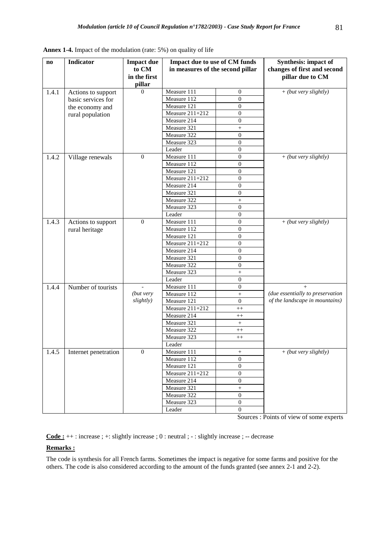| $\bf{no}$ | <b>Indicator</b>     | <b>Impact due</b><br>to CM<br>in the first<br>pillar | Impact due to use of CM funds<br>in measures of the second pillar |                  | <b>Synthesis: impact of</b><br>changes of first and second<br>pillar due to CM |
|-----------|----------------------|------------------------------------------------------|-------------------------------------------------------------------|------------------|--------------------------------------------------------------------------------|
| 1.4.1     | Actions to support   | $\Omega$                                             | Measure 111                                                       | $\mathbf{0}$     | $+(but very slightly)$                                                         |
|           | basic services for   |                                                      | Measure 112                                                       | $\theta$         |                                                                                |
|           | the economy and      |                                                      | Measure 121                                                       | $\boldsymbol{0}$ |                                                                                |
|           | rural population     |                                                      | Measure 211+212                                                   | $\boldsymbol{0}$ |                                                                                |
|           |                      |                                                      | Measure 214                                                       | $\boldsymbol{0}$ |                                                                                |
|           |                      |                                                      | Measure 321                                                       | $\ddot{}$        |                                                                                |
|           |                      |                                                      | Measure 322                                                       | $\boldsymbol{0}$ |                                                                                |
|           |                      |                                                      | Measure 323                                                       | $\boldsymbol{0}$ |                                                                                |
|           |                      |                                                      | Leader                                                            | $\boldsymbol{0}$ |                                                                                |
| 1.4.2     | Village renewals     | $\boldsymbol{0}$                                     | Measure 111                                                       | $\boldsymbol{0}$ | $+$ (but very slightly)                                                        |
|           |                      |                                                      | Measure 112                                                       | $\boldsymbol{0}$ |                                                                                |
|           |                      |                                                      | Measure 121                                                       | $\overline{0}$   |                                                                                |
|           |                      |                                                      | Measure 211+212                                                   | $\boldsymbol{0}$ |                                                                                |
|           |                      |                                                      | Measure 214                                                       | $\boldsymbol{0}$ |                                                                                |
|           |                      |                                                      | Measure 321                                                       | $\mathbf{0}$     |                                                                                |
|           |                      |                                                      | Measure 322                                                       | $^{+}$           |                                                                                |
|           |                      |                                                      | Measure 323                                                       | $\mathbf{0}$     |                                                                                |
|           |                      |                                                      | Leader                                                            | $\boldsymbol{0}$ |                                                                                |
| 1.4.3     | Actions to support   | $\mathbf{0}$                                         | Measure 111                                                       | $\overline{0}$   | + (but very slightly)                                                          |
|           | rural heritage       |                                                      | Measure 112                                                       | $\boldsymbol{0}$ |                                                                                |
|           |                      |                                                      | Measure 121                                                       | $\mathbf{0}$     |                                                                                |
|           |                      |                                                      | Measure 211+212                                                   | $\overline{0}$   |                                                                                |
|           |                      |                                                      | Measure 214                                                       | $\boldsymbol{0}$ |                                                                                |
|           |                      |                                                      | Measure 321                                                       | $\overline{0}$   |                                                                                |
|           |                      |                                                      | Measure 322                                                       | $\mathbf{0}$     |                                                                                |
|           |                      |                                                      | Measure 323                                                       | $\boldsymbol{+}$ |                                                                                |
|           |                      |                                                      | Leader                                                            | $\mathbf{0}$     |                                                                                |
| 1.4.4     | Number of tourists   |                                                      | Measure 111                                                       | $\mathbf{0}$     | $+$                                                                            |
|           |                      | (but very                                            | Measure 112                                                       | $^{+}$           | (due essentially to preservation                                               |
|           |                      | slightly)                                            | Measure 121                                                       | $\boldsymbol{0}$ | of the landscape in mountains)                                                 |
|           |                      |                                                      | Measure $211+212$                                                 | $^{++}$          |                                                                                |
|           |                      |                                                      | Measure 214                                                       | $^{++}$          |                                                                                |
|           |                      |                                                      | Measure 321                                                       | $\boldsymbol{+}$ |                                                                                |
|           |                      |                                                      | Measure 322                                                       | $^{++}$          |                                                                                |
|           |                      |                                                      | Measure 323                                                       | $^{++}$          |                                                                                |
|           |                      |                                                      | Leader                                                            |                  |                                                                                |
| 1.4.5     | Internet penetration | $\overline{0}$                                       | Measure 111                                                       |                  | + (but very slightly)                                                          |
|           |                      |                                                      | Measure 112                                                       | $\overline{0}$   |                                                                                |
|           |                      |                                                      | Measure 121                                                       | $\overline{0}$   |                                                                                |
|           |                      |                                                      | Measure 211+212                                                   | $\boldsymbol{0}$ |                                                                                |
|           |                      |                                                      | Measure 214                                                       | $\mathbf{0}$     |                                                                                |
|           |                      |                                                      | Measure 321                                                       | $\boldsymbol{+}$ |                                                                                |
|           |                      |                                                      | Measure 322                                                       | $\boldsymbol{0}$ |                                                                                |
|           |                      |                                                      | Measure 323                                                       | $\boldsymbol{0}$ |                                                                                |
|           |                      |                                                      | Leader                                                            | $\boldsymbol{0}$ |                                                                                |

**Annex 1-4.** Impact of the modulation (rate: 5%) on quality of life

**Code :** ++ : increase ; +: slightly increase ; 0 : neutral ; - : slightly increase ; -- decrease

## **Remarks :**

The code is synthesis for all French farms. Sometimes the impact is negative for some farms and positive for the others. The code is also considered according to the amount of the funds granted (see annex 2-1 and 2-2).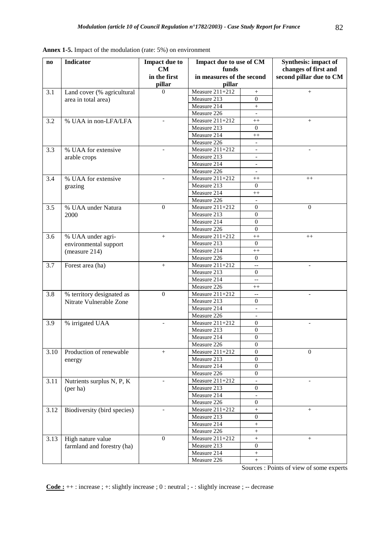| $\mathbf{n}\mathbf{o}$ | <b>Indicator</b>            | <b>Impact due to</b><br>CM | Impact due to use of CM<br>funds |                          | Synthesis: impact of<br>changes of first and |
|------------------------|-----------------------------|----------------------------|----------------------------------|--------------------------|----------------------------------------------|
|                        |                             | in the first               | in measures of the second        |                          | second pillar due to CM                      |
|                        |                             | pillar                     | pillar                           |                          |                                              |
| 3.1                    | Land cover (% agricultural  | $\Omega$                   | Measure 211+212                  | $^{+}$                   | $^{+}$                                       |
|                        | area in total area)         |                            | Measure 213                      | $\boldsymbol{0}$         |                                              |
|                        |                             |                            | Measure 214                      | $^{+}$                   |                                              |
|                        |                             |                            | Measure 226                      | $\overline{\phantom{a}}$ |                                              |
| 3.2                    | % UAA in non-LFA/LFA        |                            | Measure 211+212                  | $^{++}$                  | $^{+}$                                       |
|                        |                             |                            | Measure 213                      | $\Omega$                 |                                              |
|                        |                             |                            | Measure 214                      | $++$                     |                                              |
|                        |                             |                            | Measure 226                      |                          |                                              |
| 3.3                    | % UAA for extensive         |                            | Measure $211+212$                | $\Box$                   |                                              |
|                        | arable crops                |                            | Measure 213                      | $\overline{\phantom{a}}$ |                                              |
|                        |                             |                            | Measure 214                      | $\overline{\phantom{a}}$ |                                              |
|                        |                             |                            | Measure 226                      | $\qquad \qquad -$        |                                              |
| 3.4                    | % UAA for extensive         |                            | Measure 211+212                  | $^{++}$                  | $++$                                         |
|                        | grazing                     |                            | Measure 213                      | $\overline{0}$           |                                              |
|                        |                             |                            | Measure 214                      | $^{++}$                  |                                              |
|                        |                             |                            | Measure 226                      | $\equiv$                 |                                              |
| 3.5                    | % UAA under Natura          | $\boldsymbol{0}$           | <b>Measure 211+212</b>           | $\mathbf{0}$             | $\boldsymbol{0}$                             |
|                        | 2000                        |                            | Measure 213                      | $\boldsymbol{0}$         |                                              |
|                        |                             |                            | Measure 214                      | $\boldsymbol{0}$         |                                              |
|                        |                             |                            | Measure 226                      | $\overline{0}$           |                                              |
| 3.6                    | % UAA under agri-           | $^{+}$                     | Measure 211+212                  | $^{++}$                  | $^{++}$                                      |
|                        | environmental support       |                            | Measure 213                      | $\Omega$                 |                                              |
|                        | (measure 214)               |                            | Measure 214                      | $^{++}$                  |                                              |
|                        |                             |                            | Measure 226                      | $\overline{0}$           |                                              |
| 3.7                    | Forest area (ha)            | $^{+}$                     | Measure 211+212<br>Measure 213   | --<br>$\mathbf{0}$       |                                              |
|                        |                             |                            | Measure 214                      |                          |                                              |
|                        |                             |                            | Measure 226                      | $-$                      |                                              |
| 3.8                    | % territory designated as   | $\mathbf{0}$               | Measure 211+212                  | $^{++}$<br>Ξ.            |                                              |
|                        | Nitrate Vulnerable Zone     |                            | Measure 213                      | $\mathbf{0}$             |                                              |
|                        |                             |                            | Measure 214                      | $\overline{\phantom{a}}$ |                                              |
|                        |                             |                            | Measure 226                      |                          |                                              |
| 3.9                    | % irrigated UAA             |                            | Measure 211+212                  | $\boldsymbol{0}$         |                                              |
|                        |                             |                            | Measure 213                      | $\overline{0}$           |                                              |
|                        |                             |                            | Measure 214                      | $\boldsymbol{0}$         |                                              |
|                        |                             |                            | Measure 226                      | $\overline{0}$           |                                              |
| 3.10                   | Production of renewable     | $^{+}$                     | Measure $211+212$                | $\boldsymbol{0}$         | $\mathbf{0}$                                 |
|                        | energy                      |                            | Measure 213                      | $\mathbf{0}$             |                                              |
|                        |                             |                            | Measure 214                      | $\boldsymbol{0}$         |                                              |
|                        |                             |                            | Measure 226                      | $\boldsymbol{0}$         |                                              |
| 3.11                   | Nutrients surplus N, P, K   |                            | Measure 211+212                  |                          |                                              |
|                        | (per ha)                    |                            | Measure 213                      | $\mathbf{0}$             |                                              |
|                        |                             |                            | Measure 214                      | $\bar{a}$                |                                              |
|                        |                             |                            | Measure 226                      | $\boldsymbol{0}$         |                                              |
| 3.12                   | Biodiversity (bird species) |                            | Measure 211+212                  | $\! + \!\!\!\!$          | $\! + \!\!\!\!$                              |
|                        |                             |                            | Measure 213                      | $\boldsymbol{0}$         |                                              |
|                        |                             |                            | Measure 214                      | $\! + \!\!\!\!$          |                                              |
|                        |                             |                            | Measure 226                      | $^{+}$                   |                                              |
| 3.13                   | High nature value           | $\Omega$                   | Measure 211+212                  | $^{+}$                   | $^{+}$                                       |
|                        | farmland and forestry (ha)  |                            | Measure 213                      | $\boldsymbol{0}$         |                                              |
|                        |                             |                            | Measure 214                      | $^{+}$                   |                                              |
|                        |                             |                            | Measure 226                      | $\! + \!\!\!\!$          |                                              |

**Annex 1-5.** Impact of the modulation (rate: 5%) on environment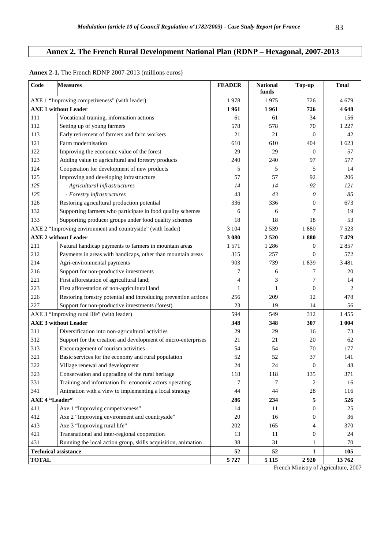# **Annex 2. The French Rural Development National Plan (RDNP – Hexagonal, 2007-2013**

| $\mathbf{Code}$             | <b>Measures</b>                                                 | <b>FEADER</b> | <b>National</b><br>funds | Top-up           | <b>Total</b> |
|-----------------------------|-----------------------------------------------------------------|---------------|--------------------------|------------------|--------------|
|                             | AXE 1 "Improving competiveness" (with leader)                   | 1978          | 1975                     | 726              | 4679         |
|                             | <b>AXE 1 without Leader</b>                                     | 1961          | 1961                     | 726              | 4648         |
| 111                         | Vocational training, information actions                        | 61            | 61                       | 34               | 156          |
| 112                         | Setting up of young farmers                                     | 578           | 578                      | 70               | 1 2 2 7      |
| 113                         | Early retirement of farmers and farm workers                    | 21            | 21                       | $\theta$         | 42           |
| 121                         | Farm modernisation                                              | 610           | 610                      | 404              | 1 623        |
| 122                         | Improving the economic value of the forest                      | 29            | 29                       | $\boldsymbol{0}$ | 57           |
| 123                         | Adding value to agricultural and forestry products              | 240           | 240                      | 97               | 577          |
| 124                         | Cooperation for development of new products                     | 5             | 5                        | 5                | 14           |
| 125                         | Improving and developing infrastructure                         | 57            | 57                       | 92               | 206          |
| 125                         | - Agricultural infrastructures                                  | 14            | 14                       | 92               | 121          |
| 125                         | - Forestry infrastructures                                      | 43            | 43                       | 0                | 85           |
| 126                         | Restoring agricultural production potential                     | 336           | 336                      | $\boldsymbol{0}$ | 673          |
| 132                         | Supporting farmers who participate in food quality schemes      | 6             | 6                        | 7                | 19           |
| 133                         | Supporting producer groups under food quality schemes           | 18            | 18                       | 18               | 53           |
|                             | AXE 2 "Improving environment and countryside" (with leader)     | 3 1 0 4       | 2539                     | 1880             | 7523         |
|                             | <b>AXE 2 without Leader</b>                                     | 3 0 8 0       | 2520                     | 1880             | 7479         |
| 211                         | Natural handicap payments to farmers in mountain areas          | 1571          | 1 2 8 6                  | $\boldsymbol{0}$ | 2857         |
| 212                         | Payments in areas with handicaps, other than mountain areas     | 315           | 257                      | $\theta$         | 572          |
| 214                         | Agri-environmental payments                                     | 903           | 739                      | 1839             | 3481         |
| 216                         | Support for non-productive investments                          | 7             | 6                        | 7                | 20           |
| 221                         | First afforestation of agricultural land;                       | 4             | 3                        | 7                | 14           |
| 223                         | First afforestation of non-agricultural land                    | 1             | 1                        | $\boldsymbol{0}$ | 2            |
| 226                         | Restoring forestry potential and introducing prevention actions | 256           | 209                      | 12               | 478          |
| 227                         | Support for non-productive investments (forest)                 | 23            | 19                       | 14               | 56           |
|                             | AXE 3 "Improving rural life" (with leader)                      | 594           | 549                      | 312              | 1455         |
|                             | <b>AXE 3 without Leader</b>                                     | 348           | 348                      | 307              | 1 0 0 4      |
| 311                         | Diversification into non-agricultural activities                | 29            | 29                       | 16               | 73           |
| 312                         | Support for the creation and development of micro-enterprises   | 21            | 21                       | 20               | 62           |
| 313                         | Encouragement of tourism activities                             | 54            | 54                       | 70               | 177          |
| 321                         | Basic services for the economy and rural population             | 52            | 52                       | 37               | 141          |
| 322                         | Village renewal and development                                 | 24            | 24                       | $\boldsymbol{0}$ | 48           |
| 323                         | Conservation and upgrading of the rural heritage                | 118           | 118                      | 135              | 371          |
| 331                         | Training and information for economic actors operating          | 7             | 7                        | $\overline{c}$   | 16           |
| 341                         | Animation with a view to implementing a local strategy          | 44            | 44                       | 28               | 116          |
| <b>AXE 4 "Leader"</b>       |                                                                 | 286           | 234                      | 5                | 526          |
| 411                         | Axe 1 "Improving competiveness"                                 | 14            | 11                       | 0                | 25           |
| 412                         | Axe 2 "Improving environment and countryside"                   | 20            | 16                       | 0                | 36           |
| 413                         | Axe 3 "Improving rural life"                                    | 202           | 165                      | 4                | 370          |
| 421                         | Transnational and inter-regional cooperation                    | 13            | 11                       | $\boldsymbol{0}$ | 24           |
| 431                         | Running the local action group, skills acquisition, animation   | 38            | 31                       | 1                | 70           |
| <b>Technical assistance</b> |                                                                 | 52            | 52                       | $\mathbf{1}$     | 105          |
| <b>TOTAL</b>                |                                                                 | 5727          | 5 1 1 5                  | 2920             | 13762        |

## **Annex 2-1.** The French RDNP 2007-2013 (millions euros)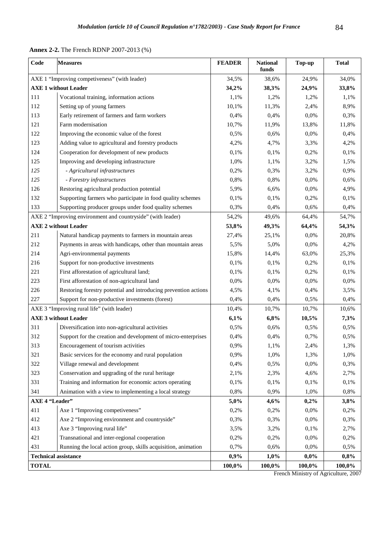|  | <b>Annex 2-2.</b> The French RDNP 2007-2013 (%) |  |  |  |
|--|-------------------------------------------------|--|--|--|
|--|-------------------------------------------------|--|--|--|

| $\mathbf{Code}$             | <b>Measures</b>                                                 | <b>FEADER</b> | <b>National</b><br>funds | Top-up    | <b>Total</b> |
|-----------------------------|-----------------------------------------------------------------|---------------|--------------------------|-----------|--------------|
|                             | AXE 1 "Improving competiveness" (with leader)                   | 34,5%         | 38,6%                    | 24,9%     | 34,0%        |
|                             | <b>AXE 1 without Leader</b>                                     | 34,2%         | 38,3%                    | 24,9%     | 33,8%        |
| 111                         | Vocational training, information actions                        | 1,1%          | 1,2%                     | 1,2%      | 1,1%         |
| 112                         | Setting up of young farmers                                     | 10,1%         | 11,3%                    | 2,4%      | 8,9%         |
| 113                         | Early retirement of farmers and farm workers                    | 0,4%          | 0,4%                     | 0,0%      | 0,3%         |
| 121                         | Farm modernisation                                              | 10,7%         | 11,9%                    | 13,8%     | 11,8%        |
| 122                         | Improving the economic value of the forest                      | 0,5%          | 0,6%                     | 0,0%      | 0,4%         |
| 123                         | Adding value to agricultural and forestry products              | 4,2%          | 4,7%                     | 3,3%      | 4,2%         |
| 124                         | Cooperation for development of new products                     | 0,1%          | 0,1%                     | 0,2%      | 0,1%         |
| 125                         | Improving and developing infrastructure                         | 1,0%          | 1,1%                     | 3,2%      | 1,5%         |
| 125                         | - Agricultural infrastructures                                  | 0,2%          | 0,3%                     | 3,2%      | 0,9%         |
| 125                         | - Forestry infrastructures                                      | 0,8%          | 0,8%                     | 0,0%      | 0,6%         |
| 126                         | Restoring agricultural production potential                     | 5,9%          | 6,6%                     | 0,0%      | 4,9%         |
| 132                         | Supporting farmers who participate in food quality schemes      | 0,1%          | 0,1%                     | 0,2%      | 0,1%         |
| 133                         | Supporting producer groups under food quality schemes           | 0,3%          | 0,4%                     | 0,6%      | 0,4%         |
|                             | AXE 2 "Improving environment and countryside" (with leader)     | 54,2%         | 49,6%                    | 64,4%     | 54,7%        |
|                             | <b>AXE 2 without Leader</b>                                     | 53,8%         | 49,3%                    | 64,4%     | 54,3%        |
| 211                         | Natural handicap payments to farmers in mountain areas          | 27,4%         | 25,1%                    | 0,0%      | 20,8%        |
| 212                         | Payments in areas with handicaps, other than mountain areas     | 5,5%          | 5,0%                     | 0,0%      | 4,2%         |
| 214                         | Agri-environmental payments                                     | 15,8%         | 14,4%                    | 63,0%     | 25,3%        |
| 216                         | Support for non-productive investments                          | 0,1%          | 0,1%                     | 0,2%      | 0,1%         |
| 221                         | First afforestation of agricultural land;                       | 0,1%          | 0,1%                     | 0,2%      | 0,1%         |
| 223                         | First afforestation of non-agricultural land                    | 0,0%          | 0,0%                     | 0,0%      | 0,0%         |
| 226                         | Restoring forestry potential and introducing prevention actions | 4,5%          | 4,1%                     | 0,4%      | 3,5%         |
| 227                         | Support for non-productive investments (forest)                 | 0,4%          | 0,4%                     | 0,5%      | 0,4%         |
|                             | AXE 3 "Improving rural life" (with leader)                      | 10,4%         | 10,7%                    | 10,7%     | 10,6%        |
|                             | <b>AXE 3 without Leader</b>                                     | 6,1%          | 6,8%                     | 10,5%     | 7,3%         |
| 311                         | Diversification into non-agricultural activities                | 0,5%          | 0,6%                     | 0,5%      | 0,5%         |
| 312                         | Support for the creation and development of micro-enterprises   | 0,4%          | 0,4%                     | 0,7%      | 0,5%         |
| 313                         | Encouragement of tourism activities                             | 0,9%          | 1,1%                     | 2,4%      | 1,3%         |
| 321                         | Basic services for the economy and rural population             | 0,9%          | 1,0%                     | 1,3%      | 1,0%         |
| 322                         | Village renewal and development                                 | 0,4%          | 0,5%                     | 0,0%      | 0,3%         |
| 323                         | Conservation and upgrading of the rural heritage                | 2,1%          | 2,3%                     | 4,6%      | 2,7%         |
| 331                         | Training and information for economic actors operating          | 0,1%          | 0,1%                     | 0,1%      | 0,1%         |
| 341                         | Animation with a view to implementing a local strategy          | 0,8%          | 0,9%                     | 1,0%      | 0,8%         |
| <b>AXE 4 "Leader"</b>       |                                                                 | 5,0%          | 4,6%                     | 0,2%      | 3,8%         |
| 411                         | Axe 1 "Improving competiveness"                                 | 0,2%          | 0,2%                     | 0,0%      | 0,2%         |
| 412                         | Axe 2 "Improving environment and countryside"                   | 0,3%          | 0,3%                     | 0,0%      | 0,3%         |
| 413                         | Axe 3 "Improving rural life"                                    | 3,5%          | 3,2%                     | 0,1%      | 2,7%         |
| 421                         | Transnational and inter-regional cooperation                    | 0,2%          | 0,2%                     | 0,0%      | 0,2%         |
| 431                         | Running the local action group, skills acquisition, animation   | 0,7%          | 0,6%                     | 0,0%      | 0,5%         |
| <b>Technical assistance</b> |                                                                 | 0,9%          | 1,0%                     | 0,0%      | 0,8%         |
| <b>TOTAL</b>                |                                                                 | 100,0%        | 100,0%                   | $100,0\%$ | 100,0%       |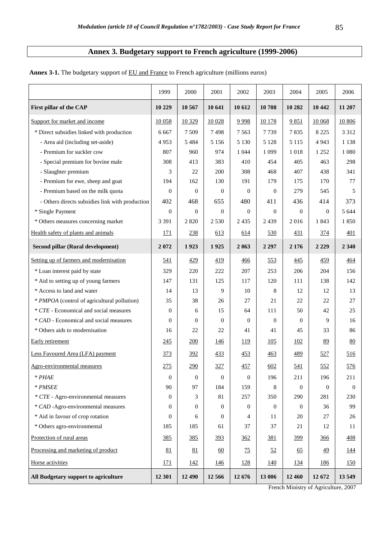# **Annex 3. Budgetary support to French agriculture (1999-2006)**

|                                                 | 1999             | 2000             | 2001             | 2002             | 2003           | 2004           | 2005             | 2006        |
|-------------------------------------------------|------------------|------------------|------------------|------------------|----------------|----------------|------------------|-------------|
| First pillar of the CAP                         | 10 229           | 10 567           | 10 641           | 10 612           | 10708          | 10 282         | 10 442           | 11 207      |
| Support for market and income                   | 10 058           | 10 329           | 10 0 28          | 9998             | 10 178         | 9851           | 10 068           | 10 806      |
| * Direct subsidies linked with production       | 6 6 6 7          | 7509             | 7498             | 7 5 6 3          | 7739           | 7835           | 8 2 2 5          | 3 3 1 2     |
| - Area aid (including set-aside)                | 4953             | 5 4 8 4          | 5 1 5 6          | 5 1 3 0          | 5 1 2 8        | 5 1 1 5        | 4 9 4 3          | 1 1 3 8     |
| - Premium for suckler cow                       | 807              | 960              | 974              | 1 0 4 4          | 1 0 9 9        | 1018           | 1 2 5 2          | 1 0 8 0     |
| - Special premium for bovine male               | 308              | 413              | 383              | 410              | 454            | 405            | 463              | 298         |
| - Slaughter premium                             | 3                | 22               | 200              | 308              | 468            | 407            | 438              | 341         |
| - Premium for ewe, sheep and goat               | 194              | 162              | 130              | 191              | 179            | 175            | 170              | 77          |
| - Premium based on the milk quota               | $\overline{0}$   | $\mathbf{0}$     | $\mathbf{0}$     | $\theta$         | $\overline{0}$ | 279            | 545              | 5           |
| - Others directs subsidies link with production | 402              | 468              | 655              | 480              | 411            | 436            | 414              | 373         |
| * Single Payment                                | $\overline{0}$   | $\overline{0}$   | $\mathbf{0}$     | $\boldsymbol{0}$ | $\theta$       | $\theta$       | $\boldsymbol{0}$ | 5 6 4 4     |
| * Others measures concerning market             | 3 3 9 1          | 2820             | 2 5 3 0          | 2 4 3 5          | 2439           | 2016           | 1843             | 1850        |
| Health safety of plants and animals             | 171              | 238              | 613              | 614              | 530            | <u>431</u>     | <u>374</u>       | 401         |
| Second pillar (Rural development)               | 2072             | 1923             | 1925             | 2 0 6 3          | 2 2 9 7        | 2 1 7 6        | 2 2 2 9          | 2 3 4 0     |
| Setting up of farmers and modernisation         | <u>541</u>       | 429              | 419              | 466              | 553            | <u>445</u>     | <u>459</u>       | 464         |
| * Loan interest paid by state                   | 329              | 220              | 222              | 207              | 253            | 206            | 204              | 156         |
| * Aid to setting up of young farmers            | 147              | 131              | 125              | 117              | 120            | 111            | 138              | 142         |
| * Access to land and water                      | 14               | 13               | 9                | 10               | 8              | 12             | 12               | 13          |
| * PMPOA (control of agricultural pollution)     | 35               | 38               | 26               | 27               | 21             | 22             | 22               | 27          |
| * CTE - Economical and social measures          | $\mathbf{0}$     | 6                | 15               | 64               | 111            | 50             | 42               | 25          |
| * CAD - Economical and social measures          | $\mathbf{0}$     | $\mathbf{0}$     | $\mathbf{0}$     | $\theta$         | $\overline{0}$ | $\overline{0}$ | 9                | 16          |
| * Others aids to modernisation                  | 16               | 22               | 22               | 41               | 41             | 45             | 33               | 86          |
| <b>Early</b> retirement                         | <u>245</u>       | 200              | <u>146</u>       | <u>119</u>       | 105            | <u>102</u>     | 89               | 80          |
| Less Favoured Area (LFA) payment                | <u>373</u>       | <u>392</u>       | <u>433</u>       | 453              | 463            | <u>489</u>     | 527              | <u>516</u>  |
| Agro-environmental measures                     | <u>275</u>       | 290              | 327              | <u>457</u>       | 602            | <u>541</u>     | <u>552</u>       | <u>576</u>  |
| $*$ $PHAE$                                      | $\boldsymbol{0}$ | $\boldsymbol{0}$ | $\boldsymbol{0}$ | $\boldsymbol{0}$ | 196            | 211            | 196              | 211         |
| * PMSEE                                         | 90               | 97               | 184              | 159              | 8              | $\theta$       | $\overline{0}$   | $\Omega$    |
| * CTE - Agro-environmental measures             | $\overline{0}$   | 3                | 81               | 257              | 350            | 290            | 281              | 230         |
| * CAD -Agro-environmental measures              | $\Omega$         | $\theta$         | $\overline{0}$   | $\overline{0}$   | $\overline{0}$ | $\overline{0}$ | 36               | 99          |
| * Aid in favour of crop rotation                | $\theta$         | 6                | $\overline{0}$   | 4                | 11             | 20             | 27               | 26          |
| * Others agro-environmental                     | 185              | 185              | 61               | 37               | 37             | 21             | 12               | 11          |
| Protection of rural areas                       | <u>385</u>       | <u>385</u>       | <u>393</u>       | 362              | 381            | <u>399</u>     | <u>366</u>       | 408         |
| Processing and marketing of product             | 81               | 81               | 60               | 75               | 52             | 65             | 49               | <u> 144</u> |
| Horse activities                                | <u>171</u>       | 142              | <u>146</u>       | <u>128</u>       | <u>140</u>     | 134            | <u>186</u>       | <u>150</u>  |
| All Budgetary support to agriculture            | 12 301           | 12 490           | 12 5 6 6         | 12 676           | 13 006         | 12 460         | 12 672           | 13549       |

Annex 3-1. The budgetary support of **EU** and France to French agriculture (millions euros)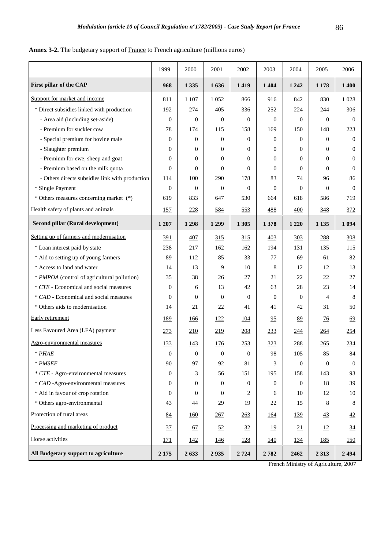# Annex 3-2. The budgetary support of **France** to French agriculture (millions euros)

|                                                 | 1999           | 2000           | 2001           | 2002           | 2003           | 2004           | 2005           | 2006           |
|-------------------------------------------------|----------------|----------------|----------------|----------------|----------------|----------------|----------------|----------------|
| First pillar of the CAP                         | 968            | 1 3 3 5        | 1636           | 1419           | 1 4 0 4        | 1 2 4 2        | 1 1 7 8        | 1 400          |
| Support for market and income                   | 811            | 1 107          | 1052           | 866            | 916            | 842            | 830            | 1028           |
| * Direct subsidies linked with production       | 192            | 274            | 405            | 336            | 252            | 224            | 244            | 306            |
| - Area aid (including set-aside)                | $\overline{0}$ | $\Omega$       | $\theta$       | $\mathbf{0}$   | $\Omega$       | $\theta$       | $\Omega$       | $\overline{0}$ |
| - Premium for suckler cow                       | 78             | 174            | 115            | 158            | 169            | 150            | 148            | 223            |
| - Special premium for bovine male               | $\mathbf{0}$   | $\overline{0}$ | $\overline{0}$ | $\overline{0}$ | $\overline{0}$ | $\theta$       | $\Omega$       | $\overline{0}$ |
| - Slaughter premium                             | $\mathbf{0}$   | $\mathbf{0}$   | $\overline{0}$ | $\overline{0}$ | $\overline{0}$ | $\overline{0}$ | $\overline{0}$ | $\overline{0}$ |
| - Premium for ewe, sheep and goat               | $\Omega$       | $\Omega$       | $\Omega$       | $\Omega$       | $\Omega$       | $\Omega$       | $\Omega$       | $\Omega$       |
| - Premium based on the milk quota               | $\overline{0}$ | $\mathbf{0}$   | $\Omega$       | $\Omega$       | $\Omega$       | $\Omega$       | $\Omega$       | $\overline{0}$ |
| - Others directs subsidies link with production | 114            | 100            | 290            | 178            | 83             | 74             | 96             | 86             |
| * Single Payment                                | $\overline{0}$ | $\mathbf{0}$   | $\overline{0}$ | $\overline{0}$ | $\Omega$       | $\Omega$       | $\Omega$       | $\overline{0}$ |
| * Others measures concerning market (*)         | 619            | 833            | 647            | 530            | 664            | 618            | 586            | 719            |
| Health safety of plants and animals             | <u>157</u>     | 228            | 584            | 553            | 488            | 400            | 348            | 372            |
| Second pillar (Rural development)               | 1 207          | 1 2 9 8        | 1 2 9 9        | 1 3 0 5        | 1378           | 1 2 2 0        | 1 1 3 5        | 1 0 9 4        |
| Setting up of farmers and modernisation         | 391            | 407            | 315            | 315            | 403            | 303            | 288            | 308            |
| * Loan interest paid by state                   | 238            | 217            | 162            | 162            | 194            | 131            | 135            | 115            |
| * Aid to setting up of young farmers            | 89             | 112            | 85             | 33             | 77             | 69             | 61             | 82             |
| * Access to land and water                      | 14             | 13             | 9              | 10             | 8              | 12             | 12             | 13             |
| * PMPOA (control of agricultural pollution)     | 35             | 38             | 26             | 27             | 21             | 22             | 22             | 27             |
| * CTE - Economical and social measures          | $\mathbf{0}$   | 6              | 13             | 42             | 63             | 28             | 23             | 14             |
| * CAD - Economical and social measures          | $\theta$       | $\mathbf{0}$   | $\mathbf{0}$   | $\mathbf{0}$   | $\overline{0}$ | $\theta$       | 4              | 8              |
| * Others aids to modernisation                  | 14             | 21             | 22             | 41             | 41             | 42             | 31             | 50             |
| Early retirement                                | <u>189</u>     | <u>166</u>     | <u>122</u>     | <u>104</u>     | 95             | 89             | $\frac{76}{9}$ | 69             |
| Less Favoured Area (LFA) payment                | 273            | 210            | 219            | 208            | 233            | <u>244</u>     | 264            | 254            |
| Agro-environmental measures                     | <u>133</u>     | 143            | <u>176</u>     | 253            | <u>323</u>     | <u>288</u>     | 265            | 234            |
| $*$ <i>PHAE</i>                                 | $\theta$       | $\theta$       | $\theta$       | $\theta$       | 98             | 105            | 85             | 84             |
| $*$ PMSEE                                       | 90             | 97             | 92             | 81             | 3              | $\theta$       | $\mathbf{0}$   | $\overline{0}$ |
| * CTE - Agro-environmental measures             | $\Omega$       | 3              | 56             | 151            | 195            | 158            | 143            | 93             |
| * CAD -Agro-environmental measures              | $\mathbf{0}$   | $\mathbf{0}$   | $\overline{0}$ | $\overline{0}$ | $\overline{0}$ | $\overline{0}$ | 18             | 39             |
| * Aid in favour of crop rotation                | $\Omega$       | $\Omega$       | $\Omega$       | 2              | 6              | 10             | 12             | 10             |
| * Others agro-environmental                     | 43             | 44             | 29             | 19             | 22             | 15             | 8              | 8              |
| Protection of rural areas                       | 84             | 160            | 267            | 263            | <u>164</u>     | <u>139</u>     | $\frac{43}{5}$ | 42             |
| Processing and marketing of product             | 37             | 67             | 52             | 32             | <u>19</u>      | 21             | <u>12</u>      | $\frac{34}{5}$ |
| Horse activities                                | 171            | <u> 142</u>    | <u>146</u>     | 128            | 140            | <u> 134</u>    | 185            | 150            |
| All Budgetary support to agriculture            | 2 1 7 5        | 2633           | 2935           | 2724           | 2782           | 2462           | 2 3 1 3        | 2494           |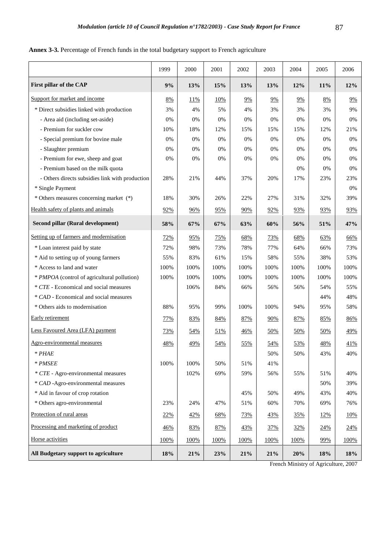| Annex 3-3. Percentage of French funds in the total budgetary support to French agriculture |  |
|--------------------------------------------------------------------------------------------|--|
|--------------------------------------------------------------------------------------------|--|

|                                                 | 1999       | 2000 | 2001       | 2002       | 2003       | 2004       | 2005 | 2006 |
|-------------------------------------------------|------------|------|------------|------------|------------|------------|------|------|
| First pillar of the CAP                         | 9%         | 13%  | 15%        | 13%        | 13%        | 12%        | 11%  | 12%  |
| Support for market and income                   | 8%         | 11%  | <u>10%</u> | 9%         | 9%         | 9%         | 8%   | 9%   |
| * Direct subsidies linked with production       | 3%         | 4%   | 5%         | 4%         | 3%         | 3%         | 3%   | 9%   |
| - Area aid (including set-aside)                | 0%         | 0%   | 0%         | 0%         | 0%         | 0%         | 0%   | 0%   |
| - Premium for suckler cow                       | 10%        | 18%  | 12%        | 15%        | 15%        | 15%        | 12%  | 21%  |
| - Special premium for bovine male               | $0\%$      | 0%   | 0%         | 0%         | 0%         | 0%         | 0%   | 0%   |
| - Slaughter premium                             | 0%         | 0%   | 0%         | 0%         | 0%         | 0%         | 0%   | 0%   |
| - Premium for ewe, sheep and goat               | 0%         | 0%   | 0%         | 0%         | 0%         | 0%         | 0%   | 0%   |
| - Premium based on the milk quota               |            |      |            |            |            | 0%         | 0%   | 0%   |
| - Others directs subsidies link with production | 28%        | 21%  | 44%        | 37%        | 20%        | 17%        | 23%  | 23%  |
| * Single Payment                                |            |      |            |            |            |            |      | 0%   |
| * Others measures concerning market (*)         | 18%        | 30%  | 26%        | 22%        | 27%        | 31%        | 32%  | 39%  |
| Health safety of plants and animals             | 92%        | 96%  | 95%        | 90%        | 92%        | 93%        | 93%  | 93%  |
| Second pillar (Rural development)               | 58%        | 67%  | 67%        | 63%        | 60%        | 56%        | 51%  | 47%  |
| Setting up of farmers and modernisation         | <b>72%</b> | 95%  | <u>75%</u> | 68%        | <u>73%</u> | 68%        | 63%  | 66%  |
| * Loan interest paid by state                   | 72%        | 98%  | 73%        | 78%        | 77%        | 64%        | 66%  | 73%  |
| * Aid to setting up of young farmers            | 55%        | 83%  | 61%        | 15%        | 58%        | 55%        | 38%  | 53%  |
| * Access to land and water                      | 100%       | 100% | 100%       | 100%       | 100%       | 100%       | 100% | 100% |
| * PMPOA (control of agricultural pollution)     | 100%       | 100% | 100%       | 100%       | 100%       | 100%       | 100% | 100% |
| * CTE - Economical and social measures          |            | 106% | 84%        | 66%        | 56%        | 56%        | 54%  | 55%  |
| * CAD - Economical and social measures          |            |      |            |            |            |            | 44%  | 48%  |
| * Others aids to modernisation                  | 88%        | 95%  | 99%        | 100%       | 100%       | 94%        | 95%  | 58%  |
| Early retirement                                | 77%        | 83%  | 84%        | 87%        | 90%        | 87%        | 85%  | 86%  |
| Less Favoured Area (LFA) payment                | 73%        | 54%  | 51%        | 46%        | 50%        | <u>50%</u> | 50%  | 49%  |
| Agro-environmental measures                     | 48%        | 49%  | 54%        | 55%        | 54%        | 53%        | 48%  | 41%  |
| $*$ PHAE                                        |            |      |            |            | 50%        | 50%        | 43%  | 40%  |
| * PMSEE                                         | 100%       | 100% | 50%        | 51%        | 41%        |            |      |      |
| * CTE - Agro-environmental measures             |            | 102% | 69%        | 59%        | 56%        | 55%        | 51%  | 40%  |
| * CAD -Agro-environmental measures              |            |      |            |            |            |            | 50%  | 39%  |
| * Aid in favour of crop rotation                |            |      |            | 45%        | 50%        | 49%        | 43%  | 40%  |
| * Others agro-environmental                     | 23%        | 24%  | 47%        | 51%        | 60%        | 70%        | 69%  | 76%  |
| Protection of rural areas                       | 22%        | 42%  | 68%        | <u>73%</u> | <u>43%</u> | <u>35%</u> | 12%  | 10%  |
| Processing and marketing of product             | 46%        | 83%  | 87%        | 43%        | 37%        | 32%        | 24%  | 24%  |
| Horse activities                                | 100%       | 100% | 100%       | 100%       | 100%       | 100%       | 99%  | 100% |
| All Budgetary support to agriculture            | 18%        | 21%  | 23%        | 21%        | 21%        | 20%        | 18%  | 18%  |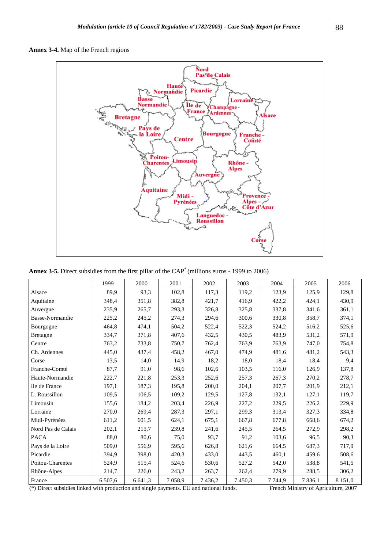



**Annex 3-5.** Direct subsidies from the first pillar of the CAP\* (millions euros - 1999 to 2006)

|                    | 1999    | 2000    | 2001   | 2002   | 2003   | 2004    | 2005       | 2006        |
|--------------------|---------|---------|--------|--------|--------|---------|------------|-------------|
| Alsace             | 89.9    | 93,3    | 102,8  | 117,3  | 119,2  | 123,9   | 125,9      | 129,8       |
| Aquitaine          | 348,4   | 351,8   | 382,8  | 421,7  | 416.9  | 422,2   | 424,1      | 430.9       |
| Auvergne           | 235,9   | 265,7   | 293,3  | 326,8  | 325,8  | 337,8   | 341,6      | 361,1       |
| Basse-Normandie    | 225,2   | 245,2   | 274,3  | 294,6  | 300,6  | 330.8   | 358,7      | 374,1       |
| Bourgogne          | 464,8   | 474,1   | 504,2  | 522,4  | 522,3  | 524,2   | 516,2      | 525,6       |
| <b>Bretagne</b>    | 334,7   | 371,8   | 407,6  | 432,5  | 430,5  | 483,9   | 531,2      | 571,9       |
| Centre             | 763,2   | 733,8   | 750,7  | 762,4  | 763.9  | 763,9   | 747,0      | 754,8       |
| Ch. Ardennes       | 445,0   | 437,4   | 458,2  | 467,0  | 474,9  | 481,6   | 481,2      | 543,3       |
| Corse              | 13.5    | 14,0    | 14,9   | 18,2   | 18,0   | 18,4    | 18.4       | 9,4         |
| Franche-Comté      | 87,7    | 91,0    | 98,6   | 102,6  | 103.5  | 116,0   | 126,9      | 137,8       |
| Haute-Normandie    | 222,7   | 221,8   | 253,3  | 252,6  | 257,3  | 267,3   | 270,2      | 278,7       |
| Ile de France      | 197,1   | 187,3   | 195,8  | 200,0  | 204,1  | 207,7   | 201,9      | 212,1       |
| L. Roussillon      | 109,5   | 106.5   | 109,2  | 129,5  | 127,8  | 132,1   | 127,1      | 119,7       |
| Limousin           | 155,6   | 184,2   | 203,4  | 226,9  | 227,2  | 229,5   | 226,2      | 229,9       |
| Lorraine           | 270,0   | 269,4   | 287,3  | 297,1  | 299,3  | 313,4   | 327,3      | 334,8       |
| Midi-Pyrénées      | 611,2   | 601.5   | 624,1  | 675,1  | 667,8  | 677,8   | 668,6      | 674,2       |
| Nord Pas de Calais | 202,1   | 215,7   | 239,8  | 241,6  | 245,5  | 264,5   | 272,9      | 298,2       |
| <b>PACA</b>        | 88,0    | 80.6    | 75,0   | 93,7   | 91,2   | 103,6   | 96.5       | 90,3        |
| Pays de la Loire   | 509,0   | 556.9   | 595,6  | 626,8  | 621,6  | 664,5   | 687,3      | 717,9       |
| Picardie           | 394,9   | 398,0   | 420,3  | 433,0  | 443,5  | 460,1   | 459,6      | 508,6       |
| Poitou-Charentes   | 524,9   | 515,4   | 524,6  | 530,6  | 527,2  | 542,0   | 538,8      | 541,5       |
| Rhône-Alpes        | 214,7   | 226,0   | 243,2  | 263,7  | 262,4  | 279,9   | 288,5      | 306,2       |
| France             | 6 507,6 | 6 641,3 | 7058,9 | 7436,2 | 7450.3 | 7 744,9 | 7 8 3 6, 1 | 8 1 5 1 , 0 |

(\*) Direct subsidies linked with production and single payments. EU and national funds. French Ministry of Agriculture, 2007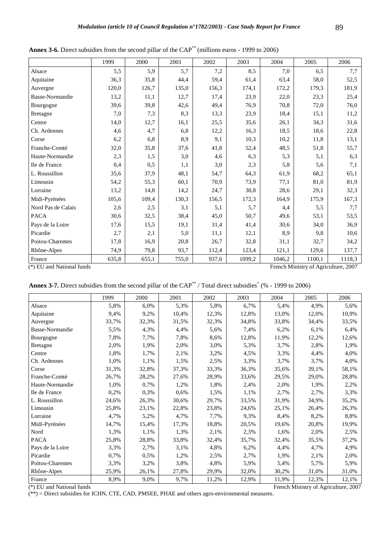|                    | 1999  | 2000  | 2001  | 2002  | 2003   | 2004   | 2005   | 2006   |
|--------------------|-------|-------|-------|-------|--------|--------|--------|--------|
| Alsace             | 5,5   | 5,9   | 5,7   | 7,2   | 8,5    | 7,0    | 6,5    | 7,7    |
| Aquitaine          | 36,3  | 35,8  | 44,4  | 59,4  | 61,4   | 63,4   | 58,0   | 52,5   |
| Auvergne           | 120,0 | 126,7 | 135,0 | 156,3 | 174,1  | 172,2  | 179,3  | 181,9  |
| Basse-Normandie    | 13,2  | 11,1  | 12,7  | 17,4  | 23,9   | 22,0   | 23,3   | 25,4   |
| Bourgogne          | 39,6  | 39,8  | 42,6  | 49,4  | 76,9   | 70,8   | 72,0   | 76,0   |
| <b>Bretagne</b>    | 7,0   | 7,3   | 8,3   | 13,3  | 23,9   | 18,4   | 15,1   | 11,2   |
| Centre             | 14,0  | 12,7  | 16,1  | 25,5  | 35,6   | 26,1   | 34,3   | 31,6   |
| Ch. Ardennes       | 4,6   | 4,7   | 6,8   | 12,2  | 16,3   | 18,5   | 18,6   | 22,8   |
| Corse              | 6,2   | 6,8   | 8,9   | 9,1   | 10,3   | 10,2   | 11,8   | 13,1   |
| Franche-Comté      | 32,0  | 35,8  | 37,6  | 41,8  | 52,4   | 48,5   | 51,8   | 55,7   |
| Haute-Normandie    | 2,3   | 1,5   | 3,0   | 4,6   | 6,3    | 5,3    | 5,1    | 6,3    |
| Ile de France      | 0,4   | 0,5   | 1,1   | 3,0   | 2,3    | 5,8    | 5,6    | 7,1    |
| L. Roussillon      | 35,6  | 37,9  | 48,1  | 54,7  | 64,3   | 61,9   | 68,2   | 65,1   |
| Limousin           | 54,2  | 55,3  | 60,1  | 70,9  | 73,9   | 77,1   | 81,0   | 81,9   |
| Lorraine           | 13,2  | 14,8  | 14,2  | 24,7  | 30,8   | 28,6   | 29,1   | 32,3   |
| Midi-Pyrénées      | 105,6 | 109,4 | 130,3 | 156,5 | 172,3  | 164,9  | 175,9  | 167,3  |
| Nord Pas de Calais | 2,6   | 2,5   | 3,1   | 5,1   | 5,7    | 4,4    | 5,5    | 7,7    |
| <b>PACA</b>        | 30,6  | 32,5  | 38,4  | 45,0  | 50,7   | 49,6   | 53,1   | 53,5   |
| Pays de la Loire   | 17,6  | 15,5  | 19,1  | 31,4  | 41,4   | 30,6   | 34,0   | 36,9   |
| Picardie           | 2,7   | 2,1   | 5,0   | 11,1  | 12,1   | 8,9    | 9,8    | 10,6   |
| Poitou-Charentes   | 17,8  | 16,9  | 20,8  | 26,7  | 32,8   | 31,1   | 32,7   | 34,2   |
| Rhône-Alpes        | 74,9  | 79,8  | 93,7  | 112,4 | 123,4  | 121,1  | 129,6  | 137,7  |
| France             | 635,8 | 655,1 | 755,0 | 937,6 | 1099,2 | 1046,2 | 1100,1 | 1118,3 |

Annex 3-6. Direct subsidies from the second pillar of the CAP<sup>\*\*</sup> (millions euros - 1999 to 2006)

(\*) EU and National funds French Ministry of Agriculture, 2007

| <b>Annex 3-7.</b> Direct subsidies from the second pillar of the CAP <sup>**</sup> / Total direct subsidies <sup>*</sup> (% - 1999 to 2006) |  |  |
|---------------------------------------------------------------------------------------------------------------------------------------------|--|--|
|---------------------------------------------------------------------------------------------------------------------------------------------|--|--|

|                  | 1999  | 2000  | 2001  | 2002  | 2003  | 2004  | 2005  | 2006  |
|------------------|-------|-------|-------|-------|-------|-------|-------|-------|
| Alsace           | 5,8%  | 6,0%  | 5,3%  | 5,8%  | 6,7%  | 5,4%  | 4,9%  | 5,6%  |
| Aquitaine        | 9,4%  | 9,2%  | 10,4% | 12,3% | 12,8% | 13,0% | 12,0% | 10,9% |
| Auvergne         | 33,7% | 32,3% | 31,5% | 32,3% | 34,8% | 33,8% | 34,4% | 33,5% |
| Basse-Normandie  | 5,5%  | 4,3%  | 4,4%  | 5,6%  | 7,4%  | 6,2%  | 6,1%  | 6,4%  |
| Bourgogne        | 7,8%  | 7,7%  | 7,8%  | 8,6%  | 12,8% | 11,9% | 12,2% | 12,6% |
| <b>Bretagne</b>  | 2,0%  | 1,9%  | 2,0%  | 3,0%  | 5,3%  | 3,7%  | 2,8%  | 1,9%  |
| Centre           | 1,8%  | 1,7%  | 2,1%  | 3,2%  | 4,5%  | 3,3%  | 4,4%  | 4,0%  |
| Ch. Ardennes     | 1,0%  | 1,1%  | 1,5%  | 2,5%  | 3,3%  | 3,7%  | 3,7%  | 4,0%  |
| Corse            | 31,3% | 32,8% | 37,3% | 33,3% | 36,3% | 35,6% | 39,1% | 58,1% |
| Franche-Comté    | 26,7% | 28,2% | 27,6% | 28,9% | 33,6% | 29,5% | 29,0% | 28,8% |
| Haute-Normandie  | 1,0%  | 0,7%  | 1,2%  | 1,8%  | 2,4%  | 2,0%  | 1,9%  | 2,2%  |
| Ile de France    | 0,2%  | 0,3%  | 0,6%  | 1,5%  | 1,1%  | 2,7%  | 2,7%  | 3,3%  |
| L. Roussillon    | 24,6% | 26,3% | 30,6% | 29,7% | 33,5% | 31,9% | 34,9% | 35,2% |
| Limousin         | 25,8% | 23,1% | 22,8% | 23,8% | 24,6% | 25,1% | 26,4% | 26,3% |
| Lorraine         | 4,7%  | 5,2%  | 4,7%  | 7,7%  | 9,3%  | 8,4%  | 8,2%  | 8,8%  |
| Midi-Pyrénées    | 14,7% | 15,4% | 17,3% | 18,8% | 20,5% | 19,6% | 20,8% | 19,9% |
| Nord             | 1,3%  | 1,1%  | 1,3%  | 2,1%  | 2,3%  | 1,6%  | 2,0%  | 2,5%  |
| <b>PACA</b>      | 25,8% | 28,8% | 33,8% | 32,4% | 35,7% | 32,4% | 35,5% | 37,2% |
| Pays de la Loire | 3,3%  | 2,7%  | 3,1%  | 4,8%  | 6,2%  | 4,4%  | 4,7%  | 4,9%  |
| Picardie         | 0,7%  | 0,5%  | 1,2%  | 2,5%  | 2,7%  | 1,9%  | 2,1%  | 2,0%  |
| Poitou-Charentes | 3,3%  | 3,2%  | 3,8%  | 4,8%  | 5,9%  | 5,4%  | 5,7%  | 5,9%  |
| Rhône-Alpes      | 25,9% | 26,1% | 27,8% | 29,9% | 32,0% | 30,2% | 31,0% | 31,0% |
| France           | 8,9%  | 9,0%  | 9,7%  | 11,2% | 12,9% | 11,9% | 12,3% | 12,1% |

(\*\*) = Direct subsidies for ICHN, CTE, CAD, PMSEE, PHAE and others agro-environmental measures.

(\*) EU and National funds French Ministry of Agriculture, 2007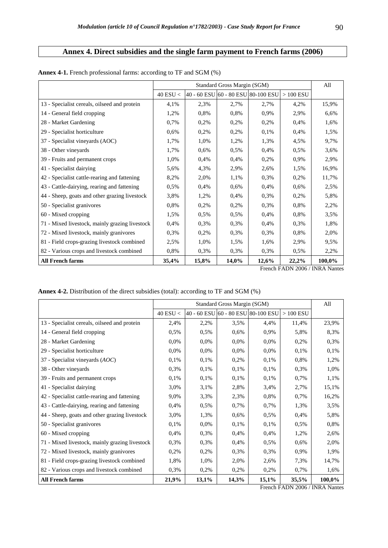# **Annex 4. Direct subsidies and the single farm payment to French farms (2006)**

|                                                |            |                                    | All      |       |            |        |
|------------------------------------------------|------------|------------------------------------|----------|-------|------------|--------|
|                                                | 40 ESU $<$ | 40 - 60 ESU 60 - 80 ESU 80-100 ESU |          |       | $>100$ ESU |        |
| 13 - Specialist cereals, oilseed and protein   | 4,1%       | 2,3%                               | 2,7%     | 2,7%  | 4,2%       | 15,9%  |
| 14 - General field cropping                    | 1,2%       | 0.8%                               | 0,8%     | 0.9%  | 2,9%       | 6,6%   |
| 28 - Market Gardening                          | 0,7%       | 0,2%                               | 0,2%     | 0,2%  | 0.4%       | 1,6%   |
| 29 - Specialist horticulture                   | 0,6%       | 0,2%                               | 0,2%     | 0,1%  | 0,4%       | 1,5%   |
| 37 - Specialist vineyards (AOC)                | 1,7%       | 1,0%                               | 1,2%     | 1,3%  | 4,5%       | 9,7%   |
| 38 - Other vineyards                           | 1,7%       | 0,6%                               | 0,5%     | 0,4%  | 0,5%       | 3,6%   |
| 39 - Fruits and permanent crops                | 1,0%       | 0,4%                               | 0,4%     | 0,2%  | 0,9%       | 2,9%   |
| 41 - Specialist dairying                       | 5,6%       | 4,3%                               | 2,9%     | 2,6%  | 1,5%       | 16,9%  |
| 42 - Specialist cattle-rearing and fattening   | 8,2%       | 2,0%                               | 1,1%     | 0,3%  | 0,2%       | 11,7%  |
| 43 - Cattle-dairying, rearing and fattening    | 0,5%       | 0,4%                               | 0,6%     | 0,4%  | 0,6%       | 2,5%   |
| 44 - Sheep, goats and other grazing livestock  | 3,8%       | 1,2%                               | 0,4%     | 0,3%  | 0,2%       | 5,8%   |
| 50 - Specialist granivores                     | 0,8%       | 0,2%                               | 0,2%     | 0,3%  | 0.8%       | 2,2%   |
| 60 - Mixed cropping                            | 1,5%       | 0.5%                               | 0,5%     | 0,4%  | 0.8%       | 3,5%   |
| 71 - Mixed livestock, mainly grazing livestock | 0,4%       | 0,3%                               | 0,3%     | 0,4%  | 0,3%       | 1,8%   |
| 72 - Mixed livestock, mainly granivores        | 0,3%       | 0,2%                               | 0,3%     | 0,3%  | 0,8%       | 2,0%   |
| 81 - Field crops-grazing livestock combined    | 2,5%       | 1,0%                               | 1,5%     | 1,6%  | 2,9%       | 9,5%   |
| 82 - Various crops and livestock combined      | 0,8%       | 0,3%                               | 0,3%     | 0,3%  | 0,5%       | 2,2%   |
| <b>All French farms</b>                        | 35,4%      | 15,8%                              | $14,0\%$ | 12,6% | 22,2%      | 100,0% |

| Annex 4-1. French professional farms: according to TF and SGM (%) |  |  |  |  |  |  |
|-------------------------------------------------------------------|--|--|--|--|--|--|
|-------------------------------------------------------------------|--|--|--|--|--|--|

French FADN 2006 / INRA Nantes

**Annex 4-2.** Distribution of the direct subsidies (total): according to TF and SGM (%)

|                                                |            |       | Standard Gross Margin (SGM)        |         |            | All    |
|------------------------------------------------|------------|-------|------------------------------------|---------|------------|--------|
|                                                | 40 ESU $<$ |       | 40 - 60 ESU 60 - 80 ESU 80-100 ESU |         | $>100$ ESU |        |
| 13 - Specialist cereals, oilseed and protein   | 2,4%       | 2,2%  | 3,5%                               | 4,4%    | 11,4%      | 23,9%  |
| 14 - General field cropping                    | 0,5%       | 0,5%  | 0,6%                               | 0,9%    | 5,8%       | 8,3%   |
| 28 - Market Gardening                          | 0,0%       | 0,0%  | 0,0%                               | $0.0\%$ | 0,2%       | 0,3%   |
| 29 - Specialist horticulture                   | 0,0%       | 0,0%  | 0,0%                               | $0.0\%$ | 0,1%       | 0,1%   |
| 37 - Specialist vineyards $(AOC)$              | 0,1%       | 0,1%  | 0,2%                               | 0,1%    | 0,8%       | 1,2%   |
| 38 - Other vineyards                           | 0,3%       | 0,1%  | 0,1%                               | 0,1%    | 0,3%       | 1,0%   |
| 39 - Fruits and permanent crops                | 0,1%       | 0,1%  | 0,1%                               | 0,1%    | 0,7%       | 1,1%   |
| 41 - Specialist dairying                       | 3,0%       | 3,1%  | 2,8%                               | 3,4%    | 2,7%       | 15,1%  |
| 42 - Specialist cattle-rearing and fattening   | 9,0%       | 3,3%  | 2,3%                               | 0,8%    | 0,7%       | 16,2%  |
| 43 - Cattle-dairying, rearing and fattening    | 0,4%       | 0,5%  | 0,7%                               | 0,7%    | 1,3%       | 3,5%   |
| 44 - Sheep, goats and other grazing livestock  | 3,0%       | 1,3%  | 0,6%                               | 0,5%    | 0,4%       | 5,8%   |
| 50 - Specialist granivores                     | 0,1%       | 0,0%  | 0,1%                               | 0,1%    | 0,5%       | 0,8%   |
| 60 - Mixed cropping                            | 0,4%       | 0,3%  | 0,4%                               | 0,4%    | 1,2%       | 2,6%   |
| 71 - Mixed livestock, mainly grazing livestock | 0,3%       | 0,3%  | 0,4%                               | 0,5%    | 0,6%       | 2,0%   |
| 72 - Mixed livestock, mainly granivores        | 0,2%       | 0,2%  | 0,3%                               | 0,3%    | 0,9%       | 1,9%   |
| 81 - Field crops-grazing livestock combined    | 1,8%       | 1,0%  | 2,0%                               | 2,6%    | 7,3%       | 14,7%  |
| 82 - Various crops and livestock combined      | 0,3%       | 0,2%  | 0,2%                               | 0,2%    | 0,7%       | 1,6%   |
| <b>All French farms</b>                        | 21,9%      | 13,1% | 14,3%                              | 15,1%   | 35,5%      | 100,0% |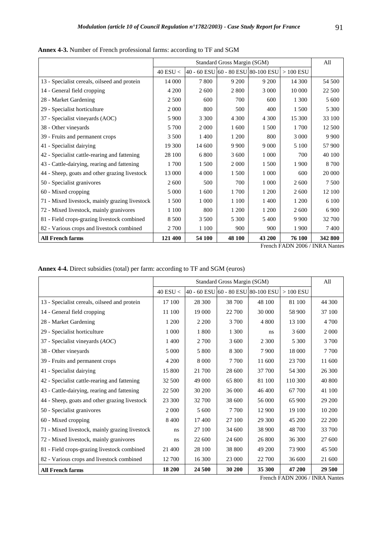|                                                |            | Standard Gross Margin (SGM) |                                    |         |                      |         |  |  |
|------------------------------------------------|------------|-----------------------------|------------------------------------|---------|----------------------|---------|--|--|
|                                                | 40 ESU $<$ |                             | 40 - 60 ESU 60 - 80 ESU 80-100 ESU |         | $>100\;\mathrm{ESU}$ |         |  |  |
| 13 - Specialist cereals, oilseed and protein   | 14 000     | 7800                        | 9 200                              | 9 200   | 14 300               | 54 500  |  |  |
| 14 - General field cropping                    | 4 200      | 2 600                       | 2 8 0 0                            | 3 000   | 10 000               | 22 500  |  |  |
| 28 - Market Gardening                          | 2 500      | 600                         | 700                                | 600     | 1 300                | 5 600   |  |  |
| 29 - Specialist horticulture                   | 2 0 0 0    | 800                         | 500                                | 400     | 1 500                | 5 300   |  |  |
| 37 - Specialist vineyards (AOC)                | 5 9 0 0    | 3 3 0 0                     | 4 3 0 0                            | 4 3 0 0 | 15 300               | 33 100  |  |  |
| 38 - Other vineyards                           | 5 700      | 2 0 0 0                     | 1 600                              | 1 500   | 1 700                | 12 500  |  |  |
| 39 - Fruits and permanent crops                | 3 500      | 1 400                       | 1 200                              | 800     | 3 0 0 0              | 9 9 0 0 |  |  |
| 41 - Specialist dairying                       | 19 300     | 14 600                      | 9 9 0 0                            | 9 0 0 0 | 5 100                | 57 900  |  |  |
| 42 - Specialist cattle-rearing and fattening   | 28 100     | 6 800                       | 3 600                              | 1 0 0 0 | 700                  | 40 100  |  |  |
| 43 - Cattle-dairying, rearing and fattening    | 1700       | 1 500                       | 2 0 0 0                            | 1 500   | 1 900                | 8 700   |  |  |
| 44 - Sheep, goats and other grazing livestock  | 13 000     | 4 0 0 0                     | 1.500                              | 1 0 0 0 | 600                  | 20 000  |  |  |
| 50 - Specialist granivores                     | 2 600      | 500                         | 700                                | 1 0 0 0 | 2 600                | 7 500   |  |  |
| 60 - Mixed cropping                            | 5 0 0 0    | 1 600                       | 1700                               | 1 200   | 2 600                | 12 100  |  |  |
| 71 - Mixed livestock, mainly grazing livestock | 1 500      | 1 0 0 0                     | 1 100                              | 1400    | 1 200                | 6 100   |  |  |
| 72 - Mixed livestock, mainly granivores        | 1 100      | 800                         | 1 200                              | 1 200   | 2 600                | 6 9 0 0 |  |  |
| 81 - Field crops-grazing livestock combined    | 8 500      | 3 500                       | 5 300                              | 5 400   | 9 9 0 0              | 32 700  |  |  |
| 82 - Various crops and livestock combined      | 2 700      | 1 100                       | 900                                | 900     | 1 900                | 7400    |  |  |
| <b>All French farms</b>                        | 121 400    | 54 100                      | 48 100                             | 43 200  | 76 100               | 342 800 |  |  |

**Annex 4-3.** Number of French professional farms: according to TF and SGM

**Annex 4-4.** Direct subsidies (total) per farm: according to TF and SGM (euros)

|                                                |            | Standard Gross Margin (SGM) |         |                                    |            |         |  |
|------------------------------------------------|------------|-----------------------------|---------|------------------------------------|------------|---------|--|
|                                                | 40 ESU $<$ |                             |         | 40 - 60 ESU 60 - 80 ESU 80-100 ESU | $>100$ ESU |         |  |
| 13 - Specialist cereals, oilseed and protein   | 17 100     | 28 300                      | 38 700  | 48 100                             | 81 100     | 44 300  |  |
| 14 - General field cropping                    | 11 100     | 19 000                      | 22 700  | 30 000                             | 58 900     | 37 100  |  |
| 28 - Market Gardening                          | 1 200      | 2 2 0 0                     | 3 700   | 4 800                              | 13 100     | 4 700   |  |
| 29 - Specialist horticulture                   | 1 000      | 1800                        | 1 300   | ns.                                | 3 600      | 2 0 0 0 |  |
| 37 - Specialist vineyards (AOC)                | 1 400      | 2 700                       | 3 600   | 2 3 0 0                            | 5 300      | 3 700   |  |
| 38 - Other vineyards                           | 5 000      | 5 800                       | 8 3 0 0 | 7 9 0 0                            | 18 000     | 7 700   |  |
| 39 - Fruits and permanent crops                | 4 200      | 8 0 0 0                     | 7 700   | 11 600                             | 23 700     | 11 600  |  |
| 41 - Specialist dairying                       | 15 800     | 21 700                      | 28 600  | 37 700                             | 54 300     | 26 300  |  |
| 42 - Specialist cattle-rearing and fattening   | 32 500     | 49 000                      | 65 800  | 81 100                             | 110 300    | 40 800  |  |
| 43 - Cattle-dairying, rearing and fattening    | 22 500     | 30 200                      | 36 000  | 46 400                             | 67 700     | 41 100  |  |
| 44 - Sheep, goats and other grazing livestock  | 23 300     | 32 700                      | 38 600  | 56 000                             | 65 900     | 29 200  |  |
| 50 - Specialist granivores                     | 2 0 0 0    | 5 600                       | 7 700   | 12 900                             | 19 100     | 10 200  |  |
| 60 - Mixed cropping                            | 8 4 0 0    | 17400                       | 27 100  | 29 300                             | 45 200     | 22 200  |  |
| 71 - Mixed livestock, mainly grazing livestock | ns         | 27 100                      | 34 600  | 38 900                             | 48 700     | 33 700  |  |
| 72 - Mixed livestock, mainly granivores        | ns         | 22 600                      | 24 600  | 26 800                             | 36 300     | 27 600  |  |
| 81 - Field crops-grazing livestock combined    | 21 400     | 28 100                      | 38 800  | 49 200                             | 73 900     | 45 500  |  |
| 82 - Various crops and livestock combined      | 12 700     | 16 300                      | 23 000  | 22 700                             | 36 600     | 21 600  |  |
| <b>All French farms</b>                        | 18 200     | 24 500                      | 30 200  | 35 300                             | 47 200     | 29 500  |  |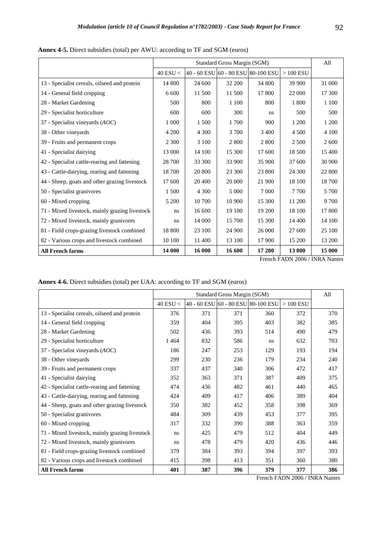|                                                |              | Standard Gross Margin (SGM)                   |         |         |            |         |  |  |
|------------------------------------------------|--------------|-----------------------------------------------|---------|---------|------------|---------|--|--|
|                                                | $40$ ESU $<$ | $ 40 - 60$ ESU $ 60 - 80$ ESU $ 80 - 100$ ESU |         |         | $>100$ ESU |         |  |  |
| 13 - Specialist cereals, oilseed and protein   | 14 800       | 24 600                                        | 32 200  | 34 800  | 39 900     | 31 000  |  |  |
| 14 - General field cropping                    | 6 600        | 11 500                                        | 11 500  | 17 800  | 22 000     | 17 300  |  |  |
| 28 - Market Gardening                          | 500          | 800                                           | 1 100   | 800     | 1800       | 1 1 0 0 |  |  |
| 29 - Specialist horticulture                   | 600          | 600                                           | 300     | ns      | 500        | 500     |  |  |
| 37 - Specialist vineyards (AOC)                | 1 0 0 0      | 1 500                                         | 1 700   | 900     | 1 200      | 1 200   |  |  |
| 38 - Other vineyards                           | 4 200        | 4 3 0 0                                       | 3 700   | 3 4 0 0 | 4 5 0 0    | 4 100   |  |  |
| 39 - Fruits and permanent crops                | 2 3 0 0      | 3 100                                         | 2 800   | 2 8 0 0 | 2 500      | 2 600   |  |  |
| 41 - Specialist dairying                       | 13 000       | 14 100                                        | 15 300  | 17 600  | 18 500     | 15 400  |  |  |
| 42 - Specialist cattle-rearing and fattening   | 28 700       | 33 300                                        | 33 900  | 35 900  | 37 600     | 30 900  |  |  |
| 43 - Cattle-dairying, rearing and fattening    | 18 700       | 20 800                                        | 23 300  | 23 800  | 24 300     | 22 800  |  |  |
| 44 - Sheep, goats and other grazing livestock  | 17 600       | 20 400                                        | 20 000  | 21 900  | 18 100     | 18700   |  |  |
| 50 - Specialist granivores                     | 1 500        | 4 3 0 0                                       | 5 0 0 0 | 7 0 0 0 | 7 7 0 0    | 5 700   |  |  |
| 60 - Mixed cropping                            | 5 200        | 10 700                                        | 10 900  | 15 300  | 11 200     | 9700    |  |  |
| 71 - Mixed livestock, mainly grazing livestock | ns.          | 16 600                                        | 19 100  | 19 200  | 18 100     | 17 800  |  |  |
| 72 - Mixed livestock, mainly granivores        | ns           | 14 000                                        | 15 700  | 15 300  | 14 400     | 14 100  |  |  |
| 81 - Field crops-grazing livestock combined    | 18 800       | 23 100                                        | 24 900  | 26 000  | 27 600     | 25 100  |  |  |
| 82 - Various crops and livestock combined      | 10 100       | 11 400                                        | 13 100  | 17 900  | 15 200     | 13 200  |  |  |
| <b>All French farms</b>                        | 14 000       | 16 000                                        | 16 600  | 17 200  | 13800      | 15 000  |  |  |

**Annex 4-5.** Direct subsidies (total) per AWU: according to TF and SGM (euros)

| <b>Annex 4-6.</b> Direct subsidies (total) per UAA: according to TF and SGM (euros) |  |  |  |
|-------------------------------------------------------------------------------------|--|--|--|
|-------------------------------------------------------------------------------------|--|--|--|

|                                                |            | Standard Gross Margin (SGM) |     |                                    |            |     |  |
|------------------------------------------------|------------|-----------------------------|-----|------------------------------------|------------|-----|--|
|                                                | 40 ESU $<$ |                             |     | 40 - 60 ESU 60 - 80 ESU 80-100 ESU | $>100$ ESU |     |  |
| 13 - Specialist cereals, oilseed and protein   | 376        | 371                         | 371 | 360                                | 372        | 370 |  |
| 14 - General field cropping                    | 359        | 404                         | 395 | 403                                | 382        | 385 |  |
| 28 - Market Gardening                          | 502        | 436                         | 393 | 514                                | 490        | 479 |  |
| 29 - Specialist horticulture                   | 1464       | 832                         | 586 | ns                                 | 632        | 703 |  |
| 37 - Specialist vineyards $(AOC)$              | 186        | 247                         | 253 | 129                                | 193        | 194 |  |
| 38 - Other vineyards                           | 299        | 230                         | 236 | 179                                | 234        | 240 |  |
| 39 - Fruits and permanent crops                | 337        | 437                         | 340 | 306                                | 472        | 417 |  |
| 41 - Specialist dairying                       | 352        | 363                         | 371 | 387                                | 409        | 375 |  |
| 42 - Specialist cattle-rearing and fattening   | 474        | 436                         | 482 | 461                                | 440        | 465 |  |
| 43 - Cattle-dairying, rearing and fattening    | 424        | 409                         | 417 | 406                                | 389        | 404 |  |
| 44 - Sheep, goats and other grazing livestock  | 350        | 382                         | 452 | 358                                | 398        | 369 |  |
| 50 - Specialist granivores                     | 484        | 309                         | 439 | 453                                | 377        | 395 |  |
| 60 - Mixed cropping                            | 317        | 332                         | 390 | 388                                | 363        | 359 |  |
| 71 - Mixed livestock, mainly grazing livestock | ns         | 425                         | 479 | 512                                | 404        | 449 |  |
| 72 - Mixed livestock, mainly granivores        | ns         | 478                         | 479 | 420                                | 436        | 446 |  |
| 81 - Field crops-grazing livestock combined    | 379        | 384                         | 393 | 394                                | 397        | 393 |  |
| 82 - Various crops and livestock combined      | 415        | 398                         | 413 | 351                                | 360        | 380 |  |
| <b>All French farms</b>                        | 401        | 387                         | 396 | 379                                | 377        | 386 |  |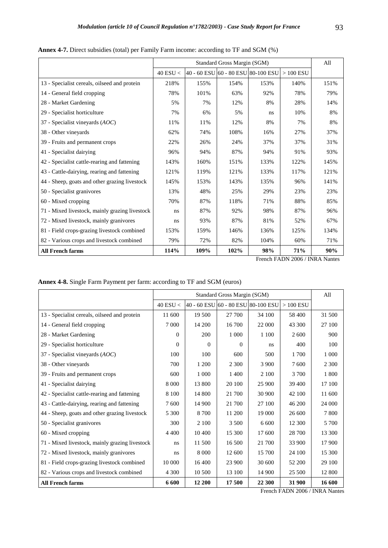|                                                |              | Standard Gross Margin (SGM)        |      |      |            |      |  |
|------------------------------------------------|--------------|------------------------------------|------|------|------------|------|--|
|                                                | $40$ ESU $<$ | 40 - 60 ESU 60 - 80 ESU 80-100 ESU |      |      | $>100$ ESU |      |  |
| 13 - Specialist cereals, oilseed and protein   | 218%         | 155%                               | 154% | 153% | 140%       | 151% |  |
| 14 - General field cropping                    | 78%          | 101%                               | 63%  | 92%  | 78%        | 79%  |  |
| 28 - Market Gardening                          | 5%           | 7%                                 | 12%  | 8%   | 28%        | 14%  |  |
| 29 - Specialist horticulture                   | 7%           | 6%                                 | 5%   | ns.  | 10%        | 8%   |  |
| 37 - Specialist vineyards (AOC)                | 11%          | 11%                                | 12%  | 8%   | 7%         | 8%   |  |
| 38 - Other vineyards                           | 62%          | 74%                                | 108% | 16%  | 27%        | 37%  |  |
| 39 - Fruits and permanent crops                | 22%          | 26%                                | 24%  | 37%  | 37%        | 31%  |  |
| 41 - Specialist dairying                       | 96%          | 94%                                | 87%  | 94%  | 91%        | 93%  |  |
| 42 - Specialist cattle-rearing and fattening   | 143%         | 160%                               | 151% | 133% | 122%       | 145% |  |
| 43 - Cattle-dairying, rearing and fattening    | 121%         | 119%                               | 121% | 133% | 117%       | 121% |  |
| 44 - Sheep, goats and other grazing livestock  | 145%         | 153%                               | 143% | 135% | 96%        | 141% |  |
| 50 - Specialist granivores                     | 13%          | 48%                                | 25%  | 29%  | 23%        | 23%  |  |
| 60 - Mixed cropping                            | 70%          | 87%                                | 118% | 71%  | 88%        | 85%  |  |
| 71 - Mixed livestock, mainly grazing livestock | ns           | 87%                                | 92%  | 98%  | 87%        | 96%  |  |
| 72 - Mixed livestock, mainly granivores        | ns           | 93%                                | 87%  | 81%  | 52%        | 67%  |  |
| 81 - Field crops-grazing livestock combined    | 153%         | 159%                               | 146% | 136% | 125%       | 134% |  |
| 82 - Various crops and livestock combined      | 79%          | 72%                                | 82%  | 104% | 60%        | 71%  |  |
| <b>All French farms</b>                        | 114%         | 109%                               | 102% | 98%  | 71%        | 90%  |  |

**Annex 4-7.** Direct subsidies (total) per Family Farm income: according to TF and SGM (%)

| Annex 4-8. Single Farm Payment per farm: according to TF and SGM (euros) |  |  |  |
|--------------------------------------------------------------------------|--|--|--|
|                                                                          |  |  |  |

|                                                |              | Standard Gross Margin (SGM) |                                    |         |            |         |  |  |
|------------------------------------------------|--------------|-----------------------------|------------------------------------|---------|------------|---------|--|--|
|                                                | $40$ ESU $<$ |                             | 40 - 60 ESU 60 - 80 ESU 80-100 ESU |         | $>100$ ESU |         |  |  |
| 13 - Specialist cereals, oilseed and protein   | 11 600       | 19 500                      | 27 700                             | 34 100  | 58 400     | 31 500  |  |  |
| 14 - General field cropping                    | 7 0 0 0      | 14 200                      | 16 700                             | 22 000  | 43 300     | 27 100  |  |  |
| 28 - Market Gardening                          | $\mathbf{0}$ | 200                         | 1 0 0 0                            | 1 100   | 2 600      | 900     |  |  |
| 29 - Specialist horticulture                   | $\theta$     | $\Omega$                    | $\Omega$                           | ns      | 400        | 100     |  |  |
| 37 - Specialist vineyards $(AOC)$              | 100          | 100                         | 600                                | 500     | 1 700      | 1 0 0 0 |  |  |
| 38 - Other vineyards                           | 700          | 1 200                       | 2 3 0 0                            | 3 9 0 0 | 7600       | 2 3 0 0 |  |  |
| 39 - Fruits and permanent crops                | 600          | 1 0 0 0                     | 1 400                              | 2 100   | 3 700      | 1800    |  |  |
| 41 - Specialist dairying                       | 8 0 0 0      | 13 800                      | 20 100                             | 25 900  | 39 400     | 17 100  |  |  |
| 42 - Specialist cattle-rearing and fattening   | 8 1 0 0      | 14 800                      | 21 700                             | 30 900  | 42 100     | 11 600  |  |  |
| 43 - Cattle-dairying, rearing and fattening    | 7600         | 14 900                      | 21 700                             | 27 100  | 46 200     | 24 000  |  |  |
| 44 - Sheep, goats and other grazing livestock  | 5 300        | 8 700                       | 11 200                             | 19 000  | 26 600     | 7800    |  |  |
| 50 - Specialist granivores                     | 300          | 2 100                       | 3 500                              | 6 600   | 12 300     | 5 700   |  |  |
| 60 - Mixed cropping                            | 4 4 0 0      | 10 400                      | 15 300                             | 17 600  | 28 700     | 13 300  |  |  |
| 71 - Mixed livestock, mainly grazing livestock | ns           | 11 500                      | 16 500                             | 21 700  | 33 900     | 17 900  |  |  |
| 72 - Mixed livestock, mainly granivores        | ns           | 8 0 0 0                     | 12 600                             | 15 700  | 24 100     | 15 300  |  |  |
| 81 - Field crops-grazing livestock combined    | 10 000       | 16 400                      | 23 900                             | 30 600  | 52 200     | 29 100  |  |  |
| 82 - Various crops and livestock combined      | 4 300        | 10 500                      | 13 100                             | 14 900  | 25 500     | 12 800  |  |  |
| <b>All French farms</b>                        | 6 600        | 12 200                      | 17 500                             | 22 300  | 31 900     | 16 600  |  |  |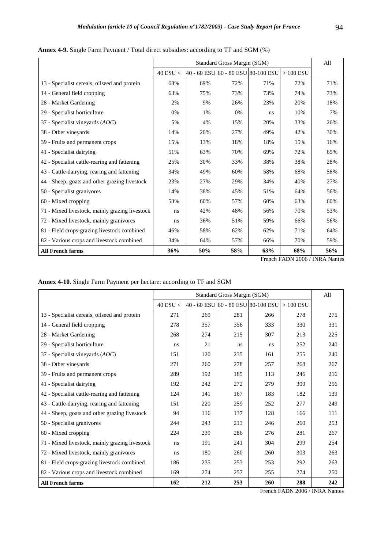|                                                |              | Standard Gross Margin (SGM)        |     |     |            |     |  |
|------------------------------------------------|--------------|------------------------------------|-----|-----|------------|-----|--|
|                                                | $40$ ESU $<$ | 40 - 60 ESU 60 - 80 ESU 80-100 ESU |     |     | $>100$ ESU |     |  |
| 13 - Specialist cereals, oilseed and protein   | 68%          | 69%                                | 72% | 71% | 72%        | 71% |  |
| 14 - General field cropping                    | 63%          | 75%                                | 73% | 73% | 74%        | 73% |  |
| 28 - Market Gardening                          | 2%           | 9%                                 | 26% | 23% | 20%        | 18% |  |
| 29 - Specialist horticulture                   | 0%           | $1\%$                              | 0%  | ns  | 10%        | 7%  |  |
| 37 - Specialist vineyards $(AOC)$              | 5%           | 4%                                 | 15% | 20% | 33%        | 26% |  |
| 38 - Other vineyards                           | 14%          | 20%                                | 27% | 49% | 42%        | 30% |  |
| 39 - Fruits and permanent crops                | 15%          | 13%                                | 18% | 18% | 15%        | 16% |  |
| 41 - Specialist dairying                       | 51%          | 63%                                | 70% | 69% | 72%        | 65% |  |
| 42 - Specialist cattle-rearing and fattening   | 25%          | 30%                                | 33% | 38% | 38%        | 28% |  |
| 43 - Cattle-dairying, rearing and fattening    | 34%          | 49%                                | 60% | 58% | 68%        | 58% |  |
| 44 - Sheep, goats and other grazing livestock  | 23%          | 27%                                | 29% | 34% | 40%        | 27% |  |
| 50 - Specialist granivores                     | 14%          | 38%                                | 45% | 51% | 64%        | 56% |  |
| 60 - Mixed cropping                            | 53%          | 60%                                | 57% | 60% | 63%        | 60% |  |
| 71 - Mixed livestock, mainly grazing livestock | ns           | 42%                                | 48% | 56% | 70%        | 53% |  |
| 72 - Mixed livestock, mainly granivores        | ns           | 36%                                | 51% | 59% | 66%        | 56% |  |
| 81 - Field crops-grazing livestock combined    | 46%          | 58%                                | 62% | 62% | 71%        | 64% |  |
| 82 - Various crops and livestock combined      | 34%          | 64%                                | 57% | 66% | 70%        | 59% |  |
| <b>All French farms</b>                        | 36%          | 50%                                | 58% | 63% | 68%        | 56% |  |

**Annex 4-9.** Single Farm Payment / Total direct subsidies: according to TF and SGM (%)

**Annex 4-10.** Single Farm Payment per hectare: according to TF and SGM

|                                                |            | Standard Gross Margin (SGM) |     |                                    |            |     |  |
|------------------------------------------------|------------|-----------------------------|-----|------------------------------------|------------|-----|--|
|                                                | 40 ESU $<$ |                             |     | 40 - 60 ESU 60 - 80 ESU 80-100 ESU | $>100$ ESU |     |  |
| 13 - Specialist cereals, oilseed and protein   | 271        | 269                         | 281 | 266                                | 278        | 275 |  |
| 14 - General field cropping                    | 278        | 357                         | 356 | 333                                | 330        | 331 |  |
| 28 - Market Gardening                          | 268        | 274                         | 215 | 307                                | 213        | 225 |  |
| 29 - Specialist horticulture                   | ns         | 21                          | ns  | ns.                                | 252        | 240 |  |
| 37 - Specialist vineyards $(AOC)$              | 151        | 120                         | 235 | 161                                | 255        | 240 |  |
| 38 - Other vineyards                           | 271        | 260                         | 278 | 257                                | 268        | 267 |  |
| 39 - Fruits and permanent crops                | 289        | 192                         | 185 | 113                                | 246        | 216 |  |
| 41 - Specialist dairying                       | 192        | 242                         | 272 | 279                                | 309        | 256 |  |
| 42 - Specialist cattle-rearing and fattening   | 124        | 141                         | 167 | 183                                | 182        | 139 |  |
| 43 - Cattle-dairying, rearing and fattening    | 151        | 220                         | 259 | 252                                | 277        | 249 |  |
| 44 - Sheep, goats and other grazing livestock  | 94         | 116                         | 137 | 128                                | 166        | 111 |  |
| 50 - Specialist granivores                     | 244        | 243                         | 213 | 246                                | 260        | 253 |  |
| 60 - Mixed cropping                            | 224        | 239                         | 286 | 276                                | 281        | 267 |  |
| 71 - Mixed livestock, mainly grazing livestock | ns         | 191                         | 241 | 304                                | 299        | 254 |  |
| 72 - Mixed livestock, mainly granivores        | ns         | 180                         | 260 | 260                                | 303        | 263 |  |
| 81 - Field crops-grazing livestock combined    | 186        | 235                         | 253 | 253                                | 292        | 263 |  |
| 82 - Various crops and livestock combined      | 169        | 274                         | 257 | 255                                | 274        | 250 |  |
| <b>All French farms</b>                        | 162        | 212                         | 253 | 260                                | 288        | 242 |  |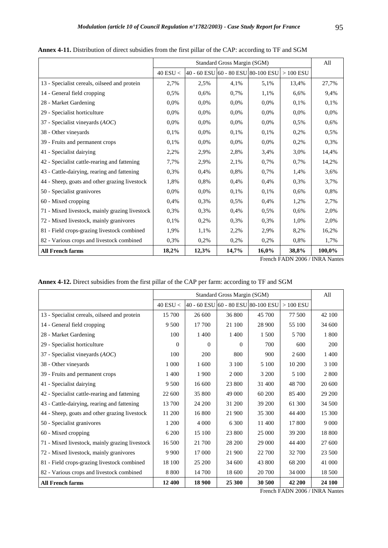|                                                |              | Standard Gross Margin (SGM) |                                    |          |            |        |  |
|------------------------------------------------|--------------|-----------------------------|------------------------------------|----------|------------|--------|--|
|                                                | $40$ ESU $<$ |                             | 40 - 60 ESU 60 - 80 ESU 80-100 ESU |          | $>100$ ESU |        |  |
| 13 - Specialist cereals, oilseed and protein   | 2,7%         | 2,5%                        | 4,1%                               | 5,1%     | 13,4%      | 27,7%  |  |
| 14 - General field cropping                    | 0.5%         | 0.6%                        | 0,7%                               | 1,1%     | 6,6%       | 9,4%   |  |
| 28 - Market Gardening                          | 0.0%         | 0.0%                        | 0,0%                               | 0.0%     | 0.1%       | 0,1%   |  |
| 29 - Specialist horticulture                   | 0.0%         | 0.0%                        | 0.0%                               | $0.0\%$  | 0.0%       | 0.0%   |  |
| 37 - Specialist vineyards $(AOC)$              | 0.0%         | 0.0%                        | 0.0%                               | $0.0\%$  | 0.5%       | 0.6%   |  |
| 38 - Other vineyards                           | 0.1%         | 0.0%                        | 0.1%                               | 0.1%     | 0.2%       | 0,5%   |  |
| 39 - Fruits and permanent crops                | 0.1%         | 0.0%                        | 0.0%                               | 0.0%     | 0,2%       | 0,3%   |  |
| 41 - Specialist dairying                       | 2,2%         | 2.9%                        | 2,8%                               | 3,4%     | 3,0%       | 14,4%  |  |
| 42 - Specialist cattle-rearing and fattening   | 7,7%         | 2.9%                        | 2,1%                               | 0.7%     | 0.7%       | 14,2%  |  |
| 43 - Cattle-dairying, rearing and fattening    | 0.3%         | 0.4%                        | 0.8%                               | 0.7%     | 1,4%       | 3,6%   |  |
| 44 - Sheep, goats and other grazing livestock  | 1,8%         | 0.8%                        | 0.4%                               | 0.4%     | 0.3%       | 3,7%   |  |
| 50 - Specialist granivores                     | 0.0%         | 0.0%                        | 0.1%                               | 0.1%     | 0.6%       | 0,8%   |  |
| 60 - Mixed cropping                            | 0.4%         | 0.3%                        | $0.5\%$                            | 0.4%     | 1,2%       | 2,7%   |  |
| 71 - Mixed livestock, mainly grazing livestock | 0.3%         | 0,3%                        | 0,4%                               | 0,5%     | 0,6%       | 2,0%   |  |
| 72 - Mixed livestock, mainly granivores        | 0.1%         | 0.2%                        | 0.3%                               | 0,3%     | 1,0%       | 2,0%   |  |
| 81 - Field crops-grazing livestock combined    | 1,9%         | 1,1%                        | 2,2%                               | 2,9%     | 8,2%       | 16,2%  |  |
| 82 - Various crops and livestock combined      | 0.3%         | 0.2%                        | 0,2%                               | 0,2%     | 0.8%       | 1,7%   |  |
| <b>All French farms</b>                        | 18,2%        | 12,3%                       | 14,7%                              | $16.0\%$ | 38,8%      | 100,0% |  |

**Annex 4-11.** Distribution of direct subsidies from the first pillar of the CAP: according to TF and SGM

| <b>Annex 4-12.</b> Direct subsidies from the first pillar of the CAP per farm: according to TF and SGM |  |  |
|--------------------------------------------------------------------------------------------------------|--|--|
|--------------------------------------------------------------------------------------------------------|--|--|

|                                                |              | Standard Gross Margin (SGM) |                                    |        |            |         |  |  |
|------------------------------------------------|--------------|-----------------------------|------------------------------------|--------|------------|---------|--|--|
|                                                | $40$ ESU $<$ |                             | 40 - 60 ESU 60 - 80 ESU 80-100 ESU |        | $>100$ ESU |         |  |  |
| 13 - Specialist cereals, oilseed and protein   | 15 700       | 26 600                      | 36 800                             | 45 700 | 77 500     | 42 100  |  |  |
| 14 - General field cropping                    | 9 500        | 17 700                      | 21 100                             | 28 900 | 55 100     | 34 600  |  |  |
| 28 - Market Gardening                          | 100          | 1 400                       | 1400                               | 1 500  | 5 700      | 1800    |  |  |
| 29 - Specialist horticulture                   | $\Omega$     | 0                           | $\Omega$                           | 700    | 600        | 200     |  |  |
| 37 - Specialist vineyards $(AOC)$              | 100          | 200                         | 800                                | 900    | 2 600      | 1400    |  |  |
| 38 - Other vineyards                           | 1 000        | 1 600                       | $3\;100$                           | 5 100  | 10 200     | 3 1 0 0 |  |  |
| 39 - Fruits and permanent crops                | 1 400        | 1 900                       | 2 0 0 0                            | 3 200  | 5 100      | 2 800   |  |  |
| 41 - Specialist dairying                       | 9 500        | 16 600                      | 23 800                             | 31 400 | 48 700     | 20 600  |  |  |
| 42 - Specialist cattle-rearing and fattening   | 22 600       | 35 800                      | 49 000                             | 60 200 | 85 400     | 29 200  |  |  |
| 43 - Cattle-dairying, rearing and fattening    | 13 700       | 24 200                      | 31 200                             | 39 200 | 61 300     | 34 500  |  |  |
| 44 - Sheep, goats and other grazing livestock  | 11 200       | 16 800                      | 21 900                             | 35 300 | 44 400     | 15 300  |  |  |
| 50 - Specialist granivores                     | 1 200        | 4 0 0 0                     | 6 3 0 0                            | 11 400 | 17 800     | 9 0 0 0 |  |  |
| 60 - Mixed cropping                            | 6 200        | 15 100                      | 23 800                             | 25 000 | 39 200     | 18 800  |  |  |
| 71 - Mixed livestock, mainly grazing livestock | 16 500       | 21 700                      | 28 200                             | 29 000 | 44 400     | 27 600  |  |  |
| 72 - Mixed livestock, mainly granivores        | 9 9 0 0      | 17 000                      | 21 900                             | 22 700 | 32 700     | 23 500  |  |  |
| 81 - Field crops-grazing livestock combined    | 18 100       | 25 200                      | 34 600                             | 43 800 | 68 200     | 41 000  |  |  |
| 82 - Various crops and livestock combined      | 8 8 0 0      | 14 700                      | 18 600                             | 20 700 | 34 000     | 18 500  |  |  |
| <b>All French farms</b>                        | 12 400       | 18 900                      | 25 300                             | 30 500 | 42 200     | 24 100  |  |  |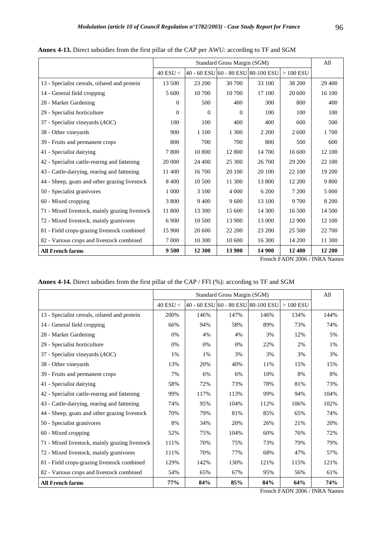|                                                |              | Standard Gross Margin (SGM) |                                    |         |            |         |  |
|------------------------------------------------|--------------|-----------------------------|------------------------------------|---------|------------|---------|--|
|                                                | $40$ ESU $<$ |                             | 40 - 60 ESU 60 - 80 ESU 80-100 ESU |         | $>100$ ESU |         |  |
| 13 - Specialist cereals, oilseed and protein   | 13 500       | 23 200                      | 30 700                             | 33 100  | 38 200     | 29 400  |  |
| 14 - General field cropping                    | 5 600        | 10 700                      | 10 700                             | 17 100  | 20 600     | 16 100  |  |
| 28 - Market Gardening                          | $\Omega$     | 500                         | 400                                | 300     | 800        | 400     |  |
| 29 - Specialist horticulture                   | $\theta$     | $\Omega$                    | $\Omega$                           | 100     | 100        | 100     |  |
| 37 - Specialist vineyards $(AOC)$              | 100          | 100                         | 400                                | 400     | 600        | 500     |  |
| 38 - Other vineyards                           | 900          | 1 100                       | 1 300                              | 2 2 0 0 | 2 600      | 1700    |  |
| 39 - Fruits and permanent crops                | 800          | 700                         | 700                                | 800     | 500        | 600     |  |
| 41 - Specialist dairying                       | 7800         | 10 800                      | 12 800                             | 14 700  | 16 600     | 12 100  |  |
| 42 - Specialist cattle-rearing and fattening   | 20 000       | 24 400                      | 25 300                             | 26 700  | 29 200     | 22 100  |  |
| 43 - Cattle-dairying, rearing and fattening    | 11 400       | 16 700                      | 20 100                             | 20 100  | 22 100     | 19 200  |  |
| 44 - Sheep, goats and other grazing livestock  | 8 4 0 0      | 10 500                      | 11 300                             | 13 800  | 12 200     | 9 800   |  |
| 50 - Specialist granivores                     | 1 0 0 0      | 3 100                       | 4 0 0 0                            | 6 200   | 7 200      | 5 0 0 0 |  |
| 60 - Mixed cropping                            | 3 800        | 9 4 0 0                     | 9 600                              | 13 100  | 9 700      | 8 2 0 0 |  |
| 71 - Mixed livestock, mainly grazing livestock | 11 800       | 13 300                      | 15 600                             | 14 300  | 16 500     | 14 500  |  |
| 72 - Mixed livestock, mainly granivores        | 6 9 0 0      | 10 500                      | 13 900                             | 13 000  | 12 900     | 12 100  |  |
| 81 - Field crops-grazing livestock combined    | 15 900       | 20 600                      | 22 200                             | 23 200  | 25 500     | 22 700  |  |
| 82 - Various crops and livestock combined      | 7 0 0 0      | 10 300                      | 10 600                             | 16 300  | 14 200     | 11 300  |  |
| <b>All French farms</b>                        | 9 500        | 12 300                      | 13 900                             | 14 900  | 12 400     | 12 200  |  |

**Annex 4-13.** Direct subsidies from the first pillar of the CAP per AWU: according to TF and SGM

| Annex 4-14. Direct subsidies from the first pillar of the CAP / FFI (%): according to TF and SGM |  |  |  |
|--------------------------------------------------------------------------------------------------|--|--|--|
|                                                                                                  |  |  |  |

|                                                |              |                                    | Standard Gross Margin (SGM) |      |            | All  |
|------------------------------------------------|--------------|------------------------------------|-----------------------------|------|------------|------|
|                                                | $40$ ESU $<$ | 40 - 60 ESU 60 - 80 ESU 80-100 ESU |                             |      | $>100$ ESU |      |
| 13 - Specialist cereals, oilseed and protein   | 200%         | 146%                               | 147%                        | 146% | 134%       | 144% |
| 14 - General field cropping                    | 66%          | 94%                                | 58%                         | 89%  | 73%        | 74%  |
| 28 - Market Gardening                          | 0%           | 4%                                 | 4%                          | 3%   | 12%        | 5%   |
| 29 - Specialist horticulture                   | 0%           | 0%                                 | 0%                          | 22%  | 2%         | 1%   |
| 37 - Specialist vineyards $(AOC)$              | 1%           | $1\%$                              | 3%                          | 3%   | 3%         | 3%   |
| 38 - Other vineyards                           | 13%          | 20%                                | 40%                         | 11%  | 15%        | 15%  |
| 39 - Fruits and permanent crops                | 7%           | 6%                                 | 6%                          | 10%  | 8%         | 8%   |
| 41 - Specialist dairying                       | 58%          | 72%                                | 73%                         | 78%  | 81%        | 73%  |
| 42 - Specialist cattle-rearing and fattening   | 99%          | 117%                               | 113%                        | 99%  | 94%        | 104% |
| 43 - Cattle-dairying, rearing and fattening    | 74%          | 95%                                | 104%                        | 112% | 106%       | 102% |
| 44 - Sheep, goats and other grazing livestock  | 70%          | 79%                                | 81%                         | 85%  | 65%        | 74%  |
| 50 - Specialist granivores                     | 8%           | 34%                                | 20%                         | 26%  | 21%        | 20%  |
| 60 - Mixed cropping                            | 52%          | 75%                                | 104%                        | 60%  | 76%        | 72%  |
| 71 - Mixed livestock, mainly grazing livestock | 111%         | 70%                                | 75%                         | 73%  | 79%        | 79%  |
| 72 - Mixed livestock, mainly granivores        | 111%         | 70%                                | 77%                         | 68%  | 47%        | 57%  |
| 81 - Field crops-grazing livestock combined    | 129%         | 142%                               | 130%                        | 121% | 115%       | 121% |
| 82 - Various crops and livestock combined      | 54%          | 65%                                | 67%                         | 95%  | 56%        | 61%  |
| <b>All French farms</b>                        | 77%          | 84%                                | 85%                         | 84%  | 64%        | 74%  |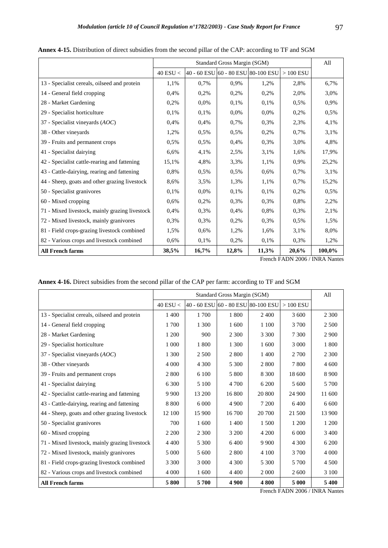|                                                |              | Standard Gross Margin (SGM) |       |                                    |            |        |  |
|------------------------------------------------|--------------|-----------------------------|-------|------------------------------------|------------|--------|--|
|                                                | $40$ ESU $<$ |                             |       | 40 - 60 ESU 60 - 80 ESU 80-100 ESU | $>100$ ESU |        |  |
| 13 - Specialist cereals, oilseed and protein   | 1,1%         | 0.7%                        | 0.9%  | 1,2%                               | 2,8%       | 6,7%   |  |
| 14 - General field cropping                    | 0.4%         | 0.2%                        | 0,2%  | 0,2%                               | 2,0%       | 3,0%   |  |
| 28 - Market Gardening                          | 0,2%         | 0.0%                        | 0.1%  | 0,1%                               | 0,5%       | 0,9%   |  |
| 29 - Specialist horticulture                   | 0.1%         | 0.1%                        | 0.0%  | 0.0%                               | 0.2%       | 0.5%   |  |
| 37 - Specialist vineyards $(AOC)$              | 0.4%         | 0.4%                        | 0,7%  | 0.3%                               | 2,3%       | 4,1%   |  |
| 38 - Other vineyards                           | 1,2%         | 0.5%                        | 0.5%  | 0,2%                               | 0.7%       | 3,1%   |  |
| 39 - Fruits and permanent crops                | 0,5%         | 0,5%                        | 0.4%  | 0,3%                               | 3.0%       | 4,8%   |  |
| 41 - Specialist dairying                       | 6,6%         | 4,1%                        | 2,5%  | 3,1%                               | 1,6%       | 17,9%  |  |
| 42 - Specialist cattle-rearing and fattening   | 15,1%        | 4,8%                        | 3,3%  | 1,1%                               | 0.9%       | 25,2%  |  |
| 43 - Cattle-dairying, rearing and fattening    | 0.8%         | 0.5%                        | 0,5%  | 0.6%                               | 0.7%       | 3,1%   |  |
| 44 - Sheep, goats and other grazing livestock  | 8,6%         | 3,5%                        | 1,3%  | 1,1%                               | 0,7%       | 15,2%  |  |
| 50 - Specialist granivores                     | 0.1%         | $0.0\%$                     | 0.1%  | 0.1%                               | 0.2%       | 0.5%   |  |
| 60 - Mixed cropping                            | 0.6%         | 0.2%                        | 0,3%  | 0.3%                               | 0.8%       | 2,2%   |  |
| 71 - Mixed livestock, mainly grazing livestock | 0.4%         | 0.3%                        | 0.4%  | 0.8%                               | 0.3%       | 2,1%   |  |
| 72 - Mixed livestock, mainly granivores        | 0.3%         | 0,3%                        | 0,2%  | 0,3%                               | 0,5%       | 1,5%   |  |
| 81 - Field crops-grazing livestock combined    | 1,5%         | 0.6%                        | 1,2%  | 1,6%                               | 3,1%       | 8,0%   |  |
| 82 - Various crops and livestock combined      | 0.6%         | 0,1%                        | 0,2%  | 0,1%                               | 0.3%       | 1,2%   |  |
| <b>All French farms</b>                        | 38,5%        | 16,7%                       | 12,8% | 11,3%                              | 20,6%      | 100,0% |  |

**Annex 4-15.** Distribution of direct subsidies from the second pillar of the CAP: according to TF and SGM

| <b>Annex 4-16.</b> Direct subsidies from the second pillar of the CAP per farm: according to TF and SGM |
|---------------------------------------------------------------------------------------------------------|
|---------------------------------------------------------------------------------------------------------|

|                                                |              | Standard Gross Margin (SGM) |                                    |         |            | All     |
|------------------------------------------------|--------------|-----------------------------|------------------------------------|---------|------------|---------|
|                                                | $40$ ESU $<$ |                             | 40 - 60 ESU 60 - 80 ESU 80-100 ESU |         | $>100$ ESU |         |
| 13 - Specialist cereals, oilseed and protein   | 1 400        | 1700                        | 1800                               | 2400    | 3 600      | 2 3 0 0 |
| 14 - General field cropping                    | 1700         | 1 300                       | 1 600                              | 1 100   | 3 700      | 2 5 0 0 |
| 28 - Market Gardening                          | 1 200        | 900                         | 2 3 0 0                            | 3 3 0 0 | 7 300      | 2 9 0 0 |
| 29 - Specialist horticulture                   | 1 000        | 1 800                       | 1 300                              | 1 600   | 3 0 0 0    | 1800    |
| 37 - Specialist vineyards $(AOC)$              | 1 300        | 2 5 0 0                     | 2 8 0 0                            | 1400    | 2 700      | 2 3 0 0 |
| 38 - Other vineyards                           | 4 0 0 0      | 4 3 0 0                     | 5 300                              | 2 8 0 0 | 7800       | 4 600   |
| 39 - Fruits and permanent crops                | 2 800        | 6 100                       | 5 800                              | 8 3 0 0 | 18 600     | 8 9 0 0 |
| 41 - Specialist dairying                       | 6 300        | 5 100                       | 4 700                              | 6 200   | 5 600      | 5 700   |
| 42 - Specialist cattle-rearing and fattening   | 9 9 0 0      | 13 200                      | 16 800                             | 20 800  | 24 900     | 11 600  |
| 43 - Cattle-dairying, rearing and fattening    | 8 8 0 0      | 6 0 0 0                     | 4 9 0 0                            | 7 200   | 6400       | 6 600   |
| 44 - Sheep, goats and other grazing livestock  | 12 100       | 15 900                      | 16 700                             | 20 700  | 21 500     | 13 900  |
| 50 - Specialist granivores                     | 700          | 1 600                       | 1400                               | 1 500   | 1 200      | 1 200   |
| 60 - Mixed cropping                            | 2 2 0 0      | 2 3 0 0                     | 3 200                              | 4 200   | 6 0 0 0    | 3 4 0 0 |
| 71 - Mixed livestock, mainly grazing livestock | 4 4 0 0      | 5 300                       | 6400                               | 9 9 0 0 | 4 3 0 0    | 6 200   |
| 72 - Mixed livestock, mainly granivores        | 5 0 0 0      | 5 600                       | 2 800                              | 4 100   | 3 700      | 4 0 0 0 |
| 81 - Field crops-grazing livestock combined    | 3 3 0 0      | 3 0 0 0                     | 4 3 0 0                            | 5 3 0 0 | 5 700      | 4 500   |
| 82 - Various crops and livestock combined      | 4 0 0 0      | 1 600                       | 4 4 0 0                            | 2 0 0 0 | 2 600      | 3 100   |
| <b>All French farms</b>                        | 5800         | 5700                        | 4 9 0 0                            | 4800    | 5 000      | 5400    |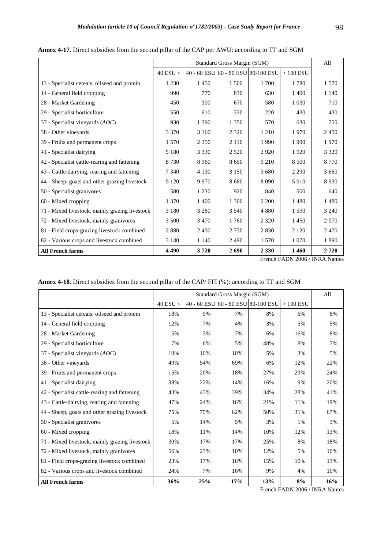|                                                |              | Standard Gross Margin (SGM)        |         |         |            |         |
|------------------------------------------------|--------------|------------------------------------|---------|---------|------------|---------|
|                                                | $40$ ESU $<$ | 40 - 60 ESU 60 - 80 ESU 80-100 ESU |         |         | $>100$ ESU |         |
| 13 - Specialist cereals, oilseed and protein   | 1 2 3 0      | 1450                               | 1 500   | 1700    | 1780       | 1 5 7 0 |
| 14 - General field cropping                    | 990          | 770                                | 830     | 630     | 1 400      | 1 1 4 0 |
| 28 - Market Gardening                          | 450          | 300                                | 670     | 580     | 1 0 3 0    | 710     |
| 29 - Specialist horticulture                   | 550          | 610                                | 330     | 220     | 430        | 430     |
| 37 - Specialist vineyards $(AOC)$              | 930          | 1 3 9 0                            | 1 3 5 0 | 570     | 630        | 750     |
| 38 - Other vineyards                           | 3 3 7 0      | 3 1 6 0                            | 2 3 2 0 | 1 2 1 0 | 1970       | 2450    |
| 39 - Fruits and permanent crops                | 1 5 7 0      | 2 3 5 0                            | 2 1 1 0 | 1990    | 1990       | 1970    |
| 41 - Specialist dairying                       | 5 1 8 0      | 3 3 3 0                            | 2 5 2 0 | 2920    | 1920       | 3 3 2 0 |
| 42 - Specialist cattle-rearing and fattening   | 8 7 3 0      | 8 9 6 0                            | 8650    | 9 2 1 0 | 8 5 0 0    | 8 7 7 0 |
| 43 - Cattle-dairying, rearing and fattening    | 7 3 4 0      | 4 1 3 0                            | 3 1 5 0 | 3 6 8 0 | 2 2 9 0    | 3 6 6 0 |
| 44 - Sheep, goats and other grazing livestock  | 9 1 2 0      | 9 9 7 0                            | 8680    | 8 0 9 0 | 5910       | 8930    |
| 50 - Specialist granivores                     | 580          | 1 2 3 0                            | 920     | 840     | 500        | 640     |
| 60 - Mixed cropping                            | 1 3 7 0      | 1 400                              | 1 300   | 2 2 0 0 | 1480       | 1480    |
| 71 - Mixed livestock, mainly grazing livestock | 3 1 8 0      | 3 2 8 0                            | 3 5 4 0 | 4 8 8 0 | 1 5 9 0    | 3 2 4 0 |
| 72 - Mixed livestock, mainly granivores        | 3 500        | 3 4 7 0                            | 1760    | 2 3 2 0 | 1450       | 2070    |
| 81 - Field crops-grazing livestock combined    | 2880         | 2430                               | 2 7 3 0 | 2 8 3 0 | 2 1 2 0    | 2470    |
| 82 - Various crops and livestock combined      | 3 1 4 0      | 1 1 4 0                            | 2490    | 1 5 7 0 | 1 0 7 0    | 1890    |
| <b>All French farms</b>                        | 4490         | 3720                               | 2690    | 2 3 3 0 | 1460       | 2720    |

**Annex 4-17.** Direct subsidies from the second pillar of the CAP per AWU: according to TF and SGM

| Annex 4-18. Direct subsidies from the second pillar of the CAP/FFI (%): according to TF and SGM |  |  |  |
|-------------------------------------------------------------------------------------------------|--|--|--|
|-------------------------------------------------------------------------------------------------|--|--|--|

|                                                |            | Standard Gross Margin (SGM)                   |     |     |            |     |  |
|------------------------------------------------|------------|-----------------------------------------------|-----|-----|------------|-----|--|
|                                                | 40 ESU $<$ | $ 40 - 60$ ESU $ 60 - 80$ ESU $ 80 - 100$ ESU |     |     | $>100$ ESU |     |  |
| 13 - Specialist cereals, oilseed and protein   | 18%        | 9%                                            | 7%  | 8%  | 6%         | 8%  |  |
| 14 - General field cropping                    | 12%        | 7%                                            | 4%  | 3%  | 5%         | 5%  |  |
| 28 - Market Gardening                          | 5%         | 3%                                            | 7%  | 6%  | 16%        | 8%  |  |
| 29 - Specialist horticulture                   | 7%         | 6%                                            | 5%  | 48% | 8%         | 7%  |  |
| 37 - Specialist vineyards (AOC)                | 10%        | 10%                                           | 10% | 5%  | 3%         | 5%  |  |
| 38 - Other vineyards                           | 49%        | 54%                                           | 69% | 6%  | 12%        | 22% |  |
| 39 - Fruits and permanent crops                | 15%        | 20%                                           | 18% | 27% | 29%        | 24% |  |
| 41 - Specialist dairying                       | 38%        | 22%                                           | 14% | 16% | 9%         | 20% |  |
| 42 - Specialist cattle-rearing and fattening   | 43%        | 43%                                           | 39% | 34% | 28%        | 41% |  |
| 43 - Cattle-dairying, rearing and fattening    | 47%        | 24%                                           | 16% | 21% | 11%        | 19% |  |
| 44 - Sheep, goats and other grazing livestock  | 75%        | 75%                                           | 62% | 50% | 31%        | 67% |  |
| 50 - Specialist granivores                     | 5%         | 14%                                           | 5%  | 3%  | 1%         | 3%  |  |
| 60 - Mixed cropping                            | 18%        | 11%                                           | 14% | 10% | 12%        | 13% |  |
| 71 - Mixed livestock, mainly grazing livestock | 30%        | 17%                                           | 17% | 25% | 8%         | 18% |  |
| 72 - Mixed livestock, mainly granivores        | 56%        | 23%                                           | 10% | 12% | 5%         | 10% |  |
| 81 - Field crops-grazing livestock combined    | 23%        | 17%                                           | 16% | 15% | 10%        | 13% |  |
| 82 - Various crops and livestock combined      | 24%        | 7%                                            | 16% | 9%  | 4%         | 10% |  |
| <b>All French farms</b>                        | 36%        | 25%                                           | 17% | 13% | 8%         | 16% |  |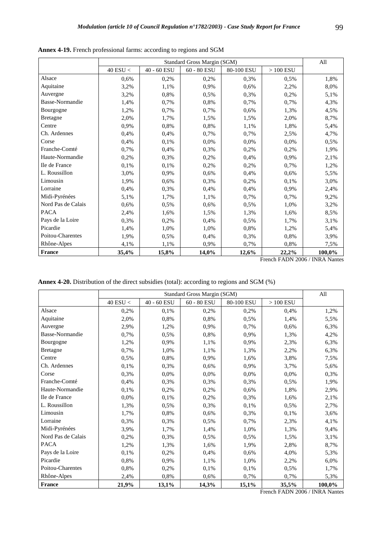|                    | Standard Gross Margin (SGM) |             |                        |            |                 |        |
|--------------------|-----------------------------|-------------|------------------------|------------|-----------------|--------|
|                    | $40$ ESU $<\,$              | 40 - 60 ESU | $60$ - $80$ $\rm{ESU}$ | 80-100 ESU | $>100$ ESU $\,$ |        |
| Alsace             | 0,6%                        | 0,2%        | 0,2%                   | 0,3%       | 0.5%            | 1,8%   |
| Aquitaine          | 3,2%                        | 1,1%        | 0,9%                   | 0,6%       | 2,2%            | 8,0%   |
| Auvergne           | 3,2%                        | 0,8%        | 0,5%                   | 0,3%       | 0,2%            | 5,1%   |
| Basse-Normandie    | 1,4%                        | 0,7%        | 0,8%                   | 0,7%       | 0,7%            | 4,3%   |
| Bourgogne          | 1,2%                        | 0,7%        | 0,7%                   | 0,6%       | 1,3%            | 4,5%   |
| <b>Bretagne</b>    | 2,0%                        | 1,7%        | 1,5%                   | 1,5%       | 2,0%            | 8,7%   |
| Centre             | 0,9%                        | 0,8%        | 0,8%                   | 1,1%       | 1,8%            | 5,4%   |
| Ch. Ardennes       | 0,4%                        | 0,4%        | 0,7%                   | 0,7%       | 2,5%            | 4,7%   |
| Corse              | 0,4%                        | 0,1%        | 0,0%                   | 0,0%       | 0,0%            | 0,5%   |
| Franche-Comté      | 0,7%                        | 0,4%        | 0,3%                   | 0,2%       | 0,2%            | 1,9%   |
| Haute-Normandie    | 0,2%                        | 0,3%        | 0,2%                   | 0,4%       | 0,9%            | 2,1%   |
| Ile de France      | 0,1%                        | 0,1%        | 0,2%                   | 0,2%       | 0,7%            | 1,2%   |
| L. Roussillon      | 3,0%                        | 0,9%        | 0,6%                   | 0,4%       | 0,6%            | 5,5%   |
| Limousin           | 1,9%                        | 0,6%        | 0,3%                   | 0,2%       | 0,1%            | 3,0%   |
| Lorraine           | 0,4%                        | 0,3%        | 0,4%                   | 0,4%       | 0,9%            | 2,4%   |
| Midi-Pyrénées      | 5,1%                        | 1,7%        | 1,1%                   | 0,7%       | 0,7%            | 9,2%   |
| Nord Pas de Calais | 0,6%                        | 0,5%        | 0,6%                   | 0,5%       | 1,0%            | 3,2%   |
| <b>PACA</b>        | 2,4%                        | 1,6%        | 1,5%                   | 1,3%       | 1,6%            | 8,5%   |
| Pays de la Loire   | 0,3%                        | 0,2%        | 0,4%                   | 0,5%       | 1,7%            | 3,1%   |
| Picardie           | 1,4%                        | 1,0%        | 1,0%                   | 0,8%       | 1,2%            | 5,4%   |
| Poitou-Charentes   | 1,9%                        | 0,5%        | 0,4%                   | 0,3%       | 0,8%            | 3,9%   |
| Rhône-Alpes        | 4,1%                        | 1,1%        | 0,9%                   | 0,7%       | 0,8%            | 7,5%   |
| <b>France</b>      | 35,4%                       | 15,8%       | 14,0%                  | 12,6%      | 22,2%           | 100,0% |

**Annex 4-19.** French professional farms: according to regions and SGM

**Annex 4-20.** Distribution of the direct subsidies (total): according to regions and SGM (%)

|                    |            |             | Standard Gross Margin (SGM) |            |            | All    |
|--------------------|------------|-------------|-----------------------------|------------|------------|--------|
|                    | 40 $ESU <$ | 40 - 60 ESU | 60 - 80 ESU                 | 80-100 ESU | $>100$ ESU |        |
| Alsace             | 0,2%       | 0,1%        | 0,2%                        | 0,2%       | 0.4%       | 1,2%   |
| Aquitaine          | 2,0%       | 0,8%        | 0,8%                        | 0,5%       | 1,4%       | 5,5%   |
| Auvergne           | 2,9%       | 1,2%        | 0,9%                        | 0,7%       | 0.6%       | 6,3%   |
| Basse-Normandie    | 0,7%       | 0,5%        | 0,8%                        | 0,9%       | 1,3%       | 4,2%   |
| Bourgogne          | 1,2%       | 0,9%        | 1,1%                        | 0,9%       | 2,3%       | 6,3%   |
| <b>Bretagne</b>    | 0,7%       | 1,0%        | 1,1%                        | 1,3%       | 2,2%       | 6,3%   |
| Centre             | 0,5%       | 0,8%        | 0,9%                        | 1,6%       | 3.8%       | 7,5%   |
| Ch. Ardennes       | 0,1%       | 0,3%        | 0,6%                        | 0,9%       | 3,7%       | 5,6%   |
| Corse              | 0,3%       | 0.0%        | 0.0%                        | 0,0%       | 0.0%       | 0,3%   |
| Franche-Comté      | 0,4%       | 0,3%        | 0,3%                        | 0,3%       | 0,5%       | 1,9%   |
| Haute-Normandie    | 0,1%       | 0,2%        | 0,2%                        | 0,6%       | 1,8%       | 2,9%   |
| Ile de France      | $0.0\%$    | 0,1%        | 0,2%                        | 0,3%       | 1,6%       | 2,1%   |
| L. Roussillon      | 1,3%       | 0,5%        | 0,3%                        | 0,1%       | 0,5%       | 2,7%   |
| Limousin           | 1,7%       | 0,8%        | 0,6%                        | 0,3%       | 0,1%       | 3,6%   |
| Lorraine           | 0,3%       | 0,3%        | 0.5%                        | 0,7%       | 2,3%       | 4,1%   |
| Midi-Pyrénées      | 3,9%       | 1,7%        | 1,4%                        | 1,0%       | 1,3%       | 9,4%   |
| Nord Pas de Calais | 0,2%       | 0,3%        | 0,5%                        | 0,5%       | 1,5%       | 3,1%   |
| <b>PACA</b>        | 1,2%       | 1,3%        | 1,6%                        | 1,9%       | 2,8%       | 8,7%   |
| Pays de la Loire   | 0,1%       | 0,2%        | 0,4%                        | 0.6%       | 4,0%       | 5,3%   |
| Picardie           | 0,8%       | 0.9%        | 1,1%                        | 1,0%       | 2,2%       | 6,0%   |
| Poitou-Charentes   | 0,8%       | 0,2%        | 0,1%                        | 0,1%       | 0,5%       | 1,7%   |
| Rhône-Alpes        | 2,4%       | 0,8%        | 0,6%                        | 0,7%       | 0,7%       | 5,3%   |
| <b>France</b>      | 21,9%      | 13,1%       | 14,3%                       | 15,1%      | 35,5%      | 100,0% |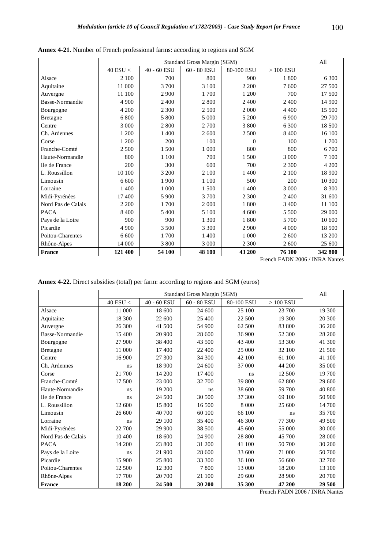|                    |                |             | Standard Gross Margin (SGM) |            |            | All     |
|--------------------|----------------|-------------|-----------------------------|------------|------------|---------|
|                    | $40$ ESU $<\,$ | 40 - 60 ESU | 60 - 80 ESU                 | 80-100 ESU | $>100$ ESU |         |
| Alsace             | 2 100          | 700         | 800                         | 900        | 1800       | 6 300   |
| Aquitaine          | 11 000         | 3700        | 3 100                       | 2 2 0 0    | 7600       | 27 500  |
| Auvergne           | 11 100         | 2 9 0 0     | 1700                        | 1 200      | 700        | 17 500  |
| Basse-Normandie    | 4 9 0 0        | 2 400       | 2 800                       | 2 400      | 2 400      | 14 900  |
| Bourgogne          | 4 200          | 2 300       | 2 5 0 0                     | 2 0 0 0    | 4 4 0 0    | 15 500  |
| <b>Bretagne</b>    | 6 800          | 5 800       | 5 0 0 0                     | 5 200      | 6 9 0 0    | 29 700  |
| Centre             | 3 0 0 0        | 2800        | 2 700                       | 3 800      | 6 300      | 18 500  |
| Ch. Ardennes       | 1 200          | 1 400       | 2 600                       | 2 500      | 8 4 0 0    | 16 100  |
| Corse              | 1 200          | 200         | 100                         | $\Omega$   | 100        | 1700    |
| Franche-Comté      | 2 500          | 1500        | 1 000                       | 800        | 800        | 6 700   |
| Haute-Normandie    | 800            | 1 100       | 700                         | 1500       | 3 000      | 7 100   |
| Ile de France      | 200            | 300         | 600                         | 700        | 2 300      | 4 200   |
| L. Roussillon      | 10 100         | 3 200       | 2 100                       | 1 400      | 2 100      | 18 900  |
| Limousin           | 6 600          | 1 900       | 1 100                       | 500        | 200        | 10 300  |
| Lorraine           | 1 400          | 1 000       | 1500                        | 1 400      | 3 000      | 8 3 0 0 |
| Midi-Pyrénées      | 17 400         | 5 9 0 0     | 3 700                       | 2 300      | 2 400      | 31 600  |
| Nord Pas de Calais | 2 2 0 0        | 1700        | 2 0 0 0                     | 1800       | 3 4 0 0    | 11 100  |
| <b>PACA</b>        | 8 4 0 0        | 5 400       | 5 100                       | 4 600      | 5 500      | 29 000  |
| Pays de la Loire   | 900            | 900         | 1 300                       | 1800       | 5 700      | 10 600  |
| Picardie           | 4 9 0 0        | 3 500       | 3 3 0 0                     | 2 9 0 0    | 4 0 0 0    | 18 500  |
| Poitou-Charentes   | 6 600          | 1700        | 1 400                       | 1 000      | 2 600      | 13 200  |
| Rhône-Alpes        | 14 000         | 3 800       | 3 0 0 0                     | 2 300      | 2 600      | 25 600  |
| France             | 121 400        | 54 100      | 48 100                      | 43 200     | 76 100     | 342 800 |

**Annex 4-21.** Number of French professional farms: according to regions and SGM

**Annex 4-22.** Direct subsidies (total) per farm: according to regions and SGM (euros)

|                    |            | All         |               |            |            |        |
|--------------------|------------|-------------|---------------|------------|------------|--------|
|                    | 40 ESU $<$ | 40 - 60 ESU | $60 - 80$ ESU | 80-100 ESU | $>100$ ESU |        |
| Alsace             | 11 000     | 18 600      | 24 600        | 25 100     | 23 700     | 19 300 |
| Aquitaine          | 18 300     | 22 600      | 25 400        | 22 500     | 19 300     | 20 300 |
| Auvergne           | 26 300     | 41 500      | 54 900        | 62 500     | 83 800     | 36 200 |
| Basse-Normandie    | 15 400     | 20 900      | 28 600        | 36 900     | 52 300     | 28 200 |
| Bourgogne          | 27 900     | 38 400      | 43 500        | 43 400     | 53 300     | 41 300 |
| <b>Bretagne</b>    | 11 000     | 17400       | 22 400        | 25 000     | 32 100     | 21 500 |
| Centre             | 16 900     | 27 300      | 34 300        | 42 100     | 61 100     | 41 100 |
| Ch. Ardennes       | ns         | 18 900      | 24 600        | 37 000     | 44 200     | 35 000 |
| Corse              | 21 700     | 14 200      | 17400         | ns         | 12 500     | 19 700 |
| Franche-Comté      | 17 500     | 23 000      | 32 700        | 39 800     | 62 800     | 29 600 |
| Haute-Normandie    | ns         | 19 200      | ns            | 38 600     | 59 700     | 40 800 |
| Ile de France      | ns         | 24 500      | 30 500        | 37 300     | 69 100     | 50 900 |
| L. Roussillon      | 12 600     | 15 800      | 16 500        | 8 0 0 0    | 25 600     | 14 700 |
| Limousin           | 26 600     | 40 700      | 60 100        | 66 100     | ns         | 35 700 |
| Lorraine           | ns         | 29 100      | 35 400        | 46 300     | 77 300     | 49 500 |
| Midi-Pyrénées      | 22 700     | 29 900      | 38 500        | 45 600     | 55 000     | 30 000 |
| Nord Pas de Calais | 10 400     | 18 600      | 24 900        | 28 800     | 45 700     | 28 000 |
| <b>PACA</b>        | 14 200     | 23 800      | 31 200        | 41 100     | 50 700     | 30 200 |
| Pays de la Loire   | ns         | 21 900      | 28 600        | 33 600     | 71 000     | 50 700 |
| Picardie           | 15 900     | 25 800      | 33 300        | 36 100     | 56 600     | 32 700 |
| Poitou-Charentes   | 12 500     | 12 300      | 7800          | 13 000     | 18 200     | 13 100 |
| Rhône-Alpes        | 17 700     | 20 700      | 21 100        | 29 600     | 28 900     | 20 700 |
| <b>France</b>      | 18 200     | 24 500      | 30 200        | 35 300     | 47 200     | 29 500 |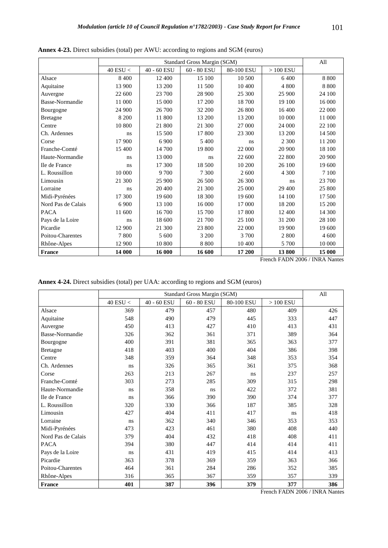|                    |            |             | Standard Gross Margin (SGM) |            |            | All     |
|--------------------|------------|-------------|-----------------------------|------------|------------|---------|
|                    | 40 ESU $<$ | 40 - 60 ESU | 60 - 80 ESU                 | 80-100 ESU | $>100$ ESU |         |
| Alsace             | 8 4 0 0    | 12 400      | 15 100                      | 10 500     | 6400       | 8 8 0 0 |
| Aquitaine          | 13 900     | 13 200      | 11 500                      | 10 400     | 4 800      | 8800    |
| Auvergne           | 22 600     | 23 700      | 28 900                      | 25 300     | 25 900     | 24 100  |
| Basse-Normandie    | 11 000     | 15 000      | 17 200                      | 18 700     | 19 100     | 16 000  |
| Bourgogne          | 24 900     | 26 700      | 32 200                      | 26 800     | 16 400     | 22 000  |
| <b>Bretagne</b>    | 8 200      | 11 800      | 13 200                      | 13 200     | 10 000     | 11 000  |
| Centre             | 10 800     | 21 800      | 21 300                      | 27 000     | 24 000     | 22 100  |
| Ch. Ardennes       | ns         | 15 500      | 17 800                      | 23 300     | 13 200     | 14 500  |
| Corse              | 17 900     | 6 9 0 0     | 5 400                       | ns         | 2 300      | 11 200  |
| Franche-Comté      | 15 400     | 14 700      | 19 800                      | 22 000     | 20 900     | 18 100  |
| Haute-Normandie    | ns         | 13 000      | ns                          | 22 600     | 22 800     | 20 900  |
| Ile de France      | ns         | 17 300      | 18 500                      | 10 200     | 26 100     | 19 600  |
| L. Roussillon      | 10 000     | 9700        | 7 300                       | 2 600      | 4 300      | 7 100   |
| Limousin           | 21 300     | 25 900      | 26 500                      | 26 300     | ns         | 23 700  |
| Lorraine           | ns         | 20 400      | 21 300                      | 25 000     | 29 400     | 25 800  |
| Midi-Pyrénées      | 17 300     | 19 600      | 18 300                      | 19 600     | 14 100     | 17 500  |
| Nord Pas de Calais | 6 9 0 0    | 13 100      | 16 000                      | 17 000     | 18 200     | 15 200  |
| <b>PACA</b>        | 11 600     | 16 700      | 15 700                      | 17 800     | 12 400     | 14 300  |
| Pays de la Loire   | ns         | 18 600      | 21 700                      | 25 100     | 31 200     | 28 100  |
| Picardie           | 12 900     | 21 300      | 23 800                      | 22 000     | 19 900     | 19 600  |
| Poitou-Charentes   | 7800       | 5 600       | 3 200                       | 3700       | 2 800      | 4 600   |
| Rhône-Alpes        | 12 900     | 10 800      | 8800                        | 10 400     | 5 700      | 10 000  |
| France             | 14 000     | 16 000      | 16 600                      | 17 200     | 13800      | 15 000  |

**Annex 4-23.** Direct subsidies (total) per AWU: according to regions and SGM (euros)

**Annex 4-24.** Direct subsidies (total) per UAA: according to regions and SGM (euros)

|                    | Standard Gross Margin (SGM) |             |               |            |            |     |  |
|--------------------|-----------------------------|-------------|---------------|------------|------------|-----|--|
|                    | 40 ESU $<$                  | 40 - 60 ESU | $60 - 80$ ESU | 80-100 ESU | $>100$ ESU |     |  |
| Alsace             | 369                         | 479         | 457           | 480        | 409        | 426 |  |
| Aquitaine          | 548                         | 490         | 479           | 445        | 333        | 447 |  |
| Auvergne           | 450                         | 413         | 427           | 410        | 413        | 431 |  |
| Basse-Normandie    | 326                         | 362         | 361           | 371        | 389        | 364 |  |
| Bourgogne          | 400                         | 391         | 381           | 365        | 363        | 377 |  |
| <b>Bretagne</b>    | 418                         | 403         | 400           | 404        | 386        | 398 |  |
| Centre             | 348                         | 359         | 364           | 348        | 353        | 354 |  |
| Ch. Ardennes       | ns                          | 326         | 365           | 361        | 375        | 368 |  |
| Corse              | 263                         | 213         | 267           | ns         | 237        | 257 |  |
| Franche-Comté      | 303                         | 273         | 285           | 309        | 315        | 298 |  |
| Haute-Normandie    | ns                          | 358         | ns            | 422        | 372        | 381 |  |
| Ile de France      | ns                          | 366         | 390           | 390        | 374        | 377 |  |
| L. Roussillon      | 320                         | 330         | 366           | 187        | 385        | 328 |  |
| Limousin           | 427                         | 404         | 411           | 417        | ns         | 418 |  |
| Lorraine           | ns                          | 362         | 340           | 346        | 353        | 353 |  |
| Midi-Pyrénées      | 473                         | 423         | 461           | 380        | 408        | 440 |  |
| Nord Pas de Calais | 379                         | 404         | 432           | 418        | 408        | 411 |  |
| <b>PACA</b>        | 394                         | 380         | 447           | 414        | 414        | 411 |  |
| Pays de la Loire   | ns                          | 431         | 419           | 415        | 414        | 413 |  |
| Picardie           | 363                         | 378         | 369           | 359        | 363        | 366 |  |
| Poitou-Charentes   | 464                         | 361         | 284           | 286        | 352        | 385 |  |
| Rhône-Alpes        | 316                         | 365         | 367           | 359        | 357        | 339 |  |
| <b>France</b>      | 401                         | 387         | 396           | 379        | 377        | 386 |  |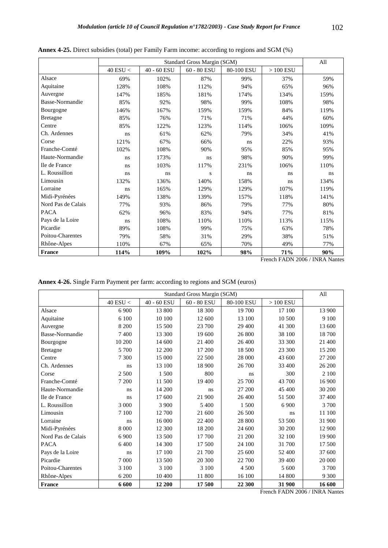|                    |            |             | Standard Gross Margin (SGM) |            |            | All  |
|--------------------|------------|-------------|-----------------------------|------------|------------|------|
|                    | 40 ESU $<$ | 40 - 60 ESU | $60 - 80$ ESU               | 80-100 ESU | $>100$ ESU |      |
| Alsace             | 69%        | 102%        | 87%                         | 99%        | 37%        | 59%  |
| Aquitaine          | 128%       | 108%        | 112%                        | 94%        | 65%        | 96%  |
| Auvergne           | 147%       | 185%        | 181%                        | 174%       | 134%       | 159% |
| Basse-Normandie    | 85%        | 92%         | 98%                         | 99%        | 108%       | 98%  |
| Bourgogne          | 146%       | 167%        | 159%                        | 159%       | 84%        | 119% |
| <b>Bretagne</b>    | 85%        | 76%         | 71%                         | 71%        | 44%        | 60%  |
| Centre             | 85%        | 122%        | 123%                        | 114%       | 106%       | 109% |
| Ch. Ardennes       | ns         | 61%         | 62%                         | 79%        | 34%        | 41%  |
| Corse              | 121%       | 67%         | 66%                         | ns         | 22%        | 93%  |
| Franche-Comté      | 102%       | 108%        | 90%                         | 95%        | 85%        | 95%  |
| Haute-Normandie    | ns         | 173%        | ns                          | 98%        | 90%        | 99%  |
| Ile de France      | ns         | 103%        | 117%                        | 231%       | 106%       | 110% |
| L. Roussillon      | ns         | ns          | S                           | ns         | ns         | ns   |
| Limousin           | 132%       | 136%        | 140%                        | 158%       | ns         | 134% |
| Lorraine           | ns         | 165%        | 129%                        | 129%       | 107%       | 119% |
| Midi-Pyrénées      | 149%       | 138%        | 139%                        | 157%       | 118%       | 141% |
| Nord Pas de Calais | 77%        | 93%         | 86%                         | 79%        | 77%        | 80%  |
| <b>PACA</b>        | 62%        | 96%         | 83%                         | 94%        | 77%        | 81%  |
| Pays de la Loire   | ns         | 108%        | 110%                        | 110%       | 113%       | 115% |
| Picardie           | 89%        | 108%        | 99%                         | 75%        | 63%        | 78%  |
| Poitou-Charentes   | 79%        | 58%         | 31%                         | 29%        | 38%        | 51%  |
| Rhône-Alpes        | 110%       | 67%         | 65%                         | 70%        | 49%        | 77%  |
| <b>France</b>      | 114%       | 109%        | 102%                        | 98%        | 71%        | 90%  |

**Annex 4-25.** Direct subsidies (total) per Family Farm income: according to regions and SGM (%)

|  |  |  | Annex 4-26. Single Farm Payment per farm: according to regions and SGM (euros) |  |  |  |
|--|--|--|--------------------------------------------------------------------------------|--|--|--|
|  |  |  |                                                                                |  |  |  |

|                        |            |             | Standard Gross Margin (SGM) |            |            | All    |
|------------------------|------------|-------------|-----------------------------|------------|------------|--------|
|                        | 40 ESU $<$ | 40 - 60 ESU | 60 - 80 ESU                 | 80-100 ESU | $>100$ ESU |        |
| Alsace                 | 6 9 0 0    | 13 800      | 18 300                      | 19 700     | 17 100     | 13 900 |
| Aquitaine              | 6 100      | 10 100      | 12 600                      | 13 100     | 10 500     | 9 100  |
| Auvergne               | 8 200      | 15 500      | 23 700                      | 29 400     | 41 300     | 13 600 |
| <b>Basse-Normandie</b> | 7400       | 13 300      | 19 600                      | 26 800     | 38 100     | 18700  |
| Bourgogne              | 10 200     | 14 600      | 21 400                      | 26 400     | 33 300     | 21 400 |
| <b>Bretagne</b>        | 5 700      | 12 200      | 17 200                      | 18 500     | 23 300     | 15 200 |
| Centre                 | 7 300      | 15 000      | 22 500                      | 28 000     | 43 600     | 27 200 |
| Ch. Ardennes           | ns         | 13 100      | 18 900                      | 26 700     | 33 400     | 26 200 |
| Corse                  | 2 500      | 1 500       | 800                         | ns         | 300        | 2 100  |
| Franche-Comté          | 7 200      | 11 500      | 19 400                      | 25 700     | 43 700     | 16 900 |
| Haute-Normandie        | ns         | 14 200      | ns                          | 27 200     | 45 400     | 30 200 |
| Ile de France          | ns         | 17 600      | 21 900                      | 26 400     | 51 500     | 37 400 |
| L. Roussillon          | 3 0 0 0    | 3 9 0 0     | 5400                        | 1 500      | 6 900      | 3700   |
| Limousin               | 7 100      | 12 700      | 21 600                      | 26 500     | ns         | 11 100 |
| Lorraine               | ns         | 16 000      | 22 400                      | 28 800     | 53 500     | 31 900 |
| Midi-Pyrénées          | 8 0 0 0    | 12 300      | 18 200                      | 24 600     | 30 200     | 12 900 |
| Nord Pas de Calais     | 6 9 0 0    | 13 500      | 17 700                      | 21 200     | 32 100     | 19 900 |
| <b>PACA</b>            | 6400       | 14 300      | 17 500                      | 24 100     | 31 700     | 17 500 |
| Pays de la Loire       | ns         | 17 100      | 21 700                      | 25 600     | 52 400     | 37 600 |
| Picardie               | 7 0 0 0    | 13 500      | 20 300                      | 22 700     | 39 400     | 20 000 |
| Poitou-Charentes       | 3 100      | 3 100       | 3 100                       | 4 500      | 5 600      | 3700   |
| Rhône-Alpes            | 6 200      | 10 400      | 11 800                      | 16 100     | 14 800     | 9 300  |
| <b>France</b>          | 6 600      | 12 200      | 17500                       | 22 300     | 31 900     | 16 600 |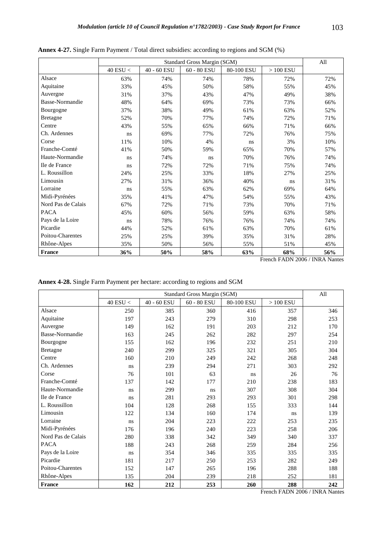|                    |                |             | Standard Gross Margin (SGM) |            |            | All |
|--------------------|----------------|-------------|-----------------------------|------------|------------|-----|
|                    | $40$ ESU $<\,$ | 40 - 60 ESU | $60$ - $80$ $\rm{ESU}$      | 80-100 ESU | $>100$ ESU |     |
| Alsace             | 63%            | 74%         | 74%                         | 78%        | 72%        | 72% |
| Aquitaine          | 33%            | 45%         | 50%                         | 58%        | 55%        | 45% |
| Auvergne           | 31%            | 37%         | 43%                         | 47%        | 49%        | 38% |
| Basse-Normandie    | 48%            | 64%         | 69%                         | 73%        | 73%        | 66% |
| Bourgogne          | 37%            | 38%         | 49%                         | 61%        | 63%        | 52% |
| <b>Bretagne</b>    | 52%            | 70%         | 77%                         | 74%        | 72%        | 71% |
| Centre             | 43%            | 55%         | 65%                         | 66%        | 71%        | 66% |
| Ch. Ardennes       | ns             | 69%         | 77%                         | 72%        | 76%        | 75% |
| Corse              | 11%            | 10%         | 4%                          | ns         | 3%         | 10% |
| Franche-Comté      | 41%            | 50%         | 59%                         | 65%        | 70%        | 57% |
| Haute-Normandie    | ns             | 74%         | ns                          | 70%        | 76%        | 74% |
| Ile de France      | ns             | 72%         | 72%                         | 71%        | 75%        | 74% |
| L. Roussillon      | 24%            | 25%         | 33%                         | 18%        | 27%        | 25% |
| Limousin           | 27%            | 31%         | 36%                         | 40%        | ns         | 31% |
| Lorraine           | ns             | 55%         | 63%                         | 62%        | 69%        | 64% |
| Midi-Pyrénées      | 35%            | 41%         | 47%                         | 54%        | 55%        | 43% |
| Nord Pas de Calais | 67%            | 72%         | 71%                         | 73%        | 70%        | 71% |
| <b>PACA</b>        | 45%            | 60%         | 56%                         | 59%        | 63%        | 58% |
| Pays de la Loire   | ns             | 78%         | 76%                         | 76%        | 74%        | 74% |
| Picardie           | 44%            | 52%         | 61%                         | 63%        | 70%        | 61% |
| Poitou-Charentes   | 25%            | 25%         | 39%                         | 35%        | 31%        | 28% |
| Rhône-Alpes        | 35%            | 50%         | 56%                         | 55%        | 51%        | 45% |
| <b>France</b>      | 36%            | 50%         | 58%                         | 63%        | 68%        | 56% |

**Annex 4-27.** Single Farm Payment / Total direct subsidies: according to regions and SGM (%)

**Annex 4-28.** Single Farm Payment per hectare: according to regions and SGM

|                    |              | Standard Gross Margin (SGM) |             |            |            |     |  |  |  |  |
|--------------------|--------------|-----------------------------|-------------|------------|------------|-----|--|--|--|--|
|                    | $40$ ESU $<$ | 40 - 60 ESU                 | 60 - 80 ESU | 80-100 ESU | $>100$ ESU |     |  |  |  |  |
| Alsace             | 250          | 385                         | 360         | 416        | 357        | 346 |  |  |  |  |
| Aquitaine          | 197          | 243                         | 279         | 310        | 298        | 253 |  |  |  |  |
| Auvergne           | 149          | 162                         | 191         | 203        | 212        | 170 |  |  |  |  |
| Basse-Normandie    | 163          | 245                         | 262         | 282        | 297        | 254 |  |  |  |  |
| Bourgogne          | 155          | 162                         | 196         | 232        | 251        | 210 |  |  |  |  |
| <b>Bretagne</b>    | 240          | 299                         | 325         | 321        | 305        | 304 |  |  |  |  |
| Centre             | 160          | 210                         | 249         | 242        | 268        | 248 |  |  |  |  |
| Ch. Ardennes       | ns           | 239                         | 294         | 271        | 303        | 292 |  |  |  |  |
| Corse              | 76           | 101                         | 63          | ns         | 26         | 76  |  |  |  |  |
| Franche-Comté      | 137          | 142                         | 177         | 210        | 238        | 183 |  |  |  |  |
| Haute-Normandie    | ns           | 299                         | ns          | 307        | 308        | 304 |  |  |  |  |
| Ile de France      | ns           | 281                         | 293         | 293        | 301        | 298 |  |  |  |  |
| L. Roussillon      | 104          | 128                         | 268         | 155        | 333        | 144 |  |  |  |  |
| Limousin           | 122          | 134                         | 160         | 174        | ns         | 139 |  |  |  |  |
| Lorraine           | ns           | 204                         | 223         | 222        | 253        | 235 |  |  |  |  |
| Midi-Pyrénées      | 176          | 196                         | 240         | 223        | 258        | 206 |  |  |  |  |
| Nord Pas de Calais | 280          | 338                         | 342         | 349        | 340        | 337 |  |  |  |  |
| <b>PACA</b>        | 188          | 243                         | 268         | 259        | 284        | 256 |  |  |  |  |
| Pays de la Loire   | ns           | 354                         | 346         | 335        | 335        | 335 |  |  |  |  |
| Picardie           | 181          | 217                         | 250         | 253        | 282        | 249 |  |  |  |  |
| Poitou-Charentes   | 152          | 147                         | 265         | 196        | 288        | 188 |  |  |  |  |
| Rhône-Alpes        | 135          | 204                         | 239         | 218        | 252        | 181 |  |  |  |  |
| <b>France</b>      | 162          | 212                         | 253         | 260        | 288        | 242 |  |  |  |  |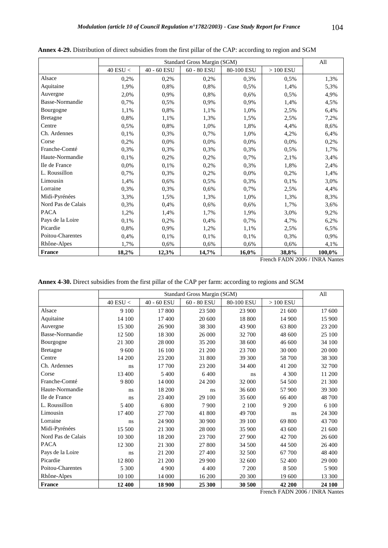|                    |              |             | Standard Gross Margin (SGM) |            |            | All    |
|--------------------|--------------|-------------|-----------------------------|------------|------------|--------|
|                    | $40$ ESU $<$ | 40 - 60 ESU | $60$ - $80\,\mathrm{ESU}$   | 80-100 ESU | $>100$ ESU |        |
| Alsace             | 0,2%         | 0,2%        | 0.2%                        | 0.3%       | 0.5%       | 1,3%   |
| Aquitaine          | 1,9%         | 0,8%        | 0,8%                        | 0,5%       | 1,4%       | 5,3%   |
| Auvergne           | 2,0%         | 0.9%        | 0.8%                        | 0,6%       | 0,5%       | 4,9%   |
| Basse-Normandie    | 0,7%         | 0,5%        | 0,9%                        | 0,9%       | 1,4%       | 4,5%   |
| Bourgogne          | 1,1%         | 0,8%        | 1,1%                        | 1,0%       | 2,5%       | 6,4%   |
| <b>Bretagne</b>    | 0,8%         | 1,1%        | 1,3%                        | 1,5%       | 2,5%       | 7,2%   |
| Centre             | 0,5%         | 0,8%        | 1,0%                        | 1,8%       | 4,4%       | 8,6%   |
| Ch. Ardennes       | 0,1%         | 0,3%        | 0,7%                        | 1,0%       | 4,2%       | 6,4%   |
| Corse              | 0,2%         | 0,0%        | 0,0%                        | 0,0%       | 0,0%       | 0,2%   |
| Franche-Comté      | 0,3%         | 0,3%        | 0,3%                        | 0,3%       | 0,5%       | 1,7%   |
| Haute-Normandie    | 0,1%         | 0,2%        | 0,2%                        | 0,7%       | 2,1%       | 3,4%   |
| Ile de France      | 0,0%         | 0,1%        | 0,2%                        | 0,3%       | 1,8%       | 2,4%   |
| L. Roussillon      | 0,7%         | 0,3%        | 0,2%                        | 0,0%       | 0,2%       | 1,4%   |
| Limousin           | 1,4%         | 0,6%        | 0,5%                        | 0,3%       | 0,1%       | 3,0%   |
| Lorraine           | 0,3%         | 0,3%        | 0,6%                        | 0,7%       | 2,5%       | 4,4%   |
| Midi-Pyrénées      | 3,3%         | 1,5%        | 1,3%                        | 1,0%       | 1,3%       | 8,3%   |
| Nord Pas de Calais | 0,3%         | 0,4%        | 0.6%                        | 0,6%       | 1,7%       | 3,6%   |
| <b>PACA</b>        | 1,2%         | 1,4%        | 1,7%                        | 1,9%       | 3,0%       | 9,2%   |
| Pays de la Loire   | 0,1%         | 0,2%        | 0,4%                        | 0,7%       | 4,7%       | 6,2%   |
| Picardie           | 0,8%         | 0,9%        | 1,2%                        | 1,1%       | 2,5%       | 6,5%   |
| Poitou-Charentes   | 0,4%         | 0,1%        | 0,1%                        | 0,1%       | 0,3%       | 0,9%   |
| Rhône-Alpes        | 1,7%         | 0,6%        | 0,6%                        | 0,6%       | 0,6%       | 4,1%   |
| France             | 18,2%        | 12,3%       | 14,7%                       | 16,0%      | 38,8%      | 100,0% |

**Annex 4-29.** Distribution of direct subsidies from the first pillar of the CAP: according to region and SGM

| Annex 4-30. Direct subsidies from the first pillar of the CAP per farm: according to regions and SGM |  |  |  |  |  |  |
|------------------------------------------------------------------------------------------------------|--|--|--|--|--|--|
|                                                                                                      |  |  |  |  |  |  |

|                    |            |             | Standard Gross Margin (SGM) |            |            | All     |
|--------------------|------------|-------------|-----------------------------|------------|------------|---------|
|                    | 40 ESU $<$ | 40 - 60 ESU | $60 - 80$ ESU               | 80-100 ESU | $>100$ ESU |         |
| Alsace             | 9 100      | 17 800      | 23 500                      | 23 900     | 21 600     | 17 600  |
| Aquitaine          | 14 100     | 17400       | 20 600                      | 18 800     | 14 900     | 15 900  |
| Auvergne           | 15 300     | 26 900      | 38 300                      | 43 900     | 63 800     | 23 200  |
| Basse-Normandie    | 12 500     | 18 300      | 26 000                      | 32 700     | 48 600     | 25 100  |
| Bourgogne          | 21 300     | 28 000      | 35 200                      | 38 600     | 46 600     | 34 100  |
| <b>Bretagne</b>    | 9 600      | 16 100      | 21 200                      | 23 700     | 30 000     | 20 000  |
| Centre             | 14 200     | 23 200      | 31 800                      | 39 300     | 58 700     | 38 300  |
| Ch. Ardennes       | ns         | 17 700      | 23 200                      | 34 400     | 41 200     | 32 700  |
| Corse              | 13 400     | 5 400       | 6400                        | ns         | 4 300      | 11 200  |
| Franche-Comté      | 9 800      | 14 000      | 24 200                      | 32 000     | 54 500     | 21 300  |
| Haute-Normandie    | ns         | 18 200      | ns                          | 36 600     | 57 900     | 39 300  |
| Ile de France      | ns         | 23 400      | 29 100                      | 35 600     | 66 400     | 48 700  |
| L. Roussillon      | 5 400      | 6 800       | 7900                        | 2 100      | 9 200      | 6 100   |
| Limousin           | 17 400     | 27 700      | 41 800                      | 49 700     | ns         | 24 300  |
| Lorraine           | ns         | 24 900      | 30 900                      | 39 100     | 69 800     | 43 700  |
| Midi-Pyrénées      | 15 500     | 21 300      | 28 000                      | 35 900     | 43 600     | 21 600  |
| Nord Pas de Calais | 10 300     | 18 200      | 23 700                      | 27 900     | 42 700     | 26 600  |
| <b>PACA</b>        | 12 300     | 21 300      | 27 800                      | 34 500     | 44 500     | 26 400  |
| Pays de la Loire   | ns         | 21 200      | 27 400                      | 32 500     | 67 700     | 48 400  |
| Picardie           | 12 800     | 21 200      | 29 900                      | 32 600     | 52 400     | 29 000  |
| Poitou-Charentes   | 5 300      | 4 9 0 0     | 4 4 0 0                     | 7 200      | 8 500      | 5 9 0 0 |
| Rhône-Alpes        | 10 100     | 14 000      | 16 200                      | 20 300     | 19 600     | 13 300  |
| <b>France</b>      | 12 400     | 18 900      | 25 300                      | 30 500     | 42 200     | 24 100  |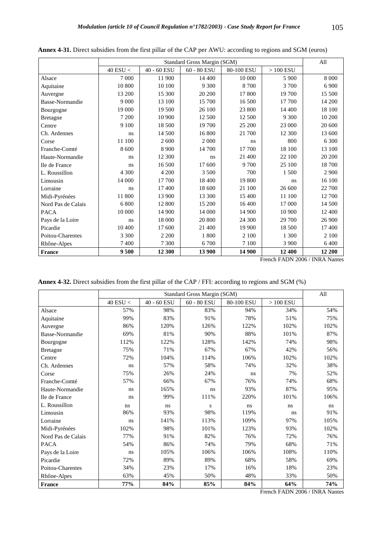|                    |            |             | Standard Gross Margin (SGM) |            |            | All     |
|--------------------|------------|-------------|-----------------------------|------------|------------|---------|
|                    | 40 ESU $<$ | 40 - 60 ESU | $60 - 80$ ESU               | 80-100 ESU | $>100$ ESU |         |
| Alsace             | 7 0 0 0    | 11 900      | 14 400                      | 10 000     | 5 9 0 0    | 8 0 0 0 |
| Aquitaine          | 10 800     | 10 100      | 9 3 0 0                     | 8700       | 3700       | 6 9 0 0 |
| Auvergne           | 13 200     | 15 300      | 20 200                      | 17 800     | 19 700     | 15 500  |
| Basse-Normandie    | 9 0 0 0    | 13 100      | 15 700                      | 16 500     | 17 700     | 14 200  |
| Bourgogne          | 19 000     | 19 500      | 26 100                      | 23 800     | 14 400     | 18 100  |
| <b>Bretagne</b>    | 7 200      | 10 900      | 12 500                      | 12 500     | 9 300      | 10 200  |
| Centre             | 9 100      | 18 500      | 19 700                      | 25 200     | 23 000     | 20 600  |
| Ch. Ardennes       | ns         | 14 500      | 16 800                      | 21 700     | 12 300     | 13 600  |
| Corse              | 11 100     | 2 600       | 2 0 0 0                     | ns         | 800        | 6 300   |
| Franche-Comté      | 8 600      | 8 9 0 0     | 14 700                      | 17 700     | 18 100     | 13 100  |
| Haute-Normandie    | ns         | 12 300      | ns                          | 21 400     | 22 100     | 20 200  |
| Ile de France      | ns         | 16 500      | 17 600                      | 9 700      | 25 100     | 18700   |
| L. Roussillon      | 4 300      | 4 200       | 3 500                       | 700        | 1 500      | 2 9 0 0 |
| Limousin           | 14 000     | 17 700      | 18 400                      | 19 800     | ns         | 16 100  |
| Lorraine           | ns         | 17400       | 18 600                      | 21 100     | 26 600     | 22 700  |
| Midi-Pyrénées      | 11 800     | 13 900      | 13 300                      | 15 400     | 11 100     | 12 700  |
| Nord Pas de Calais | 6 800      | 12 800      | 15 200                      | 16 400     | 17 000     | 14 500  |
| <b>PACA</b>        | 10 000     | 14 900      | 14 000                      | 14 900     | 10 900     | 12 400  |
| Pays de la Loire   | ns         | 18 000      | 20 800                      | 24 300     | 29 700     | 26 900  |
| Picardie           | 10 400     | 17 600      | 21 400                      | 19 900     | 18 500     | 17400   |
| Poitou-Charentes   | 3 3 0 0    | 2 2 0 0     | 1800                        | 2 100      | 1 300      | 2 100   |
| Rhône-Alpes        | 7 400      | 7 300       | 6 700                       | 7 100      | 3 900      | 6400    |
| France             | 9500       | 12 300      | 13 900                      | 14 900     | 12 400     | 12 200  |

**Annex 4-31.** Direct subsidies from the first pillar of the CAP per AWU: according to regions and SGM (euros)

**Annex 4-32.** Direct subsidies from the first pillar of the CAP / FFI: according to regions and SGM (%)

|                    |              |             | Standard Gross Margin (SGM) |            |            | All  |
|--------------------|--------------|-------------|-----------------------------|------------|------------|------|
|                    | $40$ ESU $<$ | 40 - 60 ESU | 60 - 80 ESU                 | 80-100 ESU | $>100$ ESU |      |
| Alsace             | 57%          | 98%         | 83%                         | 94%        | 34%        | 54%  |
| Aquitaine          | 99%          | 83%         | 91%                         | 78%        | 51%        | 75%  |
| Auvergne           | 86%          | 120%        | 126%                        | 122%       | 102%       | 102% |
| Basse-Normandie    | 69%          | 81%         | 90%                         | 88%        | 101%       | 87%  |
| Bourgogne          | 112%         | 122%        | 128%                        | 142%       | 74%        | 98%  |
| <b>Bretagne</b>    | 75%          | 71%         | 67%                         | 67%        | 42%        | 56%  |
| Centre             | 72%          | 104%        | 114%                        | 106%       | 102%       | 102% |
| Ch. Ardennes       | ns           | 57%         | 58%                         | 74%        | 32%        | 38%  |
| Corse              | 75%          | 26%         | 24%                         | ns         | 7%         | 52%  |
| Franche-Comté      | 57%          | 66%         | 67%                         | 76%        | 74%        | 68%  |
| Haute-Normandie    | ns           | 165%        | ns                          | 93%        | 87%        | 95%  |
| Ile de France      | ns           | 99%         | 111%                        | 220%       | 101%       | 106% |
| L. Roussillon      | ns           | ns          | S                           | ns         | ns         | ns   |
| Limousin           | 86%          | 93%         | 98%                         | 119%       | ns         | 91%  |
| Lorraine           | ns           | 141%        | 113%                        | 109%       | 97%        | 105% |
| Midi-Pyrénées      | 102%         | 98%         | 101%                        | 123%       | 93%        | 102% |
| Nord Pas de Calais | 77%          | 91%         | 82%                         | 76%        | 72%        | 76%  |
| <b>PACA</b>        | 54%          | 86%         | 74%                         | 79%        | 68%        | 71%  |
| Pays de la Loire   | ns           | 105%        | 106%                        | 106%       | 108%       | 110% |
| Picardie           | 72%          | 89%         | 89%                         | 68%        | 58%        | 69%  |
| Poitou-Charentes   | 34%          | 23%         | 17%                         | 16%        | 18%        | 23%  |
| Rhône-Alpes        | 63%          | 45%         | 50%                         | 48%        | 33%        | 50%  |
| <b>France</b>      | 77%          | 84%         | 85%                         | 84%        | 64%        | 74%  |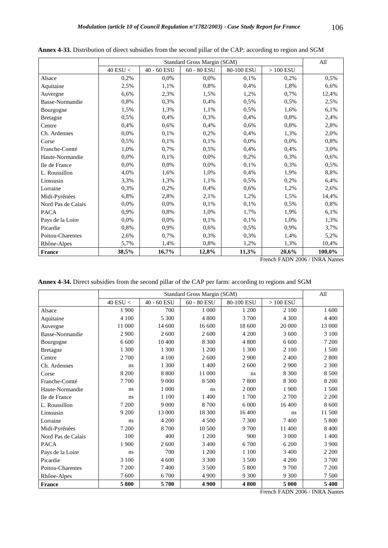|                    |            |             | Standard Gross Margin (SGM) |            |            | All    |
|--------------------|------------|-------------|-----------------------------|------------|------------|--------|
|                    | 40 ESU $<$ | 40 - 60 ESU | 60 - 80 ESU                 | 80-100 ESU | $>100$ ESU |        |
| Alsace             | 0,2%       | 0.0%        | 0.0%                        | 0.1%       | 0.2%       | 0,5%   |
| Aquitaine          | 2,5%       | 1,1%        | 0,8%                        | 0,4%       | 1,8%       | 6,6%   |
| Auvergne           | 6,6%       | 2,3%        | 1,5%                        | 1,2%       | 0,7%       | 12,4%  |
| Basse-Normandie    | 0,8%       | 0,3%        | 0,4%                        | 0,5%       | 0,5%       | 2,5%   |
| Bourgogne          | 1,5%       | 1,3%        | 1,1%                        | 0,5%       | 1,6%       | 6,1%   |
| <b>Bretagne</b>    | 0,5%       | 0,4%        | 0,3%                        | 0,4%       | 0,8%       | 2,4%   |
| Centre             | 0,4%       | 0.6%        | 0,4%                        | 0,6%       | 0,8%       | 2,8%   |
| Ch. Ardennes       | 0,0%       | 0,1%        | 0,2%                        | 0,4%       | 1,3%       | 2,0%   |
| Corse              | 0,5%       | 0,1%        | 0,1%                        | 0,0%       | 0,0%       | 0,8%   |
| Franche-Comté      | 1,0%       | 0,7%        | 0,5%                        | 0,4%       | 0,4%       | 3,0%   |
| Haute-Normandie    | 0,0%       | 0,1%        | 0,0%                        | 0,2%       | 0,3%       | 0,6%   |
| Ile de France      | 0,0%       | 0,0%        | 0,0%                        | 0,1%       | 0,3%       | 0,5%   |
| L. Roussillon      | 4,0%       | 1,6%        | 1,0%                        | 0,4%       | 1,9%       | 8,8%   |
| Limousin           | 3,3%       | 1,3%        | 1,1%                        | 0,5%       | 0,2%       | 6,4%   |
| Lorraine           | 0,3%       | 0,2%        | 0,4%                        | 0,6%       | 1,2%       | 2,6%   |
| Midi-Pyrénées      | 6,8%       | 2,8%        | 2,1%                        | 1,2%       | 1,5%       | 14,4%  |
| Nord Pas de Calais | 0,0%       | 0,0%        | 0,1%                        | 0,1%       | 0,5%       | 0,8%   |
| <b>PACA</b>        | 0,9%       | 0,8%        | 1,0%                        | 1,7%       | 1,9%       | 6,1%   |
| Pays de la Loire   | 0,0%       | 0,0%        | 0,1%                        | 0,1%       | 1,0%       | 1,3%   |
| Picardie           | 0,8%       | 0,9%        | 0,6%                        | 0,5%       | 0,9%       | 3,7%   |
| Poitou-Charentes   | 2,6%       | 0,7%        | 0,3%                        | 0,3%       | 1,4%       | 5,2%   |
| Rhône-Alpes        | 5,7%       | 1,4%        | 0,8%                        | 1,2%       | 1,3%       | 10,4%  |
| France             | 38,5%      | 16,7%       | 12,8%                       | 11,3%      | 20,6%      | 100,0% |

**Annex 4-33.** Distribution of direct subsidies from the second pillar of the CAP: according to region and SGM

French FADN 2006 / INRA Nantes

**Annex 4-34.** Direct subsidies from the second pillar of the CAP per farm: according to regions and SGM

|                    |            |             | Standard Gross Margin (SGM) |            |            | All     |
|--------------------|------------|-------------|-----------------------------|------------|------------|---------|
|                    | 40 ESU $<$ | 40 - 60 ESU | 60 - 80 ESU                 | 80-100 ESU | $>100$ ESU |         |
| Alsace             | 1 900      | 700         | 1 000                       | 1 200      | 2 100      | 1 600   |
| Aquitaine          | 4 100      | 5 300       | 4 800                       | 3 700      | 4 3 0 0    | 4 4 0 0 |
| Auvergne           | 11 000     | 14 600      | 16 600                      | 18 600     | 20 000     | 13 000  |
| Basse-Normandie    | 2 9 0 0    | 2 600       | 2 600                       | 4 200      | 3 600      | 3 100   |
| Bourgogne          | 6 600      | 10 400      | 8 3 0 0                     | 4 800      | 6 600      | 7 200   |
| <b>Bretagne</b>    | 1 300      | 1 300       | 1 200                       | 1 300      | 2 100      | 1.500   |
| Centre             | 2 700      | 4 100       | 2 600                       | 2 9 0 0    | 2 400      | 2 800   |
| Ch. Ardennes       | ns         | 1 300       | 1 400                       | 2 600      | 2 900      | 2 300   |
| Corse              | 8 200      | 8 8 0 0     | 11 000                      | ns         | 8 3 0 0    | 8 5 0 0 |
| Franche-Comté      | 7700       | 9 0 0 0     | 8 500                       | 7800       | 8 3 0 0    | 8 200   |
| Haute-Normandie    | ns         | 1 000       | ns                          | 2 0 0 0    | 1 900      | 1.500   |
| Ile de France      | ns         | 1 100       | 1 400                       | 1700       | 2 700      | 2 2 0 0 |
| L. Roussillon      | 7 200      | 9 0 0 0     | 8700                        | 6 0 0 0    | 16 400     | 8 600   |
| Limousin           | 9 200      | 13 000      | 18 300                      | 16 400     | ns         | 11 500  |
| Lorraine           | ns         | 4 200       | 4 500                       | 7 300      | 7400       | 5 800   |
| Midi-Pyrénées      | 7 200      | 8700        | 10 500                      | 9 700      | 11 400     | 8 4 0 0 |
| Nord Pas de Calais | 100        | 400         | 1 200                       | 900        | 3 0 0 0    | 1400    |
| <b>PACA</b>        | 1 900      | 2 600       | 3 4 0 0                     | 6 700      | 6 200      | 3 9 0 0 |
| Pays de la Loire   | ns         | 700         | 1 200                       | 1 100      | 3 400      | 2 2 0 0 |
| Picardie           | 3 100      | 4 600       | 3 3 0 0                     | 3 500      | 4 200      | 3 700   |
| Poitou-Charentes   | 7 200      | 7400        | 3 500                       | 5 800      | 9 700      | 7 200   |
| Rhône-Alpes        | 7600       | 6700        | 4 9 0 0                     | 9 3 0 0    | 9 3 0 0    | 7 500   |
| <b>France</b>      | 5800       | 5700        | 4 9 0 0                     | 4800       | 5 000      | 5 400   |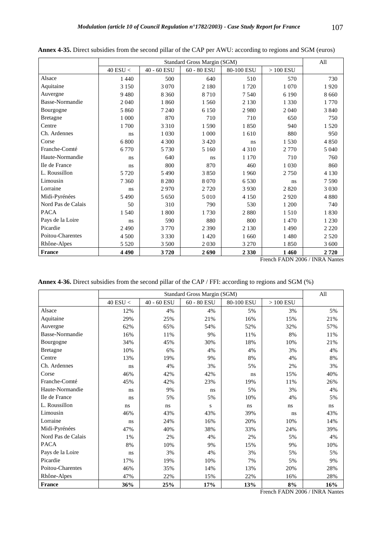|                    |                |             | Standard Gross Margin (SGM) |            |            | All     |
|--------------------|----------------|-------------|-----------------------------|------------|------------|---------|
|                    | $40$ ESU $<\,$ | 40 - 60 ESU | $60$ - $80\,\mathrm{ESU}$   | 80-100 ESU | $>100$ ESU |         |
| Alsace             | 1 4 4 0        | 500         | 640                         | 510        | 570        | 730     |
| Aquitaine          | 3 1 5 0        | 3 0 7 0     | 2 1 8 0                     | 1720       | 1 0 7 0    | 1920    |
| Auvergne           | 9480           | 8 3 6 0     | 8710                        | 7 5 4 0    | 6 1 9 0    | 8 6 6 0 |
| Basse-Normandie    | 2 0 4 0        | 1860        | 1 5 6 0                     | 2 1 3 0    | 1 3 3 0    | 1770    |
| Bourgogne          | 5 8 6 0        | 7 2 4 0     | 6 1 5 0                     | 2980       | 2 0 4 0    | 3840    |
| <b>Bretagne</b>    | 1 000          | 870         | 710                         | 710        | 650        | 750     |
| Centre             | 1700           | 3 3 1 0     | 1590                        | 1850       | 940        | 1 5 2 0 |
| Ch. Ardennes       | ns             | 1 0 3 0     | 1 000                       | 1610       | 880        | 950     |
| Corse              | 6 800          | 4 3 0 0     | 3 4 2 0                     | ns         | 1530       | 4850    |
| Franche-Comté      | 6 7 7 0        | 5 7 3 0     | 5 1 6 0                     | 4 3 1 0    | 2 7 7 0    | 5 0 4 0 |
| Haute-Normandie    | ns             | 640         | ns                          | 1 1 7 0    | 710        | 760     |
| Ile de France      | ns             | 800         | 870                         | 460        | 1 0 3 0    | 860     |
| L. Roussillon      | 5 7 2 0        | 5490        | 3850                        | 1 9 6 0    | 2750       | 4 1 3 0 |
| Limousin           | 7 3 6 0        | 8 2 8 0     | 8070                        | 6 5 3 0    | ns         | 7590    |
| Lorraine           | ns             | 2970        | 2 7 2 0                     | 3 9 3 0    | 2 8 2 0    | 3 0 3 0 |
| Midi-Pyrénées      | 5490           | 5 6 5 0     | 5 0 1 0                     | 4 1 5 0    | 2920       | 4880    |
| Nord Pas de Calais | 50             | 310         | 790                         | 530        | 1 200      | 740     |
| <b>PACA</b>        | 1 5 4 0        | 1800        | 1730                        | 2880       | 1510       | 1830    |
| Pays de la Loire   | ns             | 590         | 880                         | 800        | 1 470      | 1 2 3 0 |
| Picardie           | 2490           | 3770        | 2 3 9 0                     | 2 1 3 0    | 1490       | 2 2 2 0 |
| Poitou-Charentes   | 4 500          | 3 3 3 0     | 1 4 2 0                     | 1 660      | 1 4 8 0    | 2 5 2 0 |
| Rhône-Alpes        | 5 5 2 0        | 3 500       | 2 0 3 0                     | 3 2 7 0    | 1850       | 3 600   |
| <b>France</b>      | 4 4 9 0        | 3720        | 2690                        | 2 3 3 0    | 1 4 6 0    | 2720    |

**Annex 4-35.** Direct subsidies from the second pillar of the CAP per AWU: according to regions and SGM (euros)

French FADN 2006 / INRA Nantes

**Annex 4-36.** Direct subsidies from the second pillar of the CAP / FFI: according to regions and SGM (%)

|                    |              |             | Standard Gross Margin (SGM) |            |            | All |
|--------------------|--------------|-------------|-----------------------------|------------|------------|-----|
|                    | $40$ ESU $<$ | 40 - 60 ESU | $60 - 80$ ESU               | 80-100 ESU | $>100$ ESU |     |
| Alsace             | 12%          | 4%          | 4%                          | 5%         | 3%         | 5%  |
| Aquitaine          | 29%          | 25%         | 21%                         | 16%        | 15%        | 21% |
| Auvergne           | 62%          | 65%         | 54%                         | 52%        | 32%        | 57% |
| Basse-Normandie    | 16%          | 11%         | 9%                          | 11%        | 8%         | 11% |
| Bourgogne          | 34%          | 45%         | 30%                         | 18%        | 10%        | 21% |
| <b>Bretagne</b>    | 10%          | 6%          | 4%                          | 4%         | 3%         | 4%  |
| Centre             | 13%          | 19%         | 9%                          | 8%         | 4%         | 8%  |
| Ch. Ardennes       | ns           | 4%          | 3%                          | 5%         | 2%         | 3%  |
| Corse              | 46%          | 42%         | 42%                         | ns         | 15%        | 40% |
| Franche-Comté      | 45%          | 42%         | 23%                         | 19%        | 11%        | 26% |
| Haute-Normandie    | ns           | 9%          | ns                          | 5%         | 3%         | 4%  |
| Ile de France      | ns           | 5%          | 5%                          | 10%        | 4%         | 5%  |
| L. Roussillon      | ns           | ns          | S                           | ns         | ns         | ns  |
| Limousin           | 46%          | 43%         | 43%                         | 39%        | ns         | 43% |
| Lorraine           | ns           | 24%         | 16%                         | 20%        | 10%        | 14% |
| Midi-Pyrénées      | 47%          | 40%         | 38%                         | 33%        | 24%        | 39% |
| Nord Pas de Calais | 1%           | 2%          | 4%                          | 2%         | 5%         | 4%  |
| <b>PACA</b>        | 8%           | 10%         | 9%                          | 15%        | 9%         | 10% |
| Pays de la Loire   | ns           | 3%          | 4%                          | 3%         | 5%         | 5%  |
| Picardie           | 17%          | 19%         | 10%                         | 7%         | 5%         | 9%  |
| Poitou-Charentes   | 46%          | 35%         | 14%                         | 13%        | 20%        | 28% |
| Rhône-Alpes        | 47%          | 22%         | 15%                         | 22%        | 16%        | 28% |
| <b>France</b>      | 36%          | 25%         | 17%                         | 13%        | 8%         | 16% |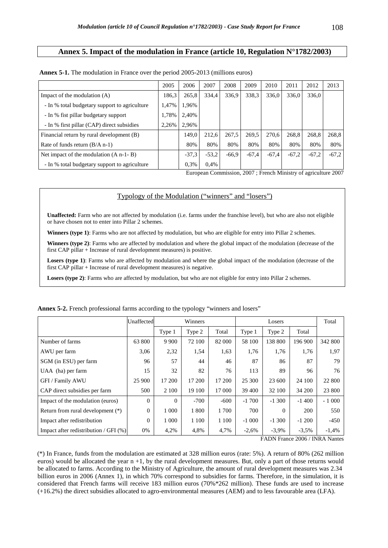#### **Annex 5. Impact of the modulation in France (article 10, Regulation N°1782/2003)**

|                                               | 2005  | 2006    | 2007    | 2008    | 2009    | 2010    | 2011    | 2012    | 2013    |
|-----------------------------------------------|-------|---------|---------|---------|---------|---------|---------|---------|---------|
| Impact of the modulation $(A)$                | 186,3 | 265,8   | 334,4   | 336,9   | 338,3   | 336,0   | 336,0   | 336,0   |         |
| - In % total budgetary support to agriculture | 1.47% | 1,96%   |         |         |         |         |         |         |         |
| - In % fist pillar budgetary support          | 1,78% | 2,40%   |         |         |         |         |         |         |         |
| - In % first pillar (CAP) direct subsidies    | 2,26% | 2,96%   |         |         |         |         |         |         |         |
| Financial return by rural development (B)     |       | 149.0   | 212,6   | 267.5   | 269,5   | 270,6   | 268,8   | 268,8   | 268,8   |
| Rate of funds return $(B/A n-1)$              |       | 80%     | 80%     | 80%     | 80%     | 80%     | 80%     | 80%     | 80%     |
| Net impact of the modulation $(A n-1-B)$      |       | $-37.3$ | $-53.2$ | $-66.9$ | $-67.4$ | $-67,4$ | $-67.2$ | $-67.2$ | $-67,2$ |
| - In % total budgetary support to agriculture |       | 0.3%    | $0.4\%$ |         |         |         |         |         |         |

**Annex 5-1.** The modulation in France over the period 2005-2013 (millions euros)

European Commission, 2007 ; French Ministry of agriculture 2007

#### Typology of the Modulation ("winners" and "losers")

**Unaffected:** Farm who are not affected by modulation (i.e. farms under the franchise level), but who are also not eligible or have chosen not to enter into Pillar 2 schemes.

Winners (type 1): Farms who are not affected by modulation, but who are eligible for entry into Pillar 2 schemes.

**Winners (type 2)**: Farms who are affected by modulation and where the global impact of the modulation (decrease of the first CAP pillar + Increase of rural development measures) is positive.

Losers (type 1): Farms who are affected by modulation and where the global impact of the modulation (decrease of the first CAP pillar + Increase of rural development measures) is negative.

Losers (type 2): Farms who are affected by modulation, but who are not eligible for entry into Pillar 2 schemes.

|                                          | Unaffected |          | Winners |         |         | Losers   |         | Total   |
|------------------------------------------|------------|----------|---------|---------|---------|----------|---------|---------|
|                                          |            | Type 1   | Type 2  | Total   | Type 1  | Type 2   | Total   |         |
| Number of farms                          | 63 800     | 9 9 0 0  | 72 100  | 82 000  | 58 100  | 138 800  | 196 900 | 342 800 |
| AWU per farm                             | 3,06       | 2,32     | 1,54    | 1,63    | 1,76    | 1,76     | 1,76    | 1,97    |
| SGM (in ESU) per farm                    | 96         | 57       | 44      | 46      | 87      | 86       | 87      | 79      |
| UAA (ha) per farm                        | 15         | 32       | 82      | 76      | 113     | 89       | 96      | 76      |
| GFI / Family AWU                         | 25 900     | 17 200   | 17 200  | 17 200  | 25 300  | 23 600   | 24 100  | 22 800  |
| CAP direct subsidies per farm            | 500        | 2 100    | 19 100  | 17 000  | 39 400  | 32 100   | 34 200  | 23 800  |
| Impact of the modulation (euros)         | $\theta$   | $\Omega$ | $-700$  | $-600$  | $-1700$ | $-1300$  | $-1400$ | $-1000$ |
| Return from rural development (*)        | $\Omega$   | 1 0 0 0  | 1800    | 1700    | 700     | $\Omega$ | 200     | 550     |
| Impact after redistribution              | $\Omega$   | 1 0 0 0  | 1 1 0 0 | 1 1 0 0 | $-1000$ | $-1,300$ | $-1200$ | $-450$  |
| Impact after redistribution / GFI $(\%)$ | 0%         | 4,2%     | 4,8%    | 4,7%    | $-2,6%$ | $-3,9%$  | $-3,5%$ | $-1,4%$ |

**Annex 5-2.** French professional farms according to the typology "winners and losers"

FADN France 2006 / INRA Nantes

(\*) In France, funds from the modulation are estimated at 328 million euros (rate: 5%). A return of 80% (262 million euros) would be allocated the year  $n + 1$ , by the rural development measures. But, only a part of those returns would be allocated to farms. According to the Ministry of Agriculture, the amount of rural development measures was 2.34 billion euros in 2006 (Annex 1), in which 70% correspond to subsidies for farms. Therefore, in the simulation, it is considered that French farms will receive 183 million euros (70%\*262 million). These funds are used to increase (+16.2%) the direct subsidies allocated to agro-environmental measures (AEM) and to less favourable area (LFA).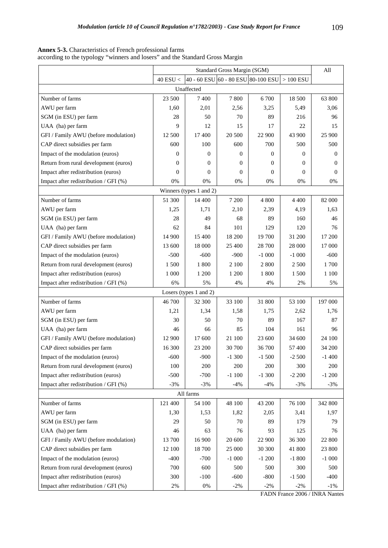|                                       |                |                                    | Standard Gross Margin (SGM) |                |            | All            |
|---------------------------------------|----------------|------------------------------------|-----------------------------|----------------|------------|----------------|
|                                       | $40$ ESU $<\,$ | 40 - 60 ESU 60 - 80 ESU 80-100 ESU |                             |                | $>100$ ESU |                |
|                                       |                | Unaffected                         |                             |                |            |                |
| Number of farms                       | 23 500         | 7400                               | 7800                        | 6 700          | 18 500     | 63 800         |
| AWU per farm                          | 1,60           | 2,01                               | 2,56                        | 3,25           | 5,49       | 3,06           |
| SGM (in ESU) per farm                 | 28             | 50                                 | 70                          | 89             | 216        | 96             |
| UAA (ha) per farm                     | 9              | 12                                 | 15                          | 17             | 22         | 15             |
| GFI / Family AWU (before modulation)  | 12 500         | 17400                              | 20 500                      | 22 900         | 43 900     | 25 900         |
| CAP direct subsidies per farm         | 600            | 100                                | 600                         | 700            | 500        | 500            |
| Impact of the modulation (euros)      | $\mathbf{0}$   | $\Omega$                           | $\theta$                    | $\overline{0}$ | 0          | $\mathbf{0}$   |
| Return from rural development (euros) | $\mathbf{0}$   | $\overline{0}$                     | 0                           | $\Omega$       | 0          | $\overline{0}$ |
| Impact after redistribution (euros)   | $\Omega$       | $\Omega$                           | $\overline{0}$              | $\theta$       | 0          | $\theta$       |
| Impact after redistribution / GFI (%) | 0%             | 0%                                 | $0\%$                       | 0%             | 0%         | 0%             |
|                                       |                | Winners (types 1 and 2)            |                             |                |            |                |
| Number of farms                       | 51 300         | 14 400                             | 7 200                       | 4 800          | 4 4 0 0    | 82 000         |
| AWU per farm                          | 1,25           | 1,71                               | 2,10                        | 2,39           | 4,19       | 1,63           |
| SGM (in ESU) per farm                 | 28             | 49                                 | 68                          | 89             | 160        | 46             |
| UAA (ha) per farm                     | 62             | 84                                 | 101                         | 129            | 120        | 76             |
| GFI / Family AWU (before modulation)  | 14 900         | 15 400                             | 18 200                      | 19 700         | 31 200     | 17 200         |
| CAP direct subsidies per farm         | 13 600         | 18 000                             | 25 400                      | 28 700         | 28 000     | 17 000         |
| Impact of the modulation (euros)      | $-500$         | $-600$                             | $-900$                      | $-1000$        | $-1000$    | $-600$         |
| Return from rural development (euros) | 1 500          | 1800                               | 2 100                       | 2 800          | 2 500      | 1700           |
| Impact after redistribution (euros)   | 1 0 0 0        | 1 200                              | 1 200                       | 1 800          | 1 500      | 1 100          |
| Impact after redistribution / GFI (%) | 6%             | 5%                                 | 4%                          | 4%             | 2%         | 5%             |
|                                       |                | Losers (types 1 and 2)             |                             |                |            |                |
| Number of farms                       | 46 700         | 32 300                             | 33 100                      | 31 800         | 53 100     | 197 000        |
| AWU per farm                          | 1,21           | 1,34                               | 1,58                        | 1,75           | 2,62       | 1,76           |
| SGM (in ESU) per farm                 | 30             | 50                                 | 70                          | 89             | 167        | 87             |
| UAA (ha) per farm                     | 46             | 66                                 | 85                          | 104            | 161        | 96             |
| GFI / Family AWU (before modulation)  | 12 900         | 17 600                             | 21 100                      | 23 600         | 34 600     | 24 100         |
| CAP direct subsidies per farm         | 16 300         | 23 200                             | 30 700                      | 36 700         | 57 400     | 34 200         |
| Impact of the modulation (euros)      | $-600$         | $-900$                             | $-1300$                     | $-1500$        | $-2500$    | $-1400$        |
| Return from rural development (euros) | 100            | 200                                | 200                         | 200            | 300        | 200            |
| Impact after redistribution (euros)   | $-500$         | $-700$                             | $-1100$                     | $-1300$        | $-2200$    | $-1200$        |
| Impact after redistribution / GFI (%) | $-3%$          | $-3%$                              | $-4%$                       | $-4%$          | $-3%$      | $-3%$          |
|                                       |                | All farms                          |                             |                |            |                |
| Number of farms                       | 121 400        | 54 100                             | 48 100                      | 43 200         | 76 100     | 342 800        |
| AWU per farm                          | 1,30           | 1,53                               | 1,82                        | 2,05           | 3,41       | 1,97           |
| SGM (in ESU) per farm                 | 29             | 50                                 | 70                          | 89             | 179        | 79             |
| UAA (ha) per farm                     | 46             | 63                                 | 76                          | 93             | 125        | 76             |
| GFI / Family AWU (before modulation)  | 13 700         | 16 900                             | 20 600                      | 22 900         | 36 300     | 22 800         |
| CAP direct subsidies per farm         | 12 100         | 18 700                             | 25 000                      | 30 300         | 41 800     | 23 800         |
| Impact of the modulation (euros)      | $-400$         | $-700$                             | $-1000$                     | $-1200$        | $-1800$    | $-1000$        |
| Return from rural development (euros) | 700            | 600                                | 500                         | 500            | 300        | 500            |
| Impact after redistribution (euros)   | 300            | $-100$                             | $-600$                      | $-800$         | $-1500$    | $-400$         |
| Impact after redistribution / GFI (%) | $2\%$          | $0\%$                              | $-2%$                       | $-2%$          | $-2%$      | $-1%$          |

**Annex 5-3.** Characteristics of French professional farms according to the typology "winners and losers" and the Standard Gross Margin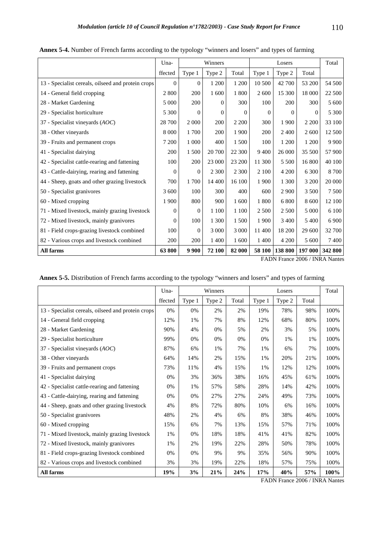|                                                    | Una-         |                | Winners  |          |          | Losers   |          | Total   |
|----------------------------------------------------|--------------|----------------|----------|----------|----------|----------|----------|---------|
|                                                    | ffected      | Type 1         | Type 2   | Total    | Type 1   | Type 2   | Total    |         |
| 13 - Specialist cereals, oilseed and protein crops | $\Omega$     | $\Omega$       | 1 200    | 1 200    | 10 500   | 42 700   | 53 200   | 54 500  |
| 14 - General field cropping                        | 2 800        | 200            | 1 600    | 1800     | 2 600    | 15 300   | 18 000   | 22 500  |
| 28 - Market Gardening                              | 5 000        | 200            | $\Omega$ | 300      | 100      | 200      | 300      | 5 600   |
| 29 - Specialist horticulture                       | 5 300        | $\Omega$       | $\Omega$ | $\Omega$ | $\Omega$ | $\Omega$ | $\Omega$ | 5 3 0 0 |
| 37 - Specialist vineyards $(AOC)$                  | 28 700       | 2 0 0 0        | 200      | 2 2 0 0  | 300      | 1 900    | 2 2 0 0  | 33 100  |
| 38 - Other vineyards                               | 8 0 0 0      | 1700           | 200      | 1 900    | 200      | 2400     | 2 600    | 12 500  |
| 39 - Fruits and permanent crops                    | 7 200        | 1 000          | 400      | 1500     | 100      | 1 200    | 1 200    | 9 9 0 0 |
| 41 - Specialist dairying                           | 200          | 1 500          | 20 700   | 22 300   | 9 4 0 0  | 26 000   | 35 500   | 57 900  |
| 42 - Specialist cattle-rearing and fattening       | 100          | 200            | 23 000   | 23 200   | 11 300   | 5 500    | 16 800   | 40 100  |
| 43 - Cattle-dairying, rearing and fattening        | $\mathbf{0}$ | $\Omega$       | 2 3 0 0  | 2 3 0 0  | 2 100    | 4 200    | 6 300    | 8700    |
| 44 - Sheep, goats and other grazing livestock      | 700          | 1700           | 14 400   | 16 100   | 1 900    | 1 300    | 3 200    | 20 000  |
| 50 - Specialist granivores                         | 3 600        | 100            | 300      | 400      | 600      | 2 9 0 0  | 3 500    | 7 500   |
| 60 - Mixed cropping                                | 1 900        | 800            | 900      | 1 600    | 1800     | 6 800    | 8 600    | 12 100  |
| 71 - Mixed livestock, mainly grazing livestock     | $\Omega$     | $\overline{0}$ | 1 100    | 1 100    | 2 5 0 0  | 2 500    | 5 0 0 0  | 6 100   |
| 72 - Mixed livestock, mainly granivores            | $\mathbf{0}$ | 100            | 1 300    | 1 500    | 1 900    | 3 400    | 5 4 0 0  | 6 9 0 0 |
| 81 - Field crops-grazing livestock combined        | 100          | $\Omega$       | 3 0 0 0  | 3 000    | 11 400   | 18 200   | 29 600   | 32 700  |
| 82 - Various crops and livestock combined          | 200          | 200            | 1 400    | 1 600    | 1 400    | 4 200    | 5 600    | 7400    |
| All farms                                          | 63800        | 9 9 0 0        | 72 100   | 82 000   | 58 100   | 138 800  | 197 000  | 342 800 |

**Annex 5-4.** Number of French farms according to the typology "winners and losers" and types of farming

| Annex 5-5. Distribution of French farms according to the typology "winners and losers" and types of farming |  |  |
|-------------------------------------------------------------------------------------------------------------|--|--|
|-------------------------------------------------------------------------------------------------------------|--|--|

|                                                    | Una-    |        | Winners |       |        | Losers |       | Total |
|----------------------------------------------------|---------|--------|---------|-------|--------|--------|-------|-------|
|                                                    | ffected | Type 1 | Type 2  | Total | Type 1 | Type 2 | Total |       |
| 13 - Specialist cereals, oilseed and protein crops | 0%      | 0%     | 2%      | 2%    | 19%    | 78%    | 98%   | 100%  |
| 14 - General field cropping                        | 12%     | 1%     | 7%      | 8%    | 12%    | 68%    | 80%   | 100%  |
| 28 - Market Gardening                              | 90%     | 4%     | 0%      | 5%    | 2%     | 3%     | 5%    | 100%  |
| 29 - Specialist horticulture                       | 99%     | 0%     | 0%      | 0%    | 0%     | 1%     | 1%    | 100%  |
| 37 - Specialist vineyards $(AOC)$                  | 87%     | 6%     | 1%      | 7%    | 1%     | 6%     | 7%    | 100%  |
| 38 - Other vineyards                               | 64%     | 14%    | 2%      | 15%   | 1%     | 20%    | 21%   | 100%  |
| 39 - Fruits and permanent crops                    | 73%     | 11%    | 4%      | 15%   | 1%     | 12%    | 12%   | 100%  |
| 41 - Specialist dairying                           | 0%      | 3%     | 36%     | 38%   | 16%    | 45%    | 61%   | 100%  |
| 42 - Specialist cattle-rearing and fattening       | 0%      | $1\%$  | 57%     | 58%   | 28%    | 14%    | 42%   | 100%  |
| 43 - Cattle-dairying, rearing and fattening        | 0%      | 0%     | 27%     | 27%   | 24%    | 49%    | 73%   | 100%  |
| 44 - Sheep, goats and other grazing livestock      | 4%      | 8%     | 72%     | 80%   | 10%    | 6%     | 16%   | 100%  |
| 50 - Specialist granivores                         | 48%     | 2%     | 4%      | 6%    | 8%     | 38%    | 46%   | 100%  |
| 60 - Mixed cropping                                | 15%     | 6%     | 7%      | 13%   | 15%    | 57%    | 71%   | 100%  |
| 71 - Mixed livestock, mainly grazing livestock     | 1%      | 0%     | 18%     | 18%   | 41%    | 41%    | 82%   | 100%  |
| 72 - Mixed livestock, mainly granivores            | 1%      | 2%     | 19%     | 22%   | 28%    | 50%    | 78%   | 100%  |
| 81 - Field crops-grazing livestock combined        | 0%      | 0%     | 9%      | 9%    | 35%    | 56%    | 90%   | 100%  |
| 82 - Various crops and livestock combined          | 3%      | 3%     | 19%     | 22%   | 18%    | 57%    | 75%   | 100%  |
| All farms                                          | 19%     | 3%     | 21%     | 24%   | 17%    | 40%    | 57%   | 100%  |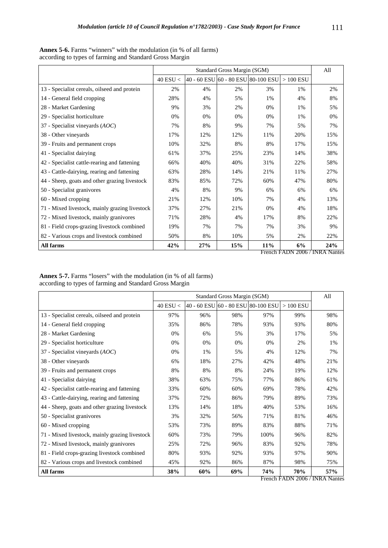|                                                |            |                                    | Standard Gross Margin (SGM) |     |            | All |
|------------------------------------------------|------------|------------------------------------|-----------------------------|-----|------------|-----|
|                                                | 40 ESU $<$ | 40 - 60 ESU 60 - 80 ESU 80-100 ESU |                             |     | $>100$ ESU |     |
| 13 - Specialist cereals, oilseed and protein   | 2%         | 4%                                 | 2%                          | 3%  | 1%         | 2%  |
| 14 - General field cropping                    | 28%        | 4%                                 | 5%                          | 1%  | 4%         | 8%  |
| 28 - Market Gardening                          | 9%         | 3%                                 | 2%                          | 0%  | 1%         | 5%  |
| 29 - Specialist horticulture                   | 0%         | 0%                                 | 0%                          | 0%  | 1%         | 0%  |
| 37 - Specialist vineyards $(AOC)$              | 7%         | 8%                                 | 9%                          | 7%  | 5%         | 7%  |
| 38 - Other vineyards                           | 17%        | 12%                                | 12%                         | 11% | 20%        | 15% |
| 39 - Fruits and permanent crops                | 10%        | 32%                                | 8%                          | 8%  | 17%        | 15% |
| 41 - Specialist dairying                       | 61%        | 37%                                | 25%                         | 23% | 14%        | 38% |
| 42 - Specialist cattle-rearing and fattening   | 66%        | 40%                                | 40%                         | 31% | 22%        | 58% |
| 43 - Cattle-dairying, rearing and fattening    | 63%        | 28%                                | 14%                         | 21% | 11%        | 27% |
| 44 - Sheep, goats and other grazing livestock  | 83%        | 85%                                | 72%                         | 60% | 47%        | 80% |
| 50 - Specialist granivores                     | 4%         | 8%                                 | 9%                          | 6%  | 6%         | 6%  |
| 60 - Mixed cropping                            | 21%        | 12%                                | 10%                         | 7%  | 4%         | 13% |
| 71 - Mixed livestock, mainly grazing livestock | 37%        | 27%                                | 21%                         | 0%  | 4%         | 18% |
| 72 - Mixed livestock, mainly granivores        | 71%        | 28%                                | 4%                          | 17% | 8%         | 22% |
| 81 - Field crops-grazing livestock combined    | 19%        | 7%                                 | 7%                          | 7%  | 3%         | 9%  |
| 82 - Various crops and livestock combined      | 50%        | 8%                                 | 10%                         | 5%  | 2%         | 22% |
| All farms                                      | 42%        | 27%                                | 15%                         | 11% | 6%         | 24% |

**Annex 5-6.** Farms "winners" with the modulation (in % of all farms) according to types of farming and Standard Gross Margin

French FADN 2006 / INRA Nantes

**Annex 5-7.** Farms "losers" with the modulation (in % of all farms) according to types of farming and Standard Gross Margin

|                                                |            |                                    | Standard Gross Margin (SGM) |      |            | All |
|------------------------------------------------|------------|------------------------------------|-----------------------------|------|------------|-----|
|                                                | 40 ESU $<$ | 40 - 60 ESU 60 - 80 ESU 80-100 ESU |                             |      | $>100$ ESU |     |
| 13 - Specialist cereals, oilseed and protein   | 97%        | 96%                                | 98%                         | 97%  | 99%        | 98% |
| 14 - General field cropping                    | 35%        | 86%                                | 78%                         | 93%  | 93%        | 80% |
| 28 - Market Gardening                          | 0%         | 6%                                 | 5%                          | 3%   | 17%        | 5%  |
| 29 - Specialist horticulture                   | 0%         | 0%                                 | 0%                          | 0%   | 2%         | 1%  |
| 37 - Specialist vineyards $(AOC)$              | 0%         | 1%                                 | 5%                          | 4%   | 12%        | 7%  |
| 38 - Other vineyards                           | 6%         | 18%                                | 27%                         | 42%  | 48%        | 21% |
| 39 - Fruits and permanent crops                | 8%         | 8%                                 | 8%                          | 24%  | 19%        | 12% |
| 41 - Specialist dairying                       | 38%        | 63%                                | 75%                         | 77%  | 86%        | 61% |
| 42 - Specialist cattle-rearing and fattening   | 33%        | 60%                                | 60%                         | 69%  | 78%        | 42% |
| 43 - Cattle-dairying, rearing and fattening    | 37%        | 72%                                | 86%                         | 79%  | 89%        | 73% |
| 44 - Sheep, goats and other grazing livestock  | 13%        | 14%                                | 18%                         | 40%  | 53%        | 16% |
| 50 - Specialist granivores                     | 3%         | 32%                                | 56%                         | 71%  | 81%        | 46% |
| 60 - Mixed cropping                            | 53%        | 73%                                | 89%                         | 83%  | 88%        | 71% |
| 71 - Mixed livestock, mainly grazing livestock | 60%        | 73%                                | 79%                         | 100% | 96%        | 82% |
| 72 - Mixed livestock, mainly granivores        | 25%        | 72%                                | 96%                         | 83%  | 92%        | 78% |
| 81 - Field crops-grazing livestock combined    | 80%        | 93%                                | 92%                         | 93%  | 97%        | 90% |
| 82 - Various crops and livestock combined      | 45%        | 92%                                | 86%                         | 87%  | 98%        | 75% |
| All farms                                      | 38%        | 60%                                | 69%                         | 74%  | 70%        | 57% |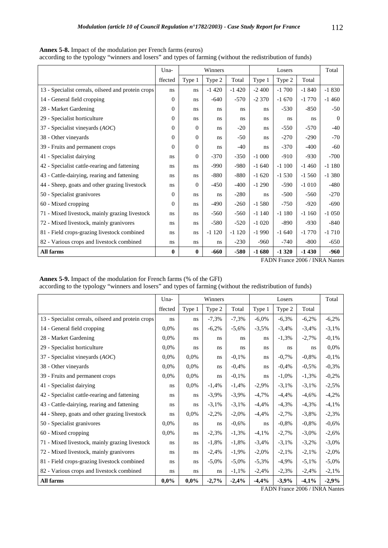|                                                    | Una-     |          | Winners |         |         | Losers  |          | Total    |
|----------------------------------------------------|----------|----------|---------|---------|---------|---------|----------|----------|
|                                                    | ffected  | Type 1   | Type 2  | Total   | Type 1  | Type 2  | Total    |          |
| 13 - Specialist cereals, oilseed and protein crops | ns       | ns       | $-1420$ | $-1420$ | $-2400$ | $-1700$ | $-1840$  | $-1830$  |
| 14 - General field cropping                        | $\Omega$ | ns       | $-640$  | $-570$  | $-2370$ | $-1670$ | $-1770$  | $-1460$  |
| 28 - Market Gardening                              | 0        | ns       | ns      | ns      | ns.     | $-530$  | $-850$   | $-50$    |
| 29 - Specialist horticulture                       | $\Omega$ | ns       | ns      | ns      | ns      | ns      | ns       | $\Omega$ |
| 37 - Specialist vineyards (AOC)                    | $\Omega$ | $\Omega$ | ns      | $-20$   | ns.     | $-550$  | $-570$   | $-40$    |
| 38 - Other vineyards                               | $\Omega$ | $\Omega$ | ns      | $-50$   | ns      | $-270$  | $-290$   | $-70$    |
| 39 - Fruits and permanent crops                    | $\Omega$ | $\Omega$ | ns      | $-40$   | ns.     | $-370$  | $-400$   | $-60$    |
| 41 - Specialist dairying                           | ns       | $\theta$ | $-370$  | $-350$  | $-1000$ | $-910$  | $-930$   | $-700$   |
| 42 - Specialist cattle-rearing and fattening       | ns       | ns       | $-990$  | $-980$  | $-1640$ | $-1100$ | $-1460$  | $-1180$  |
| 43 - Cattle-dairying, rearing and fattening        | ns       | ns       | $-880$  | $-880$  | $-1620$ | $-1530$ | $-1,560$ | $-1380$  |
| 44 - Sheep, goats and other grazing livestock      | ns       | $\theta$ | $-450$  | $-400$  | $-1290$ | $-590$  | $-1010$  | $-480$   |
| 50 - Specialist granivores                         | 0        | ns       | ns      | $-280$  | ns.     | $-500$  | $-560$   | $-270$   |
| 60 - Mixed cropping                                | $\Omega$ | ns       | -490    | $-260$  | $-1580$ | $-750$  | $-920$   | $-690$   |
| 71 - Mixed livestock, mainly grazing livestock     | ns       | ns       | $-560$  | $-560$  | $-1140$ | $-1180$ | $-1160$  | $-1050$  |
| 72 - Mixed livestock, mainly granivores            | ns       | ns       | $-580$  | $-520$  | $-1020$ | $-890$  | $-930$   | $-840$   |
| 81 - Field crops-grazing livestock combined        | ns       | ns       | $-1120$ | $-1120$ | $-1990$ | $-1640$ | $-1770$  | $-1710$  |
| 82 - Various crops and livestock combined          | ns       | ns       | ns      | $-230$  | $-960$  | $-740$  | $-800$   | $-650$   |
| All farms                                          | $\bf{0}$ | $\bf{0}$ | -660    | $-580$  | $-1680$ | $-1320$ | $-1430$  | $-960$   |

**Annex 5-8.** Impact of the modulation per French farms (euros) according to the typology "winners and losers" and types of farming (without the redistribution of funds)

**Annex 5-9.** Impact of the modulation for French farms (% of the GFI) according to the typology "winners and losers" and types of farming (without the redistribution of funds)

|                                                    | Una-    | Winners |          |          | Losers   |          | Total    |          |
|----------------------------------------------------|---------|---------|----------|----------|----------|----------|----------|----------|
|                                                    | ffected | Type 1  | Type 2   | Total    | Type 1   | Type 2   | Total    |          |
| 13 - Specialist cereals, oilseed and protein crops | ns      | ns      | $-7,3%$  | $-7,3%$  | $-6,0\%$ | $-6,3%$  | $-6,2%$  | $-6,2%$  |
| 14 - General field cropping                        | 0,0%    | ns      | $-6,2%$  | $-5,6%$  | $-3,5%$  | $-3,4%$  | $-3,4%$  | $-3,1%$  |
| 28 - Market Gardening                              | 0,0%    | ns      | ns       | ns.      | ns.      | $-1,3%$  | $-2,7%$  | $-0,1%$  |
| 29 - Specialist horticulture                       | 0,0%    | ns      | ns       | ns.      | ns.      | ns       | ns       | 0,0%     |
| 37 - Specialist vineyards $(AOC)$                  | 0,0%    | 0.0%    | ns       | $-0,1%$  | ns       | $-0,7%$  | $-0,8%$  | $-0,1%$  |
| 38 - Other vineyards                               | 0,0%    | 0,0%    | ns       | $-0,4%$  | ns       | $-0,4%$  | $-0,5%$  | $-0,3%$  |
| 39 - Fruits and permanent crops                    | 0,0%    | 0,0%    | ns       | $-0,1%$  | ns       | $-1,0\%$ | $-1,3%$  | $-0,2%$  |
| 41 - Specialist dairying                           | ns      | 0,0%    | $-1,4%$  | $-1,4%$  | $-2,9%$  | $-3,1%$  | $-3,1%$  | $-2,5%$  |
| 42 - Specialist cattle-rearing and fattening       | ns      | ns      | $-3,9%$  | $-3,9%$  | $-4,7%$  | $-4,4%$  | $-4,6%$  | $-4,2%$  |
| 43 - Cattle-dairying, rearing and fattening        | ns      | ns      | $-3,1%$  | $-3,1%$  | $-4,4%$  | $-4,3%$  | $-4,3%$  | $-4,1%$  |
| 44 - Sheep, goats and other grazing livestock      | ns      | 0.0%    | $-2,2%$  | $-2,0\%$ | $-4,4%$  | $-2,7%$  | $-3,8%$  | $-2,3%$  |
| 50 - Specialist granivores                         | 0,0%    | ns      | ns       | $-0,6%$  | ns       | $-0,8%$  | $-0,8%$  | $-0,6%$  |
| 60 - Mixed cropping                                | 0,0%    | ns      | $-2,3%$  | $-1,3%$  | $-4,1%$  | $-2,7%$  | $-3,0\%$ | $-2,6%$  |
| 71 - Mixed livestock, mainly grazing livestock     | ns      | ns      | $-1,8%$  | $-1,8%$  | $-3,4%$  | $-3,1%$  | $-3,2%$  | $-3,0\%$ |
| 72 - Mixed livestock, mainly granivores            | ns      | ns      | $-2,4%$  | $-1,9%$  | $-2,0\%$ | $-2,1%$  | $-2,1%$  | $-2,0\%$ |
| 81 - Field crops-grazing livestock combined        | ns      | ns      | $-5,0\%$ | $-5,0\%$ | $-5,3%$  | $-4,9%$  | $-5,1%$  | $-5,0\%$ |
| 82 - Various crops and livestock combined          | ns      | ns      | ns       | $-1,1%$  | $-2,4%$  | $-2,3%$  | $-2,4%$  | $-2,1%$  |
| All farms                                          | 0,0%    | $0.0\%$ | $-2,7%$  | $-2,4%$  | $-4,4%$  | $-3.9%$  | $-4,1%$  | $-2.9%$  |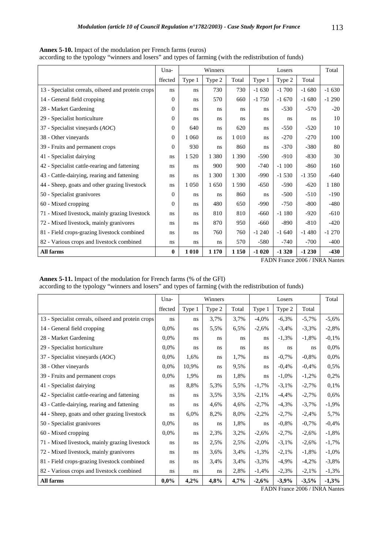|                                                    | Winners<br>Una- |         |         |         |         | Losers  |         | Total   |
|----------------------------------------------------|-----------------|---------|---------|---------|---------|---------|---------|---------|
|                                                    | ffected         | Type 1  | Type 2  | Total   | Type 1  | Type 2  | Total   |         |
| 13 - Specialist cereals, oilseed and protein crops | ns              | ns      | 730     | 730     | $-1630$ | $-1700$ | $-1680$ | $-1630$ |
| 14 - General field cropping                        | $\Omega$        | ns      | 570     | 660     | $-1750$ | $-1670$ | $-1680$ | $-1290$ |
| 28 - Market Gardening                              | $\theta$        | ns      | ns      | ns      | ns.     | $-530$  | $-570$  | $-20$   |
| 29 - Specialist horticulture                       | $\Omega$        | ns      | ns      | ns      | ns      | ns      | ns      | 10      |
| 37 - Specialist vineyards (AOC)                    | $\Omega$        | 640     | ns      | 620     | ns.     | $-550$  | $-520$  | 10      |
| 38 - Other vineyards                               | 0               | 1 0 6 0 | ns      | 1 0 1 0 | ns.     | $-270$  | $-270$  | 100     |
| 39 - Fruits and permanent crops                    | $\Omega$        | 930     | ns      | 860     | ns.     | $-370$  | $-380$  | 80      |
| 41 - Specialist dairying                           | ns              | 1 5 2 0 | 1 3 8 0 | 1 3 9 0 | $-590$  | $-910$  | $-830$  | 30      |
| 42 - Specialist cattle-rearing and fattening       | ns              | ns      | 900     | 900     | $-740$  | $-1100$ | $-860$  | 160     |
| 43 - Cattle-dairying, rearing and fattening        | ns              | ns      | 1 300   | 1 300   | $-990$  | $-1530$ | $-1350$ | $-640$  |
| 44 - Sheep, goats and other grazing livestock      | ns              | 1 0 5 0 | 1650    | 1 5 9 0 | $-650$  | $-590$  | $-620$  | 1 1 8 0 |
| 50 - Specialist granivores                         | $\Omega$        | ns      | ns      | 860     | ns.     | $-500$  | $-510$  | $-190$  |
| 60 - Mixed cropping                                | $\Omega$        | ns      | 480     | 650     | $-990$  | $-750$  | $-800$  | $-480$  |
| 71 - Mixed livestock, mainly grazing livestock     | ns              | ns      | 810     | 810     | $-660$  | $-1180$ | $-920$  | $-610$  |
| 72 - Mixed livestock, mainly granivores            | ns              | ns      | 870     | 950     | $-660$  | $-890$  | $-810$  | $-420$  |
| 81 - Field crops-grazing livestock combined        | ns              | ns      | 760     | 760     | $-1240$ | $-1640$ | $-1480$ | $-1270$ |
| 82 - Various crops and livestock combined          | ns              | ns      | ns      | 570     | $-580$  | $-740$  | $-700$  | $-400$  |
| All farms                                          | $\bf{0}$        | 1 0 1 0 | 1 1 7 0 | 1 1 5 0 | $-1020$ | $-1320$ | $-1230$ | $-430$  |

**Annex 5-10.** Impact of the modulation per French farms (euros)

according to the typology "winners and losers" and types of farming (with the redistribution of funds)

FADN France 2006 / INRA Nantes

**Annex 5-11.** Impact of the modulation for French farms (% of the GFI)

| according to the typology "winners and losers" and types of farming (with the redistribution of funds) |  |  |  |
|--------------------------------------------------------------------------------------------------------|--|--|--|
|                                                                                                        |  |  |  |

|                                                    | Una-    |        | Winners |       |          | Losers   |         | Total    |
|----------------------------------------------------|---------|--------|---------|-------|----------|----------|---------|----------|
|                                                    | ffected | Type 1 | Type 2  | Total | Type 1   | Type 2   | Total   |          |
| 13 - Specialist cereals, oilseed and protein crops | ns      | ns     | 3,7%    | 3,7%  | $-4,0\%$ | $-6,3%$  | $-5,7%$ | $-5,6%$  |
| 14 - General field cropping                        | $0.0\%$ | ns     | 5,5%    | 6,5%  | $-2,6%$  | $-3,4%$  | $-3,3%$ | $-2,8%$  |
| 28 - Market Gardening                              | 0,0%    | ns     | ns      | ns    | ns       | $-1,3%$  | $-1,8%$ | $-0,1%$  |
| 29 - Specialist horticulture                       | 0,0%    | ns     | ns      | ns    | ns       | ns       | ns      | 0,0%     |
| 37 - Specialist vineyards (AOC)                    | 0,0%    | 1,6%   | ns      | 1,7%  | ns       | $-0,7%$  | $-0,8%$ | 0,0%     |
| 38 - Other vineyards                               | 0,0%    | 10,9%  | ns      | 9,5%  | ns       | $-0,4%$  | $-0,4%$ | 0,5%     |
| 39 - Fruits and permanent crops                    | 0,0%    | 1,9%   | ns      | 1,8%  | ns       | $-1,0\%$ | $-1,2%$ | 0,2%     |
| 41 - Specialist dairying                           | ns      | 8,8%   | 5,3%    | 5,5%  | $-1,7%$  | $-3,1%$  | $-2,7%$ | 0,1%     |
| 42 - Specialist cattle-rearing and fattening       | ns      | ns     | 3,5%    | 3,5%  | $-2,1%$  | $-4,4%$  | $-2,7%$ | 0,6%     |
| 43 - Cattle-dairying, rearing and fattening        | ns      | ns     | 4,6%    | 4,6%  | $-2,7%$  | $-4,3%$  | $-3,7%$ | $-1,9%$  |
| 44 - Sheep, goats and other grazing livestock      | ns      | 6,0%   | 8,2%    | 8,0%  | $-2,2%$  | $-2,7%$  | $-2,4%$ | 5,7%     |
| 50 - Specialist granivores                         | $0.0\%$ | ns     | ns      | 1,8%  | ns       | $-0,8%$  | $-0,7%$ | $-0,4%$  |
| 60 - Mixed cropping                                | $0.0\%$ | ns     | 2,3%    | 3,2%  | $-2,6%$  | $-2,7%$  | $-2,6%$ | $-1,8%$  |
| 71 - Mixed livestock, mainly grazing livestock     | ns      | ns     | 2,5%    | 2,5%  | $-2,0\%$ | $-3,1%$  | $-2,6%$ | $-1,7%$  |
| 72 - Mixed livestock, mainly granivores            | ns      | ns     | 3.6%    | 3,4%  | $-1,3%$  | $-2,1%$  | $-1,8%$ | $-1,0\%$ |
| 81 - Field crops-grazing livestock combined        | ns      | ns     | 3,4%    | 3,4%  | $-3,3%$  | $-4,9%$  | $-4,2%$ | $-3,8%$  |
| 82 - Various crops and livestock combined          | ns      | ns     | ns      | 2,8%  | $-1,4%$  | $-2,3%$  | $-2,1%$ | $-1,3%$  |
| All farms                                          | 0,0%    | 4,2%   | 4,8%    | 4,7%  | $-2,6%$  | $-3,9%$  | $-3,5%$ | $-1,3%$  |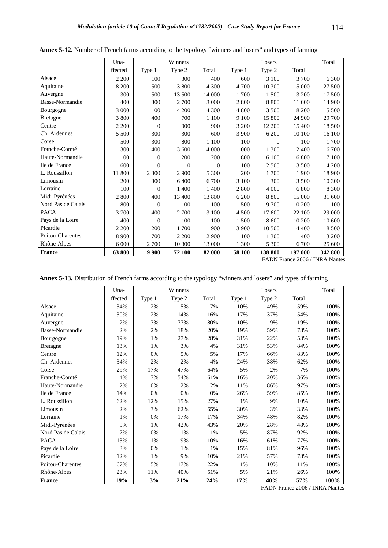|                    | Una-    |                | Winners  |          |         | Losers   |         | Total   |
|--------------------|---------|----------------|----------|----------|---------|----------|---------|---------|
|                    | ffected | Type 1         | Type 2   | Total    | Type 1  | Type 2   | Total   |         |
| Alsace             | 2 2 0 0 | 100            | 300      | 400      | 600     | 3 100    | 3 700   | 6 300   |
| Aquitaine          | 8 200   | 500            | 3 800    | 4 300    | 4 700   | 10 300   | 15 000  | 27 500  |
| Auvergne           | 300     | 500            | 13 500   | 14 000   | 1700    | 1 500    | 3 200   | 17 500  |
| Basse-Normandie    | 400     | 300            | 2 700    | 3 000    | 2 800   | 8 8 0 0  | 11 600  | 14 900  |
| Bourgogne          | 3 000   | 100            | 4 200    | 4 300    | 4 800   | 3 500    | 8 200   | 15 500  |
| <b>Bretagne</b>    | 3 800   | 400            | 700      | 1 100    | 9 100   | 15 800   | 24 900  | 29 700  |
| Centre             | 2 2 0 0 | $\theta$       | 900      | 900      | 3 200   | 12 200   | 15 400  | 18 500  |
| Ch. Ardennes       | 5 5 0 0 | 300            | 300      | 600      | 3 900   | 6 200    | 10 100  | 16 100  |
| Corse              | 500     | 300            | 800      | 1 100    | 100     | $\Omega$ | 100     | 1700    |
| Franche-Comté      | 300     | 400            | 3 600    | 4 0 0 0  | 1 000   | 1 300    | 2 400   | 6 700   |
| Haute-Normandie    | 100     | $\Omega$       | 200      | 200      | 800     | 6 100    | 6 800   | 7 100   |
| Ile de France      | 600     | $\Omega$       | $\Omega$ | $\Omega$ | 1 100   | 2 500    | 3 500   | 4 200   |
| L. Roussillon      | 11 800  | 2 3 0 0        | 2 9 0 0  | 5 300    | 200     | 1700     | 1 900   | 18 900  |
| Limousin           | 200     | 300            | 6400     | 6 700    | 3 100   | 300      | 3 500   | 10 300  |
| Lorraine           | 100     | $\Omega$       | 1 400    | 1 400    | 2 800   | 4 0 0 0  | 6 800   | 8 3 0 0 |
| Midi-Pyrénées      | 2800    | 400            | 13 400   | 13 800   | 6 200   | 8 8 0 0  | 15 000  | 31 600  |
| Nord Pas de Calais | 800     | $\overline{0}$ | 100      | 100      | 500     | 9 700    | 10 200  | 11 100  |
| <b>PACA</b>        | 3700    | 400            | 2 700    | 3 100    | 4 500   | 17 600   | 22 100  | 29 000  |
| Pays de la Loire   | 400     | $\overline{0}$ | 100      | 100      | 1500    | 8 600    | 10 200  | 10 600  |
| Picardie           | 2 2 0 0 | 200            | 1700     | 1 900    | 3 9 0 0 | 10 500   | 14 400  | 18 500  |
| Poitou-Charentes   | 8 9 0 0 | 700            | 2 2 0 0  | 2 9 0 0  | 100     | 1 300    | 1 400   | 13 200  |
| Rhône-Alpes        | 6 0 0 0 | 2 700          | 10 300   | 13 000   | 1 300   | 5 300    | 6700    | 25 600  |
| <b>France</b>      | 63800   | 9 9 0 0        | 72 100   | 82 000   | 58 100  | 138 800  | 197 000 | 342 800 |

**Annex 5-12.** Number of French farms according to the typology "winners and losers" and types of farming

| Annex 5-13. Distribution of French farms according to the typology "winners and losers" and types of farming |
|--------------------------------------------------------------------------------------------------------------|
|--------------------------------------------------------------------------------------------------------------|

|                    | Una-    | Winners |        |       | Losers |        | Total |      |
|--------------------|---------|---------|--------|-------|--------|--------|-------|------|
|                    | ffected | Type 1  | Type 2 | Total | Type 1 | Type 2 | Total |      |
| Alsace             | 34%     | 2%      | 5%     | 7%    | 10%    | 49%    | 59%   | 100% |
| Aquitaine          | 30%     | 2%      | 14%    | 16%   | 17%    | 37%    | 54%   | 100% |
| Auvergne           | 2%      | 3%      | 77%    | 80%   | 10%    | 9%     | 19%   | 100% |
| Basse-Normandie    | 2%      | 2%      | 18%    | 20%   | 19%    | 59%    | 78%   | 100% |
| Bourgogne          | 19%     | 1%      | 27%    | 28%   | 31%    | 22%    | 53%   | 100% |
| <b>Bretagne</b>    | 13%     | 1%      | 3%     | 4%    | 31%    | 53%    | 84%   | 100% |
| Centre             | 12%     | 0%      | 5%     | 5%    | 17%    | 66%    | 83%   | 100% |
| Ch. Ardennes       | 34%     | 2%      | 2%     | 4%    | 24%    | 38%    | 62%   | 100% |
| Corse              | 29%     | 17%     | 47%    | 64%   | 5%     | 2%     | 7%    | 100% |
| Franche-Comté      | 4%      | 7%      | 54%    | 61%   | 16%    | 20%    | 36%   | 100% |
| Haute-Normandie    | 2%      | 0%      | 2%     | 2%    | 11%    | 86%    | 97%   | 100% |
| Ile de France      | 14%     | 0%      | 0%     | 0%    | 26%    | 59%    | 85%   | 100% |
| L. Roussillon      | 62%     | 12%     | 15%    | 27%   | 1%     | 9%     | 10%   | 100% |
| Limousin           | 2%      | 3%      | 62%    | 65%   | 30%    | 3%     | 33%   | 100% |
| Lorraine           | 1%      | 0%      | 17%    | 17%   | 34%    | 48%    | 82%   | 100% |
| Midi-Pyrénées      | 9%      | 1%      | 42%    | 43%   | 20%    | 28%    | 48%   | 100% |
| Nord Pas de Calais | 7%      | 0%      | 1%     | 1%    | 5%     | 87%    | 92%   | 100% |
| <b>PACA</b>        | 13%     | 1%      | 9%     | 10%   | 16%    | 61%    | 77%   | 100% |
| Pays de la Loire   | 3%      | 0%      | 1%     | 1%    | 15%    | 81%    | 96%   | 100% |
| Picardie           | 12%     | 1%      | 9%     | 10%   | 21%    | 57%    | 78%   | 100% |
| Poitou-Charentes   | 67%     | 5%      | 17%    | 22%   | 1%     | 10%    | 11%   | 100% |
| Rhône-Alpes        | 23%     | 11%     | 40%    | 51%   | 5%     | 21%    | 26%   | 100% |
| France             | 19%     | 3%      | 21%    | 24%   | 17%    | 40%    | 57%   | 100% |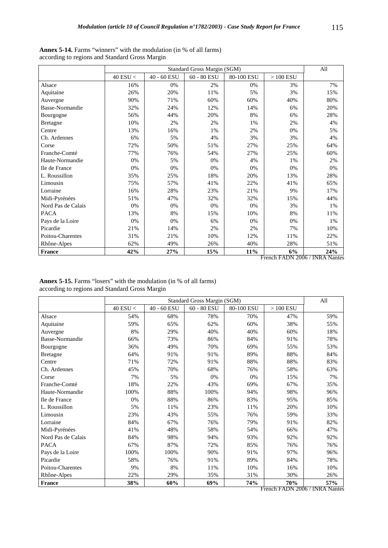|                    |                |             | Standard Gross Margin (SGM) |            |            | All |
|--------------------|----------------|-------------|-----------------------------|------------|------------|-----|
|                    | $40$ ESU $<\,$ | 40 - 60 ESU | $60 - 80$ ESU               | 80-100 ESU | $>100$ ESU |     |
| Alsace             | 16%            | 0%          | 2%                          | 0%         | 3%         | 7%  |
| Aquitaine          | 26%            | 20%         | 11%                         | 5%         | 3%         | 15% |
| Auvergne           | 90%            | 71%         | 60%                         | 60%        | 40%        | 80% |
| Basse-Normandie    | 32%            | 24%         | 12%                         | 14%        | 6%         | 20% |
| Bourgogne          | 56%            | 44%         | 20%                         | 8%         | 6%         | 28% |
| <b>Bretagne</b>    | 10%            | 2%          | 2%                          | 1%         | 2%         | 4%  |
| Centre             | 13%            | 16%         | $1\%$                       | 2%         | 0%         | 5%  |
| Ch. Ardennes       | 6%             | 5%          | 4%                          | 3%         | 3%         | 4%  |
| Corse              | 72%            | 50%         | 51%                         | 27%        | 25%        | 64% |
| Franche-Comté      | 77%            | 76%         | 54%                         | 27%        | 25%        | 60% |
| Haute-Normandie    | 0%             | 5%          | 0%                          | 4%         | 1%         | 2%  |
| Ile de France      | 0%             | 0%          | 0%                          | 0%         | 0%         | 0%  |
| L. Roussillon      | 35%            | 25%         | 18%                         | 20%        | 13%        | 28% |
| Limousin           | 75%            | 57%         | 41%                         | 22%        | 41%        | 65% |
| Lorraine           | 16%            | 28%         | 23%                         | 21%        | 9%         | 17% |
| Midi-Pyrénées      | 51%            | 47%         | 32%                         | 32%        | 15%        | 44% |
| Nord Pas de Calais | 0%             | 0%          | 0%                          | 0%         | 3%         | 1%  |
| <b>PACA</b>        | 13%            | 8%          | 15%                         | 10%        | 8%         | 11% |
| Pays de la Loire   | 0%             | 0%          | 6%                          | 0%         | 0%         | 1%  |
| Picardie           | 21%            | 14%         | 2%                          | 2%         | 7%         | 10% |
| Poitou-Charentes   | 31%            | 21%         | 10%                         | 12%        | 11%        | 22% |
| Rhône-Alpes        | 62%            | 49%         | 26%                         | 40%        | 28%        | 51% |
| France             | 42%            | 27%         | 15%                         | 11%        | 6%         | 24% |

| <b>Annex 5-14.</b> Farms "winners" with the modulation (in % of all farms) |  |  |
|----------------------------------------------------------------------------|--|--|
| according to regions and Standard Gross Margin                             |  |  |

**Annex 5-15.** Farms "losers" with the modulation (in % of all farms) according to regions and Standard Gross Margin

|                    |                |                           | Standard Gross Margin (SGM) |            |                                | All |
|--------------------|----------------|---------------------------|-----------------------------|------------|--------------------------------|-----|
|                    | $40$ ESU $<\,$ | $40$ - $60\,\mathrm{ESU}$ | $60 - 80$ ESU               | 80-100 ESU | $>100$ ESU                     |     |
| Alsace             | 54%            | 68%                       | 78%                         | 70%        | 47%                            | 59% |
| Aquitaine          | 59%            | 65%                       | 62%                         | 60%        | 38%                            | 55% |
| Auvergne           | 8%             | 29%                       | 40%                         | 40%        | 60%                            | 18% |
| Basse-Normandie    | 66%            | 73%                       | 86%                         | 84%        | 91%                            | 78% |
| Bourgogne          | 36%            | 49%                       | 70%                         | 69%        | 55%                            | 53% |
| <b>Bretagne</b>    | 64%            | 91%                       | 91%                         | 89%        | 88%                            | 84% |
| Centre             | 71%            | 72%                       | 91%                         | 88%        | 88%                            | 83% |
| Ch. Ardennes       | 45%            | 70%                       | 68%                         | 76%        | 58%                            | 63% |
| Corse              | 7%             | 5%                        | 0%                          | 0%         | 15%                            | 7%  |
| Franche-Comté      | 18%            | 22%                       | 43%                         | 69%        | 67%                            | 35% |
| Haute-Normandie    | 100%           | 88%                       | 100%                        | 94%        | 98%                            | 96% |
| Ile de France      | 0%             | 88%                       | 86%                         | 83%        | 95%                            | 85% |
| L. Roussillon      | 5%             | 11%                       | 23%                         | 11%        | 20%                            | 10% |
| Limousin           | 23%            | 43%                       | 55%                         | 76%        | 59%                            | 33% |
| Lorraine           | 84%            | 67%                       | 76%                         | 79%        | 91%                            | 82% |
| Midi-Pyrénées      | 41%            | 48%                       | 58%                         | 54%        | 66%                            | 47% |
| Nord Pas de Calais | 84%            | 98%                       | 94%                         | 93%        | 92%                            | 92% |
| <b>PACA</b>        | 67%            | 87%                       | 72%                         | 85%        | 76%                            | 76% |
| Pays de la Loire   | 100%           | 100%                      | 90%                         | 91%        | 97%                            | 96% |
| Picardie           | 58%            | 76%                       | 91%                         | 89%        | 84%                            | 78% |
| Poitou-Charentes   | 9%             | 8%                        | 11%                         | 10%        | 16%                            | 10% |
| Rhône-Alpes        | 22%            | 29%                       | 35%                         | 31%        | 30%                            | 26% |
| France             | 38%            | 60%                       | 69%                         | 74%        | 70%                            | 57% |
|                    |                |                           |                             |            | French FADN 2006 / INRA Nantes |     |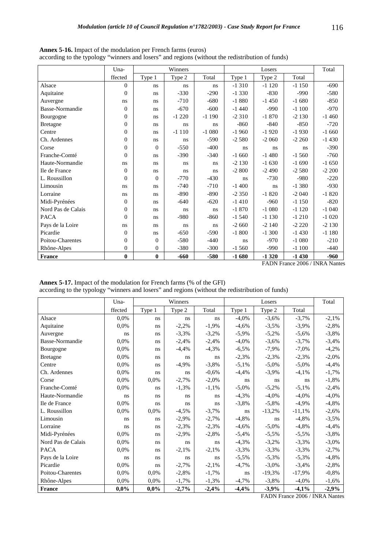|                    | Una-         |              | Winners |         |          | Losers  |          | Total   |
|--------------------|--------------|--------------|---------|---------|----------|---------|----------|---------|
|                    | ffected      | Type 1       | Type 2  | Total   | Type 1   | Type 2  | Total    |         |
| Alsace             | $\Omega$     | ns           | ns      | ns      | $-1310$  | $-1120$ | $-1150$  | $-690$  |
| Aquitaine          | $\theta$     | ns           | $-330$  | $-290$  | $-1330$  | $-830$  | $-990$   | $-580$  |
| Auvergne           | ns.          | ns           | $-710$  | $-680$  | $-1880$  | $-1450$ | $-1680$  | $-850$  |
| Basse-Normandie    | $\Omega$     | ns           | $-670$  | $-600$  | $-1440$  | $-990$  | $-1100$  | $-970$  |
| Bourgogne          | $\Omega$     | ns           | $-1220$ | $-1190$ | $-2310$  | $-1870$ | $-2130$  | $-1460$ |
| <b>Bretagne</b>    | $\Omega$     | ns           | ns      | ns      | $-860$   | $-840$  | $-850$   | $-720$  |
| Centre             | $\Omega$     | ns           | $-1110$ | $-1080$ | $-1960$  | $-1920$ | $-1930$  | $-1660$ |
| Ch. Ardennes       | $\Omega$     | ns           | ns      | $-590$  | $-2,580$ | $-2060$ | $-2260$  | $-1430$ |
| Corse              | $\Omega$     | $\Omega$     | $-550$  | $-400$  | ns       | ns      | ns.      | $-390$  |
| Franche-Comté      | $\Omega$     | ns           | $-390$  | $-340$  | $-1660$  | $-1480$ | $-1,560$ | $-760$  |
| Haute-Normandie    | ns.          | ns           | ns      | ns      | $-2130$  | $-1630$ | $-1690$  | $-1650$ |
| Ile de France      | $\Omega$     | ns           | ns      | ns      | $-2800$  | $-2490$ | $-2,580$ | $-2200$ |
| L. Roussillon      | $\theta$     | $\Omega$     | $-770$  | $-430$  | ns       | $-730$  | $-980$   | $-220$  |
| Limousin           | ns.          | ns           | $-740$  | $-710$  | $-1400$  | ns      | $-1380$  | $-930$  |
| Lorraine           | ns.          | ns           | $-890$  | $-890$  | $-2350$  | $-1820$ | $-2040$  | $-1820$ |
| Midi-Pyrénées      | $\Omega$     | ns           | $-640$  | $-620$  | $-1410$  | $-960$  | $-1150$  | $-820$  |
| Nord Pas de Calais | $\Omega$     | ns           | ns      | ns      | $-1870$  | $-1080$ | $-1120$  | $-1040$ |
| <b>PACA</b>        | $\Omega$     | ns           | $-980$  | $-860$  | $-1,540$ | $-1130$ | $-1210$  | $-1020$ |
| Pays de la Loire   | ns.          | ns           | ns      | ns      | $-2660$  | $-2140$ | $-2220$  | $-2130$ |
| Picardie           | $\Omega$     | ns           | $-650$  | $-590$  | $-1800$  | $-1300$ | $-1430$  | $-1180$ |
| Poitou-Charentes   | $\Omega$     | $\Omega$     | $-580$  | $-440$  | ns       | $-970$  | $-1080$  | $-210$  |
| Rhône-Alpes        | $\mathbf{0}$ | $\mathbf{0}$ | $-380$  | $-300$  | $-1,560$ | $-990$  | $-1100$  | $-440$  |
| France             | $\bf{0}$     | $\bf{0}$     | $-660$  | $-580$  | $-1680$  | $-1320$ | $-1430$  | $-960$  |

**Annex 5-16.** Impact of the modulation per French farms (euros) according to the typology "winners and losers" and regions (without the redistribution of funds)

**Annex 5-17.** Impact of the modulation for French farms (% of the GFI) according to the typology "winners and losers" and regions (without the redistribution of funds)

|                    | Una-    |        | Winners |         |          | Losers   |          |          |  |
|--------------------|---------|--------|---------|---------|----------|----------|----------|----------|--|
|                    | ffected | Type 1 | Type 2  | Total   | Type 1   | Type 2   | Total    |          |  |
| Alsace             | 0,0%    | ns     | ns      | ns      | $-4,0%$  | $-3,6%$  | $-3,7%$  | $-2,1%$  |  |
| Aquitaine          | 0,0%    | ns     | $-2,2%$ | $-1,9%$ | $-4,6%$  | $-3,5%$  | $-3,9%$  | $-2,8%$  |  |
| Auvergne           | ns      | ns     | $-3,3%$ | $-3,2%$ | $-5,9%$  | $-5,2%$  | $-5,6%$  | $-3,8%$  |  |
| Basse-Normandie    | 0.0%    | ns     | $-2,4%$ | $-2,4%$ | $-4,0%$  | $-3,6%$  | $-3,7%$  | $-3,4%$  |  |
| Bourgogne          | 0,0%    | ns     | $-4,4%$ | $-4,3%$ | $-6,5%$  | $-7,9%$  | $-7,0%$  | $-4,2%$  |  |
| <b>Bretagne</b>    | 0,0%    | ns     | ns      | ns      | $-2,3%$  | $-2,3%$  | $-2,3%$  | $-2,0%$  |  |
| Centre             | 0,0%    | ns     | $-4,9%$ | $-3,8%$ | $-5,1%$  | $-5,0\%$ | $-5,0\%$ | $-4,4%$  |  |
| Ch. Ardennes       | 0,0%    | ns     | ns      | $-0,6%$ | $-4,4%$  | $-3,9%$  | $-4,1%$  | $-1,7%$  |  |
| Corse              | 0.0%    | 0.0%   | $-2,7%$ | $-2,0%$ | ns.      | ns       | ns       | $-1,8%$  |  |
| Franche-Comté      | 0,0%    | ns     | $-1,3%$ | $-1,1%$ | $-5,0\%$ | $-5,2%$  | $-5,1%$  | $-2,4%$  |  |
| Haute-Normandie    | ns.     | ns     | ns      | ns      | $-4,3%$  | $-4,0\%$ | $-4,0%$  | $-4,0%$  |  |
| Ile de France      | 0,0%    | ns     | ns      | ns      | $-3,8%$  | $-5,8%$  | $-4,9%$  | $-4,8%$  |  |
| L. Roussillon      | 0,0%    | 0.0%   | $-4,5%$ | $-3,7%$ | ns       | $-13,2%$ | $-11,1%$ | $-2,6%$  |  |
| Limousin           | ns      | ns     | $-2,9%$ | $-2,7%$ | $-4,8%$  | ns       | $-4,8%$  | $-3,5%$  |  |
| Lorraine           | ns      | ns     | $-2,3%$ | $-2,3%$ | $-4,6%$  | $-5,0\%$ | $-4,8%$  | $-4,4%$  |  |
| Midi-Pyrénées      | 0,0%    | ns     | $-2,9%$ | $-2,8%$ | $-5,4%$  | $-5,5%$  | $-5,5%$  | $-3,8%$  |  |
| Nord Pas de Calais | 0.0%    | ns     | ns      | ns      | $-4,3%$  | $-3,2%$  | $-3,3%$  | $-3,0\%$ |  |
| <b>PACA</b>        | 0.0%    | ns     | $-2,1%$ | $-2,1%$ | $-3,3%$  | $-3,3%$  | $-3,3%$  | $-2,7%$  |  |
| Pays de la Loire   | ns      | ns     | ns      | ns      | $-5,5%$  | $-5,3%$  | $-5,3%$  | $-4,8%$  |  |
| Picardie           | 0.0%    | ns     | $-2,7%$ | $-2,1%$ | $-4,7%$  | $-3,0\%$ | $-3,4%$  | $-2,8%$  |  |
| Poitou-Charentes   | 0.0%    | 0,0%   | $-2,8%$ | $-1,7%$ | ns       | $-19,3%$ | $-17,9%$ | $-0,8%$  |  |
| Rhône-Alpes        | 0,0%    | 0,0%   | $-1,7%$ | $-1,3%$ | $-4,7%$  | $-3,8%$  | $-4,0\%$ | $-1,6%$  |  |
| France             | 0,0%    | 0,0%   | $-2,7%$ | $-2,4%$ | $-4,4%$  | $-3,9%$  | $-4,1%$  | $-2,9%$  |  |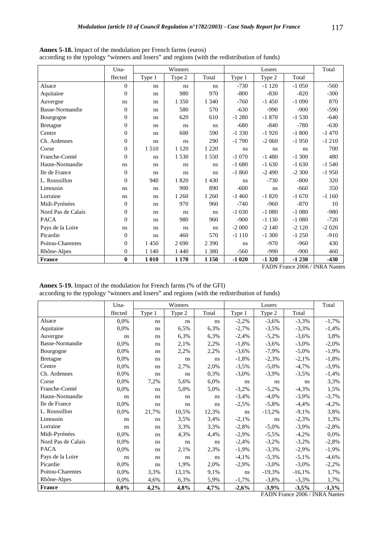|                    | Una-           | Winners<br>Losers |         |         |         |         | Total   |         |
|--------------------|----------------|-------------------|---------|---------|---------|---------|---------|---------|
|                    | ffected        | Type 1            | Type 2  | Total   | Type 1  | Type 2  | Total   |         |
| Alsace             | $\Omega$       | ns                | ns      | ns      | $-730$  | $-1120$ | $-1050$ | $-560$  |
| Aquitaine          | $\theta$       | ns                | 980     | 970     | $-800$  | $-830$  | $-820$  | $-300$  |
| Auvergne           | ns.            | ns                | 1 3 5 0 | 1 3 4 0 | $-760$  | $-1450$ | $-1090$ | 870     |
| Basse-Normandie    | $\Omega$       | ns                | 580     | 570     | $-630$  | $-990$  | $-900$  | $-590$  |
| Bourgogne          | $\Omega$       | ns                | 620     | 610     | $-1280$ | $-1870$ | $-1530$ | $-640$  |
| <b>Bretagne</b>    | $\Omega$       | ns                | ns      | ns      | $-680$  | $-840$  | $-780$  | $-630$  |
| Centre             | $\Omega$       | ns                | 600     | 590     | $-1330$ | $-1920$ | $-1800$ | $-1470$ |
| Ch. Ardennes       | $\overline{0}$ | ns                | ns      | 290     | $-1790$ | $-2060$ | $-1950$ | $-1210$ |
| Corse              | $\Omega$       | 1510              | 1 1 2 0 | 1 2 2 0 | ns      | ns      | ns      | 700     |
| Franche-Comté      | $\Omega$       | ns                | 1 5 3 0 | 1 5 5 0 | $-1070$ | $-1480$ | $-1300$ | 480     |
| Haute-Normandie    | ns             | ns                | ns      | ns      | $-1680$ | $-1630$ | $-1630$ | $-1540$ |
| Ile de France      | $\Omega$       | ns                | ns      | ns      | $-1860$ | $-2490$ | $-2300$ | $-1950$ |
| L. Roussillon      | $\theta$       | 940               | 1820    | 1 4 3 0 | ns      | $-730$  | $-800$  | 320     |
| Limousin           | ns.            | ns                | 900     | 890     | $-600$  | ns      | $-660$  | 350     |
| Lorraine           | ns.            | ns                | 1 260   | 1 260   | $-1460$ | $-1820$ | $-1670$ | $-1160$ |
| Midi-Pyrénées      | $\Omega$       | ns                | 970     | 960     | $-740$  | $-960$  | $-870$  | 10      |
| Nord Pas de Calais | $\Omega$       | ns                | ns      | ns      | $-1030$ | $-1080$ | $-1080$ | $-980$  |
| <b>PACA</b>        | $\Omega$       | ns                | 980     | 960     | $-900$  | $-1130$ | $-1080$ | $-720$  |
| Pays de la Loire   | ns.            | ns                | ns      | ns      | $-2000$ | $-2140$ | $-2120$ | $-2020$ |
| Picardie           | $\Omega$       | ns                | 460     | 570     | $-1110$ | $-1300$ | $-1250$ | $-910$  |
| Poitou-Charentes   | $\Omega$       | 1450              | 2690    | 2 3 9 0 | ns      | $-970$  | $-960$  | 430     |
| Rhône-Alpes        | $\theta$       | 1 1 4 0           | 1 4 4 0 | 1 3 8 0 | $-560$  | $-990$  | $-900$  | 460     |
| <b>France</b>      | $\bf{0}$       | 1 0 1 0           | 1 1 7 0 | 1 1 5 0 | $-1020$ | $-1320$ | $-1230$ | $-430$  |

**Annex 5-18.** Impact of the modulation per French farms (euros) according to the typology "winners and losers" and regions (with the redistribution of funds)

| <b>Annex 5-19.</b> Impact of the modulation for French farms (% of the GFI)                   |  |
|-----------------------------------------------------------------------------------------------|--|
| according to the typology "winners and losers" and regions (with the redistribution of funds) |  |

|                    | $Una-$  | Winners |        |       | Losers   |          | Total    |          |
|--------------------|---------|---------|--------|-------|----------|----------|----------|----------|
|                    | ffected | Type 1  | Type 2 | Total | Type 1   | Type 2   | Total    |          |
| Alsace             | 0.0%    | ns      | ns     | ns    | $-2,2%$  | $-3,6%$  | $-3,3%$  | $-1,7%$  |
| Aquitaine          | 0.0%    | ns      | 6,5%   | 6,3%  | $-2,7%$  | $-3,5%$  | $-3,3%$  | $-1,4%$  |
| Auvergne           | ns      | ns      | 6,3%   | 6,3%  | $-2,4%$  | $-5,2%$  | $-3,6%$  | 3,8%     |
| Basse-Normandie    | 0.0%    | ns      | 2,1%   | 2,2%  | $-1,8%$  | $-3,6%$  | $-3,0\%$ | $-2,0\%$ |
| Bourgogne          | 0,0%    | ns      | 2,2%   | 2,2%  | $-3,6%$  | $-7,9%$  | $-5,0\%$ | $-1,9%$  |
| <b>Bretagne</b>    | 0,0%    | ns      | ns     | ns    | $-1,8%$  | $-2,3%$  | $-2,1%$  | $-1,8%$  |
| Centre             | 0.0%    | ns      | 2,7%   | 2,0%  | $-3,5%$  | $-5,0\%$ | $-4,7%$  | $-3,9%$  |
| Ch. Ardennes       | 0.0%    | ns      | ns     | 0,3%  | $-3,0\%$ | $-3,9%$  | $-3,5%$  | $-1,4%$  |
| Corse              | 0,0%    | 7,2%    | 5,6%   | 6,0%  | ns       | ns       | ns       | 3,3%     |
| Franche-Comté      | 0,0%    | ns      | 5,0%   | 5,0%  | $-3,2%$  | $-5,2%$  | $-4,3%$  | 1,5%     |
| Haute-Normandie    | ns      | ns      | ns     | ns    | $-3,4%$  | $-4,0\%$ | $-3,9%$  | $-3,7%$  |
| Ile de France      | 0.0%    | ns      | ns     | ns    | $-2,5%$  | $-5,8%$  | $-4,4%$  | $-4,2%$  |
| L. Roussillon      | 0.0%    | 21,7%   | 10,5%  | 12,3% | ns       | $-13,2%$ | $-9,1%$  | 3,8%     |
| Limousin           | ns      | ns      | 3,5%   | 3,4%  | $-2,1%$  | ns       | $-2,3%$  | 1,3%     |
| Lorraine           | ns.     | ns      | 3,3%   | 3,3%  | $-2,8%$  | $-5,0\%$ | $-3,9%$  | $-2,8%$  |
| Midi-Pyrénées      | 0.0%    | ns      | 4,3%   | 4,4%  | $-2,9%$  | $-5,5%$  | $-4,2%$  | 0.0%     |
| Nord Pas de Calais | 0,0%    | ns      | ns     | ns    | $-2,4%$  | $-3,2%$  | $-3,2%$  | $-2,8%$  |
| <b>PACA</b>        | 0.0%    | ns      | 2,1%   | 2,3%  | $-1,9%$  | $-3,3%$  | $-2,9%$  | $-1,9%$  |
| Pays de la Loire   | ns      | ns      | ns     | ns    | $-4,1%$  | $-5,3%$  | $-5,1%$  | $-4,6%$  |
| Picardie           | 0.0%    | ns      | 1,9%   | 2,0%  | $-2,9%$  | $-3,0\%$ | $-3,0\%$ | $-2,2%$  |
| Poitou-Charentes   | 0.0%    | 3,3%    | 13,1%  | 9,1%  | ns       | $-19,3%$ | $-16,1%$ | 1,7%     |
| Rhône-Alpes        | 0,0%    | 4,6%    | 6,3%   | 5,9%  | $-1,7%$  | $-3,8%$  | $-3,3%$  | 1,7%     |
| France             | 0,0%    | 4,2%    | 4,8%   | 4,7%  | $-2,6%$  | $-3,9%$  | $-3,5%$  | $-1,3%$  |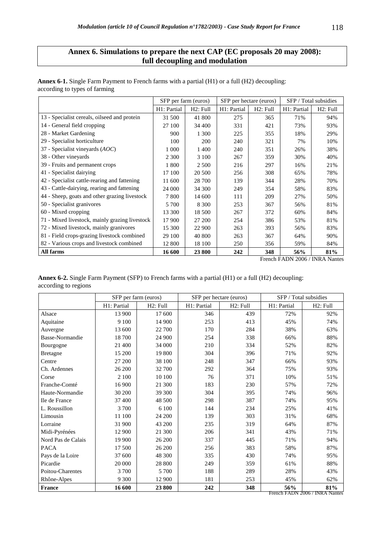# **Annex 6. Simulations to prepare the next CAP (EC proposals 20 may 2008): full decoupling and modulation**

|                                                |             | SFP per farm (euros) | SFP per hectare (euros) |          | SFP / Total subsidies |          |
|------------------------------------------------|-------------|----------------------|-------------------------|----------|-----------------------|----------|
|                                                | H1: Partial | H2: Full             | H1: Partial             | H2: Full | H1: Partial           | H2: Full |
| 13 - Specialist cereals, oilseed and protein   | 31 500      | 41 800               | 275                     | 365      | 71%                   | 94%      |
| 14 - General field cropping                    | 27 100      | 34 400               | 331                     | 421      | 73%                   | 93%      |
| 28 - Market Gardening                          | 900         | 1 300                | 225                     | 355      | 18%                   | 29%      |
| 29 - Specialist horticulture                   | 100         | 200                  | 240                     | 321      | 7%                    | 10%      |
| 37 - Specialist vineyards $(AOC)$              | 1 0 0 0     | 1 400                | 240                     | 351      | 26%                   | 38%      |
| 38 - Other vineyards                           | 2 3 0 0     | 3 100                | 267                     | 359      | 30%                   | 40%      |
| 39 - Fruits and permanent crops                | 1800        | 2 5 0 0              | 216                     | 297      | 16%                   | 21%      |
| 41 - Specialist dairying                       | 17 100      | 20 500               | 256                     | 308      | 65%                   | 78%      |
| 42 - Specialist cattle-rearing and fattening   | 11 600      | 28 700               | 139                     | 344      | 28%                   | 70%      |
| 43 - Cattle-dairying, rearing and fattening    | 24 000      | 34 300               | 249                     | 354      | 58%                   | 83%      |
| 44 - Sheep, goats and other grazing livestock  | 7800        | 14 600               | 111                     | 209      | 27%                   | 50%      |
| 50 - Specialist granivores                     | 5 700       | 8 3 0 0              | 253                     | 367      | 56%                   | 81%      |
| 60 - Mixed cropping                            | 13 300      | 18 500               | 267                     | 372      | 60%                   | 84%      |
| 71 - Mixed livestock, mainly grazing livestock | 17 900      | 27 200               | 254                     | 386      | 53%                   | 81%      |
| 72 - Mixed livestock, mainly granivores        | 15 300      | 22 900               | 263                     | 393      | 56%                   | 83%      |
| 81 - Field crops-grazing livestock combined    | 29 100      | 40 800               | 263                     | 367      | 64%                   | 90%      |
| 82 - Various crops and livestock combined      | 12 800      | 18 100               | 250                     | 356      | 59%                   | 84%      |
| All farms                                      | 16 600      | 23 800               | 242                     | 348      | 56%                   | 81%      |

**Annex 6-1.** Single Farm Payment to French farms with a partial (H1) or a full (H2) decoupling: according to types of farming

French FADN 2006 / INRA Nantes

| <b>Annex 6-2.</b> Single Farm Payment (SFP) to French farms with a partial (H1) or a full (H2) decoupling: |  |
|------------------------------------------------------------------------------------------------------------|--|
| according to regions                                                                                       |  |

|                    |             | SFP per farm (euros) |             | SFP per hectare (euros) |             | SFP / Total subsidies |
|--------------------|-------------|----------------------|-------------|-------------------------|-------------|-----------------------|
|                    | H1: Partial | H2: Full             | H1: Partial | H2: Full                | H1: Partial | H <sub>2</sub> : Full |
| Alsace             | 13 900      | 17 600               | 346         | 439                     | 72%         | 92%                   |
| Aquitaine          | 9 100       | 14 900               | 253         | 413                     | 45%         | 74%                   |
| Auvergne           | 13 600      | 22 700               | 170         | 284                     | 38%         | 63%                   |
| Basse-Normandie    | 18700       | 24 900               | 254         | 338                     | 66%         | 88%                   |
| Bourgogne          | 21 400      | 34 000               | 210         | 334                     | 52%         | 82%                   |
| <b>Bretagne</b>    | 15 200      | 19 800               | 304         | 396                     | 71%         | 92%                   |
| Centre             | 27 200      | 38 100               | 248         | 347                     | 66%         | 93%                   |
| Ch. Ardennes       | 26 200      | 32 700               | 292         | 364                     | 75%         | 93%                   |
| Corse              | 2 100       | 10 100               | 76          | 371                     | 10%         | 51%                   |
| Franche-Comté      | 16 900      | 21 300               | 183         | 230                     | 57%         | 72%                   |
| Haute-Normandie    | 30 200      | 39 300               | 304         | 395                     | 74%         | 96%                   |
| Ile de France      | 37 400      | 48 500               | 298         | 387                     | 74%         | 95%                   |
| L. Roussillon      | 3700        | 6 100                | 144         | 234                     | 25%         | 41%                   |
| Limousin           | 11 100      | 24 200               | 139         | 303                     | 31%         | 68%                   |
| Lorraine           | 31 900      | 43 200               | 235         | 319                     | 64%         | 87%                   |
| Midi-Pyrénées      | 12 900      | 21 300               | 206         | 341                     | 43%         | 71%                   |
| Nord Pas de Calais | 19 900      | 26 200               | 337         | 445                     | 71%         | 94%                   |
| <b>PACA</b>        | 17 500      | 26 200               | 256         | 383                     | 58%         | 87%                   |
| Pays de la Loire   | 37 600      | 48 300               | 335         | 430                     | 74%         | 95%                   |
| Picardie           | 20 000      | 28 800               | 249         | 359                     | 61%         | 88%                   |
| Poitou-Charentes   | 3700        | 5 700                | 188         | 289                     | 28%         | 43%                   |
| Rhône-Alpes        | 9 300       | 12 900               | 181         | 253                     | 45%         | 62%                   |
| France             | 16 600      | 23 800               | 242         | 348                     | 56%         | 81%                   |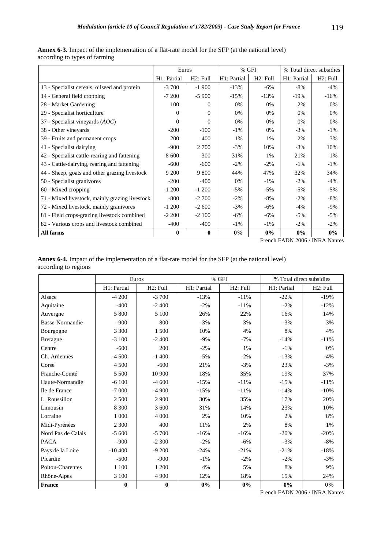**Annex 6-3.** Impact of the implementation of a flat-rate model for the SFP (at the national level) according to types of farming

|                                                | Euros            |          |             | $%$ GFI               | % Total direct subsidies |          |  |
|------------------------------------------------|------------------|----------|-------------|-----------------------|--------------------------|----------|--|
|                                                | H1: Partial      | H2: Full | H1: Partial | H <sub>2</sub> : Full | H1: Partial              | H2: Full |  |
| 13 - Specialist cereals, oilseed and protein   | $-3700$          | $-1900$  | $-13%$      | $-6\%$                | $-8\%$                   | $-4%$    |  |
| 14 - General field cropping                    | $-7200$          | $-5900$  | $-15%$      | $-13%$                | $-19%$                   | $-16%$   |  |
| 28 - Market Gardening                          | 100              | $\theta$ | $0\%$       | 0%                    | 2%                       | 0%       |  |
| 29 - Specialist horticulture                   | $\Omega$         | $\Omega$ | 0%          | 0%                    | 0%                       | 0%       |  |
| 37 - Specialist vineyards $(AOC)$              | $\Omega$         | $\theta$ | 0%          | 0%                    | 0%                       | 0%       |  |
| 38 - Other vineyards                           | $-200$           | $-100$   | $-1\%$      | 0%                    | $-3%$                    | $-1\%$   |  |
| 39 - Fruits and permanent crops                | 200              | 400      | 1%          | $1\%$                 | 2%                       | 3%       |  |
| 41 - Specialist dairying                       | $-900$           | 2 700    | $-3\%$      | 10%                   | $-3%$                    | 10%      |  |
| 42 - Specialist cattle-rearing and fattening   | 8 600            | 300      | 31%         | $1\%$                 | 21%                      | 1%       |  |
| 43 - Cattle-dairying, rearing and fattening    | $-600$           | $-600$   | $-2\%$      | $-2\%$                | $-1\%$                   | $-1\%$   |  |
| 44 - Sheep, goats and other grazing livestock  | 9 200            | 9 800    | 44%         | 47%                   | 32%                      | 34%      |  |
| 50 - Specialist granivores                     | $-200$           | $-400$   | 0%          | $-1\%$                | $-2\%$                   | $-4%$    |  |
| 60 - Mixed cropping                            | $-1200$          | $-1200$  | $-5\%$      | $-5\%$                | $-5\%$                   | -5%      |  |
| 71 - Mixed livestock, mainly grazing livestock | $-800$           | $-2700$  | $-2\%$      | $-8\%$                | $-2\%$                   | $-8\%$   |  |
| 72 - Mixed livestock, mainly granivores        | $-1200$          | $-2600$  | $-3%$       | $-6\%$                | $-4%$                    | $-9\%$   |  |
| 81 - Field crops-grazing livestock combined    | $-2200$          | $-2100$  | $-6\%$      | $-6%$                 | $-5\%$                   | $-5%$    |  |
| 82 - Various crops and livestock combined      | $-400$           | $-400$   | $-1\%$      | $-1\%$                | $-2\%$                   | $-2\%$   |  |
| All farms                                      | $\boldsymbol{0}$ | $\bf{0}$ | $0\%$       | $0\%$                 | $0\%$                    | $0\%$    |  |

French FADN 2006 / INRA Nantes

| <b>Annex 6-4.</b> Impact of the implementation of a flat-rate model for the SFP (at the national level) |  |
|---------------------------------------------------------------------------------------------------------|--|
| according to regions                                                                                    |  |

|                    |             | Euros                 |             | $%$ GFI  | % Total direct subsidies |          |  |
|--------------------|-------------|-----------------------|-------------|----------|--------------------------|----------|--|
|                    | H1: Partial | H <sub>2</sub> : Full | H1: Partial | H2: Full | H1: Partial              | H2: Full |  |
| Alsace             | $-4200$     | $-3700$               | $-13%$      | $-11%$   | $-22%$                   | $-19%$   |  |
| Aquitaine          | $-400$      | $-2400$               | $-2%$       | $-11%$   | $-2%$                    | $-12%$   |  |
| Auvergne           | 5 800       | 5 100                 | 26%         | 22%      | 16%                      | 14%      |  |
| Basse-Normandie    | $-900$      | 800                   | $-3%$       | 3%       | $-3%$                    | 3%       |  |
| Bourgogne          | 3 3 0 0     | 1500                  | 10%         | 4%       | 8%                       | 4%       |  |
| <b>Bretagne</b>    | $-3100$     | $-2400$               | $-9\%$      | $-7%$    | $-14%$                   | $-11%$   |  |
| Centre             | $-600$      | 200                   | $-2%$       | 1%       | $-1\%$                   | 0%       |  |
| Ch. Ardennes       | $-4500$     | $-1400$               | $-5%$       | $-2%$    | $-13%$                   | $-4%$    |  |
| Corse              | 4 500       | $-600$                | 21%         | $-3%$    | 23%                      | $-3%$    |  |
| Franche-Comté      | 5 500       | 10 900                | 18%         | 35%      | 19%                      | 37%      |  |
| Haute-Normandie    | $-6100$     | $-4600$               | $-15%$      | $-11%$   | $-15%$                   | $-11%$   |  |
| Ile de France      | $-7000$     | $-4900$               | $-15%$      | $-11%$   | $-14%$                   | $-10%$   |  |
| L. Roussillon      | 2 500       | 2 9 0 0               | 30%         | 35%      | 17%                      | 20%      |  |
| Limousin           | 8 3 0 0     | 3 600                 | 31%         | 14%      | 23%                      | 10%      |  |
| Lorraine           | 1 000       | 4 0 0 0               | 2%          | 10%      | 2%                       | 8%       |  |
| Midi-Pyrénées      | 2 3 0 0     | 400                   | 11%         | 2%       | 8%                       | 1%       |  |
| Nord Pas de Calais | $-5,600$    | $-5700$               | $-16%$      | $-16%$   | $-20%$                   | $-20%$   |  |
| <b>PACA</b>        | $-900$      | $-2300$               | $-2%$       | $-6%$    | $-3%$                    | $-8%$    |  |
| Pays de la Loire   | $-10400$    | $-9200$               | $-24%$      | $-21%$   | $-21%$                   | $-18%$   |  |
| Picardie           | $-500$      | $-900$                | $-1\%$      | $-2%$    | $-2%$                    | $-3%$    |  |
| Poitou-Charentes   | 1 100       | 1 200                 | 4%          | 5%       | 8%                       | 9%       |  |
| Rhône-Alpes        | 3 100       | 4 9 0 0               | 12%         | 18%      | 15%                      | 24%      |  |
| France             | $\bf{0}$    | $\bf{0}$              | 0%          | 0%       | 0%                       | 0%       |  |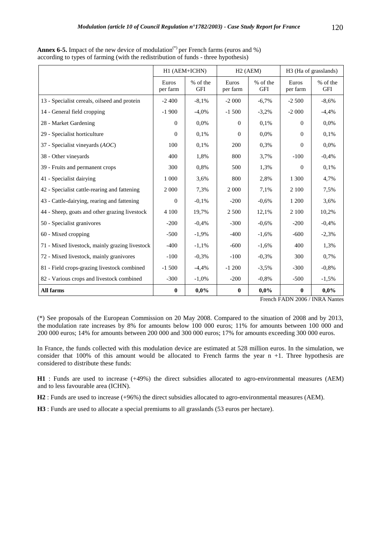according to types of farming (with the redistribution of funds - three hypothesis)

|                                                |                   | H1 (AEM+ICHN)          | H2(AEM)           |                        | H3 (Ha of grasslands) |                        |
|------------------------------------------------|-------------------|------------------------|-------------------|------------------------|-----------------------|------------------------|
|                                                | Euros<br>per farm | % of the<br><b>GFI</b> | Euros<br>per farm | % of the<br><b>GFI</b> | Euros<br>per farm     | % of the<br><b>GFI</b> |
| 13 - Specialist cereals, oilseed and protein   | $-2400$           | $-8.1\%$               | $-2000$           | $-6,7%$                | $-2,500$              | $-8,6%$                |
| 14 - General field cropping                    | $-1900$           | $-4,0\%$               | $-1,500$          | $-3,2%$                | $-2000$               | $-4,4%$                |
| 28 - Market Gardening                          | $\Omega$          | 0.0%                   | $\Omega$          | 0,1%                   | $\Omega$              | 0,0%                   |
| 29 - Specialist horticulture                   | $\Omega$          | 0.1%                   | $\Omega$          | $0.0\%$                | $\Omega$              | 0.1%                   |
| 37 - Specialist vineyards (AOC)                | 100               | 0.1%                   | 200               | 0,3%                   | 0                     | 0,0%                   |
| 38 - Other vineyards                           | 400               | 1,8%                   | 800               | 3,7%                   | $-100$                | $-0.4%$                |
| 39 - Fruits and permanent crops                | 300               | 0.8%                   | 500               | 1,3%                   | $\Omega$              | 0,1%                   |
| 41 - Specialist dairying                       | 1 0 0 0           | 3,6%                   | 800               | 2,8%                   | 1 300                 | 4,7%                   |
| 42 - Specialist cattle-rearing and fattening   | 2 0 0 0           | 7,3%                   | 2 0 0 0           | 7,1%                   | 2 100                 | 7,5%                   |
| 43 - Cattle-dairying, rearing and fattening    | $\theta$          | $-0,1%$                | $-200$            | $-0,6%$                | 1 200                 | 3,6%                   |
| 44 - Sheep, goats and other grazing livestock  | 4 100             | 19,7%                  | 2 5 0 0           | 12,1%                  | 2 100                 | 10,2%                  |
| 50 - Specialist granivores                     | $-200$            | $-0.4%$                | $-300$            | $-0.6%$                | $-200$                | $-0.4%$                |
| 60 - Mixed cropping                            | $-500$            | $-1,9%$                | $-400$            | $-1,6%$                | $-600$                | $-2,3%$                |
| 71 - Mixed livestock, mainly grazing livestock | $-400$            | $-1,1%$                | $-600$            | $-1,6%$                | 400                   | 1,3%                   |
| 72 - Mixed livestock, mainly granivores        | $-100$            | $-0,3%$                | $-100$            | $-0.3%$                | 300                   | 0,7%                   |
| 81 - Field crops-grazing livestock combined    | $-1,500$          | $-4,4%$                | $-1200$           | $-3,5%$                | $-300$                | $-0.8%$                |
| 82 - Various crops and livestock combined      | $-300$            | $-1,0\%$               | $-200$            | $-0.8\%$               | $-500$                | $-1,5%$                |
| All farms                                      | $\mathbf{0}$      | $0.0\%$                | $\bf{0}$          | $0.0\%$                | $\mathbf{0}$          | $0.0\%$                |

French FADN 2006 / INRA Nantes

(\*) See proposals of the European Commission on 20 May 2008. Compared to the situation of 2008 and by 2013, the modulation rate increases by 8% for amounts below 100 000 euros; 11% for amounts between 100 000 and 200 000 euros; 14% for amounts between 200 000 and 300 000 euros; 17% for amounts exceeding 300 000 euros.

In France, the funds collected with this modulation device are estimated at 528 million euros. In the simulation, we consider that  $100\%$  of this amount would be allocated to French farms the year  $n + 1$ . Three hypothesis are considered to distribute these funds:

**H1** : Funds are used to increase (+49%) the direct subsidies allocated to agro-environmental measures (AEM) and to less favourable area (ICHN).

**H2** : Funds are used to increase (+96%) the direct subsidies allocated to agro-environmental measures (AEM).

**H3** : Funds are used to allocate a special premiums to all grasslands (53 euros per hectare).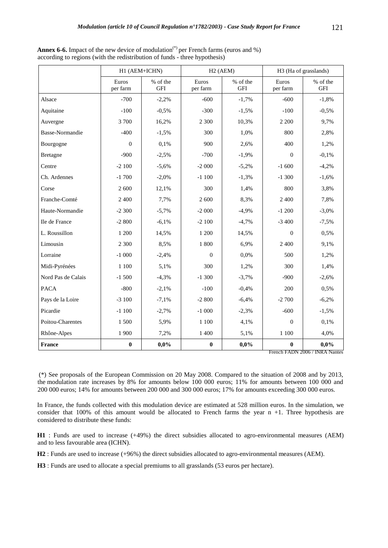|                        | H1 (AEM+ICHN)     |                        | $H2$ (AEM)        |                        |                   | H3 (Ha of grasslands)  |  |  |
|------------------------|-------------------|------------------------|-------------------|------------------------|-------------------|------------------------|--|--|
|                        | Euros<br>per farm | % of the<br><b>GFI</b> | Euros<br>per farm | % of the<br><b>GFI</b> | Euros<br>per farm | % of the<br><b>GFI</b> |  |  |
| Alsace                 | $-700$            | $-2,2%$                | $-600$            | $-1,7%$                | $-600$            | $-1,8%$                |  |  |
| Aquitaine              | $-100$            | $-0,5%$                | $-300$            | $-1,5%$                | $-100$            | $-0,5%$                |  |  |
| Auvergne               | 3700              | 16,2%                  | 2 3 0 0           | 10,3%                  | 2 2 0 0           | 9,7%                   |  |  |
| <b>Basse-Normandie</b> | $-400$            | $-1,5%$                | 300               | 1,0%                   | 800               | 2,8%                   |  |  |
| Bourgogne              | $\Omega$          | 0,1%                   | 900               | 2,6%                   | 400               | 1,2%                   |  |  |
| <b>Bretagne</b>        | $-900$            | $-2,5%$                | $-700$            | $-1,9%$                | $\overline{0}$    | $-0,1%$                |  |  |
| Centre                 | $-2100$           | $-5,6%$                | $-2000$           | $-5,2%$                | $-1,600$          | $-4,2%$                |  |  |
| Ch. Ardennes           | $-1700$           | $-2,0%$                | $-1100$           | $-1,3%$                | $-1300$           | $-1,6%$                |  |  |
| Corse                  | 2 600             | 12,1%                  | 300               | 1,4%                   | 800               | 3,8%                   |  |  |
| Franche-Comté          | 2 400             | 7,7%                   | 2 600             | 8,3%                   | 2 4 0 0           | 7,8%                   |  |  |
| Haute-Normandie        | $-2300$           | $-5,7%$                | $-2000$           | $-4,9%$                | $-1200$           | $-3,0\%$               |  |  |
| Ile de France          | $-2800$           | $-6,1%$                | $-2100$           | $-4,7%$                | $-3400$           | $-7,5%$                |  |  |
| L. Roussillon          | 1 200             | 14,5%                  | 1 200             | 14,5%                  | $\overline{0}$    | 0,5%                   |  |  |
| Limousin               | 2 3 0 0           | 8,5%                   | 1 800             | 6,9%                   | 2 4 0 0           | 9,1%                   |  |  |
| Lorraine               | $-1000$           | $-2,4%$                | $\overline{0}$    | 0,0%                   | 500               | 1,2%                   |  |  |
| Midi-Pyrénées          | 1 100             | 5,1%                   | 300               | 1,2%                   | 300               | 1,4%                   |  |  |
| Nord Pas de Calais     | $-1500$           | $-4,3%$                | $-1300$           | $-3,7%$                | $-900$            | $-2,6%$                |  |  |
| <b>PACA</b>            | $-800$            | $-2,1%$                | $-100$            | $-0,4%$                | 200               | 0,5%                   |  |  |
| Pays de la Loire       | $-3100$           | $-7,1%$                | $-2800$           | $-6,4%$                | $-2700$           | $-6,2%$                |  |  |
| Picardie               | $-1100$           | $-2,7%$                | $-1000$           | $-2,3%$                | $-600$            | $-1,5%$                |  |  |
| Poitou-Charentes       | 1500              | 5,9%                   | 1 100             | 4,1%                   | $\Omega$          | 0,1%                   |  |  |
| Rhône-Alpes            | 1 900             | 7,2%                   | 1 400             | 5,1%                   | $1\;100$          | 4,0%                   |  |  |
| France                 | $\bf{0}$          | 0,0%                   | $\boldsymbol{0}$  | 0,0%                   | $\boldsymbol{0}$  | 0,0%                   |  |  |

**Annex 6-6.** Impact of the new device of modulation<sup>(\*)</sup> per French farms (euros and %) according to regions (with the redistribution of funds - three hypothesis)

French FADN 2006 / INRA Nantes

 (\*) See proposals of the European Commission on 20 May 2008. Compared to the situation of 2008 and by 2013, the modulation rate increases by 8% for amounts below 100 000 euros; 11% for amounts between 100 000 and 200 000 euros; 14% for amounts between 200 000 and 300 000 euros; 17% for amounts exceeding 300 000 euros.

In France, the funds collected with this modulation device are estimated at 528 million euros. In the simulation, we consider that  $100\%$  of this amount would be allocated to French farms the year  $n + 1$ . Three hypothesis are considered to distribute these funds:

**H1** : Funds are used to increase (+49%) the direct subsidies allocated to agro-environmental measures (AEM) and to less favourable area (ICHN).

**H2** : Funds are used to increase (+96%) the direct subsidies allocated to agro-environmental measures (AEM).

**H3** : Funds are used to allocate a special premiums to all grasslands (53 euros per hectare).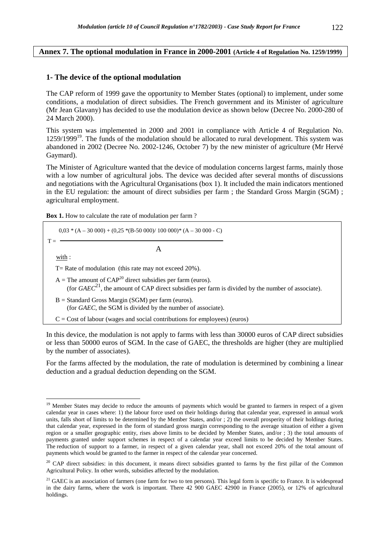## **Annex 7. The optional modulation in France in 2000-2001 (Article 4 of Regulation No. 1259/1999)**

## **1- The device of the optional modulation**

The CAP reform of 1999 gave the opportunity to Member States (optional) to implement, under some conditions, a modulation of direct subsidies. The French government and its Minister of agriculture (Mr Jean Glavany) has decided to use the modulation device as shown below (Decree No. 2000-280 of 24 March 2000).

This system was implemented in 2000 and 2001 in compliance with Article 4 of Regulation No. 1259/1999<sup>19</sup>. The funds of the modulation should be allocated to rural development. This system was abandoned in 2002 (Decree No. 2002-1246, October 7) by the new minister of agriculture (Mr Hervé Gaymard).

The Minister of Agriculture wanted that the device of modulation concerns largest farms, mainly those with a low number of agricultural jobs. The device was decided after several months of discussions and negotiations with the Agricultural Organisations (box 1). It included the main indicators mentioned in the EU regulation: the amount of direct subsidies per farm ; the Standard Gross Margin (SGM) ; agricultural employment.

**Box 1.** How to calculate the rate of modulation per farm ?

 $\overline{a}$ 

$$
0.03 * (A - 30\,000) + (0.25 * (B - 50\,000) / 100\,000) * (A - 30\,000 - C)
$$
\n
$$
T =
$$
\n
$$
\frac{\text{with:}}{\text{with:}}
$$
\n
$$
T = \text{Rate of modulation (this rate may not exceed 20%).}
$$
\n
$$
A = \text{The amount of CAP}^{20} \text{ direct subsidies per farm (euros).}
$$
\n
$$
\text{(for } GAEC^{21}, \text{ the amount of CAP direct subsidies per farm is divided by the number of associate).}
$$
\n
$$
B = \text{Standard Gross Margin (SGM) per farm (euros).}
$$
\n
$$
\text{C} = \text{Cost of labour (wages and social contributions for employees) (euros)}
$$

In this device, the modulation is not apply to farms with less than 30000 euros of CAP direct subsidies or less than 50000 euros of SGM. In the case of GAEC, the thresholds are higher (they are multiplied by the number of associates).

For the farms affected by the modulation, the rate of modulation is determined by combining a linear deduction and a gradual deduction depending on the SGM.

<sup>&</sup>lt;sup>19</sup> Member States may decide to reduce the amounts of payments which would be granted to farmers in respect of a given calendar year in cases where: 1) the labour force used on their holdings during that calendar year, expressed in annual work units, falls short of limits to be determined by the Member States, and/or ; 2) the overall prosperity of their holdings during that calendar year, expressed in the form of standard gross margin corresponding to the average situation of either a given region or a smaller geographic entity, rises above limits to be decided by Member States, and/or ; 3) the total amounts of payments granted under support schemes in respect of a calendar year exceed limits to be decided by Member States. The reduction of support to a farmer, in respect of a given calendar year, shall not exceed 20% of the total amount of payments which would be granted to the farmer in respect of the calendar year concerned.

<sup>&</sup>lt;sup>20</sup> CAP direct subsidies: in this document, it means direct subsidies granted to farms by the first pillar of the Common Agricultural Policy. In other words, subsidies affected by the modulation.

<sup>&</sup>lt;sup>21</sup> GAEC is an association of farmers (one farm for two to ten persons). This legal form is specific to France. It is widespread in the dairy farms, where the work is important. There 42 900 GAEC 42900 in France (2005), or 12% of agricultural holdings.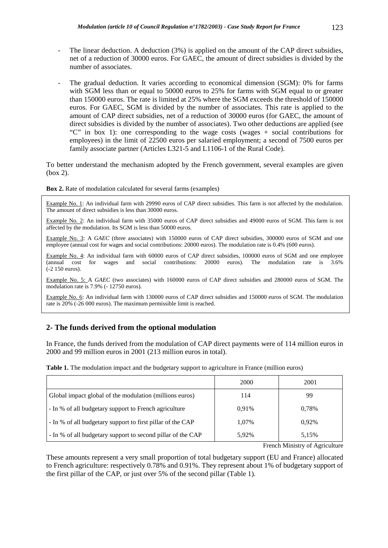- The linear deduction. A deduction (3%) is applied on the amount of the CAP direct subsidies, net of a reduction of 30000 euros. For GAEC, the amount of direct subsidies is divided by the number of associates.
- The gradual deduction. It varies according to economical dimension (SGM): 0% for farms with SGM less than or equal to 50000 euros to 25% for farms with SGM equal to or greater than 150000 euros. The rate is limited at 25% where the SGM exceeds the threshold of 150000 euros. For GAEC, SGM is divided by the number of associates. This rate is applied to the amount of CAP direct subsidies, net of a reduction of 30000 euros (for GAEC, the amount of direct subsidies is divided by the number of associates). Two other deductions are applied (see "C" in box 1): one corresponding to the wage costs (wages + social contributions for employees) in the limit of 22500 euros per salaried employment; a second of 7500 euros per family associate partner (Articles L321-5 and L1106-1 of the Rural Code).

To better understand the mechanism adopted by the French government, several examples are given (box 2).

**Box 2.** Rate of modulation calculated for several farms (examples)

Example No. 1: An individual farm with 29990 euros of CAP direct subsidies. This farm is not affected by the modulation. The amount of direct subsidies is less than 30000 euros.

Example No. 2: An individual farm with 35000 euros of CAP direct subsidies and 49000 euros of SGM. This farm is not affected by the modulation. Its SGM is less than 50000 euros.

Example No. 3: A *GAEC* (three associates) with 150000 euros of CAP direct subsidies, 300000 euros of SGM and one employee (annual cost for wages and social contributions: 20000 euros). The modulation rate is 0.4% (600 euros).

Example No. 4: An individual farm with 60000 euros of CAP direct subsidies, 100000 euros of SGM and one employee (annual cost for wages and social contributions: 20000 euros). The modulation rate is 3.6% (-2 150 euros).

Example No. 5: A *GAEC* (two associates) with 160000 euros of CAP direct subsidies and 280000 euros of SGM. The modulation rate is 7.9% (- 12750 euros).

Example No. 6: An individual farm with 130000 euros of CAP direct subsidies and 150000 euros of SGM. The modulation rate is 20% (-26 000 euros). The maximum permissible limit is reached.

# **2- The funds derived from the optional modulation**

In France, the funds derived from the modulation of CAP direct payments were of 114 million euros in 2000 and 99 million euros in 2001 (213 million euros in total).

| Table 1. The modulation impact and the budgetary support to agriculture in France (million euros) |
|---------------------------------------------------------------------------------------------------|
|---------------------------------------------------------------------------------------------------|

|                                                             | 2000  | 2001  |
|-------------------------------------------------------------|-------|-------|
| Global impact global of the modulation (millions euros)     | 114   | 99    |
| - In % of all budgetary support to French agriculture       | 0.91% | 0.78% |
| - In % of all budgetary support to first pillar of the CAP  | 1.07% | 0.92% |
| - In % of all budgetary support to second pillar of the CAP | 5,92% | 5,15% |

French Ministry of Agriculture

These amounts represent a very small proportion of total budgetary support (EU and France) allocated to French agriculture: respectively 0.78% and 0.91%. They represent about 1% of budgetary support of the first pillar of the CAP, or just over 5% of the second pillar (Table 1).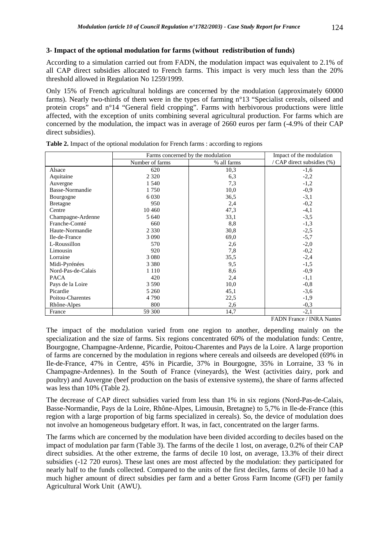## **3- Impact of the optional modulation for farms (without redistribution of funds)**

According to a simulation carried out from FADN, the modulation impact was equivalent to 2.1% of all CAP direct subsidies allocated to French farms. This impact is very much less than the 20% threshold allowed in Regulation No 1259/1999.

Only 15% of French agricultural holdings are concerned by the modulation (approximately 60000 farms). Nearly two-thirds of them were in the types of farming n°13 "Specialist cereals, oilseed and protein crops" and n°14 "General field cropping". Farms with herbivorous productions were little affected, with the exception of units combining several agricultural production. For farms which are concerned by the modulation, the impact was in average of 2660 euros per farm (-4.9% of their CAP direct subsidies).

|                    | Farms concerned by the modulation | Impact of the modulation |                                     |
|--------------------|-----------------------------------|--------------------------|-------------------------------------|
|                    | Number of farms                   | % all farms              | / CAP direct subsidies (%)          |
| Alsace             | 620                               | 10,3                     | $-1,6$                              |
| Aquitaine          | 2 3 2 0                           | 6,3                      | $-2,2$                              |
| Auvergne           | 1 540                             | 7.3                      | $-1,2$                              |
| Basse-Normandie    | 1750                              | 10,0                     | $-0,9$                              |
| Bourgogne          | 6 0 3 0                           | 36,5                     | $-3,1$                              |
| <b>Bretagne</b>    | 950                               | 2,4                      | $-0,2$                              |
| Centre             | 10 4 60                           | 47,3                     | $-4,1$                              |
| Champagne-Ardenne  | 5 640                             | 33,1                     | $-3,5$                              |
| Franche-Comté      | 660                               | 8,8                      | $-1,3$                              |
| Haute-Normandie    | 2 3 3 0                           | 30,8                     | $-2,5$                              |
| Ile-de-France      | 3 0 9 0                           | 69,0                     | $-5,7$                              |
| L-Roussillon       | 570                               | 2,6                      | $-2,0$                              |
| Limousin           | 920                               | 7,8                      | $-0,2$                              |
| Lorraine           | 3 0 8 0                           | 35,5                     | $-2,4$                              |
| Midi-Pyrénées      | 3 3 8 0                           | 9,5                      | $-1,5$                              |
| Nord-Pas-de-Calais | 1 1 1 0                           | 8,6                      | $-0,9$                              |
| <b>PACA</b>        | 420                               | 2,4                      | $-1,1$                              |
| Pays de la Loire   | 3 5 9 0                           | 10,0                     | $-0,8$                              |
| Picardie           | 5 2 6 0                           | 45,1                     | $-3,6$                              |
| Poitou-Charentes   | 4 7 9 0                           | 22,5                     | $-1,9$                              |
| Rhône-Alpes        | 800                               | 2,6                      | $-0,3$                              |
| France             | 59 300                            | 14,7                     | $-2,1$                              |
|                    |                                   |                          | $E$ A DM $E_{max}$<br>$/$ TNID A MI |

|  |  |  |  | Table 2. Impact of the optional modulation for French farms: according to regions |  |
|--|--|--|--|-----------------------------------------------------------------------------------|--|
|  |  |  |  |                                                                                   |  |

FADN France / INRA Nantes

The impact of the modulation varied from one region to another, depending mainly on the specialization and the size of farms. Six regions concentrated 60% of the modulation funds: Centre, Bourgogne, Champagne-Ardenne, Picardie, Poitou-Charentes and Pays de la Loire. A large proportion of farms are concerned by the modulation in regions where cereals and oilseeds are developed (69% in Ile-de-France, 47% in Centre, 45% in Picardie, 37% in Bourgogne, 35% in Lorraine, 33 % in Champagne-Ardennes). In the South of France (vineyards), the West (activities dairy, pork and poultry) and Auvergne (beef production on the basis of extensive systems), the share of farms affected was less than 10% (Table 2).

The decrease of CAP direct subsidies varied from less than 1% in six regions (Nord-Pas-de-Calais, Basse-Normandie, Pays de la Loire, Rhône-Alpes, Limousin, Bretagne) to 5,7% in Ile-de-France (this region with a large proportion of big farms specialized in cereals). So, the device of modulation does not involve an homogeneous budgetary effort. It was, in fact, concentrated on the larger farms.

The farms which are concerned by the modulation have been divided according to deciles based on the impact of modulation par farm (Table 3). The farms of the decile 1 lost, on average, 0.2% of their CAP direct subsidies. At the other extreme, the farms of decile 10 lost, on average, 13.3% of their direct subsidies (-12 720 euros). These last ones are most affected by the modulation: they participated for nearly half to the funds collected. Compared to the units of the first deciles, farms of decile 10 had a much higher amount of direct subsidies per farm and a better Gross Farm Income (GFI) per family Agricultural Work Unit (AWU).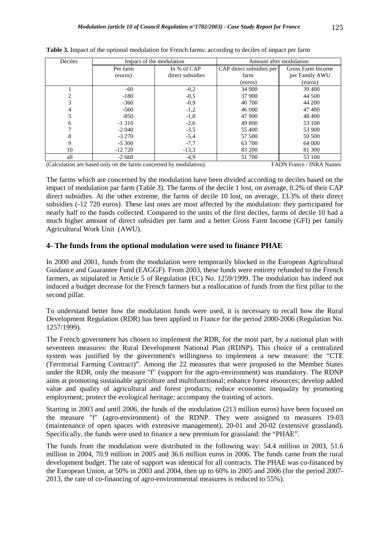| Deciles |            | Impact of the modulation | Amount after modulation  |                   |  |  |
|---------|------------|--------------------------|--------------------------|-------------------|--|--|
|         | Per farm   | In % of CAP              | CAP direct subsidies per | Gross Farm Income |  |  |
|         | (euros)    | direct subsidies         | farm                     | per Family AWU    |  |  |
|         |            |                          | (euros)                  | (euros)           |  |  |
|         | $-60$      | $-0.2$                   | 34 900                   | 39 400            |  |  |
|         | $-180$     | $-0.5$                   | 37 900                   | 44 500            |  |  |
| 3       | $-360$     | $-0,9$                   | 40 700                   | 44 200            |  |  |
|         | $-560$     | $-1,2$                   | 46 000                   | 47400             |  |  |
|         | $-850$     | $-1,8$                   | 47 900                   | 48 400            |  |  |
| 6       | $-1310$    | $-2,6$                   | 49 800                   | 53 100            |  |  |
|         | $-2040$    | $-3,5$                   | 55 400                   | 53 900            |  |  |
| 8       | $-3270$    | $-5,4$                   | 57 500                   | 59 500            |  |  |
| 9       | $-5300$    | $-7,7$                   | 63 700                   | 64 000            |  |  |
| 10      | $-12\,720$ | $-13.3$                  | 83 200                   | 81 300            |  |  |
| all     | $-2660$    | $-4,9$                   | 51 700                   | 53 100            |  |  |

| Table 3. Impact of the optional modulation for French farms: according to deciles of impact per farm |
|------------------------------------------------------------------------------------------------------|
|------------------------------------------------------------------------------------------------------|

(Calculation are based only on the farms concerned by modulation). FADN France / INRA Nantes

The farms which are concerned by the modulation have been divided according to deciles based on the impact of modulation par farm (Table 3). The farms of the decile 1 lost, on average, 0.2% of their CAP direct subsidies. At the other extreme, the farms of decile 10 lost, on average, 13.3% of their direct subsidies (-12 720 euros). These last ones are most affected by the modulation: they participated for nearly half to the funds collected. Compared to the units of the first deciles, farms of decile 10 had a much higher amount of direct subsidies per farm and a better Gross Farm Income (GFI) per family Agricultural Work Unit (AWU).

#### **4- The funds from the optional modulation were used to finance PHAE**

In 2000 and 2001, funds from the modulation were temporarily blocked in the European Agricultural Guidance and Guarantee Fund (EAGGF). From 2003, these funds were entirety refunded to the French farmers, as stipulated in Article 5 of Regulation (EC) No. 1259/1999. The modulation has indeed not induced a budget decrease for the French farmers but a reallocation of funds from the first pillar to the second pillar.

To understand better how the modulation funds were used, it is necessary to recall how the Rural Development Regulation (RDR) has been applied in France for the period 2000-2006 (Regulation No. 1257/1999).

The French government has chosen to implement the RDR, for the most part, by a national plan with seventeen measures: the Rural Development National Plan (RDNP). This choice of a centralized system was justified by the government's willingness to implement a new measure: the "CTE (Territorial Farming Contract)". Among the 22 measures that were proposed to the Member States under the RDR, only the measure "f" (support for the agro-environment) was mandatory. The RDNP aims at promoting sustainable agriculture and multifunctional; enhance forest resources; develop added value and quality of agricultural and forest products; reduce economic inequality by promoting employment; protect the ecological heritage; accompany the training of actors.

Starting in 2003 and until 2006, the funds of the modulation (213 million euros) have been focused on the measure "f" (agro-environment) of the RDNP. They were assigned to measures 19-03 (maintenance of open spaces with extensive management), 20-01 and 20-02 (extensive grassland). Specifically, the funds were used to finance a new premium for grassland: the "PHAE".

The funds from the modulation were distributed in the following way: 54.4 million in 2003, 51.6 million in 2004, 70.9 million in 2005 and 36.6 million euros in 2006. The funds came from the rural development budget. The rate of support was identical for all contracts. The PHAE was co-financed by the European Union, at 50% in 2003 and 2004, then up to 60% in 2005 and 2006 (for the period 2007- 2013, the rate of co-financing of agro-environmental measures is reduced to 55%).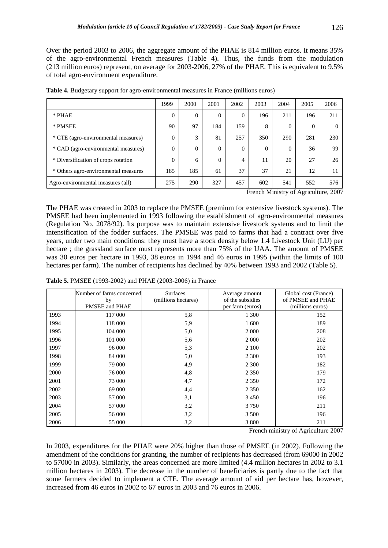Over the period 2003 to 2006, the aggregate amount of the PHAE is 814 million euros. It means 35% of the agro-environmental French measures (Table 4). Thus, the funds from the modulation (213 million euros) represent, on average for 2003-2006, 27% of the PHAE. This is equivalent to 9.5% of total agro-environment expenditure.

|                                      | 1999 | 2000     | 2001     | 2002     | 2003     | 2004     | 2005     | 2006 |
|--------------------------------------|------|----------|----------|----------|----------|----------|----------|------|
| * PHAE                               | 0    | $\theta$ | $\theta$ | $\Omega$ | 196      | 211      | 196      | 211  |
| * PMSEE                              | 90   | 97       | 184      | 159      | 8        | 0        | $\Omega$ |      |
| * CTE (agro-environmental measures)  | 0    | 3        | 81       | 257      | 350      | 290      | 281      | 230  |
| * CAD (agro-environmental measures)  | 0    | $\theta$ | $\Omega$ | $\Omega$ | $\Omega$ | $\theta$ | 36       | 99   |
| * Diversification of crops rotation  | 0    | 6        | $\theta$ | 4        | 11       | 20       | 27       | 26   |
| * Others agro-environmental measures | 185  | 185      | 61       | 37       | 37       | 21       | 12       |      |
| Agro-environmental measures (all)    | 275  | 290      | 327      | 457      | 602      | 541      | 552      | 576  |

**Table 4.** Budgetary support for agro-environmental measures in France (millions euros)

French Ministry of Agriculture, 2007

The PHAE was created in 2003 to replace the PMSEE (premium for extensive livestock systems). The PMSEE had been implemented in 1993 following the establishment of agro-environmental measures (Regulation No. 2078/92). Its purpose was to maintain extensive livestock systems and to limit the intensification of the fodder surfaces. The PMSEE was paid to farms that had a contract over five years, under two main conditions: they must have a stock density below 1.4 Livestock Unit (LU) per hectare ; the grassland surface must represents more than 75% of the UAA. The amount of PMSEE was 30 euros per hectare in 1993, 38 euros in 1994 and 46 euros in 1995 (within the limits of 100 hectares per farm). The number of recipients has declined by 40% between 1993 and 2002 (Table 5).

|      | Number of farms concerned<br>by | <b>Surfaces</b><br>(millions hectares) | Average amount<br>of the subsidies | Global cost (France)<br>of PMSEE and PHAE |
|------|---------------------------------|----------------------------------------|------------------------------------|-------------------------------------------|
|      | PMSEE and PHAE                  |                                        | per farm (euros)                   | (millions euros)                          |
| 1993 | 117 000                         | 5,8                                    | 1 300                              | 152                                       |
| 1994 | 118 000                         | 5,9                                    | 1600                               | 189                                       |
| 1995 | 104 000                         | 5,0                                    | 2 0 0 0                            | 208                                       |
| 1996 | 101 000                         | 5,6                                    | 2 0 0 0                            | 202                                       |
| 1997 | 96 000                          | 5,3                                    | 2 100                              | 202                                       |
| 1998 | 84 000                          | 5,0                                    | 2 3 0 0                            | 193                                       |
| 1999 | 79 000                          | 4,9                                    | 2 3 0 0                            | 182                                       |
| 2000 | 76 000                          | 4,8                                    | 2 3 5 0                            | 179                                       |
| 2001 | 73 000                          | 4,7                                    | 2 3 5 0                            | 172                                       |
| 2002 | 69 000                          | 4,4                                    | 2 3 5 0                            | 162                                       |
| 2003 | 57 000                          | 3,1                                    | 3 4 5 0                            | 196                                       |
| 2004 | 57 000                          | 3,2                                    | 3 7 5 0                            | 211                                       |
| 2005 | 56 000                          | 3,2                                    | 3 500                              | 196                                       |
| 2006 | 55 000                          | 3,2                                    | 3 800                              | 211                                       |

**Table 5.** PMSEE (1993-2002) and PHAE (2003-2006) in France

French ministry of Agriculture 2007

In 2003, expenditures for the PHAE were 20% higher than those of PMSEE (in 2002). Following the amendment of the conditions for granting, the number of recipients has decreased (from 69000 in 2002 to 57000 in 2003). Similarly, the areas concerned are more limited (4.4 million hectares in 2002 to 3.1 million hectares in 2003). The decrease in the number of beneficiaries is partly due to the fact that some farmers decided to implement a CTE. The average amount of aid per hectare has, however, increased from 46 euros in 2002 to 67 euros in 2003 and 76 euros in 2006.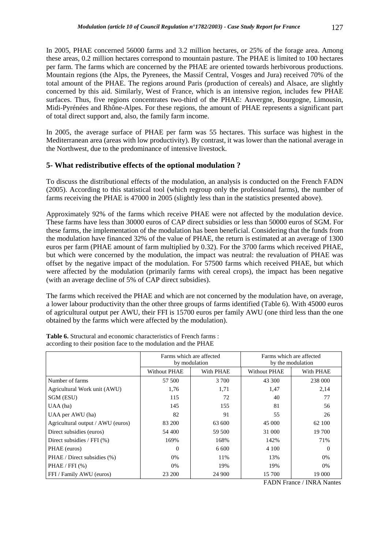In 2005, PHAE concerned 56000 farms and 3.2 million hectares, or 25% of the forage area. Among these areas, 0.2 million hectares correspond to mountain pasture. The PHAE is limited to 100 hectares per farm. The farms which are concerned by the PHAE are oriented towards herbivorous productions. Mountain regions (the Alps, the Pyrenees, the Massif Central, Vosges and Jura) received 70% of the total amount of the PHAE. The regions around Paris (production of cereals) and Alsace, are slightly concerned by this aid. Similarly, West of France, which is an intensive region, includes few PHAE surfaces. Thus, five regions concentrates two-third of the PHAE: Auvergne, Bourgogne, Limousin, Midi-Pyrénées and Rhône-Alpes. For these regions, the amount of PHAE represents a significant part of total direct support and, also, the family farm income.

In 2005, the average surface of PHAE per farm was 55 hectares. This surface was highest in the Mediterranean area (areas with low productivity). By contrast, it was lower than the national average in the Northwest, due to the predominance of intensive livestock.

# **5- What redistributive effects of the optional modulation ?**

To discuss the distributional effects of the modulation, an analysis is conducted on the French FADN (2005). According to this statistical tool (which regroup only the professional farms), the number of farms receiving the PHAE is 47000 in 2005 (slightly less than in the statistics presented above).

Approximately 92% of the farms which receive PHAE were not affected by the modulation device. These farms have less than 30000 euros of CAP direct subsidies or less than 50000 euros of SGM. For these farms, the implementation of the modulation has been beneficial. Considering that the funds from the modulation have financed 32% of the value of PHAE, the return is estimated at an average of 1300 euros per farm (PHAE amount of farm multiplied by 0.32). For the 3700 farms which received PHAE, but which were concerned by the modulation, the impact was neutral: the revaluation of PHAE was offset by the negative impact of the modulation. For 57500 farms which received PHAE, but which were affected by the modulation (primarily farms with cereal crops), the impact has been negative (with an average decline of 5% of CAP direct subsidies).

The farms which received the PHAE and which are not concerned by the modulation have, on average, a lower labour productivity than the other three groups of farms identified (Table 6). With 45000 euros of agricultural output per AWU, their FFI is 15700 euros per family AWU (one third less than the one obtained by the farms which were affected by the modulation).

|                                   | Farms which are affected | by modulation | Farms which are affected<br>by the modulation |           |  |  |
|-----------------------------------|--------------------------|---------------|-----------------------------------------------|-----------|--|--|
|                                   | <b>Without PHAE</b>      | With PHAE     | Without PHAE                                  | With PHAE |  |  |
| Number of farms                   | 57 500                   | 3 700         | 43 300                                        | 238 000   |  |  |
| Agricultural Work unit (AWU)      | 1,76                     | 1,71          | 1,47                                          | 2,14      |  |  |
| SGM (ESU)                         | 115                      | 72            | 40                                            | 77        |  |  |
| $UAA$ (ha)                        | 145                      | 155           | 81                                            | 56        |  |  |
| UAA per AWU (ha)                  | 82                       | 91            | 55                                            | 26        |  |  |
| Agricultural output / AWU (euros) | 83 200                   | 63 600        | 45 000                                        | 62 100    |  |  |
| Direct subsidies (euros)          | 54 400                   | 59 500        | 31 000                                        | 19 700    |  |  |
| Direct subsidies / FFI $(\% )$    | 169%                     | 168%          | 142%                                          | 71%       |  |  |
| PHAE (euros)                      | $\Omega$                 | 6 600         | 4 100                                         | 0         |  |  |
| PHAE / Direct subsidies (%)       | 0%                       | 11%           | 13%                                           | 0%        |  |  |
| PHAE / FFI (%)                    | 0%                       | 19%           | 19%                                           | 0%        |  |  |
| FFI / Family AWU (euros)          | 23 200                   | 24 900        | 15 700                                        | 19 000    |  |  |

**Table 6.** Structural and economic characteristics of French farms : according to their position face to the modulation and the PHAE